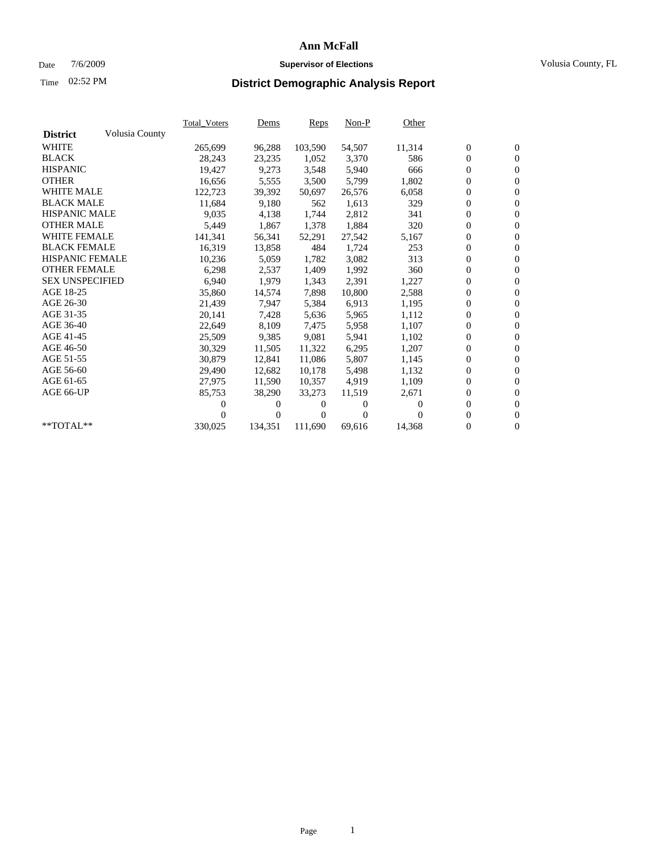### Date 7/6/2009 **Supervisor of Elections** Volusia County, FL

# Time **District Demographic Analysis Report** 02:52 PM

|                        |                | Total Voters | <b>Dems</b> | Reps     | $Non-P$  | Other    |                  |                  |  |
|------------------------|----------------|--------------|-------------|----------|----------|----------|------------------|------------------|--|
| <b>District</b>        | Volusia County |              |             |          |          |          |                  |                  |  |
| <b>WHITE</b>           |                | 265,699      | 96,288      | 103,590  | 54,507   | 11,314   | $\boldsymbol{0}$ | $\boldsymbol{0}$ |  |
| <b>BLACK</b>           |                | 28,243       | 23,235      | 1,052    | 3,370    | 586      | $\boldsymbol{0}$ | $\mathbf{0}$     |  |
| <b>HISPANIC</b>        |                | 19,427       | 9,273       | 3,548    | 5,940    | 666      | $\overline{0}$   | $\mathbf{0}$     |  |
| <b>OTHER</b>           |                | 16,656       | 5,555       | 3,500    | 5,799    | 1,802    | $\boldsymbol{0}$ | $\mathbf{0}$     |  |
| <b>WHITE MALE</b>      |                | 122,723      | 39,392      | 50,697   | 26,576   | 6,058    | $\boldsymbol{0}$ | $\mathbf{0}$     |  |
| <b>BLACK MALE</b>      |                | 11,684       | 9,180       | 562      | 1,613    | 329      | $\overline{0}$   | $\mathbf{0}$     |  |
| <b>HISPANIC MALE</b>   |                | 9,035        | 4,138       | 1,744    | 2,812    | 341      | $\overline{0}$   | $\overline{0}$   |  |
| <b>OTHER MALE</b>      |                | 5,449        | 1,867       | 1,378    | 1,884    | 320      | $\boldsymbol{0}$ | $\mathbf{0}$     |  |
| <b>WHITE FEMALE</b>    |                | 141,341      | 56,341      | 52,291   | 27,542   | 5,167    | 0                | $\mathbf{0}$     |  |
| <b>BLACK FEMALE</b>    |                | 16,319       | 13,858      | 484      | 1,724    | 253      | $\boldsymbol{0}$ | $\overline{0}$   |  |
| <b>HISPANIC FEMALE</b> |                | 10,236       | 5,059       | 1,782    | 3,082    | 313      | $\boldsymbol{0}$ | $\boldsymbol{0}$ |  |
| <b>OTHER FEMALE</b>    |                | 6,298        | 2,537       | 1,409    | 1,992    | 360      | $\overline{0}$   | $\Omega$         |  |
| <b>SEX UNSPECIFIED</b> |                | 6,940        | 1,979       | 1,343    | 2,391    | 1,227    | $\boldsymbol{0}$ | $\overline{0}$   |  |
| AGE 18-25              |                | 35,860       | 14,574      | 7,898    | 10,800   | 2,588    | 0                | $\boldsymbol{0}$ |  |
| AGE 26-30              |                | 21,439       | 7,947       | 5,384    | 6,913    | 1,195    | 0                | $\mathbf{0}$     |  |
| AGE 31-35              |                | 20,141       | 7,428       | 5,636    | 5,965    | 1,112    | $\mathbf{0}$     | $\mathbf{0}$     |  |
| AGE 36-40              |                | 22,649       | 8,109       | 7,475    | 5,958    | 1,107    | $\boldsymbol{0}$ | $\boldsymbol{0}$ |  |
| AGE 41-45              |                | 25,509       | 9,385       | 9,081    | 5,941    | 1,102    | 0                | $\mathbf{0}$     |  |
| AGE 46-50              |                | 30,329       | 11,505      | 11,322   | 6,295    | 1,207    | $\boldsymbol{0}$ | $\mathbf{0}$     |  |
| AGE 51-55              |                | 30,879       | 12,841      | 11,086   | 5,807    | 1,145    | $\boldsymbol{0}$ | $\boldsymbol{0}$ |  |
| AGE 56-60              |                | 29,490       | 12,682      | 10.178   | 5,498    | 1,132    | 0                | $\mathbf{0}$     |  |
| AGE 61-65              |                | 27,975       | 11,590      | 10,357   | 4,919    | 1,109    | $\boldsymbol{0}$ | $\mathbf{0}$     |  |
| AGE 66-UP              |                | 85,753       | 38,290      | 33,273   | 11,519   | 2,671    | $\boldsymbol{0}$ | $\mathbf{0}$     |  |
|                        |                | 0            | 0           | $^{(1)}$ | 0        | $\Omega$ | $\overline{0}$   | $\mathbf{0}$     |  |
|                        |                | 0            | $\theta$    | 0        | $\Omega$ |          | $\overline{0}$   | $\mathbf{0}$     |  |
| $*$ TOTAL $**$         |                | 330,025      | 134,351     | 111,690  | 69,616   | 14,368   | 0                | $\mathbf{0}$     |  |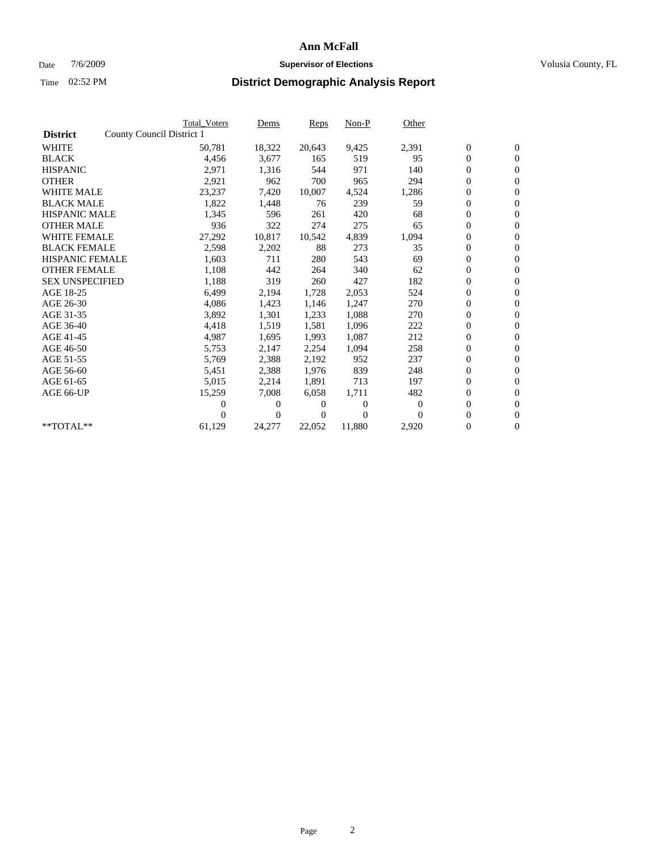### Date  $7/6/2009$  **Supervisor of Elections Supervisor of Elections** Volusia County, FL

|                        |                           | <b>Total Voters</b> | Dems         | Reps   | $Non-P$        | Other            |                  |                  |  |
|------------------------|---------------------------|---------------------|--------------|--------|----------------|------------------|------------------|------------------|--|
| <b>District</b>        | County Council District 1 |                     |              |        |                |                  |                  |                  |  |
| <b>WHITE</b>           |                           | 50,781              | 18,322       | 20,643 | 9,425          | 2,391            | $\boldsymbol{0}$ | $\boldsymbol{0}$ |  |
| <b>BLACK</b>           |                           | 4,456               | 3,677        | 165    | 519            | 95               | $\overline{0}$   | $\mathbf{0}$     |  |
| <b>HISPANIC</b>        |                           | 2,971               | 1,316        | 544    | 971            | 140              | $\overline{0}$   | $\mathbf{0}$     |  |
| <b>OTHER</b>           |                           | 2,921               | 962          | 700    | 965            | 294              | 0                | $\mathbf{0}$     |  |
| <b>WHITE MALE</b>      |                           | 23,237              | 7,420        | 10,007 | 4,524          | 1,286            | $\boldsymbol{0}$ | $\mathbf{0}$     |  |
| <b>BLACK MALE</b>      |                           | 1,822               | 1,448        | 76     | 239            | 59               | $\boldsymbol{0}$ | $\mathbf{0}$     |  |
| <b>HISPANIC MALE</b>   |                           | 1,345               | 596          | 261    | 420            | 68               | 0                | $\mathbf{0}$     |  |
| <b>OTHER MALE</b>      |                           | 936                 | 322          | 274    | 275            | 65               | $\boldsymbol{0}$ | $\mathbf{0}$     |  |
| <b>WHITE FEMALE</b>    |                           | 27,292              | 10,817       | 10,542 | 4,839          | 1,094            | 0                | $\mathbf{0}$     |  |
| <b>BLACK FEMALE</b>    |                           | 2,598               | 2,202        | 88     | 273            | 35               | 0                | $\Omega$         |  |
| <b>HISPANIC FEMALE</b> |                           | 1,603               | 711          | 280    | 543            | 69               | $\boldsymbol{0}$ | $\mathbf{0}$     |  |
| <b>OTHER FEMALE</b>    |                           | 1,108               | 442          | 264    | 340            | 62               | $\boldsymbol{0}$ | $\mathbf{0}$     |  |
| <b>SEX UNSPECIFIED</b> |                           | 1,188               | 319          | 260    | 427            | 182              | 0                | $\mathbf{0}$     |  |
| AGE 18-25              |                           | 6,499               | 2,194        | 1,728  | 2,053          | 524              | $\boldsymbol{0}$ | $\mathbf{0}$     |  |
| AGE 26-30              |                           | 4,086               | 1,423        | 1,146  | 1,247          | 270              | $\boldsymbol{0}$ | $\mathbf{0}$     |  |
| AGE 31-35              |                           | 3,892               | 1,301        | 1,233  | 1,088          | 270              | 0                | $\mathbf{0}$     |  |
| AGE 36-40              |                           | 4,418               | 1,519        | 1,581  | 1,096          | 222              | $\boldsymbol{0}$ | $\mathbf{0}$     |  |
| AGE 41-45              |                           | 4,987               | 1,695        | 1,993  | 1,087          | 212              | $\boldsymbol{0}$ | $\mathbf{0}$     |  |
| AGE 46-50              |                           | 5,753               | 2,147        | 2,254  | 1,094          | 258              | 0                | $\Omega$         |  |
| AGE 51-55              |                           | 5,769               | 2,388        | 2,192  | 952            | 237              | $\boldsymbol{0}$ | $\mathbf{0}$     |  |
| AGE 56-60              |                           | 5,451               | 2,388        | 1.976  | 839            | 248              | $\overline{0}$   | $\mathbf{0}$     |  |
| AGE 61-65              |                           | 5,015               | 2,214        | 1,891  | 713            | 197              | 0                | $\mathbf{0}$     |  |
| AGE 66-UP              |                           | 15,259              | 7,008        | 6,058  | 1,711          | 482              | $\overline{0}$   | $\mathbf{0}$     |  |
|                        |                           | 0                   | 0            | 0      | $\overline{0}$ | $\boldsymbol{0}$ | $\boldsymbol{0}$ | $\mathbf{0}$     |  |
|                        |                           | 0                   | $\mathbf{0}$ | 0      | $\Omega$       | $\Omega$         | 0                | $\mathbf{0}$     |  |
| $*$ TOTAL $**$         |                           | 61,129              | 24,277       | 22,052 | 11,880         | 2,920            | $\overline{0}$   | $\boldsymbol{0}$ |  |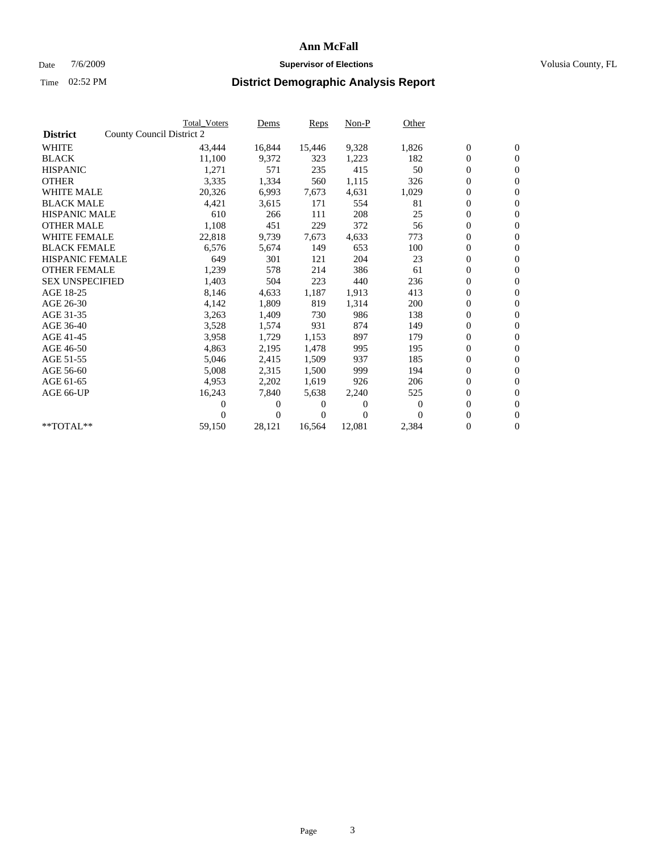### Date  $7/6/2009$  **Supervisor of Elections Supervisor of Elections** Volusia County, FL

|                        |                           | <b>Total Voters</b> | Dems     | Reps   | Non-P    | Other            |                  |                  |  |
|------------------------|---------------------------|---------------------|----------|--------|----------|------------------|------------------|------------------|--|
| <b>District</b>        | County Council District 2 |                     |          |        |          |                  |                  |                  |  |
| <b>WHITE</b>           |                           | 43,444              | 16,844   | 15,446 | 9,328    | 1,826            | $\boldsymbol{0}$ | $\boldsymbol{0}$ |  |
| <b>BLACK</b>           |                           | 11,100              | 9,372    | 323    | 1,223    | 182              | $\boldsymbol{0}$ | $\mathbf{0}$     |  |
| <b>HISPANIC</b>        |                           | 1,271               | 571      | 235    | 415      | 50               | $\boldsymbol{0}$ | $\mathbf{0}$     |  |
| <b>OTHER</b>           |                           | 3,335               | 1,334    | 560    | 1,115    | 326              | 0                | $\mathbf{0}$     |  |
| <b>WHITE MALE</b>      |                           | 20,326              | 6,993    | 7,673  | 4,631    | 1,029            | $\boldsymbol{0}$ | $\mathbf{0}$     |  |
| <b>BLACK MALE</b>      |                           | 4,421               | 3,615    | 171    | 554      | 81               | $\overline{0}$   | $\mathbf{0}$     |  |
| <b>HISPANIC MALE</b>   |                           | 610                 | 266      | 111    | 208      | 25               | $\boldsymbol{0}$ | $\mathbf{0}$     |  |
| <b>OTHER MALE</b>      |                           | 1,108               | 451      | 229    | 372      | 56               | $\boldsymbol{0}$ | $\mathbf{0}$     |  |
| <b>WHITE FEMALE</b>    |                           | 22,818              | 9,739    | 7,673  | 4,633    | 773              | $\boldsymbol{0}$ | $\mathbf{0}$     |  |
| <b>BLACK FEMALE</b>    |                           | 6,576               | 5,674    | 149    | 653      | 100              | 0                | $\mathbf{0}$     |  |
| <b>HISPANIC FEMALE</b> |                           | 649                 | 301      | 121    | 204      | 23               | $\boldsymbol{0}$ | $\mathbf{0}$     |  |
| <b>OTHER FEMALE</b>    |                           | 1,239               | 578      | 214    | 386      | 61               | $\overline{0}$   | $\mathbf{0}$     |  |
| <b>SEX UNSPECIFIED</b> |                           | 1,403               | 504      | 223    | 440      | 236              | 0                | $\mathbf{0}$     |  |
| AGE 18-25              |                           | 8,146               | 4,633    | 1,187  | 1,913    | 413              | $\overline{0}$   | $\mathbf{0}$     |  |
| AGE 26-30              |                           | 4,142               | 1,809    | 819    | 1,314    | 200              | 0                | $\mathbf{0}$     |  |
| AGE 31-35              |                           | 3,263               | 1,409    | 730    | 986      | 138              | $\boldsymbol{0}$ | $\mathbf{0}$     |  |
| AGE 36-40              |                           | 3,528               | 1,574    | 931    | 874      | 149              | 0                | $\mathbf{0}$     |  |
| AGE 41-45              |                           | 3,958               | 1,729    | 1,153  | 897      | 179              | $\boldsymbol{0}$ | $\mathbf{0}$     |  |
| AGE 46-50              |                           | 4,863               | 2,195    | 1,478  | 995      | 195              | 0                | $\mathbf{0}$     |  |
| AGE 51-55              |                           | 5,046               | 2,415    | 1,509  | 937      | 185              | $\boldsymbol{0}$ | $\mathbf{0}$     |  |
| AGE 56-60              |                           | 5,008               | 2,315    | 1,500  | 999      | 194              | 0                | $\mathbf{0}$     |  |
| AGE 61-65              |                           | 4,953               | 2,202    | 1,619  | 926      | 206              | 0                | $\mathbf{0}$     |  |
| AGE 66-UP              |                           | 16,243              | 7,840    | 5,638  | 2,240    | 525              | $\boldsymbol{0}$ | $\mathbf{0}$     |  |
|                        |                           | 0                   | $\theta$ | 0      | $\theta$ | $\boldsymbol{0}$ | $\overline{0}$   | $\mathbf{0}$     |  |
|                        |                           | 0                   | 0        | 0      | $\theta$ | $\Omega$         | 0                | $\mathbf{0}$     |  |
| **TOTAL**              |                           | 59,150              | 28,121   | 16,564 | 12,081   | 2,384            | 0                | $\boldsymbol{0}$ |  |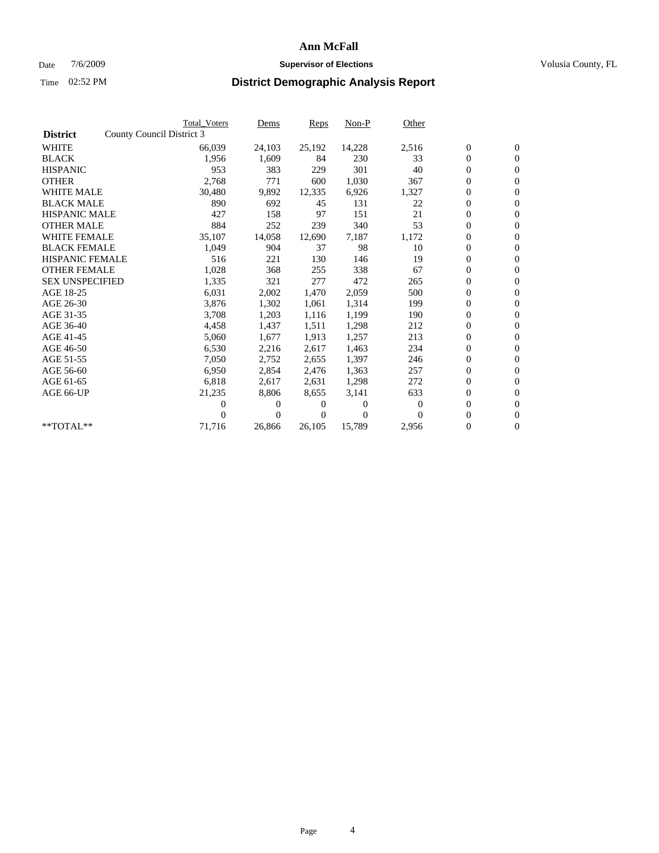### Date  $7/6/2009$  **Supervisor of Elections Supervisor of Elections** Volusia County, FL

|                        |                           | <b>Total Voters</b> | Dems           | Reps   | $Non-P$  | Other    |                  |                  |
|------------------------|---------------------------|---------------------|----------------|--------|----------|----------|------------------|------------------|
| <b>District</b>        | County Council District 3 |                     |                |        |          |          |                  |                  |
| <b>WHITE</b>           |                           | 66,039              | 24,103         | 25,192 | 14,228   | 2,516    | $\boldsymbol{0}$ | $\boldsymbol{0}$ |
| <b>BLACK</b>           |                           | 1,956               | 1,609          | 84     | 230      | 33       | $\overline{0}$   | $\mathbf{0}$     |
| <b>HISPANIC</b>        |                           | 953                 | 383            | 229    | 301      | 40       | $\overline{0}$   | $\mathbf{0}$     |
| <b>OTHER</b>           |                           | 2,768               | 771            | 600    | 1,030    | 367      | 0                | $\mathbf{0}$     |
| <b>WHITE MALE</b>      |                           | 30,480              | 9,892          | 12,335 | 6,926    | 1,327    | $\boldsymbol{0}$ | $\mathbf{0}$     |
| <b>BLACK MALE</b>      |                           | 890                 | 692            | 45     | 131      | 22       | $\boldsymbol{0}$ | $\mathbf{0}$     |
| <b>HISPANIC MALE</b>   |                           | 427                 | 158            | 97     | 151      | 21       | 0                | $\mathbf{0}$     |
| <b>OTHER MALE</b>      |                           | 884                 | 252            | 239    | 340      | 53       | $\boldsymbol{0}$ | $\mathbf{0}$     |
| <b>WHITE FEMALE</b>    |                           | 35,107              | 14,058         | 12,690 | 7,187    | 1,172    | 0                | $\mathbf{0}$     |
| <b>BLACK FEMALE</b>    |                           | 1,049               | 904            | 37     | 98       | 10       | 0                | $\Omega$         |
| <b>HISPANIC FEMALE</b> |                           | 516                 | 221            | 130    | 146      | 19       | $\boldsymbol{0}$ | $\mathbf{0}$     |
| <b>OTHER FEMALE</b>    |                           | 1,028               | 368            | 255    | 338      | 67       | 0                | $\mathbf{0}$     |
| <b>SEX UNSPECIFIED</b> |                           | 1,335               | 321            | 277    | 472      | 265      | 0                | $\Omega$         |
| AGE 18-25              |                           | 6,031               | 2,002          | 1,470  | 2,059    | 500      | $\overline{0}$   | $\mathbf{0}$     |
| AGE 26-30              |                           | 3,876               | 1,302          | 1,061  | 1,314    | 199      | 0                | $\mathbf{0}$     |
| AGE 31-35              |                           | 3,708               | 1,203          | 1,116  | 1,199    | 190      | 0                | $\mathbf{0}$     |
| AGE 36-40              |                           | 4,458               | 1,437          | 1,511  | 1,298    | 212      | $\overline{0}$   | $\mathbf{0}$     |
| AGE 41-45              |                           | 5,060               | 1,677          | 1,913  | 1,257    | 213      | 0                | $\mathbf{0}$     |
| AGE 46-50              |                           | 6,530               | 2,216          | 2,617  | 1,463    | 234      | 0                | $\Omega$         |
| AGE 51-55              |                           | 7,050               | 2,752          | 2,655  | 1,397    | 246      | $\boldsymbol{0}$ | $\mathbf{0}$     |
| AGE 56-60              |                           | 6,950               | 2,854          | 2.476  | 1.363    | 257      | 0                | $\mathbf{0}$     |
| AGE 61-65              |                           | 6,818               | 2,617          | 2,631  | 1,298    | 272      | 0                | $\Omega$         |
| AGE 66-UP              |                           | 21,235              | 8,806          | 8,655  | 3,141    | 633      | $\overline{0}$   | $\mathbf{0}$     |
|                        |                           | 0                   | 0              | 0      | $\theta$ | $\Omega$ | 0                | $\mathbf{0}$     |
|                        |                           | 0                   | $\overline{0}$ | 0      | $\Omega$ | $\Omega$ | 0                | $\mathbf{0}$     |
| $*$ TOTAL $**$         |                           | 71,716              | 26,866         | 26,105 | 15,789   | 2,956    | 0                | $\boldsymbol{0}$ |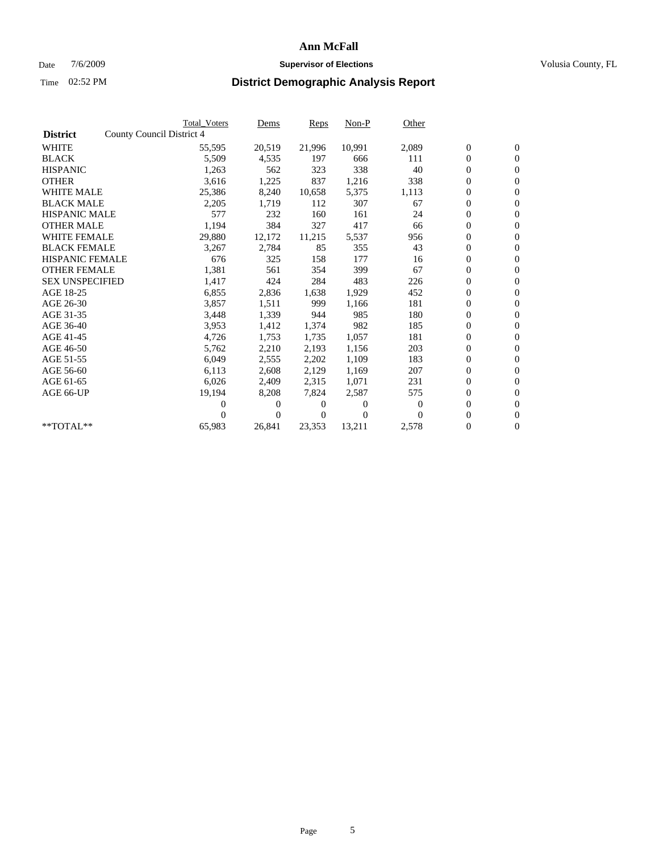### Date  $7/6/2009$  **Supervisor of Elections Supervisor of Elections** Volusia County, FL

|                        | <b>Total Voters</b>       | Dems             | Reps          | $Non-P$        | Other    |                  |                  |  |
|------------------------|---------------------------|------------------|---------------|----------------|----------|------------------|------------------|--|
| <b>District</b>        | County Council District 4 |                  |               |                |          |                  |                  |  |
| <b>WHITE</b>           |                           | 55,595<br>20,519 | 21,996        | 10,991         | 2,089    | $\boldsymbol{0}$ | $\boldsymbol{0}$ |  |
| <b>BLACK</b>           |                           | 5,509<br>4,535   | 197           | 666            | 111      | $\overline{0}$   | $\mathbf{0}$     |  |
| <b>HISPANIC</b>        |                           | 1,263<br>562     | 323           | 338            | 40       | $\overline{0}$   | $\mathbf{0}$     |  |
| <b>OTHER</b>           |                           | 1,225<br>3,616   | 837           | 1,216          | 338      | 0                | $\mathbf{0}$     |  |
| <b>WHITE MALE</b>      |                           | 25,386<br>8,240  | 10,658        | 5,375          | 1,113    | $\boldsymbol{0}$ | $\mathbf{0}$     |  |
| <b>BLACK MALE</b>      |                           | 2,205<br>1,719   | 112           | 307            | 67       | $\boldsymbol{0}$ | $\mathbf{0}$     |  |
| <b>HISPANIC MALE</b>   |                           | 577<br>232       | 160           | 161            | 24       | 0                | $\mathbf{0}$     |  |
| <b>OTHER MALE</b>      |                           | 1,194<br>384     | 327           | 417            | 66       | $\boldsymbol{0}$ | $\mathbf{0}$     |  |
| <b>WHITE FEMALE</b>    |                           | 29,880<br>12,172 | 11,215        | 5,537          | 956      | 0                | $\mathbf{0}$     |  |
| <b>BLACK FEMALE</b>    |                           | 3,267<br>2,784   | 85            | 355            | 43       | 0                | $\Omega$         |  |
| <b>HISPANIC FEMALE</b> |                           | 676<br>325       | 158           | 177            | 16       | $\boldsymbol{0}$ | $\mathbf{0}$     |  |
| <b>OTHER FEMALE</b>    |                           | 1,381<br>561     | 354           | 399            | 67       | $\boldsymbol{0}$ | $\mathbf{0}$     |  |
| <b>SEX UNSPECIFIED</b> |                           | 1,417<br>424     | 284           | 483            | 226      | 0                | $\mathbf{0}$     |  |
| AGE 18-25              |                           | 6,855<br>2,836   | 1,638         | 1,929          | 452      | $\overline{0}$   | $\mathbf{0}$     |  |
| AGE 26-30              |                           | 3,857<br>1,511   | 999           | 1,166          | 181      | 0                | $\mathbf{0}$     |  |
| AGE 31-35              |                           | 3,448<br>1,339   | 944           | 985            | 180      | 0                | $\mathbf{0}$     |  |
| AGE 36-40              |                           | 1,412<br>3,953   | 1,374         | 982            | 185      | $\overline{0}$   | $\mathbf{0}$     |  |
| AGE 41-45              |                           | 1,753<br>4,726   | 1,735         | 1,057          | 181      | $\boldsymbol{0}$ | $\mathbf{0}$     |  |
| AGE 46-50              |                           | 5,762<br>2,210   | 2,193         | 1,156          | 203      | 0                | $\Omega$         |  |
| AGE 51-55              |                           | 6,049<br>2,555   | 2,202         | 1,109          | 183      | $\boldsymbol{0}$ | $\mathbf{0}$     |  |
| AGE 56-60              |                           | 2,608<br>6,113   | 2,129         | 1,169          | 207      | 0                | $\mathbf{0}$     |  |
| AGE 61-65              |                           | 6,026<br>2,409   | 2,315         | 1,071          | 231      | 0                | $\mathbf{0}$     |  |
| AGE 66-UP              |                           | 19,194<br>8,208  | 7,824         | 2,587          | 575      | $\overline{0}$   | $\mathbf{0}$     |  |
|                        |                           | 0                | 0<br>0        | $\overline{0}$ | $\bf{0}$ | $\boldsymbol{0}$ | $\mathbf{0}$     |  |
|                        |                           | 0                | $\Omega$<br>0 | $\Omega$       | $\Omega$ | 0                | $\mathbf{0}$     |  |
| $*$ TOTAL $**$         | 65,983                    | 26,841           | 23,353        | 13,211         | 2,578    | $\overline{0}$   | $\boldsymbol{0}$ |  |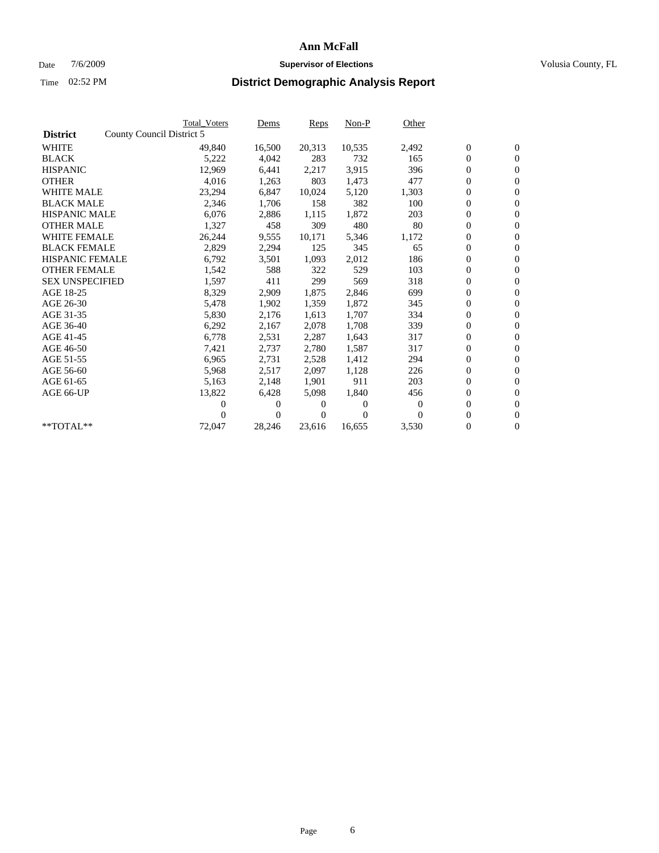### Date  $7/6/2009$  **Supervisor of Elections Supervisor of Elections** Volusia County, FL

|                        |                           | <b>Total Voters</b> | Dems           | Reps   | Non-P    | Other    |                  |                  |  |
|------------------------|---------------------------|---------------------|----------------|--------|----------|----------|------------------|------------------|--|
| <b>District</b>        | County Council District 5 |                     |                |        |          |          |                  |                  |  |
| <b>WHITE</b>           |                           | 49,840              | 16,500         | 20,313 | 10,535   | 2,492    | $\boldsymbol{0}$ | $\boldsymbol{0}$ |  |
| <b>BLACK</b>           |                           | 5,222               | 4,042          | 283    | 732      | 165      | $\boldsymbol{0}$ | $\mathbf{0}$     |  |
| <b>HISPANIC</b>        |                           | 12,969              | 6,441          | 2,217  | 3,915    | 396      | $\boldsymbol{0}$ | $\mathbf{0}$     |  |
| <b>OTHER</b>           |                           | 4,016               | 1,263          | 803    | 1,473    | 477      | 0                | $\mathbf{0}$     |  |
| <b>WHITE MALE</b>      |                           | 23,294              | 6,847          | 10,024 | 5,120    | 1,303    | $\boldsymbol{0}$ | $\mathbf{0}$     |  |
| <b>BLACK MALE</b>      |                           | 2,346               | 1,706          | 158    | 382      | 100      | $\overline{0}$   | $\mathbf{0}$     |  |
| <b>HISPANIC MALE</b>   |                           | 6,076               | 2,886          | 1,115  | 1,872    | 203      | 0                | $\mathbf{0}$     |  |
| <b>OTHER MALE</b>      |                           | 1,327               | 458            | 309    | 480      | 80       | $\overline{0}$   | $\mathbf{0}$     |  |
| <b>WHITE FEMALE</b>    |                           | 26,244              | 9,555          | 10,171 | 5,346    | 1,172    | $\boldsymbol{0}$ | $\mathbf{0}$     |  |
| <b>BLACK FEMALE</b>    |                           | 2,829               | 2,294          | 125    | 345      | 65       | $\boldsymbol{0}$ | $\mathbf{0}$     |  |
| <b>HISPANIC FEMALE</b> |                           | 6,792               | 3,501          | 1,093  | 2,012    | 186      | $\boldsymbol{0}$ | $\mathbf{0}$     |  |
| <b>OTHER FEMALE</b>    |                           | 1,542               | 588            | 322    | 529      | 103      | $\overline{0}$   | $\mathbf{0}$     |  |
| <b>SEX UNSPECIFIED</b> |                           | 1,597               | 411            | 299    | 569      | 318      | 0                | $\mathbf{0}$     |  |
| AGE 18-25              |                           | 8,329               | 2,909          | 1,875  | 2,846    | 699      | $\overline{0}$   | $\mathbf{0}$     |  |
| AGE 26-30              |                           | 5,478               | 1,902          | 1,359  | 1,872    | 345      | $\overline{0}$   | $\mathbf{0}$     |  |
| AGE 31-35              |                           | 5,830               | 2,176          | 1,613  | 1,707    | 334      | $\boldsymbol{0}$ | $\mathbf{0}$     |  |
| AGE 36-40              |                           | 6,292               | 2,167          | 2,078  | 1,708    | 339      | 0                | $\mathbf{0}$     |  |
| AGE 41-45              |                           | 6,778               | 2,531          | 2,287  | 1,643    | 317      | $\boldsymbol{0}$ | $\mathbf{0}$     |  |
| AGE 46-50              |                           | 7,421               | 2,737          | 2,780  | 1,587    | 317      | 0                | $\mathbf{0}$     |  |
| AGE 51-55              |                           | 6,965               | 2,731          | 2,528  | 1,412    | 294      | $\boldsymbol{0}$ | $\mathbf{0}$     |  |
| AGE 56-60              |                           | 5,968               | 2,517          | 2.097  | 1,128    | 226      | 0                | $\mathbf{0}$     |  |
| AGE 61-65              |                           | 5,163               | 2,148          | 1.901  | 911      | 203      | 0                | $\mathbf{0}$     |  |
| AGE 66-UP              |                           | 13,822              | 6,428          | 5,098  | 1,840    | 456      | $\boldsymbol{0}$ | $\mathbf{0}$     |  |
|                        |                           | 0                   | $\theta$       | 0      | $\theta$ | $\theta$ | $\overline{0}$   | $\mathbf{0}$     |  |
|                        |                           | 0                   | $\overline{0}$ | 0      | $\Omega$ | $\Omega$ | 0                | $\mathbf{0}$     |  |
| **TOTAL**              |                           | 72,047              | 28,246         | 23,616 | 16,655   | 3,530    | 0                | $\boldsymbol{0}$ |  |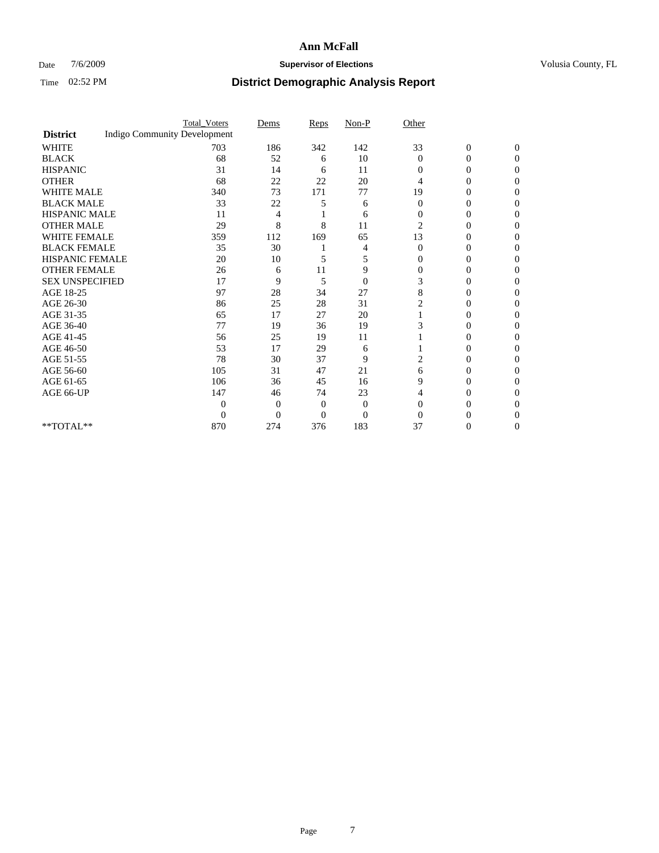### Date  $7/6/2009$  **Supervisor of Elections Supervisor of Elections** Volusia County, FL

|                        |                                     | <b>Total_Voters</b> | Dems     | Reps           | $Non-P$        | Other          |                  |              |  |
|------------------------|-------------------------------------|---------------------|----------|----------------|----------------|----------------|------------------|--------------|--|
| <b>District</b>        | <b>Indigo Community Development</b> |                     |          |                |                |                |                  |              |  |
| <b>WHITE</b>           |                                     | 703                 | 186      | 342            | 142            | 33             | $\boldsymbol{0}$ | $\mathbf{0}$ |  |
| <b>BLACK</b>           |                                     | 68                  | 52       | 6              | 10             | $\Omega$       | 0                | $\Omega$     |  |
| <b>HISPANIC</b>        |                                     | 31                  | 14       | 6              | 11             | $\Omega$       | 0                | 0            |  |
| <b>OTHER</b>           |                                     | 68                  | 22       | 22             | 20             | 4              | 0                | 0            |  |
| <b>WHITE MALE</b>      |                                     | 340                 | 73       | 171            | 77             | 19             | 0                | 0            |  |
| <b>BLACK MALE</b>      |                                     | 33                  | 22       | 5              | 6              | $\Omega$       | 0                | 0            |  |
| HISPANIC MALE          |                                     | 11                  | 4        |                | 6              | $\overline{0}$ | 0                | 0            |  |
| <b>OTHER MALE</b>      |                                     | 29                  | 8        | 8              | 11             | $\overline{2}$ | 0                | $\theta$     |  |
| <b>WHITE FEMALE</b>    |                                     | 359                 | 112      | 169            | 65             | 13             | 0                | 0            |  |
| <b>BLACK FEMALE</b>    |                                     | 35                  | 30       |                | 4              | $\overline{0}$ | 0                | 0            |  |
| <b>HISPANIC FEMALE</b> |                                     | 20                  | 10       | 5              | 5              | $\Omega$       | 0                | 0            |  |
| <b>OTHER FEMALE</b>    |                                     | 26                  | 6        | 11             | 9              | $\Omega$       | 0                | 0            |  |
| <b>SEX UNSPECIFIED</b> |                                     | 17                  | 9        | 5              | $\overline{0}$ | 3              | 0                | 0            |  |
| AGE 18-25              |                                     | 97                  | 28       | 34             | 27             | 8              | 0                | 0            |  |
| AGE 26-30              |                                     | 86                  | 25       | 28             | 31             |                | 0                | 0            |  |
| AGE 31-35              |                                     | 65                  | 17       | 27             | 20             |                | 0                | 0            |  |
| AGE 36-40              |                                     | 77                  | 19       | 36             | 19             |                | 0                | 0            |  |
| AGE 41-45              |                                     | 56                  | 25       | 19             | 11             |                | 0                | 0            |  |
| AGE 46-50              |                                     | 53                  | 17       | 29             | 6              |                | 0                | 0            |  |
| AGE 51-55              |                                     | 78                  | 30       | 37             | 9              | 2              | 0                | 0            |  |
| AGE 56-60              |                                     | 105                 | 31       | 47             | 21             | 6              | 0                | 0            |  |
| AGE 61-65              |                                     | 106                 | 36       | 45             | 16             | 9              | 0                | 0            |  |
| AGE 66-UP              |                                     | 147                 | 46       | 74             | 23             | 4              | 0                | $\theta$     |  |
|                        |                                     | 0                   | 0        | $\overline{0}$ | $\theta$       | $\Omega$       | 0                | 0            |  |
|                        |                                     | $\overline{0}$      | $\Omega$ | 0              | $\theta$       | $\Omega$       |                  |              |  |
| $**TOTAL**$            |                                     | 870                 | 274      | 376            | 183            | 37             | 0                | 0            |  |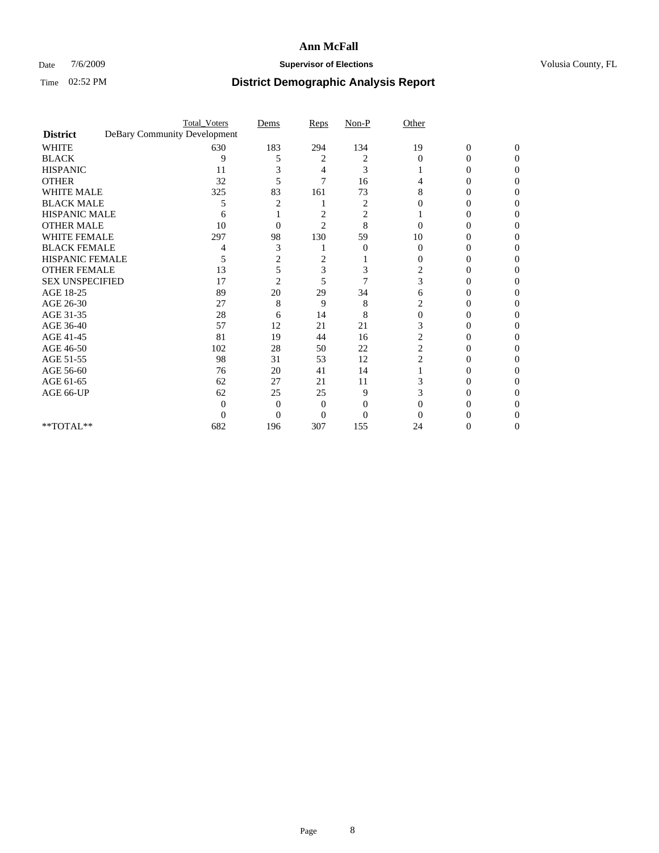### Date  $7/6/2009$  **Supervisor of Elections Supervisor of Elections** Volusia County, FL

|                                     | <b>Total_Voters</b>          | Dems           | Reps           | $Non-P$  | Other             |                  |              |  |
|-------------------------------------|------------------------------|----------------|----------------|----------|-------------------|------------------|--------------|--|
| <b>District</b>                     | DeBary Community Development |                |                |          |                   |                  |              |  |
| <b>WHITE</b>                        | 630                          | 183            | 294            | 134      | 19                | $\boldsymbol{0}$ | $\mathbf{0}$ |  |
| <b>BLACK</b>                        | 9                            | 5              | 2              | 2        | $\Omega$          | 0                | 0            |  |
| <b>HISPANIC</b>                     | 11                           |                | 4              | 3        |                   | $\theta$         | 0            |  |
| <b>OTHER</b>                        | 32                           | 5              | 7              | 16       |                   |                  | 0            |  |
| <b>WHITE MALE</b>                   | 325                          | 83             | 161            | 73       | 8                 | 0                | 0            |  |
| <b>BLACK MALE</b>                   | 5                            |                |                | 2        | $\mathbf{\Omega}$ | $\theta$         | 0            |  |
| HISPANIC MALE                       | 6                            |                | 2              | 2        |                   |                  | 0            |  |
| <b>OTHER MALE</b>                   | 10                           | 0              | $\overline{2}$ | 8        |                   | 0                |              |  |
| <b>WHITE FEMALE</b>                 | 297                          | 98             | 130            | 59       | 10                |                  | 0            |  |
| <b>BLACK FEMALE</b>                 | 4                            | 3              |                | $\theta$ | $\theta$          | 0                | 0            |  |
| <b>HISPANIC FEMALE</b>              | 5                            | 2              | 2              |          | 0                 | 0                | 0            |  |
| <b>OTHER FEMALE</b>                 | 13                           | 5              | 3              | 3        | 2                 |                  | 0            |  |
| <b>SEX UNSPECIFIED</b>              | 17                           | $\overline{2}$ | 5              | 7        | 3                 |                  | 0            |  |
| AGE 18-25                           | 89                           | 20             | 29             | 34       | 6                 | 0                | 0            |  |
| AGE 26-30                           | 27                           | 8              | 9              | 8        |                   |                  | 0            |  |
| AGE 31-35                           | 28                           | 6              | 14             | 8        | 0                 |                  |              |  |
| AGE 36-40                           | 57                           | 12             | 21             | 21       | 3                 | 0                | 0            |  |
| AGE 41-45                           | 81                           | 19             | 44             | 16       | 2                 |                  | 0            |  |
| AGE 46-50                           | 102                          | 28             | 50             | 22       | $\overline{c}$    | 0                | 0            |  |
| AGE 51-55                           | 98                           | 31             | 53             | 12       | 2                 | 0                | 0            |  |
| AGE 56-60                           | 76                           | 20             | 41             | 14       |                   |                  | 0            |  |
| AGE 61-65                           | 62                           | 27             | 21             | 11       |                   |                  | 0            |  |
| AGE 66-UP                           | 62                           | 25             | 25             | 9        |                   | 0                | 0            |  |
|                                     | $\Omega$                     | $\Omega$       | $\Omega$       | 0        |                   |                  |              |  |
|                                     | 0                            | $\Omega$       | 0              | $\Omega$ |                   |                  |              |  |
| $\rm ^{\ast \ast}TOTAL^{\ast \ast}$ | 682                          | 196            | 307            | 155      | 24                | 0                | 0            |  |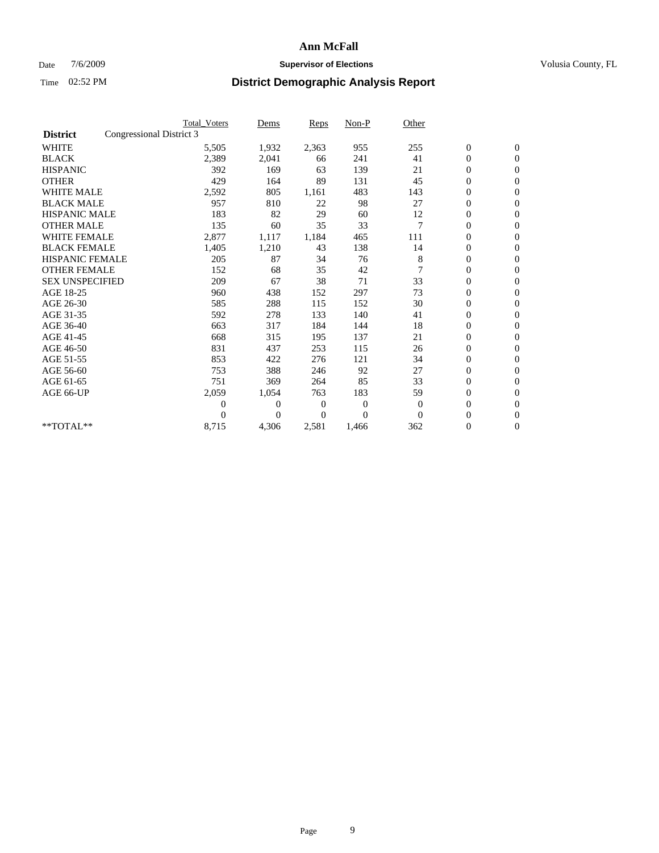### Date  $7/6/2009$  **Supervisor of Elections Supervisor of Elections** Volusia County, FL

|                        | <b>Total Voters</b>      | Dems           | <b>Reps</b>  | $Non-P$      | Other          |                  |                  |  |
|------------------------|--------------------------|----------------|--------------|--------------|----------------|------------------|------------------|--|
| <b>District</b>        | Congressional District 3 |                |              |              |                |                  |                  |  |
| <b>WHITE</b>           | 5,505                    | 1,932          | 2,363        | 955          | 255            | $\boldsymbol{0}$ | $\mathbf{0}$     |  |
| <b>BLACK</b>           | 2,389                    | 2,041          | 66           | 241          | 41             | $\boldsymbol{0}$ | $\mathbf{0}$     |  |
| <b>HISPANIC</b>        | 392                      | 169            | 63           | 139          | 21             | $\overline{0}$   | $\mathbf{0}$     |  |
| <b>OTHER</b>           | 429                      | 164            | 89           | 131          | 45             | $\boldsymbol{0}$ | $\mathbf{0}$     |  |
| <b>WHITE MALE</b>      | 2,592                    | 805            | 1,161        | 483          | 143            | $\boldsymbol{0}$ | $\mathbf{0}$     |  |
| <b>BLACK MALE</b>      | 957                      | 810            | 22           | 98           | 27             | $\boldsymbol{0}$ | $\mathbf{0}$     |  |
| <b>HISPANIC MALE</b>   | 183                      | 82             | 29           | 60           | 12             | $\boldsymbol{0}$ | $\mathbf{0}$     |  |
| <b>OTHER MALE</b>      | 135                      | 60             | 35           | 33           | $\overline{7}$ | 0                | $\mathbf{0}$     |  |
| <b>WHITE FEMALE</b>    | 2,877                    | 1,117          | 1,184        | 465          | 111            | $\overline{0}$   | $\mathbf{0}$     |  |
| <b>BLACK FEMALE</b>    | 1,405                    | 1,210          | 43           | 138          | 14             | $\boldsymbol{0}$ | $\mathbf{0}$     |  |
| <b>HISPANIC FEMALE</b> | 205                      | 87             | 34           | 76           | 8              | $\boldsymbol{0}$ | $\boldsymbol{0}$ |  |
| <b>OTHER FEMALE</b>    | 152                      | 68             | 35           | 42           |                | $\overline{0}$   | $\Omega$         |  |
| <b>SEX UNSPECIFIED</b> | 209                      | 67             | 38           | 71           | 33             | $\mathbf{0}$     | $\mathbf{0}$     |  |
| AGE 18-25              | 960                      | 438            | 152          | 297          | 73             | 0                | $\mathbf{0}$     |  |
| AGE 26-30              | 585                      | 288            | 115          | 152          | 30             | $\overline{0}$   | $\mathbf{0}$     |  |
| AGE 31-35              | 592                      | 278            | 133          | 140          | 41             | $\boldsymbol{0}$ | $\mathbf{0}$     |  |
| AGE 36-40              | 663                      | 317            | 184          | 144          | 18             | $\boldsymbol{0}$ | $\mathbf{0}$     |  |
| AGE 41-45              | 668                      | 315            | 195          | 137          | 21             | $\overline{0}$   | $\mathbf{0}$     |  |
| AGE 46-50              | 831                      | 437            | 253          | 115          | 26             | $\mathbf{0}$     | $\mathbf{0}$     |  |
| AGE 51-55              | 853                      | 422            | 276          | 121          | 34             | $\boldsymbol{0}$ | $\mathbf{0}$     |  |
| AGE 56-60              | 753                      | 388            | 246          | 92           | 27             | $\boldsymbol{0}$ | $\mathbf{0}$     |  |
| AGE 61-65              | 751                      | 369            | 264          | 85           | 33             | $\boldsymbol{0}$ | $\mathbf{0}$     |  |
| AGE 66-UP              | 2,059                    | 1,054          | 763          | 183          | 59             | $\boldsymbol{0}$ | $\mathbf{0}$     |  |
|                        | $\theta$                 | $\overline{0}$ | $\mathbf{0}$ | $\mathbf{0}$ | $\mathbf{0}$   | $\overline{0}$   | $\mathbf{0}$     |  |
|                        | $\Omega$                 | $\overline{0}$ | $\Omega$     | $\theta$     | $\Omega$       | $\overline{0}$   | $\mathbf{0}$     |  |
| **TOTAL**              | 8,715                    | 4,306          | 2,581        | 1,466        | 362            | 0                | $\mathbf{0}$     |  |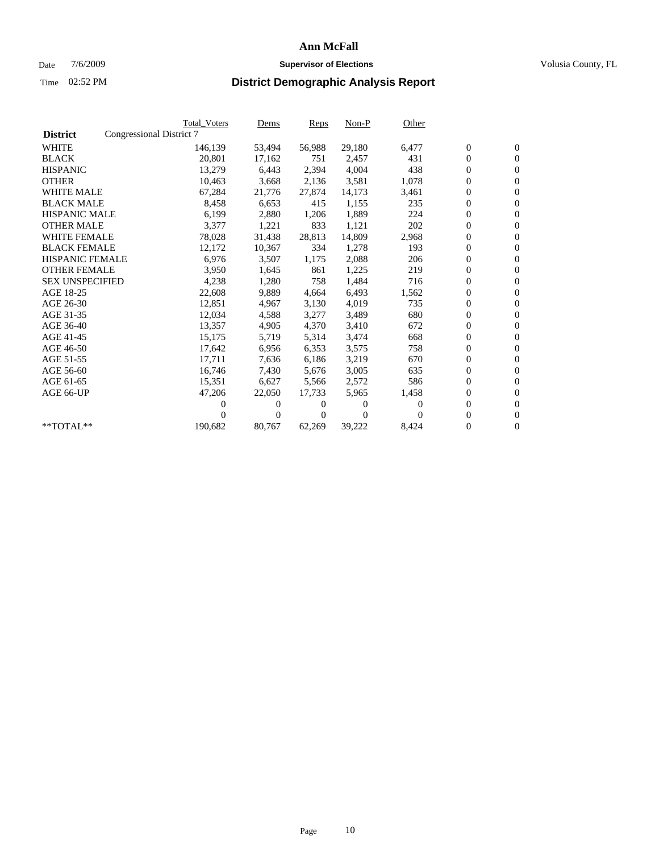### Date  $7/6/2009$  **Supervisor of Elections Supervisor of Elections** Volusia County, FL

|                        |                          | <b>Total Voters</b> | <u>Dems</u>    | <b>Reps</b>  | $Non-P$        | Other    |                  |                  |  |
|------------------------|--------------------------|---------------------|----------------|--------------|----------------|----------|------------------|------------------|--|
| <b>District</b>        | Congressional District 7 |                     |                |              |                |          |                  |                  |  |
| <b>WHITE</b>           |                          | 146,139             | 53,494         | 56,988       | 29,180         | 6,477    | $\boldsymbol{0}$ | $\boldsymbol{0}$ |  |
| <b>BLACK</b>           |                          | 20,801              | 17,162         | 751          | 2,457          | 431      | $\boldsymbol{0}$ | $\mathbf{0}$     |  |
| <b>HISPANIC</b>        |                          | 13,279              | 6,443          | 2,394        | 4,004          | 438      | $\boldsymbol{0}$ | $\mathbf{0}$     |  |
| <b>OTHER</b>           |                          | 10,463              | 3,668          | 2,136        | 3,581          | 1,078    | 0                | $\mathbf{0}$     |  |
| <b>WHITE MALE</b>      |                          | 67,284              | 21,776         | 27,874       | 14,173         | 3,461    | $\boldsymbol{0}$ | $\mathbf{0}$     |  |
| <b>BLACK MALE</b>      |                          | 8,458               | 6.653          | 415          | 1,155          | 235      | $\overline{0}$   | $\mathbf{0}$     |  |
| <b>HISPANIC MALE</b>   |                          | 6,199               | 2,880          | 1,206        | 1,889          | 224      | 0                | $\mathbf{0}$     |  |
| <b>OTHER MALE</b>      |                          | 3,377               | 1,221          | 833          | 1,121          | 202      | $\overline{0}$   | $\mathbf{0}$     |  |
| <b>WHITE FEMALE</b>    |                          | 78,028              | 31,438         | 28,813       | 14,809         | 2,968    | $\boldsymbol{0}$ | $\mathbf{0}$     |  |
| <b>BLACK FEMALE</b>    |                          | 12,172              | 10,367         | 334          | 1,278          | 193      | $\boldsymbol{0}$ | $\mathbf{0}$     |  |
| <b>HISPANIC FEMALE</b> |                          | 6,976               | 3,507          | 1,175        | 2,088          | 206      | 0                | $\mathbf{0}$     |  |
| <b>OTHER FEMALE</b>    |                          | 3,950               | 1,645          | 861          | 1,225          | 219      | $\overline{0}$   | $\mathbf{0}$     |  |
| <b>SEX UNSPECIFIED</b> |                          | 4,238               | 1,280          | 758          | 1,484          | 716      | $\boldsymbol{0}$ | $\mathbf{0}$     |  |
| AGE 18-25              |                          | 22,608              | 9,889          | 4,664        | 6,493          | 1,562    | $\boldsymbol{0}$ | $\mathbf{0}$     |  |
| AGE 26-30              |                          | 12,851              | 4,967          | 3,130        | 4,019          | 735      | 0                | $\mathbf{0}$     |  |
| AGE 31-35              |                          | 12,034              | 4,588          | 3,277        | 3,489          | 680      | $\boldsymbol{0}$ | $\mathbf{0}$     |  |
| AGE 36-40              |                          | 13,357              | 4,905          | 4,370        | 3,410          | 672      | $\boldsymbol{0}$ | $\mathbf{0}$     |  |
| AGE 41-45              |                          | 15,175              | 5,719          | 5,314        | 3,474          | 668      | 0                | $\mathbf{0}$     |  |
| AGE 46-50              |                          | 17,642              | 6,956          | 6,353        | 3,575          | 758      | 0                | $\Omega$         |  |
| AGE 51-55              |                          | 17,711              | 7,636          | 6,186        | 3,219          | 670      | $\overline{0}$   | $\mathbf{0}$     |  |
| AGE 56-60              |                          | 16,746              | 7,430          | 5.676        | 3,005          | 635      | $\overline{0}$   | $\mathbf{0}$     |  |
| AGE 61-65              |                          | 15,351              | 6,627          | 5,566        | 2,572          | 586      | 0                | $\mathbf{0}$     |  |
| AGE 66-UP              |                          | 47,206              | 22,050         | 17,733       | 5,965          | 1,458    | 0                | $\mathbf{0}$     |  |
|                        |                          | 0                   | 0              | $^{(1)}$     | $\Omega$       | $\Omega$ | $\mathbf{0}$     | $\mathbf{0}$     |  |
|                        |                          | 0                   | $\overline{0}$ | $\mathbf{0}$ | $\overline{0}$ | 0        | 0                | $\mathbf{0}$     |  |
| **TOTAL**              |                          | 190,682             | 80,767         | 62,269       | 39,222         | 8,424    | 0                | $\boldsymbol{0}$ |  |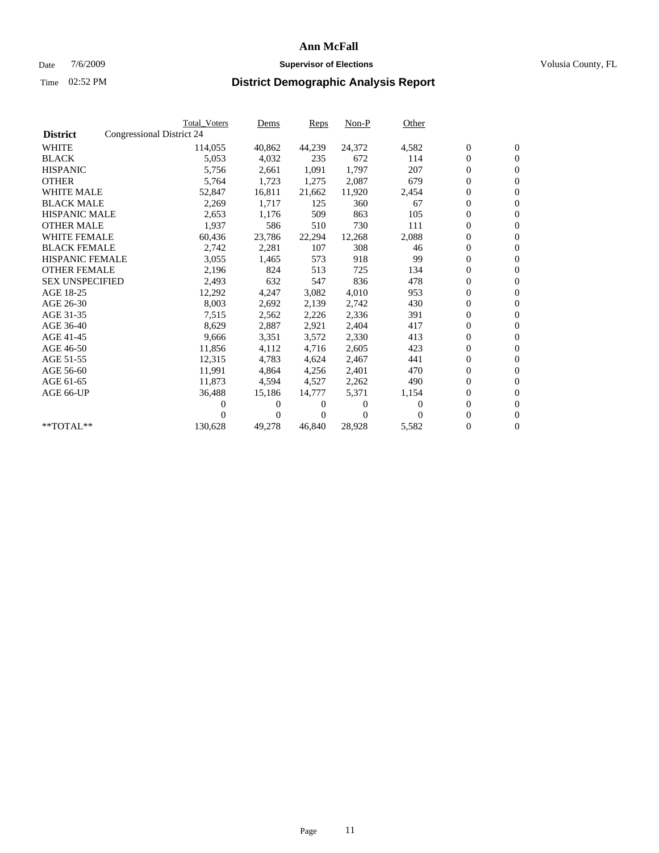### Date  $7/6/2009$  **Supervisor of Elections Supervisor of Elections** Volusia County, FL

|                                              | <b>Total Voters</b> | Dems           | <b>Reps</b> | $Non-P$      | Other    |                  |                  |  |
|----------------------------------------------|---------------------|----------------|-------------|--------------|----------|------------------|------------------|--|
| Congressional District 24<br><b>District</b> |                     |                |             |              |          |                  |                  |  |
| <b>WHITE</b>                                 | 114,055             | 40,862         | 44,239      | 24,372       | 4,582    | $\boldsymbol{0}$ | $\boldsymbol{0}$ |  |
| <b>BLACK</b>                                 | 5,053               | 4,032          | 235         | 672          | 114      | $\overline{0}$   | $\mathbf{0}$     |  |
| <b>HISPANIC</b>                              | 5,756               | 2,661          | 1,091       | 1,797        | 207      | $\overline{0}$   | $\mathbf{0}$     |  |
| <b>OTHER</b>                                 | 5,764               | 1,723          | 1,275       | 2,087        | 679      | $\overline{0}$   | $\overline{0}$   |  |
| <b>WHITE MALE</b>                            | 52,847              | 16,811         | 21,662      | 11,920       | 2,454    | $\boldsymbol{0}$ | $\mathbf{0}$     |  |
| <b>BLACK MALE</b>                            | 2,269               | 1,717          | 125         | 360          | 67       | $\boldsymbol{0}$ | $\mathbf{0}$     |  |
| <b>HISPANIC MALE</b>                         | 2,653               | 1,176          | 509         | 863          | 105      | $\boldsymbol{0}$ | $\overline{0}$   |  |
| <b>OTHER MALE</b>                            | 1,937               | 586            | 510         | 730          | 111      | $\boldsymbol{0}$ | $\mathbf{0}$     |  |
| <b>WHITE FEMALE</b>                          | 60,436              | 23,786         | 22,294      | 12,268       | 2,088    | $\mathbf{0}$     | $\mathbf{0}$     |  |
| <b>BLACK FEMALE</b>                          | 2,742               | 2,281          | 107         | 308          | 46       | $\boldsymbol{0}$ | $\Omega$         |  |
| <b>HISPANIC FEMALE</b>                       | 3,055               | 1,465          | 573         | 918          | 99       | $\boldsymbol{0}$ | $\mathbf{0}$     |  |
| <b>OTHER FEMALE</b>                          | 2,196               | 824            | 513         | 725          | 134      | 0                | $\mathbf{0}$     |  |
| <b>SEX UNSPECIFIED</b>                       | 2,493               | 632            | 547         | 836          | 478      | $\boldsymbol{0}$ | $\mathbf{0}$     |  |
| AGE 18-25                                    | 12,292              | 4,247          | 3,082       | 4,010        | 953      | $\overline{0}$   | $\mathbf{0}$     |  |
| AGE 26-30                                    | 8,003               | 2,692          | 2,139       | 2,742        | 430      | $\overline{0}$   | $\mathbf{0}$     |  |
| AGE 31-35                                    | 7,515               | 2,562          | 2,226       | 2,336        | 391      | $\boldsymbol{0}$ | $\mathbf{0}$     |  |
| AGE 36-40                                    | 8,629               | 2,887          | 2,921       | 2,404        | 417      | $\boldsymbol{0}$ | $\mathbf{0}$     |  |
| AGE 41-45                                    | 9,666               | 3,351          | 3,572       | 2,330        | 413      | $\boldsymbol{0}$ | $\mathbf{0}$     |  |
| AGE 46-50                                    | 11,856              | 4,112          | 4,716       | 2,605        | 423      | $\boldsymbol{0}$ | $\Omega$         |  |
| AGE 51-55                                    | 12,315              | 4,783          | 4,624       | 2,467        | 441      | $\boldsymbol{0}$ | $\mathbf{0}$     |  |
| AGE 56-60                                    | 11,991              | 4.864          | 4,256       | 2,401        | 470      | $\mathbf{0}$     | $\mathbf{0}$     |  |
| AGE 61-65                                    | 11,873              | 4,594          | 4,527       | 2,262        | 490      | $\boldsymbol{0}$ | $\mathbf{0}$     |  |
| AGE 66-UP                                    | 36,488              | 15,186         | 14,777      | 5,371        | 1,154    | $\mathbf{0}$     | $\mathbf{0}$     |  |
|                                              | 0                   | 0              | 0           | $\mathbf{0}$ | $\Omega$ | $\boldsymbol{0}$ | $\mathbf{0}$     |  |
|                                              | 0                   | $\overline{0}$ | 0           | $\Omega$     | 0        | 0                | $\mathbf{0}$     |  |
| $*$ TOTAL $**$                               | 130,628             | 49,278         | 46,840      | 28,928       | 5,582    | 0                | $\boldsymbol{0}$ |  |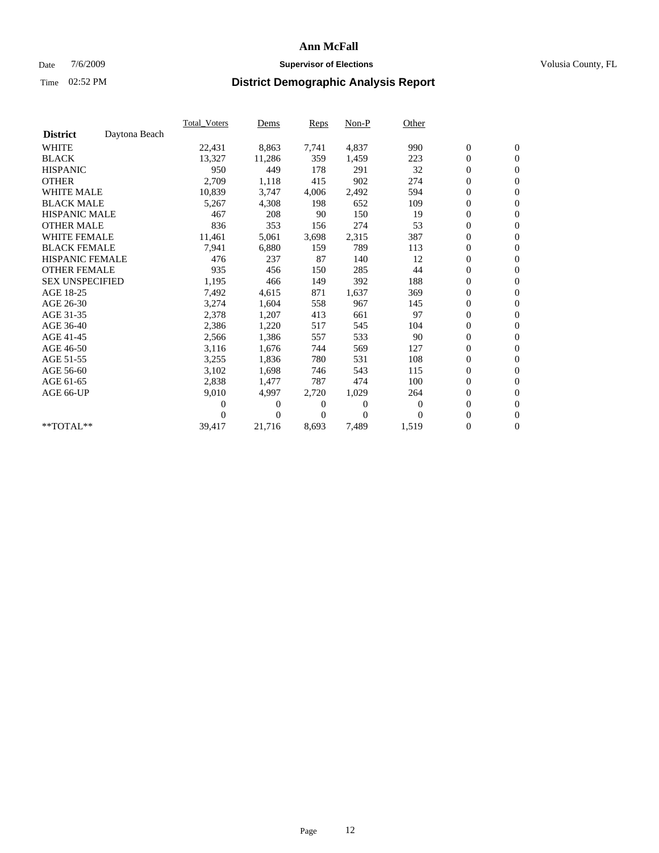### Date  $7/6/2009$  **Supervisor of Elections Supervisor of Elections** Volusia County, FL

|                        |               | Total Voters | Dems           | <b>Reps</b>  | Non-P        | Other        |                  |                  |  |
|------------------------|---------------|--------------|----------------|--------------|--------------|--------------|------------------|------------------|--|
| <b>District</b>        | Daytona Beach |              |                |              |              |              |                  |                  |  |
| <b>WHITE</b>           |               | 22,431       | 8,863          | 7,741        | 4,837        | 990          | $\boldsymbol{0}$ | $\boldsymbol{0}$ |  |
| <b>BLACK</b>           |               | 13,327       | 11,286         | 359          | 1,459        | 223          | $\boldsymbol{0}$ | $\mathbf{0}$     |  |
| <b>HISPANIC</b>        |               | 950          | 449            | 178          | 291          | 32           | $\boldsymbol{0}$ | $\mathbf{0}$     |  |
| <b>OTHER</b>           |               | 2,709        | 1,118          | 415          | 902          | 274          | $\boldsymbol{0}$ | $\mathbf{0}$     |  |
| <b>WHITE MALE</b>      |               | 10,839       | 3,747          | 4,006        | 2,492        | 594          | $\boldsymbol{0}$ | $\mathbf{0}$     |  |
| <b>BLACK MALE</b>      |               | 5,267        | 4,308          | 198          | 652          | 109          | $\overline{0}$   | $\mathbf{0}$     |  |
| <b>HISPANIC MALE</b>   |               | 467          | 208            | 90           | 150          | 19           | $\boldsymbol{0}$ | $\mathbf{0}$     |  |
| <b>OTHER MALE</b>      |               | 836          | 353            | 156          | 274          | 53           | $\boldsymbol{0}$ | $\mathbf{0}$     |  |
| <b>WHITE FEMALE</b>    |               | 11,461       | 5,061          | 3,698        | 2,315        | 387          | $\boldsymbol{0}$ | $\mathbf{0}$     |  |
| <b>BLACK FEMALE</b>    |               | 7,941        | 6,880          | 159          | 789          | 113          | $\boldsymbol{0}$ | $\mathbf{0}$     |  |
| <b>HISPANIC FEMALE</b> |               | 476          | 237            | 87           | 140          | 12           | $\boldsymbol{0}$ | $\mathbf{0}$     |  |
| <b>OTHER FEMALE</b>    |               | 935          | 456            | 150          | 285          | 44           | $\mathbf{0}$     | $\mathbf{0}$     |  |
| <b>SEX UNSPECIFIED</b> |               | 1,195        | 466            | 149          | 392          | 188          | $\boldsymbol{0}$ | $\mathbf{0}$     |  |
| AGE 18-25              |               | 7,492        | 4,615          | 871          | 1,637        | 369          | $\boldsymbol{0}$ | $\mathbf{0}$     |  |
| AGE 26-30              |               | 3,274        | 1,604          | 558          | 967          | 145          | $\boldsymbol{0}$ | $\mathbf{0}$     |  |
| AGE 31-35              |               | 2,378        | 1,207          | 413          | 661          | 97           | $\boldsymbol{0}$ | $\mathbf{0}$     |  |
| AGE 36-40              |               | 2,386        | 1,220          | 517          | 545          | 104          | $\boldsymbol{0}$ | $\mathbf{0}$     |  |
| AGE 41-45              |               | 2,566        | 1,386          | 557          | 533          | 90           | $\boldsymbol{0}$ | $\mathbf{0}$     |  |
| AGE 46-50              |               | 3,116        | 1,676          | 744          | 569          | 127          | $\boldsymbol{0}$ | $\mathbf{0}$     |  |
| AGE 51-55              |               | 3,255        | 1,836          | 780          | 531          | 108          | $\boldsymbol{0}$ | $\mathbf{0}$     |  |
| AGE 56-60              |               | 3,102        | 1,698          | 746          | 543          | 115          | $\boldsymbol{0}$ | $\mathbf{0}$     |  |
| AGE 61-65              |               | 2,838        | 1,477          | 787          | 474          | 100          | $\overline{0}$   | $\mathbf{0}$     |  |
| AGE 66-UP              |               | 9,010        | 4,997          | 2,720        | 1,029        | 264          | $\boldsymbol{0}$ | $\mathbf{0}$     |  |
|                        |               | 0            | 0              | 0            | $\mathbf{0}$ | $\mathbf{0}$ | $\mathbf{0}$     | $\mathbf{0}$     |  |
|                        |               | 0            | $\overline{0}$ | $\mathbf{0}$ | $\mathbf{0}$ | $\Omega$     | $\boldsymbol{0}$ | $\mathbf{0}$     |  |
| **TOTAL**              |               | 39,417       | 21,716         | 8,693        | 7,489        | 1,519        | 0                | $\boldsymbol{0}$ |  |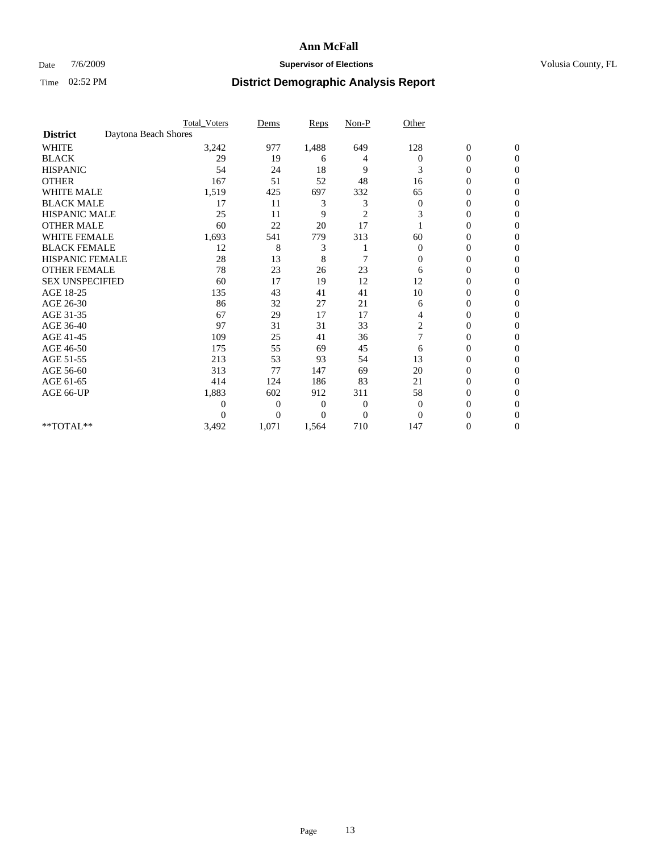### Date  $7/6/2009$  **Supervisor of Elections Supervisor of Elections** Volusia County, FL

|                        |                      | <b>Total_Voters</b> | Dems           | <b>Reps</b> | $Non-P$        | Other        |                  |                  |  |
|------------------------|----------------------|---------------------|----------------|-------------|----------------|--------------|------------------|------------------|--|
| <b>District</b>        | Daytona Beach Shores |                     |                |             |                |              |                  |                  |  |
| <b>WHITE</b>           |                      | 3,242               | 977            | 1,488       | 649            | 128          | $\boldsymbol{0}$ | $\boldsymbol{0}$ |  |
| <b>BLACK</b>           |                      | 29                  | 19             | 6           | 4              | $\Omega$     | $\overline{0}$   | $\Omega$         |  |
| <b>HISPANIC</b>        |                      | 54                  | 24             | 18          | 9              | 3            | 0                | $\Omega$         |  |
| <b>OTHER</b>           |                      | 167                 | 51             | 52          | 48             | 16           | 0                | $\Omega$         |  |
| <b>WHITE MALE</b>      |                      | 1,519               | 425            | 697         | 332            | 65           | 0                | $\Omega$         |  |
| <b>BLACK MALE</b>      |                      | 17                  | 11             | 3           | 3              | $\bf{0}$     | 0                | 0                |  |
| <b>HISPANIC MALE</b>   |                      | 25                  | 11             | 9           | $\overline{2}$ | 3            | 0                | 0                |  |
| <b>OTHER MALE</b>      |                      | 60                  | 22             | 20          | 17             |              | 0                | 0                |  |
| WHITE FEMALE           |                      | 1,693               | 541            | 779         | 313            | 60           | 0                | $\Omega$         |  |
| <b>BLACK FEMALE</b>    |                      | 12                  | 8              | 3           |                | $\mathbf{0}$ | 0                | $\Omega$         |  |
| <b>HISPANIC FEMALE</b> |                      | 28                  | 13             | 8           | 7              | 0            | 0                | 0                |  |
| <b>OTHER FEMALE</b>    |                      | 78                  | 23             | 26          | $23\,$         | 6            | 0                | $\Omega$         |  |
| <b>SEX UNSPECIFIED</b> |                      | 60                  | 17             | 19          | 12             | 12           | $\overline{0}$   | $\Omega$         |  |
| AGE 18-25              |                      | 135                 | 43             | 41          | 41             | 10           | 0                | 0                |  |
| AGE 26-30              |                      | 86                  | 32             | 27          | 21             | 6            | 0                | $\Omega$         |  |
| AGE 31-35              |                      | 67                  | 29             | 17          | 17             | 4            | $\overline{0}$   | $\Omega$         |  |
| AGE 36-40              |                      | 97                  | 31             | 31          | 33             | 2            | 0                | 0                |  |
| AGE 41-45              |                      | 109                 | 25             | 41          | 36             |              | 0                | 0                |  |
| AGE 46-50              |                      | 175                 | 55             | 69          | 45             | 6            | 0                | $\Omega$         |  |
| AGE 51-55              |                      | 213                 | 53             | 93          | 54             | 13           | 0                | $\mathbf{0}$     |  |
| AGE 56-60              |                      | 313                 | 77             | 147         | 69             | 20           | 0                | 0                |  |
| AGE 61-65              |                      | 414                 | 124            | 186         | 83             | 21           | $\overline{0}$   | 0                |  |
| AGE 66-UP              |                      | 1,883               | 602            | 912         | 311            | 58           | 0                | 0                |  |
|                        |                      | 0                   | $\overline{0}$ | 0           | $\mathbf{0}$   | $\mathbf{0}$ | 0                | 0                |  |
|                        |                      | $\theta$            | $\overline{0}$ | $\Omega$    | $\Omega$       | $\Omega$     | 0                | $\Omega$         |  |
| **TOTAL**              |                      | 3,492               | 1,071          | 1,564       | 710            | 147          | 0                | $\mathbf{0}$     |  |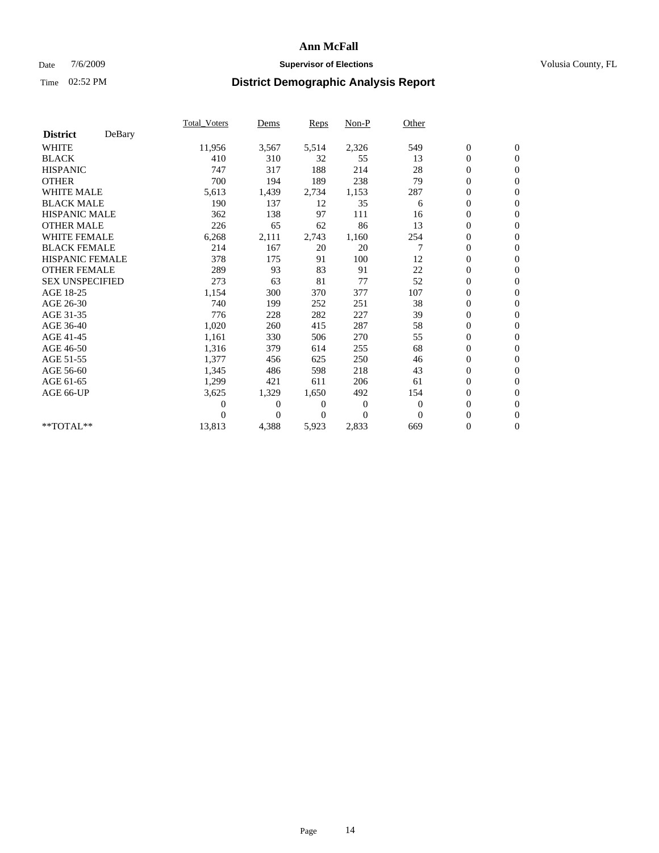### Date  $7/6/2009$  **Supervisor of Elections Supervisor of Elections** Volusia County, FL

|                        |        | <b>Total_Voters</b> | Dems     | Reps  | Non-P    | Other    |                  |                  |  |
|------------------------|--------|---------------------|----------|-------|----------|----------|------------------|------------------|--|
| <b>District</b>        | DeBary |                     |          |       |          |          |                  |                  |  |
| <b>WHITE</b>           |        | 11,956              | 3,567    | 5,514 | 2,326    | 549      | $\boldsymbol{0}$ | $\boldsymbol{0}$ |  |
| <b>BLACK</b>           |        | 410                 | 310      | 32    | 55       | 13       | $\boldsymbol{0}$ | $\mathbf{0}$     |  |
| <b>HISPANIC</b>        |        | 747                 | 317      | 188   | 214      | 28       | $\overline{0}$   | $\mathbf{0}$     |  |
| <b>OTHER</b>           |        | 700                 | 194      | 189   | 238      | 79       | 0                | $\mathbf{0}$     |  |
| <b>WHITE MALE</b>      |        | 5,613               | 1,439    | 2,734 | 1,153    | 287      | $\boldsymbol{0}$ | $\mathbf{0}$     |  |
| <b>BLACK MALE</b>      |        | 190                 | 137      | 12    | 35       | 6        | $\boldsymbol{0}$ | $\mathbf{0}$     |  |
| <b>HISPANIC MALE</b>   |        | 362                 | 138      | 97    | 111      | 16       | 0                | $\mathbf{0}$     |  |
| <b>OTHER MALE</b>      |        | 226                 | 65       | 62    | 86       | 13       | 0                | $\mathbf{0}$     |  |
| <b>WHITE FEMALE</b>    |        | 6,268               | 2,111    | 2,743 | 1,160    | 254      | 0                | $\mathbf{0}$     |  |
| <b>BLACK FEMALE</b>    |        | 214                 | 167      | 20    | 20       | 7        | $\boldsymbol{0}$ | $\mathbf{0}$     |  |
| <b>HISPANIC FEMALE</b> |        | 378                 | 175      | 91    | 100      | 12       | 0                | $\mathbf{0}$     |  |
| <b>OTHER FEMALE</b>    |        | 289                 | 93       | 83    | 91       | 22       | 0                | $\mathbf{0}$     |  |
| <b>SEX UNSPECIFIED</b> |        | 273                 | 63       | 81    | 77       | 52       | $\boldsymbol{0}$ | $\mathbf{0}$     |  |
| AGE 18-25              |        | 1,154               | 300      | 370   | 377      | 107      | $\boldsymbol{0}$ | $\mathbf{0}$     |  |
| AGE 26-30              |        | 740                 | 199      | 252   | 251      | 38       | $\boldsymbol{0}$ | $\mathbf{0}$     |  |
| AGE 31-35              |        | 776                 | 228      | 282   | 227      | 39       | 0                | $\mathbf{0}$     |  |
| AGE 36-40              |        | 1,020               | 260      | 415   | 287      | 58       | 0                | $\mathbf{0}$     |  |
| AGE 41-45              |        | 1,161               | 330      | 506   | 270      | 55       | $\overline{0}$   | $\mathbf{0}$     |  |
| AGE 46-50              |        | 1,316               | 379      | 614   | 255      | 68       | $\boldsymbol{0}$ | $\mathbf{0}$     |  |
| AGE 51-55              |        | 1,377               | 456      | 625   | 250      | 46       | 0                | $\mathbf{0}$     |  |
| AGE 56-60              |        | 1,345               | 486      | 598   | 218      | 43       | $\boldsymbol{0}$ | $\Omega$         |  |
| AGE 61-65              |        | 1,299               | 421      | 611   | 206      | 61       | $\overline{0}$   | $\mathbf{0}$     |  |
| AGE 66-UP              |        | 3,625               | 1,329    | 1,650 | 492      | 154      | 0                | $\mathbf{0}$     |  |
|                        |        | 0                   | 0        | 0     | $\theta$ | $\theta$ | $\overline{0}$   | $\mathbf{0}$     |  |
|                        |        | 0                   | $\Omega$ | 0     | $\Omega$ | $\Omega$ | 0                | $\mathbf{0}$     |  |
| $*$ TOTAL $**$         |        | 13,813              | 4,388    | 5,923 | 2,833    | 669      | 0                | $\overline{0}$   |  |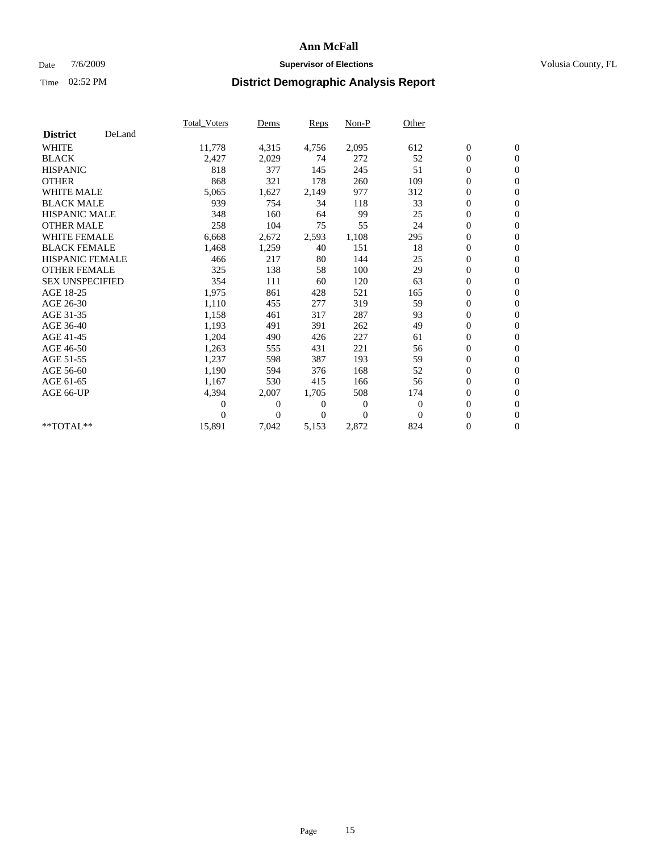### Date  $7/6/2009$  **Supervisor of Elections Supervisor of Elections** Volusia County, FL

|                        |        | <b>Total Voters</b> | Dems           | Reps  | $Non-P$          | Other    |                  |                  |  |
|------------------------|--------|---------------------|----------------|-------|------------------|----------|------------------|------------------|--|
| <b>District</b>        | DeLand |                     |                |       |                  |          |                  |                  |  |
| <b>WHITE</b>           |        | 11,778              | 4,315          | 4,756 | 2,095            | 612      | $\boldsymbol{0}$ | $\boldsymbol{0}$ |  |
| <b>BLACK</b>           |        | 2,427               | 2,029          | 74    | 272              | 52       | $\overline{0}$   | $\mathbf{0}$     |  |
| <b>HISPANIC</b>        |        | 818                 | 377            | 145   | 245              | 51       | $\overline{0}$   | $\mathbf{0}$     |  |
| <b>OTHER</b>           |        | 868                 | 321            | 178   | 260              | 109      | 0                | $\mathbf{0}$     |  |
| <b>WHITE MALE</b>      |        | 5,065               | 1,627          | 2,149 | 977              | 312      | $\boldsymbol{0}$ | $\mathbf{0}$     |  |
| <b>BLACK MALE</b>      |        | 939                 | 754            | 34    | 118              | 33       | $\boldsymbol{0}$ | $\mathbf{0}$     |  |
| <b>HISPANIC MALE</b>   |        | 348                 | 160            | 64    | 99               | 25       | 0                | $\mathbf{0}$     |  |
| <b>OTHER MALE</b>      |        | 258                 | 104            | 75    | 55               | 24       | $\boldsymbol{0}$ | $\mathbf{0}$     |  |
| <b>WHITE FEMALE</b>    |        | 6,668               | 2,672          | 2,593 | 1,108            | 295      | 0                | $\mathbf{0}$     |  |
| <b>BLACK FEMALE</b>    |        | 1,468               | 1,259          | 40    | 151              | 18       | 0                | $\Omega$         |  |
| <b>HISPANIC FEMALE</b> |        | 466                 | 217            | 80    | 144              | 25       | $\boldsymbol{0}$ | $\mathbf{0}$     |  |
| <b>OTHER FEMALE</b>    |        | 325                 | 138            | 58    | 100              | 29       | 0                | $\mathbf{0}$     |  |
| <b>SEX UNSPECIFIED</b> |        | 354                 | 111            | 60    | 120              | 63       | 0                | $\Omega$         |  |
| AGE 18-25              |        | 1,975               | 861            | 428   | 521              | 165      | $\boldsymbol{0}$ | $\mathbf{0}$     |  |
| AGE 26-30              |        | 1,110               | 455            | 277   | 319              | 59       | $\boldsymbol{0}$ | $\mathbf{0}$     |  |
| AGE 31-35              |        | 1,158               | 461            | 317   | 287              | 93       | 0                | $\mathbf{0}$     |  |
| AGE 36-40              |        | 1,193               | 491            | 391   | 262              | 49       | $\boldsymbol{0}$ | $\mathbf{0}$     |  |
| AGE 41-45              |        | 1,204               | 490            | 426   | 227              | 61       | $\boldsymbol{0}$ | $\mathbf{0}$     |  |
| AGE 46-50              |        | 1,263               | 555            | 431   | 221              | 56       | 0                | $\Omega$         |  |
| AGE 51-55              |        | 1,237               | 598            | 387   | 193              | 59       | $\boldsymbol{0}$ | $\mathbf{0}$     |  |
| AGE 56-60              |        | 1,190               | 594            | 376   | 168              | 52       | 0                | $\mathbf{0}$     |  |
| AGE 61-65              |        | 1,167               | 530            | 415   | 166              | 56       | 0                | $\Omega$         |  |
| AGE 66-UP              |        | 4,394               | 2,007          | 1,705 | 508              | 174      | $\overline{0}$   | $\mathbf{0}$     |  |
|                        |        | $\overline{0}$      | 0              | 0     | $\boldsymbol{0}$ | $\theta$ | $\boldsymbol{0}$ | $\mathbf{0}$     |  |
|                        |        | 0                   | $\overline{0}$ | 0     | $\Omega$         | $\Omega$ | 0                | $\mathbf{0}$     |  |
| **TOTAL**              |        | 15,891              | 7,042          | 5,153 | 2,872            | 824      | $\overline{0}$   | $\boldsymbol{0}$ |  |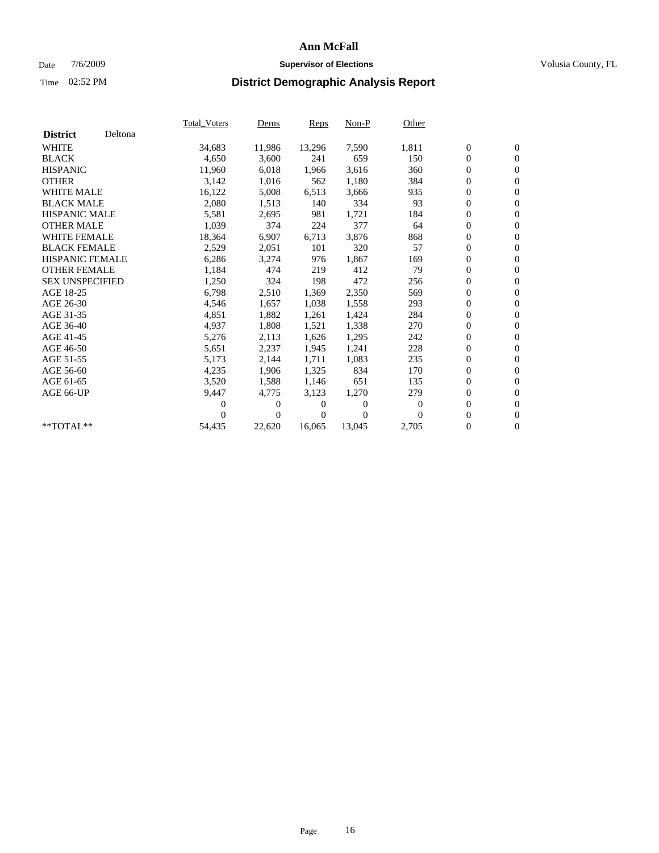### Date  $7/6/2009$  **Supervisor of Elections Supervisor of Elections** Volusia County, FL

|                        |         | <b>Total Voters</b> | Dems           | Reps   | $Non-P$          | Other    |                  |                  |  |
|------------------------|---------|---------------------|----------------|--------|------------------|----------|------------------|------------------|--|
| <b>District</b>        | Deltona |                     |                |        |                  |          |                  |                  |  |
| <b>WHITE</b>           |         | 34,683              | 11,986         | 13,296 | 7,590            | 1,811    | $\boldsymbol{0}$ | $\boldsymbol{0}$ |  |
| <b>BLACK</b>           |         | 4,650               | 3,600          | 241    | 659              | 150      | $\overline{0}$   | $\mathbf{0}$     |  |
| <b>HISPANIC</b>        |         | 11,960              | 6,018          | 1,966  | 3,616            | 360      | $\overline{0}$   | $\mathbf{0}$     |  |
| <b>OTHER</b>           |         | 3,142               | 1,016          | 562    | 1,180            | 384      | 0                | $\mathbf{0}$     |  |
| <b>WHITE MALE</b>      |         | 16,122              | 5,008          | 6,513  | 3,666            | 935      | 0                | $\mathbf{0}$     |  |
| <b>BLACK MALE</b>      |         | 2,080               | 1,513          | 140    | 334              | 93       | $\boldsymbol{0}$ | $\mathbf{0}$     |  |
| <b>HISPANIC MALE</b>   |         | 5,581               | 2,695          | 981    | 1,721            | 184      | 0                | $\mathbf{0}$     |  |
| <b>OTHER MALE</b>      |         | 1,039               | 374            | 224    | 377              | 64       | 0                | $\mathbf{0}$     |  |
| <b>WHITE FEMALE</b>    |         | 18,364              | 6,907          | 6,713  | 3,876            | 868      | 0                | $\mathbf{0}$     |  |
| <b>BLACK FEMALE</b>    |         | 2,529               | 2,051          | 101    | 320              | 57       | 0                | $\Omega$         |  |
| <b>HISPANIC FEMALE</b> |         | 6,286               | 3,274          | 976    | 1,867            | 169      | $\boldsymbol{0}$ | $\boldsymbol{0}$ |  |
| <b>OTHER FEMALE</b>    |         | 1,184               | 474            | 219    | 412              | 79       | 0                | $\mathbf{0}$     |  |
| <b>SEX UNSPECIFIED</b> |         | 1,250               | 324            | 198    | 472              | 256      | 0                | $\mathbf{0}$     |  |
| AGE 18-25              |         | 6,798               | 2,510          | 1,369  | 2,350            | 569      | $\boldsymbol{0}$ | $\mathbf{0}$     |  |
| AGE 26-30              |         | 4,546               | 1,657          | 1,038  | 1,558            | 293      | 0                | $\mathbf{0}$     |  |
| AGE 31-35              |         | 4,851               | 1,882          | 1,261  | 1,424            | 284      | 0                | $\mathbf{0}$     |  |
| AGE 36-40              |         | 4,937               | 1,808          | 1,521  | 1,338            | 270      | $\boldsymbol{0}$ | $\mathbf{0}$     |  |
| AGE 41-45              |         | 5,276               | 2,113          | 1,626  | 1,295            | 242      | $\boldsymbol{0}$ | $\mathbf{0}$     |  |
| AGE 46-50              |         | 5,651               | 2,237          | 1,945  | 1,241            | 228      | 0                | $\Omega$         |  |
| AGE 51-55              |         | 5,173               | 2,144          | 1,711  | 1,083            | 235      | $\boldsymbol{0}$ | $\boldsymbol{0}$ |  |
| AGE 56-60              |         | 4,235               | 1,906          | 1,325  | 834              | 170      | 0                | $\mathbf{0}$     |  |
| AGE 61-65              |         | 3,520               | 1,588          | 1,146  | 651              | 135      | 0                | $\mathbf{0}$     |  |
| AGE 66-UP              |         | 9,447               | 4,775          | 3,123  | 1,270            | 279      | $\overline{0}$   | $\mathbf{0}$     |  |
|                        |         | 0                   | 0              | 0      | $\boldsymbol{0}$ | $\bf{0}$ | 0                | $\mathbf{0}$     |  |
|                        |         | 0                   | $\overline{0}$ | 0      | $\Omega$         | $\Omega$ | 0                | $\mathbf{0}$     |  |
| $*$ TOTAL $**$         |         | 54,435              | 22,620         | 16,065 | 13,045           | 2,705    | $\overline{0}$   | $\boldsymbol{0}$ |  |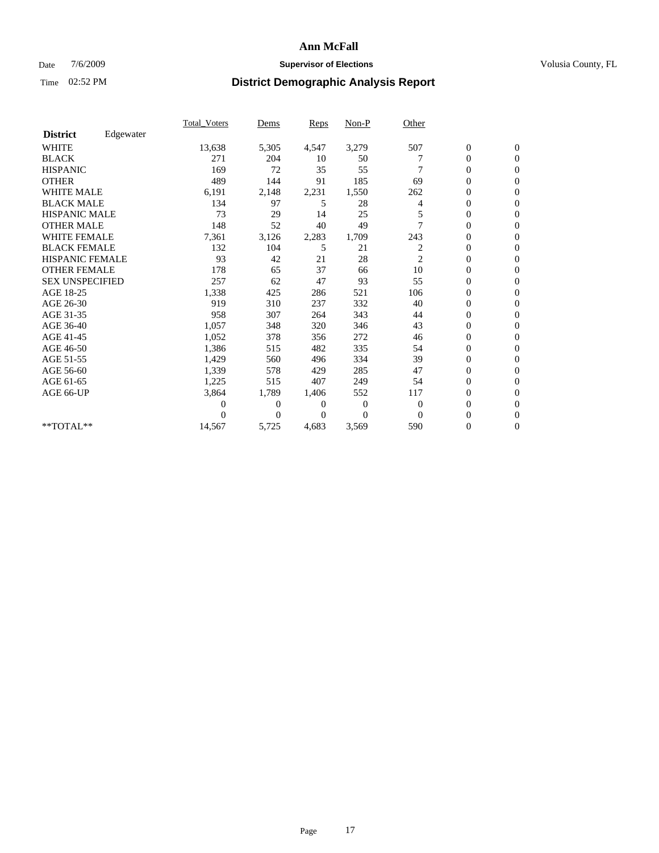### Date  $7/6/2009$  **Supervisor of Elections Supervisor of Elections** Volusia County, FL

|                        |           | <b>Total_Voters</b> | Dems         | Reps  | $Non-P$        | Other          |                  |                |  |
|------------------------|-----------|---------------------|--------------|-------|----------------|----------------|------------------|----------------|--|
| <b>District</b>        | Edgewater |                     |              |       |                |                |                  |                |  |
| <b>WHITE</b>           |           | 13,638              | 5,305        | 4,547 | 3,279          | 507            | $\boldsymbol{0}$ | $\mathbf{0}$   |  |
| <b>BLACK</b>           |           | 271                 | 204          | 10    | 50             |                | 0                | $\mathbf{0}$   |  |
| <b>HISPANIC</b>        |           | 169                 | 72           | 35    | 55             |                | $\mathbf{0}$     | $\mathbf{0}$   |  |
| <b>OTHER</b>           |           | 489                 | 144          | 91    | 185            | 69             | 0                | $\mathbf{0}$   |  |
| <b>WHITE MALE</b>      |           | 6,191               | 2,148        | 2,231 | 1,550          | 262            | 0                | $\mathbf{0}$   |  |
| <b>BLACK MALE</b>      |           | 134                 | 97           | 5     | 28             | 4              | 0                | $\mathbf{0}$   |  |
| HISPANIC MALE          |           | 73                  | 29           | 14    | 25             |                | 0                | $\mathbf{0}$   |  |
| <b>OTHER MALE</b>      |           | 148                 | 52           | 40    | 49             |                | 0                | $\mathbf{0}$   |  |
| <b>WHITE FEMALE</b>    |           | 7,361               | 3,126        | 2,283 | 1,709          | 243            | 0                | $\mathbf{0}$   |  |
| <b>BLACK FEMALE</b>    |           | 132                 | 104          | 5     | 21             | 2              | $\boldsymbol{0}$ | $\mathbf{0}$   |  |
| HISPANIC FEMALE        |           | 93                  | 42           | 21    | 28             | $\overline{c}$ | 0                | $\mathbf{0}$   |  |
| <b>OTHER FEMALE</b>    |           | 178                 | 65           | 37    | 66             | 10             | 0                | $\Omega$       |  |
| <b>SEX UNSPECIFIED</b> |           | 257                 | 62           | 47    | 93             | 55             | 0                | $\mathbf{0}$   |  |
| AGE 18-25              |           | 1,338               | 425          | 286   | 521            | 106            | 0                | $\mathbf{0}$   |  |
| AGE 26-30              |           | 919                 | 310          | 237   | 332            | 40             | $\overline{0}$   | $\mathbf{0}$   |  |
| AGE 31-35              |           | 958                 | 307          | 264   | 343            | 44             | 0                | $\mathbf{0}$   |  |
| AGE 36-40              |           | 1,057               | 348          | 320   | 346            | 43             | 0                | $\mathbf{0}$   |  |
| AGE 41-45              |           | 1,052               | 378          | 356   | 272            | 46             | $\overline{0}$   | $\mathbf{0}$   |  |
| AGE 46-50              |           | 1,386               | 515          | 482   | 335            | 54             | $\overline{0}$   | $\mathbf{0}$   |  |
| AGE 51-55              |           | 1,429               | 560          | 496   | 334            | 39             | 0                | $\mathbf{0}$   |  |
| AGE 56-60              |           | 1,339               | 578          | 429   | 285            | 47             | 0                | $\Omega$       |  |
| AGE 61-65              |           | 1,225               | 515          | 407   | 249            | 54             | 0                | $\mathbf{0}$   |  |
| AGE 66-UP              |           | 3,864               | 1,789        | 1,406 | 552            | 117            | 0                | $\mathbf{0}$   |  |
|                        |           | 0                   | $\mathbf{0}$ | 0     | $\theta$       | $\theta$       | $\overline{0}$   | $\Omega$       |  |
|                        |           | 0                   | $\Omega$     | 0     | $\overline{0}$ | $\Omega$       | $\overline{0}$   | $\overline{0}$ |  |
| **TOTAL**              |           | 14,567              | 5,725        | 4,683 | 3,569          | 590            | 0                | $\overline{0}$ |  |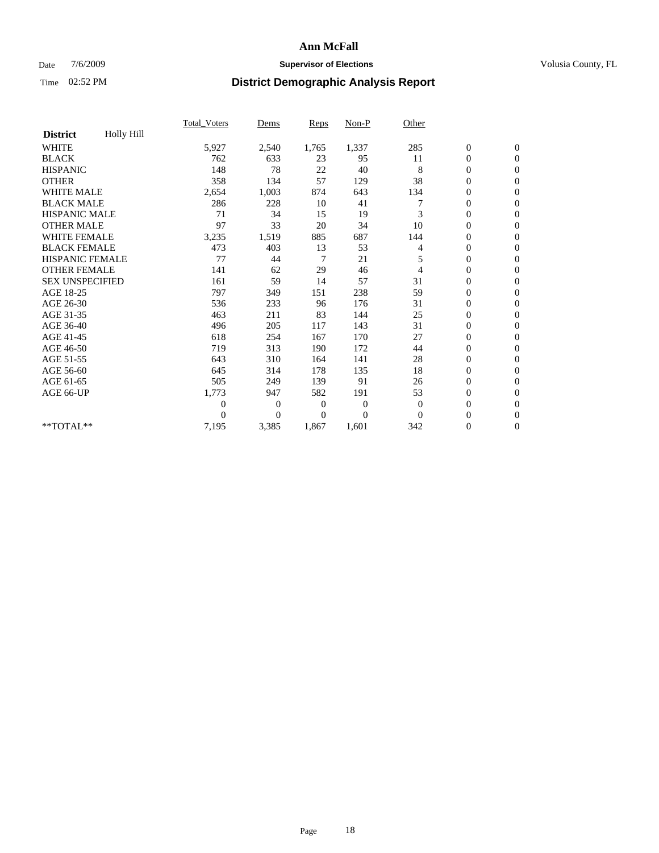### Date  $7/6/2009$  **Supervisor of Elections Supervisor of Elections** Volusia County, FL

|                        |            | Total Voters     | Dems           | <b>Reps</b>  | Non-P          | Other        |                  |                |  |
|------------------------|------------|------------------|----------------|--------------|----------------|--------------|------------------|----------------|--|
| <b>District</b>        | Holly Hill |                  |                |              |                |              |                  |                |  |
| <b>WHITE</b>           |            | 5,927            | 2,540          | 1,765        | 1,337          | 285          | $\boldsymbol{0}$ | $\mathbf{0}$   |  |
| <b>BLACK</b>           |            | 762              | 633            | 23           | 95             | 11           | $\boldsymbol{0}$ | $\mathbf{0}$   |  |
| <b>HISPANIC</b>        |            | 148              | 78             | 22           | 40             | 8            | $\overline{0}$   | $\mathbf{0}$   |  |
| <b>OTHER</b>           |            | 358              | 134            | 57           | 129            | 38           | $\overline{0}$   | $\mathbf{0}$   |  |
| <b>WHITE MALE</b>      |            | 2,654            | 1,003          | 874          | 643            | 134          | $\boldsymbol{0}$ | $\mathbf{0}$   |  |
| <b>BLACK MALE</b>      |            | 286              | 228            | 10           | 41             |              | $\boldsymbol{0}$ | $\mathbf{0}$   |  |
| <b>HISPANIC MALE</b>   |            | 71               | 34             | 15           | 19             | 3            | $\boldsymbol{0}$ | $\mathbf{0}$   |  |
| <b>OTHER MALE</b>      |            | 97               | 33             | 20           | 34             | 10           | 0                | $\mathbf{0}$   |  |
| <b>WHITE FEMALE</b>    |            | 3,235            | 1,519          | 885          | 687            | 144          | $\mathbf{0}$     | $\mathbf{0}$   |  |
| <b>BLACK FEMALE</b>    |            | 473              | 403            | 13           | 53             | 4            | $\boldsymbol{0}$ | $\mathbf{0}$   |  |
| HISPANIC FEMALE        |            | 77               | 44             | 7            | 21             | 5            | $\boldsymbol{0}$ | $\mathbf{0}$   |  |
| <b>OTHER FEMALE</b>    |            | 141              | 62             | 29           | 46             | 4            | $\overline{0}$   | $\Omega$       |  |
| <b>SEX UNSPECIFIED</b> |            | 161              | 59             | 14           | 57             | 31           | $\overline{0}$   | $\mathbf{0}$   |  |
| AGE 18-25              |            | 797              | 349            | 151          | 238            | 59           | $\overline{0}$   | $\mathbf{0}$   |  |
| AGE 26-30              |            | 536              | 233            | 96           | 176            | 31           | $\overline{0}$   | $\mathbf{0}$   |  |
| AGE 31-35              |            | 463              | 211            | 83           | 144            | 25           | $\boldsymbol{0}$ | $\mathbf{0}$   |  |
| AGE 36-40              |            | 496              | 205            | 117          | 143            | 31           | $\boldsymbol{0}$ | $\mathbf{0}$   |  |
| AGE 41-45              |            | 618              | 254            | 167          | 170            | 27           | $\overline{0}$   | $\mathbf{0}$   |  |
| AGE 46-50              |            | 719              | 313            | 190          | 172            | 44           | $\mathbf{0}$     | $\mathbf{0}$   |  |
| AGE 51-55              |            | 643              | 310            | 164          | 141            | 28           | $\boldsymbol{0}$ | $\mathbf{0}$   |  |
| AGE 56-60              |            | 645              | 314            | 178          | 135            | 18           | $\boldsymbol{0}$ | $\Omega$       |  |
| AGE 61-65              |            | 505              | 249            | 139          | 91             | 26           | $\boldsymbol{0}$ | $\overline{0}$ |  |
| AGE 66-UP              |            | 1,773            | 947            | 582          | 191            | 53           | $\boldsymbol{0}$ | $\mathbf{0}$   |  |
|                        |            | $\boldsymbol{0}$ | 0              | $\mathbf{0}$ | $\mathbf{0}$   | $\mathbf{0}$ | $\overline{0}$   | $\Omega$       |  |
|                        |            | $\theta$         | $\overline{0}$ | $\Omega$     | $\overline{0}$ | $\Omega$     | $\overline{0}$   | $\overline{0}$ |  |
| **TOTAL**              |            | 7,195            | 3,385          | 1,867        | 1,601          | 342          | $\boldsymbol{0}$ | $\mathbf{0}$   |  |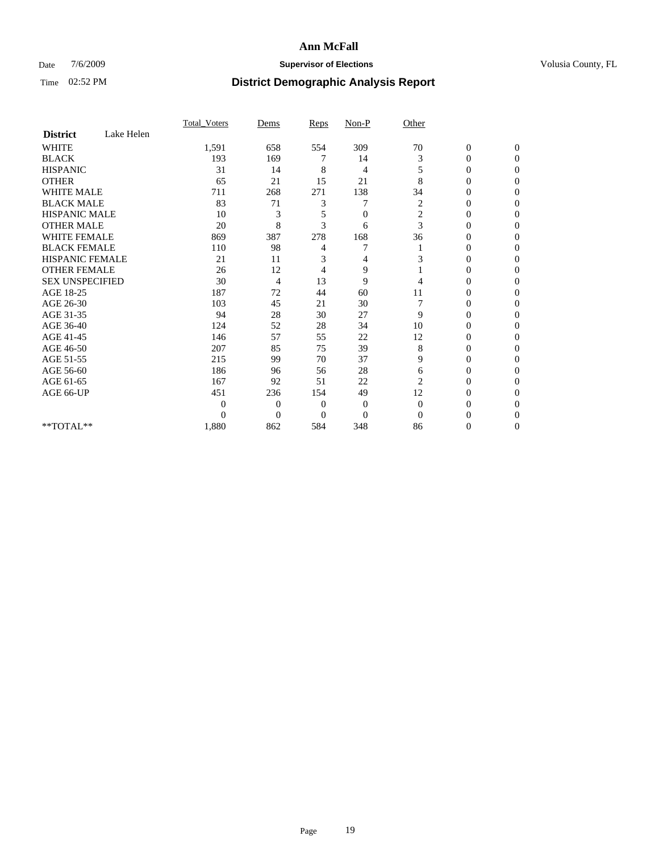### Date  $7/6/2009$  **Supervisor of Elections Supervisor of Elections** Volusia County, FL

|                        |            | Total Voters | Dems           | <b>Reps</b>  | $Non-P$        | Other            |                  |              |  |
|------------------------|------------|--------------|----------------|--------------|----------------|------------------|------------------|--------------|--|
| <b>District</b>        | Lake Helen |              |                |              |                |                  |                  |              |  |
| <b>WHITE</b>           |            | 1,591        | 658            | 554          | 309            | 70               | $\boldsymbol{0}$ | $\mathbf{0}$ |  |
| <b>BLACK</b>           |            | 193          | 169            | 7            | 14             | 3                | $\overline{0}$   | $\Omega$     |  |
| <b>HISPANIC</b>        |            | 31           | 14             | 8            | 4              | 5                | 0                | $\Omega$     |  |
| <b>OTHER</b>           |            | 65           | 21             | 15           | 21             | 8                | 0                | $\Omega$     |  |
| <b>WHITE MALE</b>      |            | 711          | 268            | 271          | 138            | 34               | 0                | 0            |  |
| <b>BLACK MALE</b>      |            | 83           | 71             | 3            |                | 2                | $\mathbf{0}$     | $\Omega$     |  |
| HISPANIC MALE          |            | 10           | 3              | 5            | $\overline{0}$ | $\boldsymbol{2}$ | 0                | $\Omega$     |  |
| <b>OTHER MALE</b>      |            | 20           | 8              | 3            | 6              | 3                | 0                | 0            |  |
| <b>WHITE FEMALE</b>    |            | 869          | 387            | 278          | 168            | 36               | 0                | $\Omega$     |  |
| <b>BLACK FEMALE</b>    |            | 110          | 98             | 4            | 7              |                  | 0                | $\Omega$     |  |
| <b>HISPANIC FEMALE</b> |            | 21           | 11             | 3            | 4              | 3                | 0                | 0            |  |
| <b>OTHER FEMALE</b>    |            | 26           | 12             | 4            | 9              |                  | 0                | 0            |  |
| <b>SEX UNSPECIFIED</b> |            | 30           | 4              | 13           | 9              | 4                | 0                | $\Omega$     |  |
| AGE 18-25              |            | 187          | 72             | 44           | 60             | 11               | 0                | $\Omega$     |  |
| AGE 26-30              |            | 103          | 45             | 21           | 30             |                  | 0                | $\Omega$     |  |
| AGE 31-35              |            | 94           | 28             | 30           | 27             | 9                | $\overline{0}$   | $\Omega$     |  |
| AGE 36-40              |            | 124          | 52             | 28           | 34             | 10               | 0                | 0            |  |
| AGE 41-45              |            | 146          | 57             | 55           | 22             | 12               | 0                | $\Omega$     |  |
| AGE 46-50              |            | 207          | 85             | 75           | 39             | 8                | 0                | $\Omega$     |  |
| AGE 51-55              |            | 215          | 99             | 70           | 37             | 9                | 0                | 0            |  |
| AGE 56-60              |            | 186          | 96             | 56           | 28             | 6                | 0                | $\Omega$     |  |
| AGE 61-65              |            | 167          | 92             | 51           | 22             | $\overline{2}$   | $\overline{0}$   | $\Omega$     |  |
| AGE 66-UP              |            | 451          | 236            | 154          | 49             | 12               | 0                | 0            |  |
|                        |            | $\theta$     | $\overline{0}$ | $\mathbf{0}$ | $\mathbf{0}$   | $\Omega$         | 0                | $\Omega$     |  |
|                        |            | $\theta$     | $\overline{0}$ | $\Omega$     | $\overline{0}$ | $\Omega$         | 0                | 0            |  |
| **TOTAL**              |            | 1,880        | 862            | 584          | 348            | 86               | 0                | 0            |  |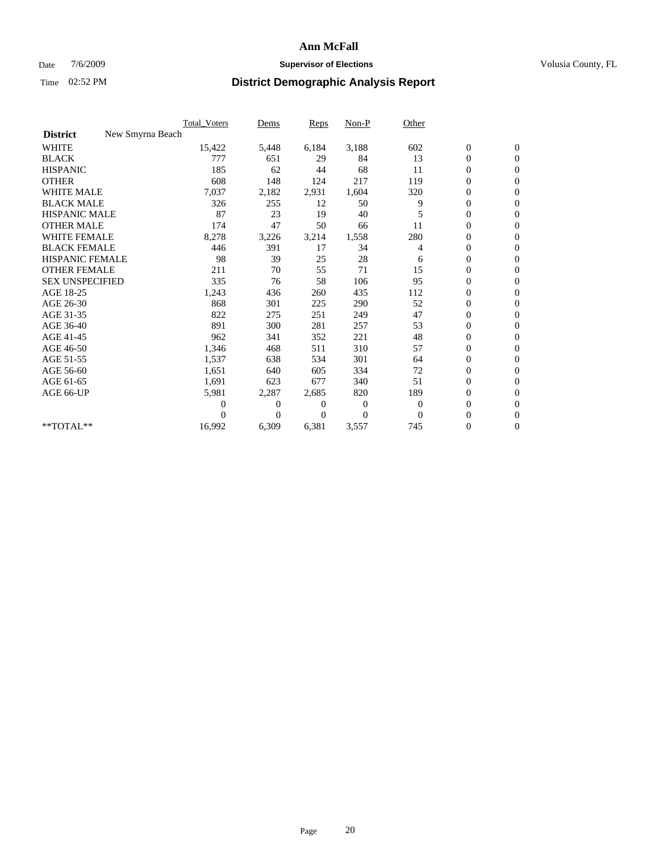### Date  $7/6/2009$  **Supervisor of Elections Supervisor of Elections** Volusia County, FL

|                        |                  | Total Voters | Dems     | <b>Reps</b> | Non-P    | Other        |                  |                  |  |
|------------------------|------------------|--------------|----------|-------------|----------|--------------|------------------|------------------|--|
| <b>District</b>        | New Smyrna Beach |              |          |             |          |              |                  |                  |  |
| <b>WHITE</b>           |                  | 15,422       | 5,448    | 6,184       | 3,188    | 602          | $\boldsymbol{0}$ | $\boldsymbol{0}$ |  |
| <b>BLACK</b>           |                  | 777          | 651      | 29          | 84       | 13           | $\boldsymbol{0}$ | $\mathbf{0}$     |  |
| <b>HISPANIC</b>        |                  | 185          | 62       | 44          | 68       | 11           | $\overline{0}$   | $\mathbf{0}$     |  |
| <b>OTHER</b>           |                  | 608          | 148      | 124         | 217      | 119          | $\boldsymbol{0}$ | $\mathbf{0}$     |  |
| <b>WHITE MALE</b>      |                  | 7,037        | 2,182    | 2,931       | 1,604    | 320          | $\boldsymbol{0}$ | $\mathbf{0}$     |  |
| <b>BLACK MALE</b>      |                  | 326          | 255      | 12          | 50       | 9            | $\overline{0}$   | $\mathbf{0}$     |  |
| <b>HISPANIC MALE</b>   |                  | 87           | 23       | 19          | 40       | 5            | $\boldsymbol{0}$ | $\mathbf{0}$     |  |
| <b>OTHER MALE</b>      |                  | 174          | 47       | 50          | 66       | 11           | $\boldsymbol{0}$ | $\mathbf{0}$     |  |
| <b>WHITE FEMALE</b>    |                  | 8,278        | 3,226    | 3,214       | 1,558    | 280          | $\overline{0}$   | $\mathbf{0}$     |  |
| <b>BLACK FEMALE</b>    |                  | 446          | 391      | 17          | 34       | 4            | $\boldsymbol{0}$ | $\mathbf{0}$     |  |
| <b>HISPANIC FEMALE</b> |                  | 98           | 39       | 25          | 28       | 6            | $\boldsymbol{0}$ | $\mathbf{0}$     |  |
| <b>OTHER FEMALE</b>    |                  | 211          | 70       | 55          | 71       | 15           | $\mathbf{0}$     | $\mathbf{0}$     |  |
| <b>SEX UNSPECIFIED</b> |                  | 335          | 76       | 58          | 106      | 95           | $\boldsymbol{0}$ | $\mathbf{0}$     |  |
| AGE 18-25              |                  | 1,243        | 436      | 260         | 435      | 112          | $\overline{0}$   | $\mathbf{0}$     |  |
| AGE 26-30              |                  | 868          | 301      | 225         | 290      | 52           | $\overline{0}$   | $\mathbf{0}$     |  |
| AGE 31-35              |                  | 822          | 275      | 251         | 249      | 47           | $\boldsymbol{0}$ | $\mathbf{0}$     |  |
| AGE 36-40              |                  | 891          | 300      | 281         | 257      | 53           | $\boldsymbol{0}$ | $\mathbf{0}$     |  |
| AGE 41-45              |                  | 962          | 341      | 352         | 221      | 48           | $\overline{0}$   | $\mathbf{0}$     |  |
| AGE 46-50              |                  | 1,346        | 468      | 511         | 310      | 57           | $\boldsymbol{0}$ | $\mathbf{0}$     |  |
| AGE 51-55              |                  | 1,537        | 638      | 534         | 301      | 64           | $\boldsymbol{0}$ | $\mathbf{0}$     |  |
| AGE 56-60              |                  | 1,651        | 640      | 605         | 334      | 72           | $\overline{0}$   | $\Omega$         |  |
| AGE 61-65              |                  | 1,691        | 623      | 677         | 340      | 51           | $\overline{0}$   | $\mathbf{0}$     |  |
| AGE 66-UP              |                  | 5,981        | 2,287    | 2,685       | 820      | 189          | $\boldsymbol{0}$ | $\mathbf{0}$     |  |
|                        |                  | 0            | 0        | 0           | 0        | $\mathbf{0}$ | $\overline{0}$   | $\mathbf{0}$     |  |
|                        |                  | $\Omega$     | $\theta$ | $\Omega$    | $\Omega$ | $\Omega$     | $\boldsymbol{0}$ | $\mathbf{0}$     |  |
| **TOTAL**              |                  | 16,992       | 6,309    | 6,381       | 3,557    | 745          | 0                | $\mathbf{0}$     |  |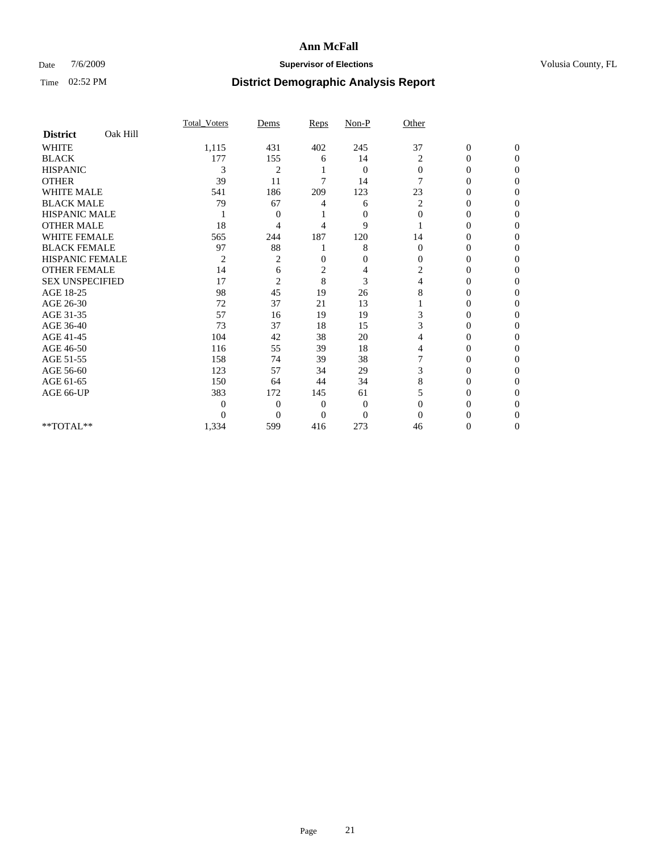### Date  $7/6/2009$  **Supervisor of Elections Supervisor of Elections** Volusia County, FL

|                        |          | Total Voters | Dems           | Reps         | $Non-P$        | Other        |                  |              |  |
|------------------------|----------|--------------|----------------|--------------|----------------|--------------|------------------|--------------|--|
| <b>District</b>        | Oak Hill |              |                |              |                |              |                  |              |  |
| <b>WHITE</b>           |          | 1,115        | 431            | 402          | 245            | 37           | $\boldsymbol{0}$ | $\mathbf{0}$ |  |
| <b>BLACK</b>           |          | 177          | 155            | 6            | 14             | 2            | $\mathbf{0}$     | $\Omega$     |  |
| <b>HISPANIC</b>        |          | 3            | $\overline{2}$ |              | $\mathbf{0}$   | $\mathbf{0}$ | 0                | $\Omega$     |  |
| <b>OTHER</b>           |          | 39           | 11             | 7            | 14             | 7            | 0                | $\Omega$     |  |
| <b>WHITE MALE</b>      |          | 541          | 186            | 209          | 123            | 23           | $\theta$         | 0            |  |
| <b>BLACK MALE</b>      |          | 79           | 67             | 4            | 6              | 2            | 0                | $\Omega$     |  |
| HISPANIC MALE          |          |              | $\overline{0}$ |              | $\mathbf{0}$   | $\Omega$     | 0                | $\Omega$     |  |
| <b>OTHER MALE</b>      |          | 18           | 4              | 4            | 9              |              | 0                | 0            |  |
| <b>WHITE FEMALE</b>    |          | 565          | 244            | 187          | 120            | 14           | 0                | $\Omega$     |  |
| <b>BLACK FEMALE</b>    |          | 97           | 88             |              | 8              | $\mathbf{0}$ | 0                | 0            |  |
| <b>HISPANIC FEMALE</b> |          | 2            | $\overline{c}$ | 0            | $\mathbf{0}$   | $\Omega$     | 0                | 0            |  |
| <b>OTHER FEMALE</b>    |          | 14           | 6              | 2            | 4              | 2            | 0                | 0            |  |
| <b>SEX UNSPECIFIED</b> |          | 17           | $\overline{2}$ | 8            | 3              | 4            | 0                | 0            |  |
| AGE 18-25              |          | 98           | 45             | 19           | 26             | 8            | 0                | $\Omega$     |  |
| AGE 26-30              |          | 72           | 37             | 21           | 13             |              | 0                | 0            |  |
| AGE 31-35              |          | 57           | 16             | 19           | 19             | 3            | 0                | 0            |  |
| AGE 36-40              |          | 73           | 37             | 18           | 15             | 3            | $\theta$         | 0            |  |
| AGE 41-45              |          | 104          | 42             | 38           | 20             | 4            | 0                | $\Omega$     |  |
| AGE 46-50              |          | 116          | 55             | 39           | 18             | 4            | 0                | $\Omega$     |  |
| AGE 51-55              |          | 158          | 74             | 39           | 38             | 7            | 0                | 0            |  |
| AGE 56-60              |          | 123          | 57             | 34           | 29             | 3            | 0                | 0            |  |
| AGE 61-65              |          | 150          | 64             | 44           | 34             | 8            | $\theta$         | 0            |  |
| AGE 66-UP              |          | 383          | 172            | 145          | 61             | 5            | 0                | 0            |  |
|                        |          | 0            | $\overline{0}$ | $\mathbf{0}$ | $\mathbf{0}$   | $\Omega$     | 0                | 0            |  |
|                        |          | $\theta$     | $\overline{0}$ | $\Omega$     | $\overline{0}$ | $\Omega$     |                  | 0            |  |
| **TOTAL**              |          | 1,334        | 599            | 416          | 273            | 46           | 0                | 0            |  |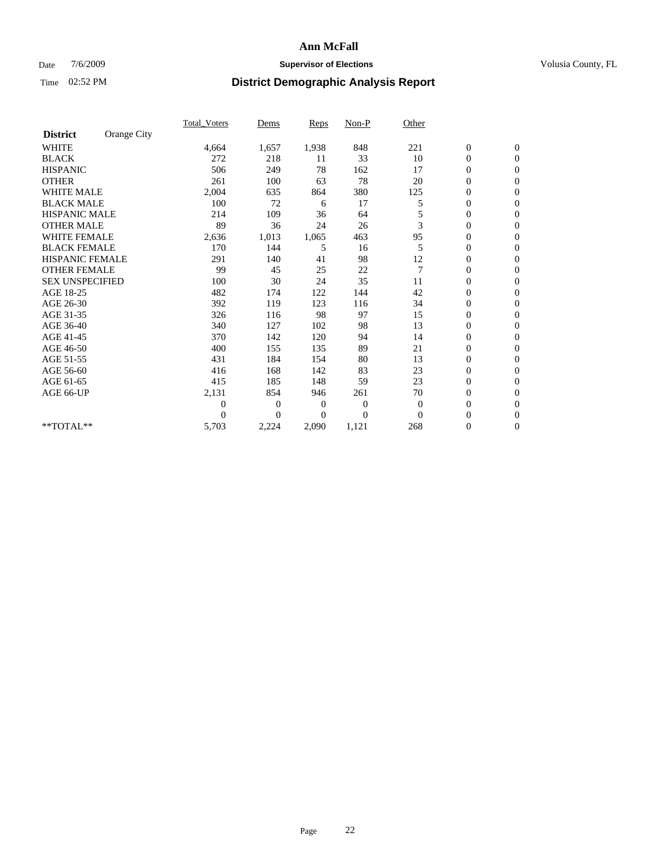### Date  $7/6/2009$  **Supervisor of Elections Supervisor of Elections** Volusia County, FL

|                        |             | <b>Total_Voters</b> | Dems           | Reps           | $Non-P$          | Other          |                  |                |  |
|------------------------|-------------|---------------------|----------------|----------------|------------------|----------------|------------------|----------------|--|
| <b>District</b>        | Orange City |                     |                |                |                  |                |                  |                |  |
| <b>WHITE</b>           |             | 4,664               | 1,657          | 1,938          | 848              | 221            | $\boldsymbol{0}$ | $\mathbf{0}$   |  |
| <b>BLACK</b>           |             | 272                 | 218            | 11             | 33               | 10             | 0                | $\mathbf{0}$   |  |
| <b>HISPANIC</b>        |             | 506                 | 249            | 78             | 162              | 17             | $\mathbf{0}$     | $\mathbf{0}$   |  |
| <b>OTHER</b>           |             | 261                 | 100            | 63             | 78               | 20             | 0                | $\mathbf{0}$   |  |
| <b>WHITE MALE</b>      |             | 2,004               | 635            | 864            | 380              | 125            | 0                | $\mathbf{0}$   |  |
| <b>BLACK MALE</b>      |             | 100                 | 72             | 6              | 17               | 5              | 0                | $\mathbf{0}$   |  |
| HISPANIC MALE          |             | 214                 | 109            | 36             | 64               |                | 0                | $\mathbf{0}$   |  |
| <b>OTHER MALE</b>      |             | 89                  | 36             | 24             | 26               | 3              | 0                | $\mathbf{0}$   |  |
| <b>WHITE FEMALE</b>    |             | 2,636               | 1,013          | 1,065          | 463              | 95             | 0                | $\mathbf{0}$   |  |
| <b>BLACK FEMALE</b>    |             | 170                 | 144            | 5              | 16               | 5              | $\boldsymbol{0}$ | $\mathbf{0}$   |  |
| HISPANIC FEMALE        |             | 291                 | 140            | 41             | 98               | 12             | 0                | $\mathbf{0}$   |  |
| <b>OTHER FEMALE</b>    |             | 99                  | 45             | 25             | 22               | $\overline{7}$ | 0                | $\Omega$       |  |
| <b>SEX UNSPECIFIED</b> |             | 100                 | 30             | 24             | 35               | 11             | 0                | $\mathbf{0}$   |  |
| AGE 18-25              |             | 482                 | 174            | 122            | 144              | 42             | 0                | $\mathbf{0}$   |  |
| AGE 26-30              |             | 392                 | 119            | 123            | 116              | 34             | 0                | $\mathbf{0}$   |  |
| AGE 31-35              |             | 326                 | 116            | 98             | 97               | 15             | 0                | $\mathbf{0}$   |  |
| AGE 36-40              |             | 340                 | 127            | 102            | 98               | 13             | 0                | $\mathbf{0}$   |  |
| AGE 41-45              |             | 370                 | 142            | 120            | 94               | 14             | $\overline{0}$   | $\mathbf{0}$   |  |
| AGE 46-50              |             | 400                 | 155            | 135            | 89               | 21             | $\overline{0}$   | $\mathbf{0}$   |  |
| AGE 51-55              |             | 431                 | 184            | 154            | 80               | 13             | 0                | $\mathbf{0}$   |  |
| AGE 56-60              |             | 416                 | 168            | 142            | 83               | 23             | 0                | $\Omega$       |  |
| AGE 61-65              |             | 415                 | 185            | 148            | 59               | 23             | 0                | $\mathbf{0}$   |  |
| AGE 66-UP              |             | 2,131               | 854            | 946            | 261              | 70             | 0                | $\mathbf{0}$   |  |
|                        |             | 0                   | $\overline{0}$ | $\overline{0}$ | $\boldsymbol{0}$ | $\theta$       | 0                | $\Omega$       |  |
|                        |             | $\theta$            | $\Omega$       | $\Omega$       | $\overline{0}$   | $\Omega$       | $\overline{0}$   | $\overline{0}$ |  |
| **TOTAL**              |             | 5,703               | 2,224          | 2,090          | 1,121            | 268            | 0                | $\overline{0}$ |  |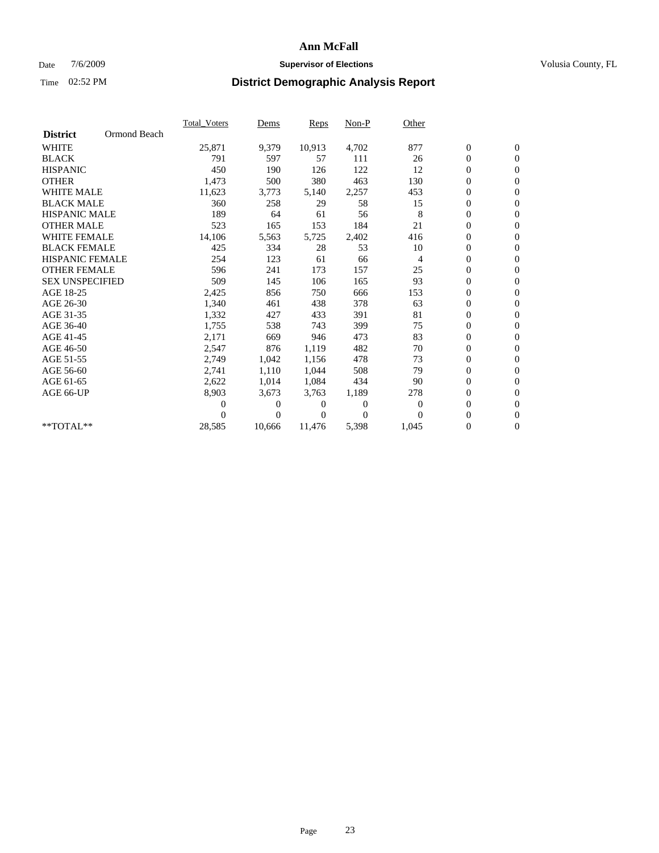### Date  $7/6/2009$  **Supervisor of Elections Supervisor of Elections** Volusia County, FL

|                        |              | Total Voters | Dems           | <b>Reps</b> | $Non-P$      | Other        |                  |                  |  |
|------------------------|--------------|--------------|----------------|-------------|--------------|--------------|------------------|------------------|--|
| <b>District</b>        | Ormond Beach |              |                |             |              |              |                  |                  |  |
| <b>WHITE</b>           |              | 25,871       | 9,379          | 10,913      | 4,702        | 877          | $\boldsymbol{0}$ | $\boldsymbol{0}$ |  |
| <b>BLACK</b>           |              | 791          | 597            | 57          | 111          | 26           | $\overline{0}$   | $\mathbf{0}$     |  |
| <b>HISPANIC</b>        |              | 450          | 190            | 126         | 122          | 12           | $\overline{0}$   | $\mathbf{0}$     |  |
| <b>OTHER</b>           |              | 1,473        | 500            | 380         | 463          | 130          | 0                | $\mathbf{0}$     |  |
| <b>WHITE MALE</b>      |              | 11,623       | 3,773          | 5,140       | 2,257        | 453          | $\boldsymbol{0}$ | $\mathbf{0}$     |  |
| <b>BLACK MALE</b>      |              | 360          | 258            | 29          | 58           | 15           | $\boldsymbol{0}$ | $\mathbf{0}$     |  |
| <b>HISPANIC MALE</b>   |              | 189          | 64             | 61          | 56           | 8            | $\boldsymbol{0}$ | $\overline{0}$   |  |
| <b>OTHER MALE</b>      |              | 523          | 165            | 153         | 184          | 21           | $\boldsymbol{0}$ | $\mathbf{0}$     |  |
| <b>WHITE FEMALE</b>    |              | 14,106       | 5,563          | 5,725       | 2,402        | 416          | $\overline{0}$   | $\mathbf{0}$     |  |
| <b>BLACK FEMALE</b>    |              | 425          | 334            | 28          | 53           | 10           | $\boldsymbol{0}$ | $\Omega$         |  |
| <b>HISPANIC FEMALE</b> |              | 254          | 123            | 61          | 66           | 4            | $\boldsymbol{0}$ | $\mathbf{0}$     |  |
| <b>OTHER FEMALE</b>    |              | 596          | 241            | 173         | 157          | 25           | $\overline{0}$   | $\mathbf{0}$     |  |
| <b>SEX UNSPECIFIED</b> |              | 509          | 145            | 106         | 165          | 93           | $\boldsymbol{0}$ | $\mathbf{0}$     |  |
| AGE 18-25              |              | 2,425        | 856            | 750         | 666          | 153          | $\boldsymbol{0}$ | $\mathbf{0}$     |  |
| AGE 26-30              |              | 1,340        | 461            | 438         | 378          | 63           | $\overline{0}$   | $\mathbf{0}$     |  |
| AGE 31-35              |              | 1,332        | 427            | 433         | 391          | 81           | $\boldsymbol{0}$ | $\mathbf{0}$     |  |
| AGE 36-40              |              | 1,755        | 538            | 743         | 399          | 75           | $\boldsymbol{0}$ | $\mathbf{0}$     |  |
| AGE 41-45              |              | 2,171        | 669            | 946         | 473          | 83           | $\boldsymbol{0}$ | $\mathbf{0}$     |  |
| AGE 46-50              |              | 2,547        | 876            | 1,119       | 482          | 70           | 0                | $\Omega$         |  |
| AGE 51-55              |              | 2,749        | 1,042          | 1,156       | 478          | 73           | $\boldsymbol{0}$ | $\mathbf{0}$     |  |
| AGE 56-60              |              | 2,741        | 1,110          | 1,044       | 508          | 79           | $\mathbf{0}$     | $\mathbf{0}$     |  |
| AGE 61-65              |              | 2,622        | 1,014          | 1,084       | 434          | 90           | $\boldsymbol{0}$ | $\Omega$         |  |
| AGE 66-UP              |              | 8,903        | 3,673          | 3,763       | 1,189        | 278          | $\mathbf{0}$     | $\mathbf{0}$     |  |
|                        |              | 0            | 0              | 0           | $\mathbf{0}$ | $\mathbf{0}$ | $\overline{0}$   | $\mathbf{0}$     |  |
|                        |              | 0            | $\overline{0}$ | 0           | $\Omega$     | $\Omega$     | 0                | $\mathbf{0}$     |  |
| $*$ TOTAL $**$         |              | 28,585       | 10,666         | 11,476      | 5,398        | 1,045        | $\boldsymbol{0}$ | $\boldsymbol{0}$ |  |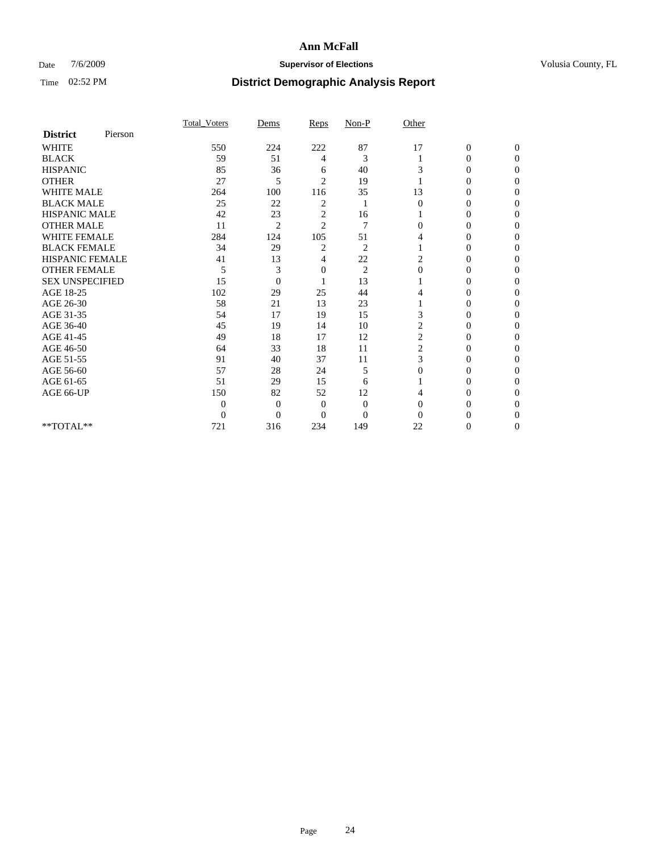### Date  $7/6/2009$  **Supervisor of Elections Supervisor of Elections** Volusia County, FL

|                        |         | Total Voters     | Dems           | Reps           | $Non-P$        | Other        |                  |                  |
|------------------------|---------|------------------|----------------|----------------|----------------|--------------|------------------|------------------|
| <b>District</b>        | Pierson |                  |                |                |                |              |                  |                  |
| <b>WHITE</b>           |         | 550              | 224            | 222            | 87             | 17           | $\boldsymbol{0}$ | $\boldsymbol{0}$ |
| <b>BLACK</b>           |         | 59               | 51             | 4              | 3              |              | $\overline{0}$   | $\Omega$         |
| <b>HISPANIC</b>        |         | 85               | 36             | 6              | 40             | 3            | $\Omega$         | $\Omega$         |
| <b>OTHER</b>           |         | 27               | 5              | $\overline{2}$ | 19             |              | 0                | $\Omega$         |
| <b>WHITE MALE</b>      |         | 264              | 100            | 116            | 35             | 13           | 0                | $\Omega$         |
| <b>BLACK MALE</b>      |         | 25               | 22             | 2              | 1              | $\Omega$     | $\overline{0}$   | $\Omega$         |
| HISPANIC MALE          |         | 42               | 23             | 2              | 16             |              | 0                | 0                |
| <b>OTHER MALE</b>      |         | 11               | $\overline{2}$ | $\overline{c}$ | 7              | 0            | 0                | 0                |
| <b>WHITE FEMALE</b>    |         | 284              | 124            | 105            | 51             | 4            | 0                | 0                |
| <b>BLACK FEMALE</b>    |         | 34               | 29             | $\overline{c}$ | $\overline{c}$ |              | 0                | 0                |
| <b>HISPANIC FEMALE</b> |         | 41               | 13             | 4              | 22             | 2            | 0                | $\Omega$         |
| <b>OTHER FEMALE</b>    |         | 5                | 3              | 0              | $\overline{2}$ | $\mathbf{0}$ | 0                | 0                |
| <b>SEX UNSPECIFIED</b> |         | 15               | $\overline{0}$ |                | 13             |              | 0                | $\Omega$         |
| AGE 18-25              |         | 102              | 29             | 25             | 44             | 4            | $\theta$         | $\Omega$         |
| AGE 26-30              |         | 58               | 21             | 13             | 23             |              | 0                | 0                |
| AGE 31-35              |         | 54               | 17             | 19             | 15             | 3            | 0                | 0                |
| AGE 36-40              |         | 45               | 19             | 14             | 10             | 2            | 0                | 0                |
| AGE 41-45              |         | 49               | 18             | 17             | 12             | 2            | 0                | 0                |
| AGE 46-50              |         | 64               | 33             | 18             | 11             | 2            | $\overline{0}$   | $\Omega$         |
| AGE 51-55              |         | 91               | 40             | 37             | 11             | 3            | 0                | $\Omega$         |
| AGE 56-60              |         | 57               | 28             | 24             | 5              | $\Omega$     | 0                | 0                |
| AGE 61-65              |         | 51               | 29             | 15             | 6              |              | 0                | $\Omega$         |
| AGE 66-UP              |         | 150              | 82             | 52             | 12             |              | 0                | $\Omega$         |
|                        |         | $\boldsymbol{0}$ | $\overline{0}$ | $\mathbf{0}$   | $\mathbf{0}$   | $\Omega$     | 0                | 0                |
|                        |         | $\theta$         | $\overline{0}$ | $\Omega$       | $\overline{0}$ | $\Omega$     | 0                | $\Omega$         |
| **TOTAL**              |         | 721              | 316            | 234            | 149            | 22           | 0                | $\overline{0}$   |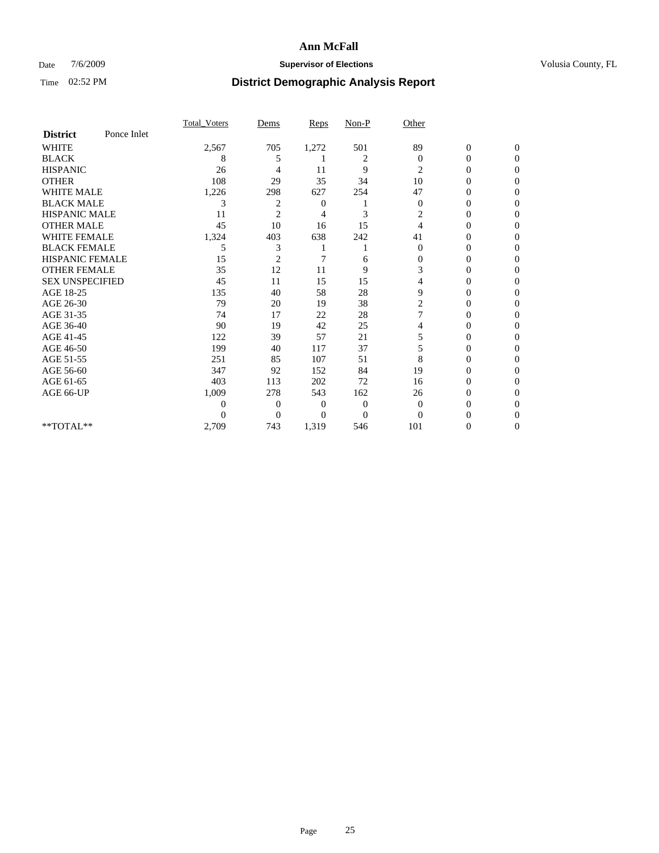### Date  $7/6/2009$  **Supervisor of Elections Supervisor of Elections** Volusia County, FL

|                        |             | Total Voters | Dems           | <b>Reps</b>    | $Non-P$        | Other          |                  |              |  |
|------------------------|-------------|--------------|----------------|----------------|----------------|----------------|------------------|--------------|--|
| <b>District</b>        | Ponce Inlet |              |                |                |                |                |                  |              |  |
| <b>WHITE</b>           |             | 2,567        | 705            | 1,272          | 501            | 89             | $\boldsymbol{0}$ | $\mathbf{0}$ |  |
| <b>BLACK</b>           |             | 8            | 5              |                | 2              | $\Omega$       | $\mathbf{0}$     | $\Omega$     |  |
| <b>HISPANIC</b>        |             | 26           | 4              | 11             | 9              | 2              | 0                | $\Omega$     |  |
| <b>OTHER</b>           |             | 108          | 29             | 35             | 34             | 10             | 0                | 0            |  |
| <b>WHITE MALE</b>      |             | 1,226        | 298            | 627            | 254            | 47             | 0                | 0            |  |
| <b>BLACK MALE</b>      |             | 3            | 2              | 0              |                | $\mathbf{0}$   | $\mathbf{0}$     | $\Omega$     |  |
| HISPANIC MALE          |             | 11           | $\overline{2}$ | 4              | 3              | 2              | 0                | $\Omega$     |  |
| <b>OTHER MALE</b>      |             | 45           | 10             | 16             | 15             | 4              | 0                | 0            |  |
| <b>WHITE FEMALE</b>    |             | 1,324        | 403            | 638            | 242            | 41             | 0                | $\Omega$     |  |
| <b>BLACK FEMALE</b>    |             | 5            | 3              |                |                | $\overline{0}$ | 0                | 0            |  |
| <b>HISPANIC FEMALE</b> |             | 15           | $\overline{2}$ | 7              | 6              | 0              | 0                | 0            |  |
| <b>OTHER FEMALE</b>    |             | 35           | 12             | 11             | 9              | 3              | 0                | 0            |  |
| <b>SEX UNSPECIFIED</b> |             | 45           | 11             | 15             | 15             | 4              | 0                | 0            |  |
| AGE 18-25              |             | 135          | 40             | 58             | 28             | 9              | 0                | $\Omega$     |  |
| AGE 26-30              |             | 79           | 20             | 19             | 38             | 2              | 0                | 0            |  |
| AGE 31-35              |             | 74           | 17             | 22             | 28             |                | 0                | 0            |  |
| AGE 36-40              |             | 90           | 19             | 42             | 25             | 4              | 0                | 0            |  |
| AGE 41-45              |             | 122          | 39             | 57             | 21             | 5              | 0                | $\Omega$     |  |
| AGE 46-50              |             | 199          | 40             | 117            | 37             | 5              | 0                | $\Omega$     |  |
| AGE 51-55              |             | 251          | 85             | 107            | 51             | 8              | 0                | 0            |  |
| AGE 56-60              |             | 347          | 92             | 152            | 84             | 19             | 0                | 0            |  |
| AGE 61-65              |             | 403          | 113            | 202            | 72             | 16             | 0                | 0            |  |
| AGE 66-UP              |             | 1,009        | 278            | 543            | 162            | 26             | 0                | 0            |  |
|                        |             | 0            | $\overline{0}$ | $\overline{0}$ | $\overline{0}$ | $\Omega$       | 0                | 0            |  |
|                        |             | $\theta$     | $\overline{0}$ | $\Omega$       | $\theta$       | $\Omega$       |                  | 0            |  |
| **TOTAL**              |             | 2,709        | 743            | 1,319          | 546            | 101            | 0                | 0            |  |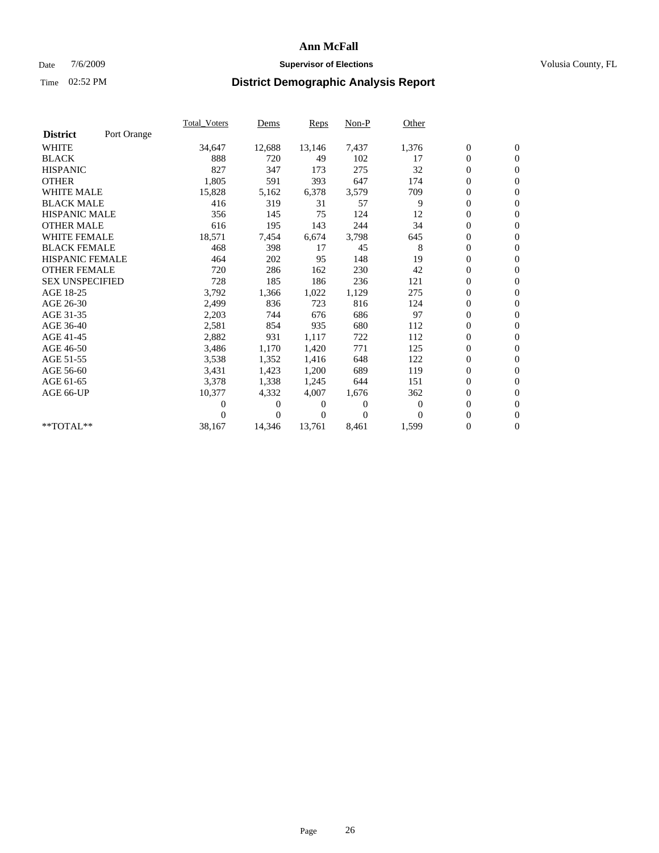### Date  $7/6/2009$  **Supervisor of Elections Supervisor of Elections** Volusia County, FL

|                        |             | Total Voters | Dems     | <b>Reps</b> | Non-P        | Other    |                  |                  |  |
|------------------------|-------------|--------------|----------|-------------|--------------|----------|------------------|------------------|--|
| <b>District</b>        | Port Orange |              |          |             |              |          |                  |                  |  |
| <b>WHITE</b>           |             | 34,647       | 12,688   | 13,146      | 7,437        | 1,376    | $\boldsymbol{0}$ | $\boldsymbol{0}$ |  |
| <b>BLACK</b>           |             | 888          | 720      | 49          | 102          | 17       | $\boldsymbol{0}$ | $\mathbf{0}$     |  |
| <b>HISPANIC</b>        |             | 827          | 347      | 173         | 275          | 32       | $\overline{0}$   | $\mathbf{0}$     |  |
| <b>OTHER</b>           |             | 1,805        | 591      | 393         | 647          | 174      | $\boldsymbol{0}$ | $\Omega$         |  |
| <b>WHITE MALE</b>      |             | 15,828       | 5,162    | 6,378       | 3,579        | 709      | $\overline{0}$   | $\mathbf{0}$     |  |
| <b>BLACK MALE</b>      |             | 416          | 319      | 31          | 57           | 9        | $\boldsymbol{0}$ | $\mathbf{0}$     |  |
| <b>HISPANIC MALE</b>   |             | 356          | 145      | 75          | 124          | 12       | $\overline{0}$   | $\overline{0}$   |  |
| <b>OTHER MALE</b>      |             | 616          | 195      | 143         | 244          | 34       | $\boldsymbol{0}$ | $\mathbf{0}$     |  |
| <b>WHITE FEMALE</b>    |             | 18,571       | 7,454    | 6,674       | 3,798        | 645      | $\overline{0}$   | $\mathbf{0}$     |  |
| <b>BLACK FEMALE</b>    |             | 468          | 398      | 17          | 45           | 8        | $\boldsymbol{0}$ | $\mathbf{0}$     |  |
| <b>HISPANIC FEMALE</b> |             | 464          | 202      | 95          | 148          | 19       | $\overline{0}$   | $\mathbf{0}$     |  |
| <b>OTHER FEMALE</b>    |             | 720          | 286      | 162         | 230          | 42       | $\mathbf{0}$     | $\mathbf{0}$     |  |
| <b>SEX UNSPECIFIED</b> |             | 728          | 185      | 186         | 236          | 121      | $\boldsymbol{0}$ | $\mathbf{0}$     |  |
| AGE 18-25              |             | 3,792        | 1,366    | 1,022       | 1,129        | 275      | $\overline{0}$   | $\mathbf{0}$     |  |
| AGE 26-30              |             | 2,499        | 836      | 723         | 816          | 124      | $\overline{0}$   | $\mathbf{0}$     |  |
| AGE 31-35              |             | 2,203        | 744      | 676         | 686          | 97       | $\boldsymbol{0}$ | $\mathbf{0}$     |  |
| AGE 36-40              |             | 2,581        | 854      | 935         | 680          | 112      | 0                | $\mathbf{0}$     |  |
| AGE 41-45              |             | 2,882        | 931      | 1,117       | 722          | 112      | $\overline{0}$   | $\mathbf{0}$     |  |
| AGE 46-50              |             | 3,486        | 1,170    | 1,420       | 771          | 125      | $\boldsymbol{0}$ | $\mathbf{0}$     |  |
| AGE 51-55              |             | 3,538        | 1,352    | 1,416       | 648          | 122      | $\boldsymbol{0}$ | $\mathbf{0}$     |  |
| AGE 56-60              |             | 3,431        | 1,423    | 1,200       | 689          | 119      | $\overline{0}$   | $\Omega$         |  |
| AGE 61-65              |             | 3,378        | 1,338    | 1,245       | 644          | 151      | $\overline{0}$   | $\mathbf{0}$     |  |
| AGE 66-UP              |             | 10,377       | 4,332    | 4,007       | 1,676        | 362      | $\boldsymbol{0}$ | $\mathbf{0}$     |  |
|                        |             | 0            | 0        | 0           | $\mathbf{0}$ | $\bf{0}$ | $\overline{0}$   | $\mathbf{0}$     |  |
|                        |             | $\theta$     | $\Omega$ | 0           | $\Omega$     | $\Omega$ | $\boldsymbol{0}$ | $\mathbf{0}$     |  |
| **TOTAL**              |             | 38,167       | 14,346   | 13,761      | 8,461        | 1,599    | 0                | $\mathbf{0}$     |  |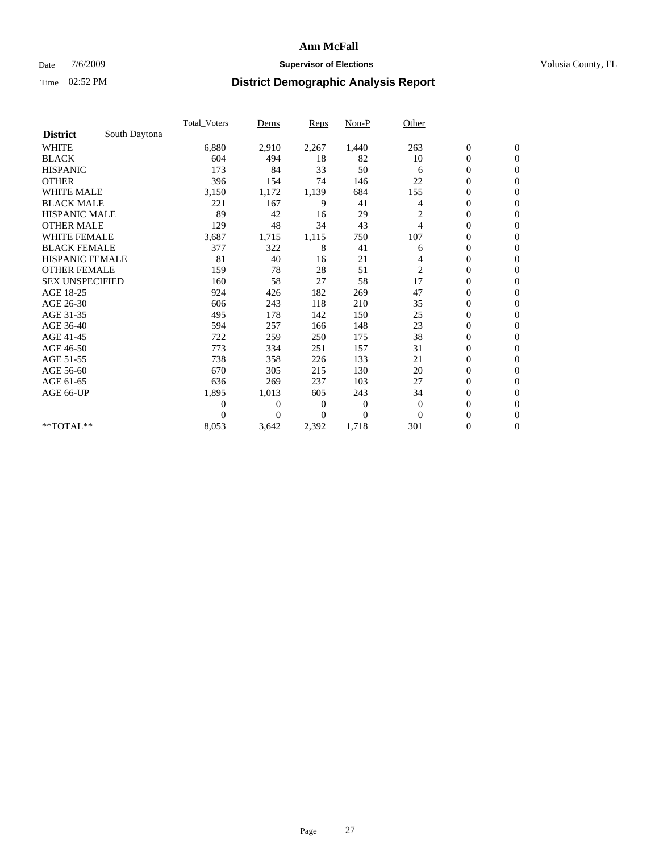### Date  $7/6/2009$  **Supervisor of Elections Supervisor of Elections** Volusia County, FL

|                        |               | Total Voters   | Dems           | <b>Reps</b> | $Non-P$      | Other          |                  |                  |  |
|------------------------|---------------|----------------|----------------|-------------|--------------|----------------|------------------|------------------|--|
| <b>District</b>        | South Daytona |                |                |             |              |                |                  |                  |  |
| <b>WHITE</b>           |               | 6,880          | 2,910          | 2,267       | 1,440        | 263            | $\boldsymbol{0}$ | $\boldsymbol{0}$ |  |
| <b>BLACK</b>           |               | 604            | 494            | 18          | 82           | 10             | $\boldsymbol{0}$ | $\mathbf{0}$     |  |
| <b>HISPANIC</b>        |               | 173            | 84             | 33          | 50           | 6              | $\overline{0}$   | $\mathbf{0}$     |  |
| <b>OTHER</b>           |               | 396            | 154            | 74          | 146          | 22             | $\boldsymbol{0}$ | $\Omega$         |  |
| <b>WHITE MALE</b>      |               | 3,150          | 1,172          | 1,139       | 684          | 155            | $\overline{0}$   | $\mathbf{0}$     |  |
| <b>BLACK MALE</b>      |               | 221            | 167            | 9           | 41           | 4              | $\boldsymbol{0}$ | $\mathbf{0}$     |  |
| <b>HISPANIC MALE</b>   |               | 89             | 42             | 16          | 29           | 2              | $\overline{0}$   | $\mathbf{0}$     |  |
| <b>OTHER MALE</b>      |               | 129            | 48             | 34          | 43           | 4              | 0                | $\mathbf{0}$     |  |
| WHITE FEMALE           |               | 3,687          | 1,715          | 1,115       | 750          | 107            | $\overline{0}$   | $\mathbf{0}$     |  |
| <b>BLACK FEMALE</b>    |               | 377            | 322            | 8           | 41           | 6              | $\boldsymbol{0}$ | $\mathbf{0}$     |  |
| <b>HISPANIC FEMALE</b> |               | 81             | 40             | 16          | 21           | 4              | $\boldsymbol{0}$ | $\mathbf{0}$     |  |
| <b>OTHER FEMALE</b>    |               | 159            | 78             | 28          | 51           | $\overline{c}$ | $\mathbf{0}$     | $\mathbf{0}$     |  |
| <b>SEX UNSPECIFIED</b> |               | 160            | 58             | 27          | 58           | 17             | $\boldsymbol{0}$ | $\mathbf{0}$     |  |
| AGE 18-25              |               | 924            | 426            | 182         | 269          | 47             | $\overline{0}$   | $\mathbf{0}$     |  |
| AGE 26-30              |               | 606            | 243            | 118         | 210          | 35             | $\overline{0}$   | $\mathbf{0}$     |  |
| AGE 31-35              |               | 495            | 178            | 142         | 150          | 25             | $\boldsymbol{0}$ | $\mathbf{0}$     |  |
| AGE 36-40              |               | 594            | 257            | 166         | 148          | 23             | $\boldsymbol{0}$ | $\mathbf{0}$     |  |
| AGE 41-45              |               | 722            | 259            | 250         | 175          | 38             | $\overline{0}$   | $\mathbf{0}$     |  |
| AGE 46-50              |               | 773            | 334            | 251         | 157          | 31             | $\boldsymbol{0}$ | $\mathbf{0}$     |  |
| AGE 51-55              |               | 738            | 358            | 226         | 133          | 21             | $\boldsymbol{0}$ | $\mathbf{0}$     |  |
| AGE 56-60              |               | 670            | 305            | 215         | 130          | 20             | $\overline{0}$   | $\Omega$         |  |
| AGE 61-65              |               | 636            | 269            | 237         | 103          | 27             | $\mathbf{0}$     | $\mathbf{0}$     |  |
| AGE 66-UP              |               | 1,895          | 1,013          | 605         | 243          | 34             | $\boldsymbol{0}$ | $\mathbf{0}$     |  |
|                        |               | $\overline{0}$ | $\overline{0}$ | 0           | $\mathbf{0}$ | $\theta$       | $\overline{0}$   | $\mathbf{0}$     |  |
|                        |               | $\theta$       | $\theta$       | $\Omega$    | $\theta$     | $\Omega$       | $\boldsymbol{0}$ | $\mathbf{0}$     |  |
| **TOTAL**              |               | 8,053          | 3,642          | 2,392       | 1,718        | 301            | 0                | $\mathbf{0}$     |  |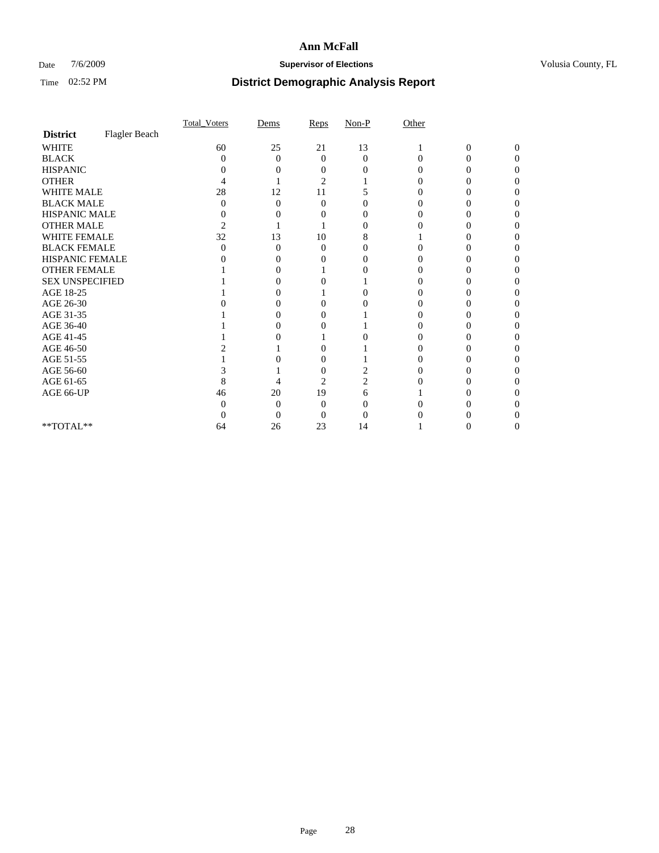### Date  $7/6/2009$  **Supervisor of Elections Supervisor of Elections** Volusia County, FL

|                        |               | Total Voters   | Dems              | Reps     | $Non-P$  | Other    |                |              |  |
|------------------------|---------------|----------------|-------------------|----------|----------|----------|----------------|--------------|--|
| <b>District</b>        | Flagler Beach |                |                   |          |          |          |                |              |  |
| <b>WHITE</b>           |               | 60             | 25                | 21       | 13       |          | $\overline{0}$ | $\mathbf{0}$ |  |
| <b>BLACK</b>           |               | 0              | $\theta$          | $\Omega$ | $\Omega$ | $\Omega$ | 0              | 0            |  |
| <b>HISPANIC</b>        |               |                |                   |          |          |          |                |              |  |
| <b>OTHER</b>           |               |                |                   | 2        |          |          |                |              |  |
| WHITE MALE             |               | 28             | 12                | 11       |          |          |                |              |  |
| <b>BLACK MALE</b>      |               | 0              | 0                 | $\Omega$ |          |          |                |              |  |
| HISPANIC MALE          |               | 0              |                   |          |          |          |                |              |  |
| <b>OTHER MALE</b>      |               | $\overline{c}$ |                   |          | $\theta$ |          |                |              |  |
| WHITE FEMALE           |               | 32             | 13                | 10       | 8        |          |                |              |  |
| <b>BLACK FEMALE</b>    |               | 0              | 0                 | $\theta$ |          |          |                |              |  |
| HISPANIC FEMALE        |               |                |                   |          |          |          |                |              |  |
| <b>OTHER FEMALE</b>    |               |                |                   |          |          |          |                |              |  |
| <b>SEX UNSPECIFIED</b> |               |                |                   |          |          |          |                |              |  |
| AGE 18-25              |               |                |                   |          | 0        |          |                |              |  |
| AGE 26-30              |               |                | $\mathbf{\Omega}$ | 0        |          |          |                |              |  |
| AGE 31-35              |               |                |                   |          |          |          |                |              |  |
| AGE 36-40              |               |                |                   |          |          |          |                |              |  |
| AGE 41-45              |               |                |                   |          |          |          |                |              |  |
| AGE 46-50              |               |                |                   |          |          |          |                |              |  |
| AGE 51-55              |               |                |                   | 0        |          |          |                |              |  |
| AGE 56-60              |               |                |                   |          |          |          |                |              |  |
| AGE 61-65              |               | 8              |                   | 2        |          |          |                |              |  |
| AGE 66-UP              |               | 46             | 20                | 19       | 6        |          |                |              |  |
|                        |               |                | $\Omega$          | 0        |          |          |                |              |  |
|                        |               |                | $\theta$          | 0        |          |          |                |              |  |
| **TOTAL**              |               | 64             | 26                | 23       | 14       |          |                |              |  |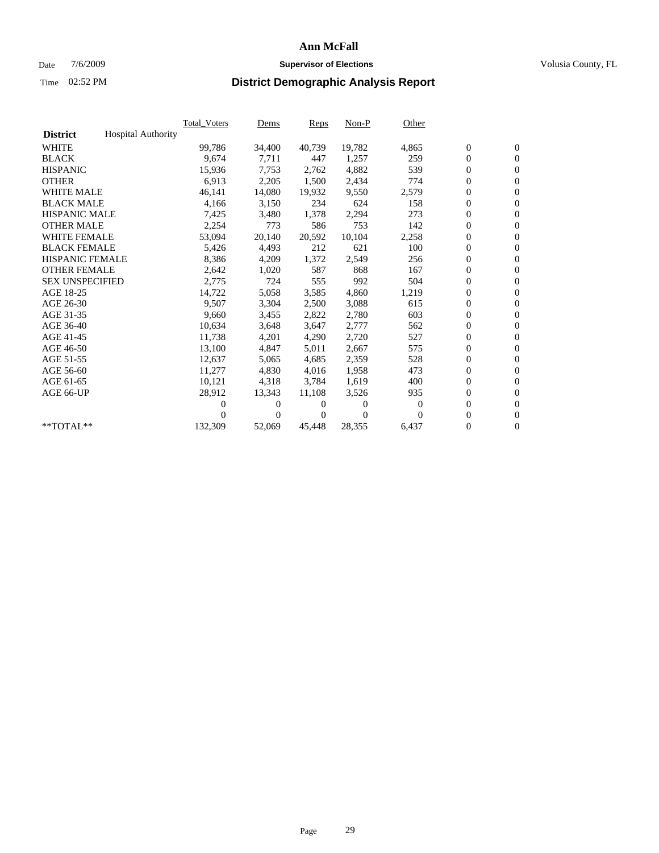### Date  $7/6/2009$  **Supervisor of Elections Supervisor of Elections** Volusia County, FL

|                        |                           | Total Voters | Dems           | <b>Reps</b> | $Non-P$  | Other    |                  |                  |  |
|------------------------|---------------------------|--------------|----------------|-------------|----------|----------|------------------|------------------|--|
| <b>District</b>        | <b>Hospital Authority</b> |              |                |             |          |          |                  |                  |  |
| <b>WHITE</b>           |                           | 99,786       | 34,400         | 40,739      | 19,782   | 4,865    | $\boldsymbol{0}$ | $\boldsymbol{0}$ |  |
| <b>BLACK</b>           |                           | 9,674        | 7,711          | 447         | 1,257    | 259      | $\boldsymbol{0}$ | $\mathbf{0}$     |  |
| <b>HISPANIC</b>        |                           | 15,936       | 7,753          | 2,762       | 4,882    | 539      | $\overline{0}$   | $\mathbf{0}$     |  |
| <b>OTHER</b>           |                           | 6,913        | 2,205          | 1,500       | 2,434    | 774      | $\overline{0}$   | $\mathbf{0}$     |  |
| <b>WHITE MALE</b>      |                           | 46,141       | 14,080         | 19,932      | 9,550    | 2,579    | $\boldsymbol{0}$ | $\mathbf{0}$     |  |
| <b>BLACK MALE</b>      |                           | 4,166        | 3,150          | 234         | 624      | 158      | $\boldsymbol{0}$ | $\mathbf{0}$     |  |
| <b>HISPANIC MALE</b>   |                           | 7,425        | 3,480          | 1,378       | 2,294    | 273      | $\boldsymbol{0}$ | $\mathbf{0}$     |  |
| <b>OTHER MALE</b>      |                           | 2,254        | 773            | 586         | 753      | 142      | $\boldsymbol{0}$ | $\mathbf{0}$     |  |
| <b>WHITE FEMALE</b>    |                           | 53,094       | 20,140         | 20,592      | 10,104   | 2,258    | $\boldsymbol{0}$ | $\mathbf{0}$     |  |
| <b>BLACK FEMALE</b>    |                           | 5,426        | 4,493          | 212         | 621      | 100      | $\boldsymbol{0}$ | $\Omega$         |  |
| <b>HISPANIC FEMALE</b> |                           | 8,386        | 4,209          | 1,372       | 2,549    | 256      | $\boldsymbol{0}$ | $\boldsymbol{0}$ |  |
| <b>OTHER FEMALE</b>    |                           | 2,642        | 1,020          | 587         | 868      | 167      | $\mathbf{0}$     | $\mathbf{0}$     |  |
| <b>SEX UNSPECIFIED</b> |                           | 2,775        | 724            | 555         | 992      | 504      | $\boldsymbol{0}$ | $\mathbf{0}$     |  |
| AGE 18-25              |                           | 14,722       | 5,058          | 3,585       | 4,860    | 1,219    | $\boldsymbol{0}$ | $\mathbf{0}$     |  |
| AGE 26-30              |                           | 9,507        | 3,304          | 2,500       | 3,088    | 615      | $\boldsymbol{0}$ | $\mathbf{0}$     |  |
| AGE 31-35              |                           | 9,660        | 3,455          | 2,822       | 2,780    | 603      | $\boldsymbol{0}$ | $\mathbf{0}$     |  |
| AGE 36-40              |                           | 10,634       | 3,648          | 3,647       | 2,777    | 562      | $\boldsymbol{0}$ | $\mathbf{0}$     |  |
| AGE 41-45              |                           | 11,738       | 4,201          | 4,290       | 2,720    | 527      | $\boldsymbol{0}$ | $\mathbf{0}$     |  |
| AGE 46-50              |                           | 13,100       | 4,847          | 5,011       | 2,667    | 575      | $\boldsymbol{0}$ | $\mathbf{0}$     |  |
| AGE 51-55              |                           | 12,637       | 5,065          | 4,685       | 2,359    | 528      | $\boldsymbol{0}$ | $\boldsymbol{0}$ |  |
| AGE 56-60              |                           | 11,277       | 4,830          | 4.016       | 1,958    | 473      | $\mathbf{0}$     | $\mathbf{0}$     |  |
| AGE 61-65              |                           | 10,121       | 4,318          | 3,784       | 1,619    | 400      | $\boldsymbol{0}$ | $\mathbf{0}$     |  |
| AGE 66-UP              |                           | 28,912       | 13,343         | 11,108      | 3,526    | 935      | $\mathbf{0}$     | $\mathbf{0}$     |  |
|                        |                           | 0            | 0              | 0           | 0        | $\bf{0}$ | $\boldsymbol{0}$ | $\mathbf{0}$     |  |
|                        |                           | 0            | $\overline{0}$ | 0           | $\Omega$ | $\Omega$ | 0                | $\mathbf{0}$     |  |
| $*$ TOTAL $**$         |                           | 132,309      | 52,069         | 45,448      | 28,355   | 6,437    | $\boldsymbol{0}$ | $\boldsymbol{0}$ |  |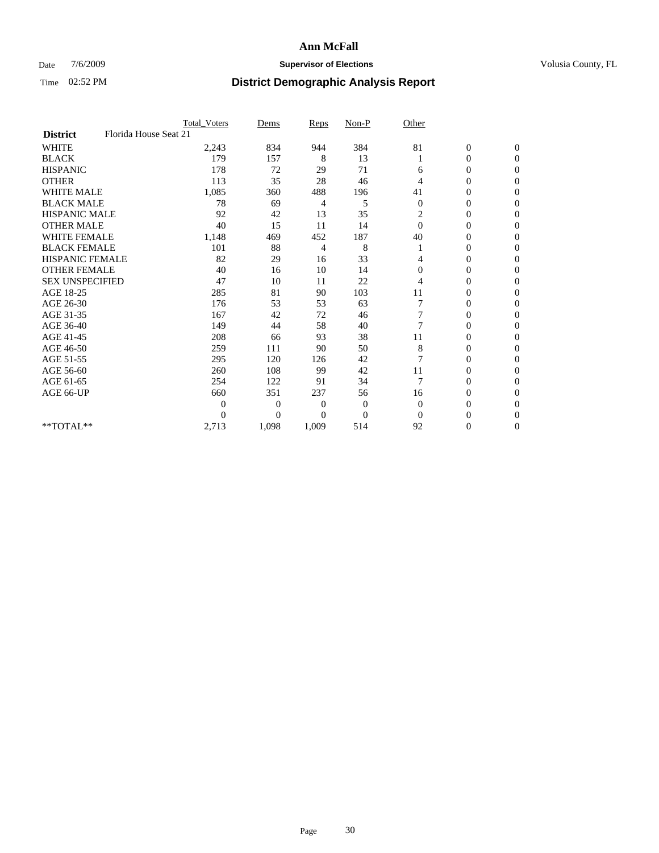### Date  $7/6/2009$  **Supervisor of Elections Supervisor of Elections** Volusia County, FL

|                        |                       | <b>Total_Voters</b> | Dems           | <b>Reps</b>    | $Non-P$        | Other          |                  |                |  |
|------------------------|-----------------------|---------------------|----------------|----------------|----------------|----------------|------------------|----------------|--|
| <b>District</b>        | Florida House Seat 21 |                     |                |                |                |                |                  |                |  |
| <b>WHITE</b>           |                       | 2,243               | 834            | 944            | 384            | 81             | $\boldsymbol{0}$ | $\mathbf{0}$   |  |
| <b>BLACK</b>           |                       | 179                 | 157            | 8              | 13             |                | $\boldsymbol{0}$ | $\mathbf{0}$   |  |
| <b>HISPANIC</b>        |                       | 178                 | 72             | 29             | 71             | 6              | $\mathbf{0}$     | $\mathbf{0}$   |  |
| <b>OTHER</b>           |                       | 113                 | 35             | 28             | 46             | 4              | 0                | $\Omega$       |  |
| <b>WHITE MALE</b>      |                       | 1,085               | 360            | 488            | 196            | 41             | 0                | $\Omega$       |  |
| <b>BLACK MALE</b>      |                       | 78                  | 69             | 4              | 5              | $\mathbf{0}$   | 0                | $\Omega$       |  |
| <b>HISPANIC MALE</b>   |                       | 92                  | 42             | 13             | 35             | 2              | $\boldsymbol{0}$ | $\Omega$       |  |
| <b>OTHER MALE</b>      |                       | 40                  | 15             | 11             | 14             | $\Omega$       | 0                | $\mathbf{0}$   |  |
| <b>WHITE FEMALE</b>    |                       | 1,148               | 469            | 452            | 187            | 40             | 0                | $\Omega$       |  |
| <b>BLACK FEMALE</b>    |                       | 101                 | 88             | 4              | 8              |                | $\overline{0}$   | $\overline{0}$ |  |
| <b>HISPANIC FEMALE</b> |                       | 82                  | 29             | 16             | 33             | 4              | 0                | $\overline{0}$ |  |
| <b>OTHER FEMALE</b>    |                       | 40                  | 16             | 10             | 14             | $\Omega$       | 0                | $\Omega$       |  |
| <b>SEX UNSPECIFIED</b> |                       | 47                  | 10             | 11             | 22             | 4              | $\overline{0}$   | $\overline{0}$ |  |
| AGE 18-25              |                       | 285                 | 81             | 90             | 103            | 11             | 0                | $\mathbf{0}$   |  |
| AGE 26-30              |                       | 176                 | 53             | 53             | 63             |                | $\overline{0}$   | $\Omega$       |  |
| AGE 31-35              |                       | 167                 | 42             | 72             | 46             |                | 0                | $\Omega$       |  |
| AGE 36-40              |                       | 149                 | 44             | 58             | 40             | $\overline{7}$ | 0                | $\mathbf{0}$   |  |
| AGE 41-45              |                       | 208                 | 66             | 93             | 38             | 11             | 0                | $\Omega$       |  |
| AGE 46-50              |                       | 259                 | 111            | 90             | 50             | 8              | $\overline{0}$   | $\overline{0}$ |  |
| AGE 51-55              |                       | 295                 | 120            | 126            | 42             | 7              | 0                | 0              |  |
| AGE 56-60              |                       | 260                 | 108            | 99             | 42             | 11             | 0                | $\Omega$       |  |
| AGE 61-65              |                       | 254                 | 122            | 91             | 34             | $\overline{7}$ | $\overline{0}$   | $\Omega$       |  |
| AGE 66-UP              |                       | 660                 | 351            | 237            | 56             | 16             | 0                | $\overline{0}$ |  |
|                        |                       | $\theta$            | 0              | $\overline{0}$ | $\mathbf{0}$   | $\Omega$       | 0                | $\Omega$       |  |
|                        |                       | $\theta$            | $\overline{0}$ | $\Omega$       | $\overline{0}$ | $\Omega$       | $\overline{0}$   | $\Omega$       |  |
| **TOTAL**              |                       | 2,713               | 1,098          | 1,009          | 514            | 92             | 0                | $\overline{0}$ |  |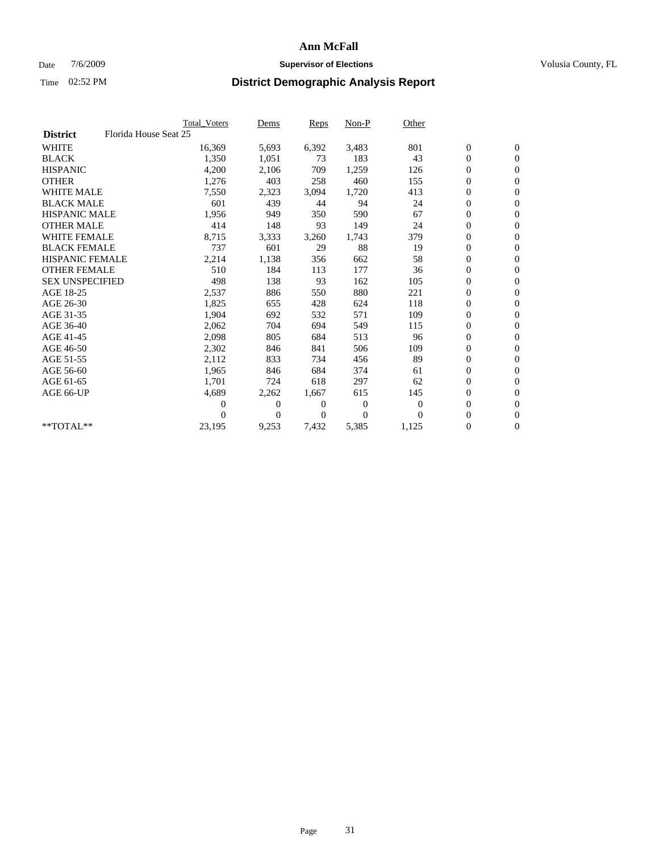### Date  $7/6/2009$  **Supervisor of Elections Supervisor of Elections** Volusia County, FL

|                        |                       | Total Voters   | Dems           | <b>Reps</b> | $Non-P$      | Other        |                  |                  |  |
|------------------------|-----------------------|----------------|----------------|-------------|--------------|--------------|------------------|------------------|--|
| <b>District</b>        | Florida House Seat 25 |                |                |             |              |              |                  |                  |  |
| <b>WHITE</b>           |                       | 16,369         | 5,693          | 6,392       | 3,483        | 801          | $\boldsymbol{0}$ | $\boldsymbol{0}$ |  |
| <b>BLACK</b>           |                       | 1,350          | 1,051          | 73          | 183          | 43           | $\boldsymbol{0}$ | $\mathbf{0}$     |  |
| <b>HISPANIC</b>        |                       | 4,200          | 2,106          | 709         | 1,259        | 126          | $\boldsymbol{0}$ | $\mathbf{0}$     |  |
| <b>OTHER</b>           |                       | 1,276          | 403            | 258         | 460          | 155          | $\boldsymbol{0}$ | $\mathbf{0}$     |  |
| <b>WHITE MALE</b>      |                       | 7,550          | 2,323          | 3,094       | 1,720        | 413          | $\boldsymbol{0}$ | $\mathbf{0}$     |  |
| <b>BLACK MALE</b>      |                       | 601            | 439            | 44          | 94           | 24           | $\overline{0}$   | $\mathbf{0}$     |  |
| <b>HISPANIC MALE</b>   |                       | 1,956          | 949            | 350         | 590          | 67           | $\boldsymbol{0}$ | $\mathbf{0}$     |  |
| <b>OTHER MALE</b>      |                       | 414            | 148            | 93          | 149          | 24           | $\boldsymbol{0}$ | $\mathbf{0}$     |  |
| <b>WHITE FEMALE</b>    |                       | 8,715          | 3,333          | 3,260       | 1,743        | 379          | $\boldsymbol{0}$ | $\mathbf{0}$     |  |
| <b>BLACK FEMALE</b>    |                       | 737            | 601            | 29          | 88           | 19           | $\boldsymbol{0}$ | $\mathbf{0}$     |  |
| <b>HISPANIC FEMALE</b> |                       | 2,214          | 1,138          | 356         | 662          | 58           | $\boldsymbol{0}$ | $\mathbf{0}$     |  |
| <b>OTHER FEMALE</b>    |                       | 510            | 184            | 113         | 177          | 36           | $\mathbf{0}$     | $\mathbf{0}$     |  |
| <b>SEX UNSPECIFIED</b> |                       | 498            | 138            | 93          | 162          | 105          | $\boldsymbol{0}$ | $\mathbf{0}$     |  |
| AGE 18-25              |                       | 2,537          | 886            | 550         | 880          | 221          | $\boldsymbol{0}$ | $\mathbf{0}$     |  |
| AGE 26-30              |                       | 1,825          | 655            | 428         | 624          | 118          | $\boldsymbol{0}$ | $\mathbf{0}$     |  |
| AGE 31-35              |                       | 1,904          | 692            | 532         | 571          | 109          | $\boldsymbol{0}$ | $\mathbf{0}$     |  |
| AGE 36-40              |                       | 2,062          | 704            | 694         | 549          | 115          | $\boldsymbol{0}$ | $\mathbf{0}$     |  |
| AGE 41-45              |                       | 2,098          | 805            | 684         | 513          | 96           | $\boldsymbol{0}$ | $\mathbf{0}$     |  |
| AGE 46-50              |                       | 2,302          | 846            | 841         | 506          | 109          | $\boldsymbol{0}$ | $\Omega$         |  |
| AGE 51-55              |                       | 2,112          | 833            | 734         | 456          | 89           | $\boldsymbol{0}$ | $\mathbf{0}$     |  |
| AGE 56-60              |                       | 1,965          | 846            | 684         | 374          | 61           | $\boldsymbol{0}$ | $\mathbf{0}$     |  |
| AGE 61-65              |                       | 1,701          | 724            | 618         | 297          | 62           | $\overline{0}$   | $\mathbf{0}$     |  |
| AGE 66-UP              |                       | 4,689          | 2,262          | 1,667       | 615          | 145          | $\boldsymbol{0}$ | $\mathbf{0}$     |  |
|                        |                       | $\overline{0}$ | $\overline{0}$ | 0           | $\mathbf{0}$ | $\mathbf{0}$ | $\mathbf{0}$     | $\mathbf{0}$     |  |
|                        |                       | 0              | $\overline{0}$ | 0           | $\Omega$     | $\Omega$     | $\boldsymbol{0}$ | $\mathbf{0}$     |  |
| **TOTAL**              |                       | 23,195         | 9,253          | 7,432       | 5,385        | 1,125        | 0                | $\boldsymbol{0}$ |  |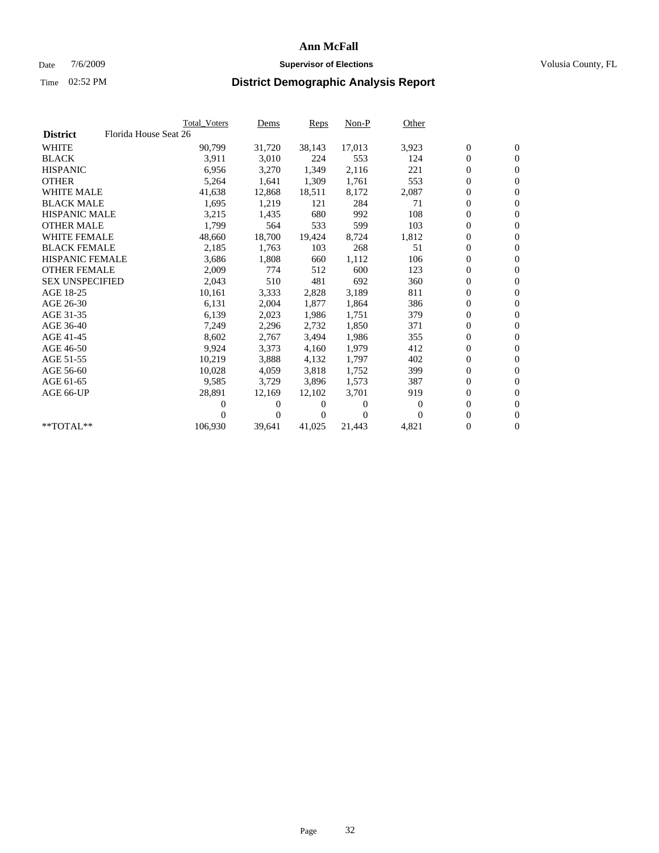### Date  $7/6/2009$  **Supervisor of Elections Supervisor of Elections** Volusia County, FL

|                        | Total Voters          | <u>Dems</u>    | <b>Reps</b> | $Non-P$        | Other    |                  |                  |  |
|------------------------|-----------------------|----------------|-------------|----------------|----------|------------------|------------------|--|
| <b>District</b>        | Florida House Seat 26 |                |             |                |          |                  |                  |  |
| <b>WHITE</b>           | 90,799                | 31,720         | 38,143      | 17,013         | 3,923    | $\boldsymbol{0}$ | $\boldsymbol{0}$ |  |
| <b>BLACK</b>           | 3,911                 | 3,010          | 224         | 553            | 124      | $\overline{0}$   | $\mathbf{0}$     |  |
| <b>HISPANIC</b>        | 6,956                 | 3,270          | 1,349       | 2,116          | 221      | $\overline{0}$   | $\mathbf{0}$     |  |
| <b>OTHER</b>           | 5,264                 | 1,641          | 1,309       | 1,761          | 553      | 0                | $\overline{0}$   |  |
| <b>WHITE MALE</b>      | 41,638                | 12,868         | 18,511      | 8,172          | 2,087    | $\boldsymbol{0}$ | $\mathbf{0}$     |  |
| <b>BLACK MALE</b>      | 1,695                 | 1,219          | 121         | 284            | 71       | $\boldsymbol{0}$ | $\mathbf{0}$     |  |
| <b>HISPANIC MALE</b>   | 3,215                 | 1,435          | 680         | 992            | 108      | 0                | $\overline{0}$   |  |
| <b>OTHER MALE</b>      | 1,799                 | 564            | 533         | 599            | 103      | $\boldsymbol{0}$ | $\mathbf{0}$     |  |
| <b>WHITE FEMALE</b>    | 48,660                | 18,700         | 19,424      | 8,724          | 1,812    | 0                | $\mathbf{0}$     |  |
| <b>BLACK FEMALE</b>    | 2,185                 | 1,763          | 103         | 268            | 51       | $\boldsymbol{0}$ | $\Omega$         |  |
| <b>HISPANIC FEMALE</b> | 3,686                 | 1,808          | 660         | 1,112          | 106      | $\boldsymbol{0}$ | $\mathbf{0}$     |  |
| <b>OTHER FEMALE</b>    | 2,009                 | 774            | 512         | 600            | 123      | 0                | $\mathbf{0}$     |  |
| <b>SEX UNSPECIFIED</b> | 2,043                 | 510            | 481         | 692            | 360      | 0                | $\overline{0}$   |  |
| AGE 18-25              | 10,161                | 3,333          | 2,828       | 3,189          | 811      | $\boldsymbol{0}$ | $\mathbf{0}$     |  |
| AGE 26-30              | 6,131                 | 2,004          | 1,877       | 1,864          | 386      | 0                | $\mathbf{0}$     |  |
| AGE 31-35              | 6,139                 | 2,023          | 1,986       | 1,751          | 379      | 0                | $\mathbf{0}$     |  |
| AGE 36-40              | 7,249                 | 2,296          | 2,732       | 1,850          | 371      | $\boldsymbol{0}$ | $\mathbf{0}$     |  |
| AGE 41-45              | 8,602                 | 2,767          | 3,494       | 1,986          | 355      | $\boldsymbol{0}$ | $\mathbf{0}$     |  |
| AGE 46-50              | 9,924                 | 3,373          | 4,160       | 1,979          | 412      | 0                | 0                |  |
| AGE 51-55              | 10,219                | 3,888          | 4,132       | 1,797          | 402      | $\boldsymbol{0}$ | $\mathbf{0}$     |  |
| AGE 56-60              | 10,028                | 4.059          | 3,818       | 1.752          | 399      | $\mathbf{0}$     | $\mathbf{0}$     |  |
| AGE 61-65              | 9,585                 | 3,729          | 3,896       | 1,573          | 387      | 0                | $\overline{0}$   |  |
| AGE 66-UP              | 28,891                | 12,169         | 12,102      | 3,701          | 919      | $\mathbf{0}$     | $\mathbf{0}$     |  |
|                        | 0                     | 0              | 0           | $\overline{0}$ | $\bf{0}$ | 0                | $\mathbf{0}$     |  |
|                        | $\theta$              | $\overline{0}$ | 0           | $\Omega$       | $\Omega$ | 0                | $\mathbf{0}$     |  |
| **TOTAL**              | 106,930               | 39,641         | 41,025      | 21,443         | 4,821    | 0                | $\boldsymbol{0}$ |  |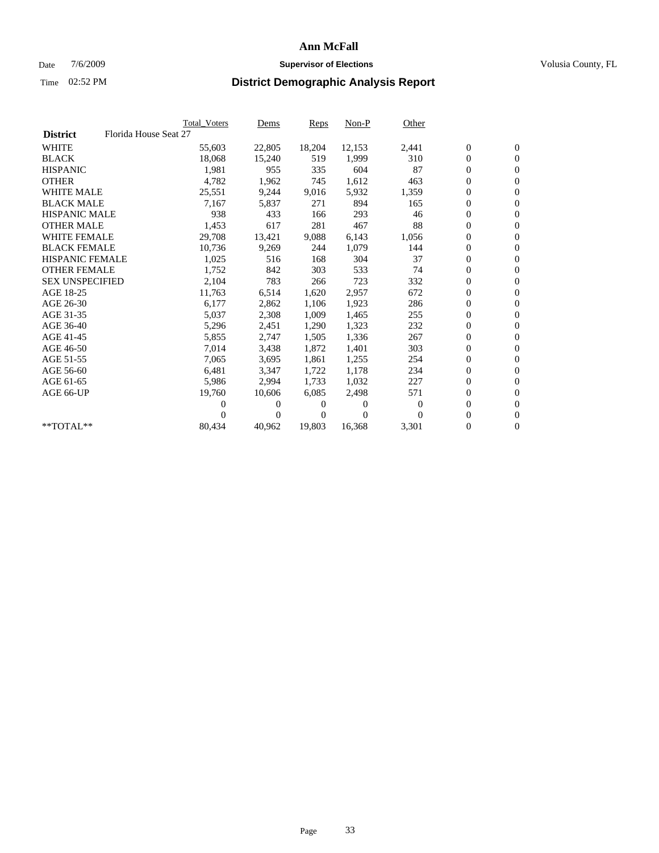### Date  $7/6/2009$  **Supervisor of Elections Supervisor of Elections** Volusia County, FL

|                        |                       | <b>Total Voters</b> | <u>Dems</u>    | <b>Reps</b> | $Non-P$      | Other        |                  |                  |  |
|------------------------|-----------------------|---------------------|----------------|-------------|--------------|--------------|------------------|------------------|--|
| <b>District</b>        | Florida House Seat 27 |                     |                |             |              |              |                  |                  |  |
| <b>WHITE</b>           |                       | 55,603              | 22,805         | 18,204      | 12,153       | 2,441        | $\boldsymbol{0}$ | $\boldsymbol{0}$ |  |
| <b>BLACK</b>           |                       | 18,068              | 15,240         | 519         | 1,999        | 310          | $\boldsymbol{0}$ | $\mathbf{0}$     |  |
| <b>HISPANIC</b>        |                       | 1,981               | 955            | 335         | 604          | 87           | $\overline{0}$   | $\mathbf{0}$     |  |
| <b>OTHER</b>           |                       | 4,782               | 1,962          | 745         | 1,612        | 463          | 0                | $\overline{0}$   |  |
| <b>WHITE MALE</b>      |                       | 25,551              | 9,244          | 9,016       | 5,932        | 1,359        | $\boldsymbol{0}$ | $\mathbf{0}$     |  |
| <b>BLACK MALE</b>      |                       | 7,167               | 5,837          | 271         | 894          | 165          | $\overline{0}$   | $\mathbf{0}$     |  |
| <b>HISPANIC MALE</b>   |                       | 938                 | 433            | 166         | 293          | 46           | 0                | $\overline{0}$   |  |
| <b>OTHER MALE</b>      |                       | 1,453               | 617            | 281         | 467          | 88           | $\overline{0}$   | $\mathbf{0}$     |  |
| <b>WHITE FEMALE</b>    |                       | 29,708              | 13,421         | 9,088       | 6,143        | 1,056        | $\boldsymbol{0}$ | $\mathbf{0}$     |  |
| <b>BLACK FEMALE</b>    |                       | 10,736              | 9,269          | 244         | 1,079        | 144          | 0                | $\overline{0}$   |  |
| <b>HISPANIC FEMALE</b> |                       | 1,025               | 516            | 168         | 304          | 37           | $\boldsymbol{0}$ | $\mathbf{0}$     |  |
| <b>OTHER FEMALE</b>    |                       | 1,752               | 842            | 303         | 533          | 74           | $\mathbf{0}$     | $\mathbf{0}$     |  |
| <b>SEX UNSPECIFIED</b> |                       | 2,104               | 783            | 266         | 723          | 332          | $\boldsymbol{0}$ | $\mathbf{0}$     |  |
| AGE 18-25              |                       | 11,763              | 6,514          | 1,620       | 2,957        | 672          | $\boldsymbol{0}$ | $\mathbf{0}$     |  |
| AGE 26-30              |                       | 6,177               | 2,862          | 1,106       | 1,923        | 286          | $\overline{0}$   | $\mathbf{0}$     |  |
| AGE 31-35              |                       | 5,037               | 2,308          | 1,009       | 1,465        | 255          | $\boldsymbol{0}$ | $\mathbf{0}$     |  |
| AGE 36-40              |                       | 5,296               | 2,451          | 1,290       | 1,323        | 232          | $\boldsymbol{0}$ | $\mathbf{0}$     |  |
| AGE 41-45              |                       | 5,855               | 2,747          | 1,505       | 1,336        | 267          | $\boldsymbol{0}$ | $\mathbf{0}$     |  |
| AGE 46-50              |                       | 7,014               | 3,438          | 1,872       | 1,401        | 303          | $\boldsymbol{0}$ | $\mathbf{0}$     |  |
| AGE 51-55              |                       | 7,065               | 3,695          | 1,861       | 1,255        | 254          | $\overline{0}$   | $\mathbf{0}$     |  |
| AGE 56-60              |                       | 6,481               | 3.347          | 1,722       | 1.178        | 234          | 0                | $\mathbf{0}$     |  |
| AGE 61-65              |                       | 5,986               | 2,994          | 1,733       | 1,032        | 227          | 0                | $\mathbf{0}$     |  |
| AGE 66-UP              |                       | 19,760              | 10,606         | 6,085       | 2,498        | 571          | $\boldsymbol{0}$ | $\mathbf{0}$     |  |
|                        |                       | 0                   | 0              | 0           | $\mathbf{0}$ | $\mathbf{0}$ | $\mathbf{0}$     | $\mathbf{0}$     |  |
|                        |                       | 0                   | $\overline{0}$ | 0           | $\Omega$     | $\Omega$     | 0                | $\mathbf{0}$     |  |
| **TOTAL**              |                       | 80,434              | 40,962         | 19,803      | 16,368       | 3,301        | 0                | $\boldsymbol{0}$ |  |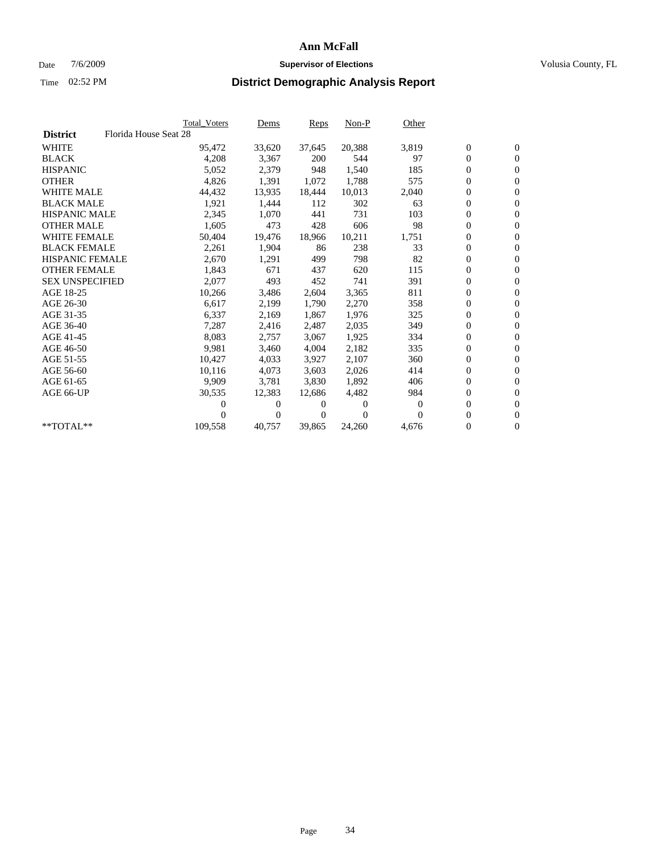### Date  $7/6/2009$  **Supervisor of Elections Supervisor of Elections** Volusia County, FL

|                        |                       | <b>Total Voters</b> | Dems           | Reps   | $Non-P$  | Other    |                  |                  |  |
|------------------------|-----------------------|---------------------|----------------|--------|----------|----------|------------------|------------------|--|
| <b>District</b>        | Florida House Seat 28 |                     |                |        |          |          |                  |                  |  |
| <b>WHITE</b>           |                       | 95,472              | 33,620         | 37,645 | 20,388   | 3,819    | $\boldsymbol{0}$ | $\boldsymbol{0}$ |  |
| <b>BLACK</b>           |                       | 4,208               | 3,367          | 200    | 544      | 97       | $\overline{0}$   | $\mathbf{0}$     |  |
| <b>HISPANIC</b>        |                       | 5,052               | 2,379          | 948    | 1,540    | 185      | $\overline{0}$   | $\mathbf{0}$     |  |
| <b>OTHER</b>           |                       | 4,826               | 1,391          | 1,072  | 1,788    | 575      | 0                | $\mathbf{0}$     |  |
| <b>WHITE MALE</b>      |                       | 44,432              | 13,935         | 18,444 | 10,013   | 2,040    | 0                | $\mathbf{0}$     |  |
| <b>BLACK MALE</b>      |                       | 1,921               | 1,444          | 112    | 302      | 63       | $\boldsymbol{0}$ | $\mathbf{0}$     |  |
| <b>HISPANIC MALE</b>   |                       | 2,345               | 1,070          | 441    | 731      | 103      | 0                | $\mathbf{0}$     |  |
| <b>OTHER MALE</b>      |                       | 1,605               | 473            | 428    | 606      | 98       | 0                | $\mathbf{0}$     |  |
| <b>WHITE FEMALE</b>    |                       | 50,404              | 19,476         | 18.966 | 10,211   | 1,751    | 0                | $\mathbf{0}$     |  |
| <b>BLACK FEMALE</b>    |                       | 2,261               | 1,904          | 86     | 238      | 33       | 0                | $\Omega$         |  |
| HISPANIC FEMALE        |                       | 2,670               | 1,291          | 499    | 798      | 82       | $\boldsymbol{0}$ | $\mathbf{0}$     |  |
| <b>OTHER FEMALE</b>    |                       | 1,843               | 671            | 437    | 620      | 115      | 0                | $\mathbf{0}$     |  |
| <b>SEX UNSPECIFIED</b> |                       | 2,077               | 493            | 452    | 741      | 391      | 0                | $\mathbf{0}$     |  |
| AGE 18-25              |                       | 10,266              | 3,486          | 2,604  | 3,365    | 811      | $\overline{0}$   | $\mathbf{0}$     |  |
| AGE 26-30              |                       | 6,617               | 2,199          | 1,790  | 2,270    | 358      | 0                | $\mathbf{0}$     |  |
| AGE 31-35              |                       | 6,337               | 2,169          | 1,867  | 1,976    | 325      | 0                | $\mathbf{0}$     |  |
| AGE 36-40              |                       | 7,287               | 2,416          | 2,487  | 2,035    | 349      | $\overline{0}$   | $\mathbf{0}$     |  |
| AGE 41-45              |                       | 8,083               | 2,757          | 3,067  | 1,925    | 334      | 0                | $\mathbf{0}$     |  |
| AGE 46-50              |                       | 9,981               | 3,460          | 4,004  | 2,182    | 335      | 0                | $\Omega$         |  |
| AGE 51-55              |                       | 10,427              | 4,033          | 3,927  | 2,107    | 360      | $\boldsymbol{0}$ | $\mathbf{0}$     |  |
| AGE 56-60              |                       | 10,116              | 4.073          | 3.603  | 2,026    | 414      | 0                | $\mathbf{0}$     |  |
| AGE 61-65              |                       | 9,909               | 3,781          | 3,830  | 1,892    | 406      | 0                | $\Omega$         |  |
| AGE 66-UP              |                       | 30,535              | 12,383         | 12.686 | 4,482    | 984      | 0                | $\mathbf{0}$     |  |
|                        |                       | 0                   | 0              | 0      | $\theta$ | $\Omega$ | 0                | $\mathbf{0}$     |  |
|                        |                       | 0                   | $\overline{0}$ | 0      | $\Omega$ | $\Omega$ | 0                | $\mathbf{0}$     |  |
| $*$ TOTAL $**$         |                       | 109,558             | 40,757         | 39,865 | 24,260   | 4,676    | 0                | $\boldsymbol{0}$ |  |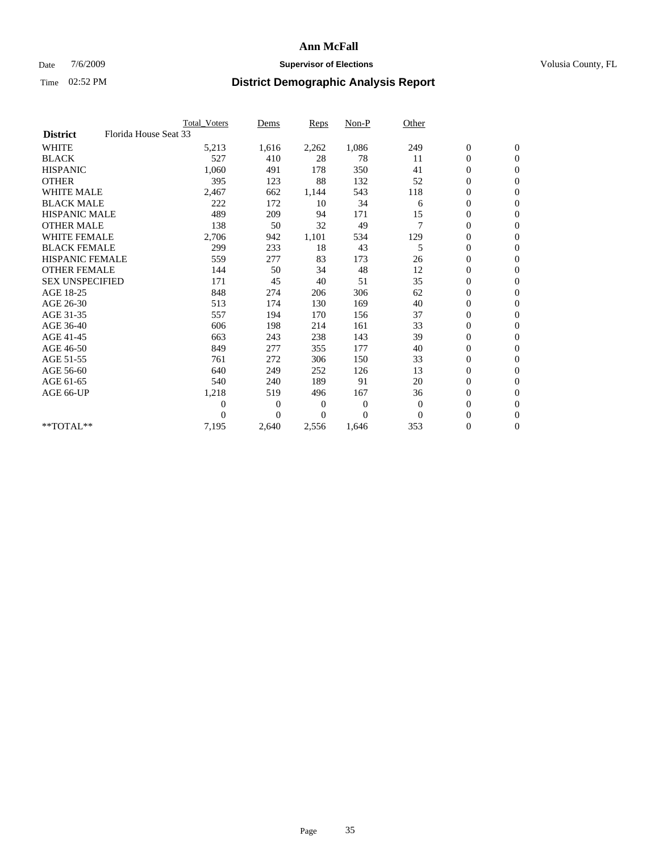### Date  $7/6/2009$  **Supervisor of Elections Supervisor of Elections** Volusia County, FL

|                        |                       | Total Voters     | Dems           | <b>Reps</b> | Non-P        | Other        |                  |                  |  |
|------------------------|-----------------------|------------------|----------------|-------------|--------------|--------------|------------------|------------------|--|
| <b>District</b>        | Florida House Seat 33 |                  |                |             |              |              |                  |                  |  |
| <b>WHITE</b>           |                       | 5,213            | 1,616          | 2,262       | 1,086        | 249          | $\boldsymbol{0}$ | $\boldsymbol{0}$ |  |
| <b>BLACK</b>           |                       | 527              | 410            | 28          | 78           | 11           | $\boldsymbol{0}$ | $\mathbf{0}$     |  |
| <b>HISPANIC</b>        |                       | 1,060            | 491            | 178         | 350          | 41           | $\overline{0}$   | $\mathbf{0}$     |  |
| <b>OTHER</b>           |                       | 395              | 123            | 88          | 132          | 52           | $\boldsymbol{0}$ | $\mathbf{0}$     |  |
| <b>WHITE MALE</b>      |                       | 2,467            | 662            | 1,144       | 543          | 118          | $\boldsymbol{0}$ | $\mathbf{0}$     |  |
| <b>BLACK MALE</b>      |                       | 222              | 172            | 10          | 34           | 6            | $\boldsymbol{0}$ | $\mathbf{0}$     |  |
| <b>HISPANIC MALE</b>   |                       | 489              | 209            | 94          | 171          | 15           | $\boldsymbol{0}$ | $\mathbf{0}$     |  |
| <b>OTHER MALE</b>      |                       | 138              | 50             | 32          | 49           | 7            | $\boldsymbol{0}$ | $\mathbf{0}$     |  |
| <b>WHITE FEMALE</b>    |                       | 2,706            | 942            | 1,101       | 534          | 129          | $\overline{0}$   | $\mathbf{0}$     |  |
| <b>BLACK FEMALE</b>    |                       | 299              | 233            | 18          | 43           | 5            | $\boldsymbol{0}$ | $\mathbf{0}$     |  |
| <b>HISPANIC FEMALE</b> |                       | 559              | 277            | 83          | 173          | 26           | $\boldsymbol{0}$ | $\mathbf{0}$     |  |
| <b>OTHER FEMALE</b>    |                       | 144              | 50             | 34          | 48           | 12           | $\mathbf{0}$     | $\mathbf{0}$     |  |
| <b>SEX UNSPECIFIED</b> |                       | 171              | 45             | 40          | 51           | 35           | $\boldsymbol{0}$ | $\mathbf{0}$     |  |
| AGE 18-25              |                       | 848              | 274            | 206         | 306          | 62           | $\boldsymbol{0}$ | $\mathbf{0}$     |  |
| AGE 26-30              |                       | 513              | 174            | 130         | 169          | 40           | $\boldsymbol{0}$ | $\mathbf{0}$     |  |
| AGE 31-35              |                       | 557              | 194            | 170         | 156          | 37           | $\boldsymbol{0}$ | $\mathbf{0}$     |  |
| AGE 36-40              |                       | 606              | 198            | 214         | 161          | 33           | $\boldsymbol{0}$ | $\mathbf{0}$     |  |
| AGE 41-45              |                       | 663              | 243            | 238         | 143          | 39           | $\overline{0}$   | $\mathbf{0}$     |  |
| AGE 46-50              |                       | 849              | 277            | 355         | 177          | 40           | $\boldsymbol{0}$ | $\mathbf{0}$     |  |
| AGE 51-55              |                       | 761              | 272            | 306         | 150          | 33           | $\boldsymbol{0}$ | $\mathbf{0}$     |  |
| AGE 56-60              |                       | 640              | 249            | 252         | 126          | 13           | $\overline{0}$   | $\Omega$         |  |
| AGE 61-65              |                       | 540              | 240            | 189         | 91           | 20           | $\mathbf{0}$     | $\mathbf{0}$     |  |
| AGE 66-UP              |                       | 1,218            | 519            | 496         | 167          | 36           | $\boldsymbol{0}$ | $\mathbf{0}$     |  |
|                        |                       | $\boldsymbol{0}$ | $\overline{0}$ | 0           | $\mathbf{0}$ | $\mathbf{0}$ | $\overline{0}$   | $\mathbf{0}$     |  |
|                        |                       | $\theta$         | $\theta$       | $\Omega$    | $\theta$     | $\Omega$     | $\boldsymbol{0}$ | $\mathbf{0}$     |  |
| **TOTAL**              |                       | 7,195            | 2,640          | 2,556       | 1.646        | 353          | 0                | $\mathbf{0}$     |  |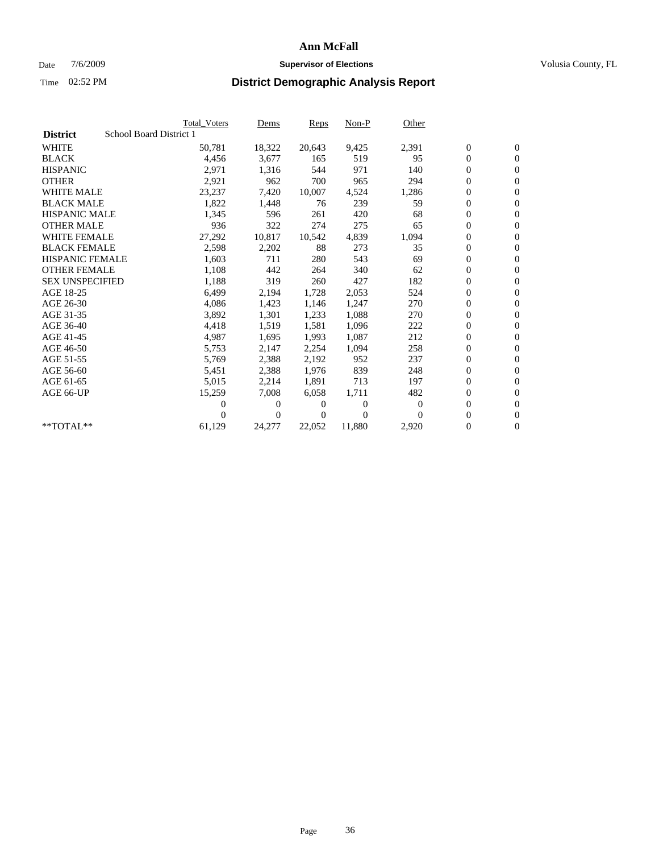### Date  $7/6/2009$  **Supervisor of Elections Supervisor of Elections** Volusia County, FL

|                        |                         | <b>Total Voters</b> | Dems           | Reps   | $Non-P$        | Other    |                  |                  |  |
|------------------------|-------------------------|---------------------|----------------|--------|----------------|----------|------------------|------------------|--|
| <b>District</b>        | School Board District 1 |                     |                |        |                |          |                  |                  |  |
| <b>WHITE</b>           |                         | 50,781              | 18,322         | 20,643 | 9,425          | 2,391    | $\boldsymbol{0}$ | $\boldsymbol{0}$ |  |
| <b>BLACK</b>           |                         | 4,456               | 3,677          | 165    | 519            | 95       | $\overline{0}$   | $\mathbf{0}$     |  |
| <b>HISPANIC</b>        |                         | 2,971               | 1,316          | 544    | 971            | 140      | $\overline{0}$   | $\mathbf{0}$     |  |
| <b>OTHER</b>           |                         | 2,921               | 962            | 700    | 965            | 294      | 0                | $\mathbf{0}$     |  |
| <b>WHITE MALE</b>      |                         | 23,237              | 7,420          | 10,007 | 4,524          | 1,286    | 0                | $\mathbf{0}$     |  |
| <b>BLACK MALE</b>      |                         | 1,822               | 1,448          | 76     | 239            | 59       | $\boldsymbol{0}$ | $\mathbf{0}$     |  |
| <b>HISPANIC MALE</b>   |                         | 1,345               | 596            | 261    | 420            | 68       | 0                | $\mathbf{0}$     |  |
| <b>OTHER MALE</b>      |                         | 936                 | 322            | 274    | 275            | 65       | $\boldsymbol{0}$ | $\mathbf{0}$     |  |
| <b>WHITE FEMALE</b>    |                         | 27,292              | 10,817         | 10,542 | 4,839          | 1,094    | 0                | $\mathbf{0}$     |  |
| <b>BLACK FEMALE</b>    |                         | 2,598               | 2,202          | 88     | 273            | 35       | 0                | $\Omega$         |  |
| HISPANIC FEMALE        |                         | 1,603               | 711            | 280    | 543            | 69       | $\boldsymbol{0}$ | $\mathbf{0}$     |  |
| <b>OTHER FEMALE</b>    |                         | 1,108               | 442            | 264    | 340            | 62       | 0                | $\mathbf{0}$     |  |
| <b>SEX UNSPECIFIED</b> |                         | 1,188               | 319            | 260    | 427            | 182      | 0                | $\Omega$         |  |
| AGE 18-25              |                         | 6,499               | 2,194          | 1,728  | 2,053          | 524      | $\overline{0}$   | $\mathbf{0}$     |  |
| AGE 26-30              |                         | 4,086               | 1,423          | 1,146  | 1,247          | 270      | 0                | $\mathbf{0}$     |  |
| AGE 31-35              |                         | 3,892               | 1,301          | 1,233  | 1,088          | 270      | 0                | $\mathbf{0}$     |  |
| AGE 36-40              |                         | 4,418               | 1,519          | 1,581  | 1,096          | 222      | $\overline{0}$   | $\mathbf{0}$     |  |
| AGE 41-45              |                         | 4,987               | 1,695          | 1,993  | 1,087          | 212      | 0                | $\mathbf{0}$     |  |
| AGE 46-50              |                         | 5,753               | 2,147          | 2,254  | 1,094          | 258      | 0                | $\Omega$         |  |
| AGE 51-55              |                         | 5,769               | 2,388          | 2,192  | 952            | 237      | $\boldsymbol{0}$ | $\mathbf{0}$     |  |
| AGE 56-60              |                         | 5,451               | 2,388          | 1.976  | 839            | 248      | 0                | $\mathbf{0}$     |  |
| AGE 61-65              |                         | 5,015               | 2,214          | 1,891  | 713            | 197      | 0                | $\Omega$         |  |
| AGE 66-UP              |                         | 15,259              | 7,008          | 6,058  | 1,711          | 482      | $\overline{0}$   | $\mathbf{0}$     |  |
|                        |                         | 0                   | 0              | 0      | $\overline{0}$ | $\bf{0}$ | 0                | $\mathbf{0}$     |  |
|                        |                         | 0                   | $\overline{0}$ | 0      | $\Omega$       | $\Omega$ | 0                | $\mathbf{0}$     |  |
| $*$ TOTAL $**$         |                         | 61,129              | 24,277         | 22,052 | 11,880         | 2,920    | 0                | $\boldsymbol{0}$ |  |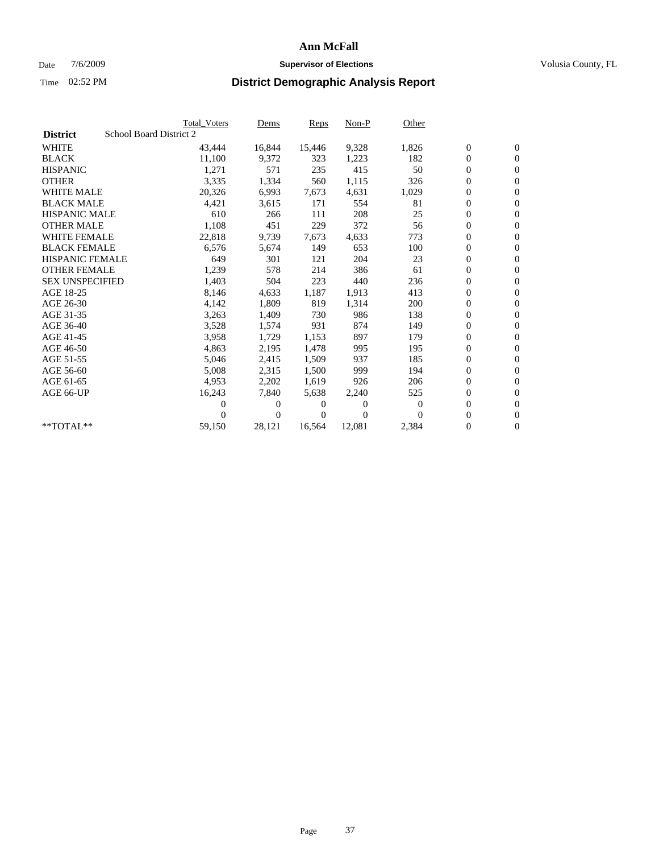## Date  $7/6/2009$  **Supervisor of Elections Supervisor of Elections** Volusia County, FL

|                        | Total Voters            | Dems           | <b>Reps</b> | $Non-P$  | Other    |                  |                  |  |
|------------------------|-------------------------|----------------|-------------|----------|----------|------------------|------------------|--|
| <b>District</b>        | School Board District 2 |                |             |          |          |                  |                  |  |
| <b>WHITE</b>           | 43,444                  | 16,844         | 15,446      | 9,328    | 1,826    | $\boldsymbol{0}$ | $\boldsymbol{0}$ |  |
| <b>BLACK</b>           | 11,100                  | 9,372          | 323         | 1,223    | 182      | $\overline{0}$   | $\mathbf{0}$     |  |
| <b>HISPANIC</b>        | 1,271                   | 571            | 235         | 415      | 50       | $\overline{0}$   | $\mathbf{0}$     |  |
| <b>OTHER</b>           | 3,335                   | 1,334          | 560         | 1,115    | 326      | 0                | $\mathbf{0}$     |  |
| <b>WHITE MALE</b>      | 20,326                  | 6,993          | 7,673       | 4,631    | 1,029    | $\boldsymbol{0}$ | $\mathbf{0}$     |  |
| <b>BLACK MALE</b>      | 4,421                   | 3,615          | 171         | 554      | 81       | $\boldsymbol{0}$ | $\mathbf{0}$     |  |
| <b>HISPANIC MALE</b>   | 610                     | 266            | 111         | 208      | 25       | $\boldsymbol{0}$ | $\overline{0}$   |  |
| <b>OTHER MALE</b>      | 1,108                   | 451            | 229         | 372      | 56       | $\boldsymbol{0}$ | $\mathbf{0}$     |  |
| <b>WHITE FEMALE</b>    | 22,818                  | 9,739          | 7,673       | 4,633    | 773      | $\overline{0}$   | $\mathbf{0}$     |  |
| <b>BLACK FEMALE</b>    | 6,576                   | 5,674          | 149         | 653      | 100      | 0                | $\Omega$         |  |
| HISPANIC FEMALE        | 649                     | 301            | 121         | 204      | 23       | $\boldsymbol{0}$ | $\mathbf{0}$     |  |
| <b>OTHER FEMALE</b>    | 1,239                   | 578            | 214         | 386      | 61       | $\overline{0}$   | $\mathbf{0}$     |  |
| <b>SEX UNSPECIFIED</b> | 1,403                   | 504            | 223         | 440      | 236      | $\boldsymbol{0}$ | $\mathbf{0}$     |  |
| AGE 18-25              | 8,146                   | 4,633          | 1,187       | 1,913    | 413      | $\boldsymbol{0}$ | $\mathbf{0}$     |  |
| AGE 26-30              | 4,142                   | 1,809          | 819         | 1,314    | 200      | $\overline{0}$   | $\mathbf{0}$     |  |
| AGE 31-35              | 3,263                   | 1,409          | 730         | 986      | 138      | $\boldsymbol{0}$ | $\mathbf{0}$     |  |
| AGE 36-40              | 3,528                   | 1,574          | 931         | 874      | 149      | $\boldsymbol{0}$ | $\mathbf{0}$     |  |
| AGE 41-45              | 3,958                   | 1,729          | 1,153       | 897      | 179      | $\boldsymbol{0}$ | $\mathbf{0}$     |  |
| AGE 46-50              | 4,863                   | 2,195          | 1,478       | 995      | 195      | 0                | $\Omega$         |  |
| AGE 51-55              | 5,046                   | 2,415          | 1,509       | 937      | 185      | $\boldsymbol{0}$ | $\mathbf{0}$     |  |
| AGE 56-60              | 5,008                   | 2,315          | 1,500       | 999      | 194      | $\mathbf{0}$     | $\mathbf{0}$     |  |
| AGE 61-65              | 4,953                   | 2,202          | 1,619       | 926      | 206      | 0                | $\mathbf{0}$     |  |
| AGE 66-UP              | 16,243                  | 7,840          | 5,638       | 2,240    | 525      | $\mathbf{0}$     | $\mathbf{0}$     |  |
|                        | 0                       | 0              | 0           | 0        | $\bf{0}$ | $\overline{0}$   | $\mathbf{0}$     |  |
|                        | 0                       | $\overline{0}$ | 0           | $\Omega$ | $\Omega$ | 0                | $\mathbf{0}$     |  |
| **TOTAL**              | 59,150                  | 28,121         | 16,564      | 12,081   | 2,384    | 0                | $\boldsymbol{0}$ |  |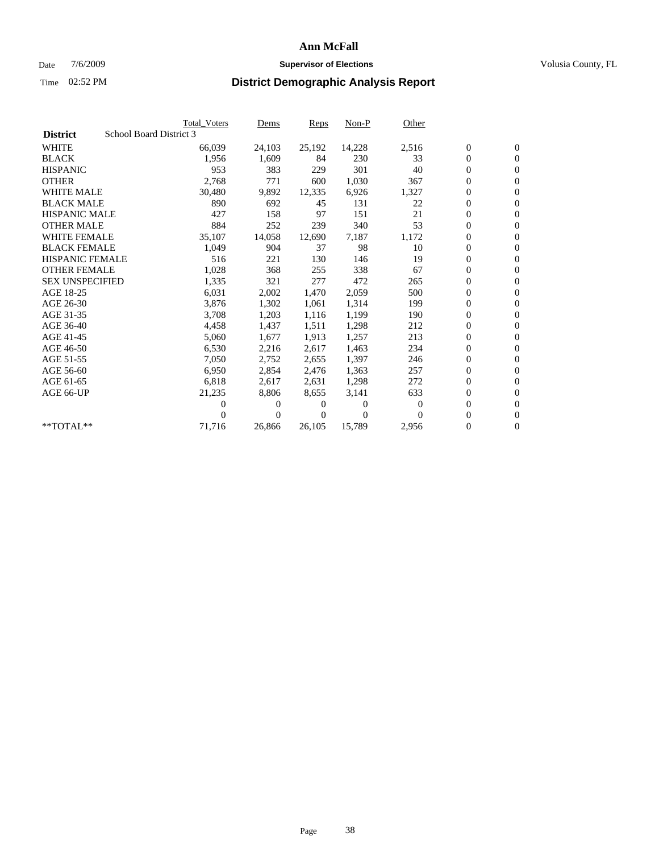## Date  $7/6/2009$  **Supervisor of Elections Supervisor of Elections** Volusia County, FL

|                        |                         | <b>Total Voters</b> | Dems     | <b>Reps</b> | $Non-P$  | Other    |                  |                  |  |
|------------------------|-------------------------|---------------------|----------|-------------|----------|----------|------------------|------------------|--|
| <b>District</b>        | School Board District 3 |                     |          |             |          |          |                  |                  |  |
| <b>WHITE</b>           |                         | 66,039              | 24,103   | 25,192      | 14,228   | 2,516    | $\boldsymbol{0}$ | $\mathbf{0}$     |  |
| <b>BLACK</b>           |                         | 1,956               | 1,609    | 84          | 230      | 33       | $\overline{0}$   | $\mathbf{0}$     |  |
| <b>HISPANIC</b>        |                         | 953                 | 383      | 229         | 301      | 40       | 0                | $\mathbf{0}$     |  |
| <b>OTHER</b>           |                         | 2,768               | 771      | 600         | 1,030    | 367      | 0                | $\mathbf{0}$     |  |
| <b>WHITE MALE</b>      |                         | 30,480              | 9,892    | 12,335      | 6,926    | 1,327    | 0                | $\mathbf{0}$     |  |
| <b>BLACK MALE</b>      |                         | 890                 | 692      | 45          | 131      | 22       | $\boldsymbol{0}$ | $\mathbf{0}$     |  |
| <b>HISPANIC MALE</b>   |                         | 427                 | 158      | 97          | 151      | 21       | 0                | $\mathbf{0}$     |  |
| <b>OTHER MALE</b>      |                         | 884                 | 252      | 239         | 340      | 53       | 0                | $\mathbf{0}$     |  |
| <b>WHITE FEMALE</b>    |                         | 35,107              | 14,058   | 12,690      | 7,187    | 1,172    | 0                | $\mathbf{0}$     |  |
| <b>BLACK FEMALE</b>    |                         | 1,049               | 904      | 37          | 98       | 10       | 0                | $\Omega$         |  |
| HISPANIC FEMALE        |                         | 516                 | 221      | 130         | 146      | 19       | $\boldsymbol{0}$ | $\mathbf{0}$     |  |
| <b>OTHER FEMALE</b>    |                         | 1,028               | 368      | 255         | 338      | 67       | 0                | $\mathbf{0}$     |  |
| <b>SEX UNSPECIFIED</b> |                         | 1,335               | 321      | 277         | 472      | 265      | 0                | $\Omega$         |  |
| AGE 18-25              |                         | 6,031               | 2,002    | 1,470       | 2,059    | 500      | $\overline{0}$   | $\mathbf{0}$     |  |
| AGE 26-30              |                         | 3,876               | 1,302    | 1,061       | 1,314    | 199      | 0                | $\mathbf{0}$     |  |
| AGE 31-35              |                         | 3,708               | 1,203    | 1,116       | 1,199    | 190      | 0                | $\mathbf{0}$     |  |
| AGE 36-40              |                         | 4,458               | 1,437    | 1,511       | 1,298    | 212      | 0                | $\mathbf{0}$     |  |
| AGE 41-45              |                         | 5,060               | 1,677    | 1,913       | 1,257    | 213      | 0                | $\mathbf{0}$     |  |
| AGE 46-50              |                         | 6,530               | 2,216    | 2,617       | 1,463    | 234      | 0                | $\Omega$         |  |
| AGE 51-55              |                         | 7,050               | 2,752    | 2,655       | 1,397    | 246      | $\boldsymbol{0}$ | $\mathbf{0}$     |  |
| AGE 56-60              |                         | 6,950               | 2,854    | 2.476       | 1.363    | 257      | 0                | $\mathbf{0}$     |  |
| AGE 61-65              |                         | 6,818               | 2,617    | 2,631       | 1,298    | 272      | 0                | $\Omega$         |  |
| AGE 66-UP              |                         | 21,235              | 8,806    | 8,655       | 3,141    | 633      | $\overline{0}$   | $\mathbf{0}$     |  |
|                        |                         | 0                   | 0        | 0           | $\theta$ | $\Omega$ | 0                | $\mathbf{0}$     |  |
|                        |                         | 0                   | $\Omega$ | 0           | $\Omega$ | $\Omega$ | 0                | $\mathbf{0}$     |  |
| $*$ TOTAL $**$         |                         | 71,716              | 26,866   | 26,105      | 15,789   | 2,956    | 0                | $\boldsymbol{0}$ |  |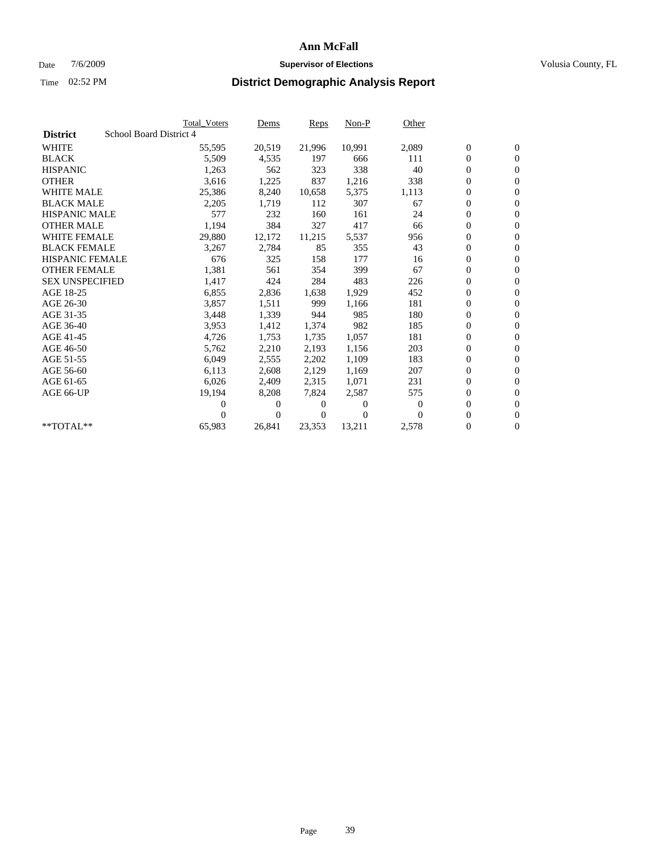## Date  $7/6/2009$  **Supervisor of Elections Supervisor of Elections** Volusia County, FL

|                        |                         | <b>Total Voters</b> | Dems           | <b>Reps</b> | $Non-P$  | Other    |                  |                  |  |
|------------------------|-------------------------|---------------------|----------------|-------------|----------|----------|------------------|------------------|--|
| <b>District</b>        | School Board District 4 |                     |                |             |          |          |                  |                  |  |
| <b>WHITE</b>           |                         | 55,595              | 20,519         | 21,996      | 10,991   | 2,089    | $\boldsymbol{0}$ | $\mathbf{0}$     |  |
| <b>BLACK</b>           |                         | 5,509               | 4,535          | 197         | 666      | 111      | $\overline{0}$   | $\mathbf{0}$     |  |
| <b>HISPANIC</b>        |                         | 1,263               | 562            | 323         | 338      | 40       | $\overline{0}$   | $\mathbf{0}$     |  |
| <b>OTHER</b>           |                         | 3,616               | 1,225          | 837         | 1,216    | 338      | 0                | $\mathbf{0}$     |  |
| <b>WHITE MALE</b>      |                         | 25,386              | 8,240          | 10,658      | 5,375    | 1,113    | $\boldsymbol{0}$ | $\mathbf{0}$     |  |
| <b>BLACK MALE</b>      |                         | 2,205               | 1,719          | 112         | 307      | 67       | $\boldsymbol{0}$ | $\mathbf{0}$     |  |
| <b>HISPANIC MALE</b>   |                         | 577                 | 232            | 160         | 161      | 24       | 0                | $\mathbf{0}$     |  |
| <b>OTHER MALE</b>      |                         | 1,194               | 384            | 327         | 417      | 66       | $\boldsymbol{0}$ | $\mathbf{0}$     |  |
| <b>WHITE FEMALE</b>    |                         | 29,880              | 12,172         | 11,215      | 5,537    | 956      | $\overline{0}$   | $\mathbf{0}$     |  |
| <b>BLACK FEMALE</b>    |                         | 3,267               | 2,784          | 85          | 355      | 43       | $\boldsymbol{0}$ | $\Omega$         |  |
| HISPANIC FEMALE        |                         | 676                 | 325            | 158         | 177      | 16       | $\boldsymbol{0}$ | $\mathbf{0}$     |  |
| <b>OTHER FEMALE</b>    |                         | 1,381               | 561            | 354         | 399      | 67       | $\overline{0}$   | $\mathbf{0}$     |  |
| <b>SEX UNSPECIFIED</b> |                         | 1,417               | 424            | 284         | 483      | 226      | $\boldsymbol{0}$ | $\mathbf{0}$     |  |
| AGE 18-25              |                         | 6,855               | 2,836          | 1,638       | 1,929    | 452      | $\overline{0}$   | $\mathbf{0}$     |  |
| AGE 26-30              |                         | 3,857               | 1,511          | 999         | 1,166    | 181      | $\overline{0}$   | $\mathbf{0}$     |  |
| AGE 31-35              |                         | 3,448               | 1,339          | 944         | 985      | 180      | $\boldsymbol{0}$ | $\mathbf{0}$     |  |
| AGE 36-40              |                         | 3,953               | 1,412          | 1,374       | 982      | 185      | $\boldsymbol{0}$ | $\mathbf{0}$     |  |
| AGE 41-45              |                         | 4,726               | 1,753          | 1,735       | 1,057    | 181      | $\boldsymbol{0}$ | $\mathbf{0}$     |  |
| AGE 46-50              |                         | 5,762               | 2,210          | 2,193       | 1,156    | 203      | 0                | $\Omega$         |  |
| AGE 51-55              |                         | 6,049               | 2,555          | 2,202       | 1,109    | 183      | $\boldsymbol{0}$ | $\mathbf{0}$     |  |
| AGE 56-60              |                         | 6,113               | 2,608          | 2,129       | 1.169    | 207      | $\mathbf{0}$     | $\mathbf{0}$     |  |
| AGE 61-65              |                         | 6,026               | 2,409          | 2,315       | 1,071    | 231      | 0                | $\Omega$         |  |
| AGE 66-UP              |                         | 19,194              | 8,208          | 7,824       | 2,587    | 575      | $\mathbf{0}$     | $\mathbf{0}$     |  |
|                        |                         | 0                   | 0              | 0           | 0        | $\bf{0}$ | $\overline{0}$   | $\mathbf{0}$     |  |
|                        |                         | 0                   | $\overline{0}$ | 0           | $\Omega$ | $\Omega$ | 0                | $\mathbf{0}$     |  |
| **TOTAL**              |                         | 65,983              | 26,841         | 23,353      | 13,211   | 2,578    | 0                | $\boldsymbol{0}$ |  |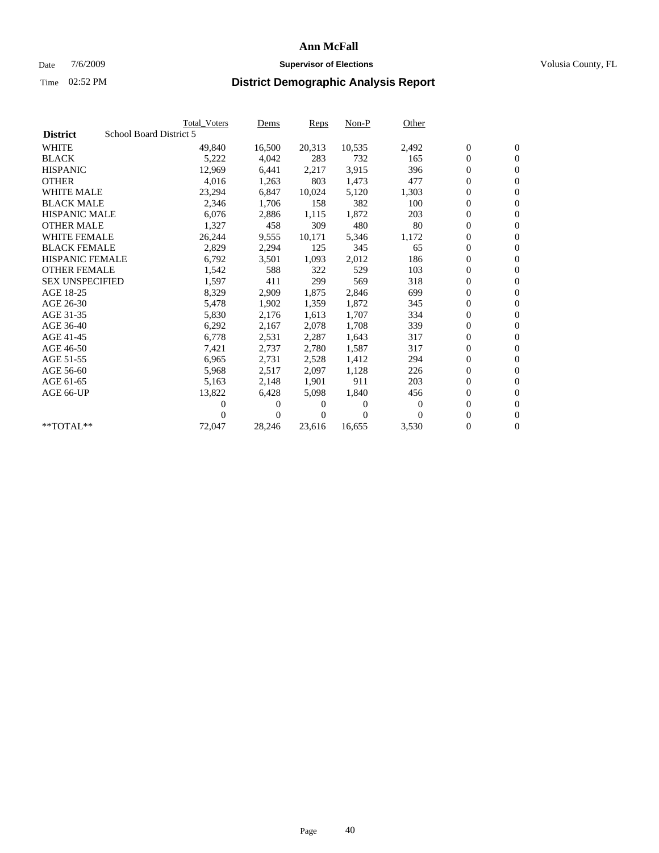### Date  $7/6/2009$  **Supervisor of Elections Supervisor of Elections** Volusia County, FL

|                        | <b>Total Voters</b>     | <u>Dems</u>    | <b>Reps</b> | $Non-P$      | Other    |                  |                  |  |
|------------------------|-------------------------|----------------|-------------|--------------|----------|------------------|------------------|--|
| <b>District</b>        | School Board District 5 |                |             |              |          |                  |                  |  |
| <b>WHITE</b>           | 49,840                  | 16,500         | 20,313      | 10,535       | 2,492    | $\boldsymbol{0}$ | $\boldsymbol{0}$ |  |
| <b>BLACK</b>           | 5,222                   | 4,042          | 283         | 732          | 165      | $\boldsymbol{0}$ | $\mathbf{0}$     |  |
| <b>HISPANIC</b>        | 12,969                  | 6,441          | 2,217       | 3,915        | 396      | $\boldsymbol{0}$ | $\mathbf{0}$     |  |
| <b>OTHER</b>           | 4,016                   | 1,263          | 803         | 1,473        | 477      | 0                | $\mathbf{0}$     |  |
| <b>WHITE MALE</b>      | 23,294                  | 6,847          | 10,024      | 5,120        | 1,303    | $\boldsymbol{0}$ | $\mathbf{0}$     |  |
| <b>BLACK MALE</b>      | 2,346                   | 1,706          | 158         | 382          | 100      | $\overline{0}$   | $\mathbf{0}$     |  |
| <b>HISPANIC MALE</b>   | 6,076                   | 2,886          | 1,115       | 1,872        | 203      | 0                | $\overline{0}$   |  |
| <b>OTHER MALE</b>      | 1,327                   | 458            | 309         | 480          | 80       | $\overline{0}$   | $\mathbf{0}$     |  |
| <b>WHITE FEMALE</b>    | 26,244                  | 9,555          | 10,171      | 5,346        | 1,172    | $\boldsymbol{0}$ | $\mathbf{0}$     |  |
| <b>BLACK FEMALE</b>    | 2,829                   | 2,294          | 125         | 345          | 65       | $\boldsymbol{0}$ | $\mathbf{0}$     |  |
| <b>HISPANIC FEMALE</b> | 6,792                   | 3,501          | 1,093       | 2,012        | 186      | $\boldsymbol{0}$ | $\mathbf{0}$     |  |
| <b>OTHER FEMALE</b>    | 1,542                   | 588            | 322         | 529          | 103      | $\mathbf{0}$     | $\mathbf{0}$     |  |
| <b>SEX UNSPECIFIED</b> | 1,597                   | 411            | 299         | 569          | 318      | $\boldsymbol{0}$ | $\mathbf{0}$     |  |
| AGE 18-25              | 8,329                   | 2,909          | 1,875       | 2,846        | 699      | $\boldsymbol{0}$ | $\mathbf{0}$     |  |
| AGE 26-30              | 5,478                   | 1,902          | 1,359       | 1,872        | 345      | $\overline{0}$   | $\mathbf{0}$     |  |
| AGE 31-35              | 5,830                   | 2,176          | 1,613       | 1,707        | 334      | $\boldsymbol{0}$ | $\mathbf{0}$     |  |
| AGE 36-40              | 6,292                   | 2,167          | 2,078       | 1,708        | 339      | $\boldsymbol{0}$ | $\mathbf{0}$     |  |
| AGE 41-45              | 6,778                   | 2,531          | 2,287       | 1,643        | 317      | $\boldsymbol{0}$ | $\mathbf{0}$     |  |
| AGE 46-50              | 7,421                   | 2,737          | 2,780       | 1,587        | 317      | $\boldsymbol{0}$ | $\mathbf{0}$     |  |
| AGE 51-55              | 6,965                   | 2,731          | 2,528       | 1,412        | 294      | $\overline{0}$   | $\mathbf{0}$     |  |
| AGE 56-60              | 5,968                   | 2,517          | 2.097       | 1,128        | 226      | $\overline{0}$   | $\mathbf{0}$     |  |
| AGE 61-65              | 5,163                   | 2,148          | 1,901       | 911          | 203      | $\overline{0}$   | $\mathbf{0}$     |  |
| AGE 66-UP              | 13,822                  | 6,428          | 5,098       | 1,840        | 456      | $\boldsymbol{0}$ | $\mathbf{0}$     |  |
|                        | 0                       | 0              | 0           | $\mathbf{0}$ | $\bf{0}$ | $\mathbf{0}$     | $\mathbf{0}$     |  |
|                        | 0                       | $\overline{0}$ | 0           | $\Omega$     | $\Omega$ | 0                | $\mathbf{0}$     |  |
| **TOTAL**              | 72,047                  | 28,246         | 23,616      | 16,655       | 3,530    | 0                | $\boldsymbol{0}$ |  |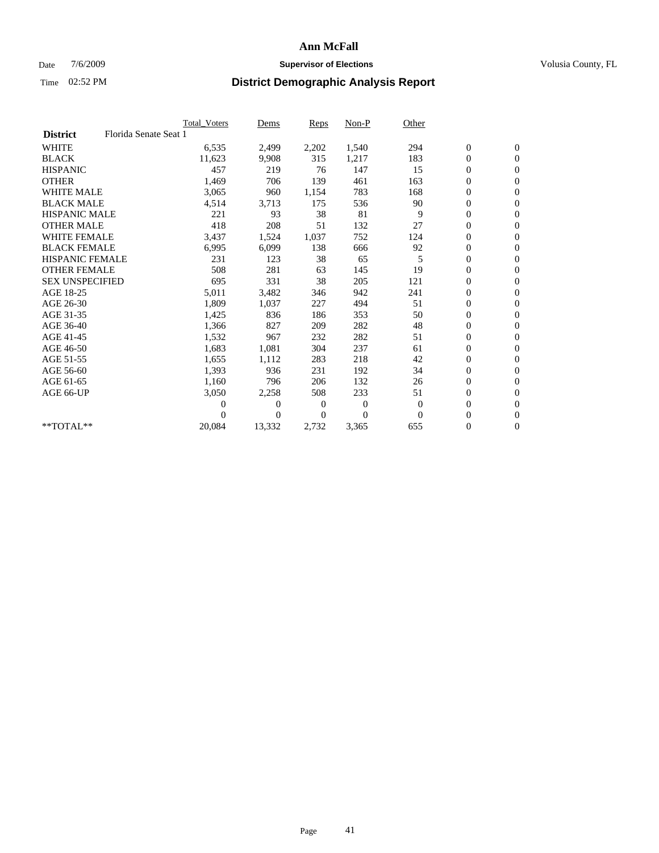## Date  $7/6/2009$  **Supervisor of Elections Supervisor of Elections** Volusia County, FL

|                        |                       | <b>Total Voters</b> | Dems     | <b>Reps</b>    | Non-P        | Other    |                  |                  |  |
|------------------------|-----------------------|---------------------|----------|----------------|--------------|----------|------------------|------------------|--|
| <b>District</b>        | Florida Senate Seat 1 |                     |          |                |              |          |                  |                  |  |
| <b>WHITE</b>           |                       | 6,535               | 2,499    | 2,202          | 1,540        | 294      | $\boldsymbol{0}$ | $\mathbf{0}$     |  |
| <b>BLACK</b>           |                       | 11,623              | 9,908    | 315            | 1,217        | 183      | 0                | $\mathbf{0}$     |  |
| <b>HISPANIC</b>        |                       | 457                 | 219      | 76             | 147          | 15       | $\mathbf{0}$     | $\mathbf{0}$     |  |
| <b>OTHER</b>           |                       | 1,469               | 706      | 139            | 461          | 163      | 0                | $\mathbf{0}$     |  |
| WHITE MALE             |                       | 3,065               | 960      | 1,154          | 783          | 168      | 0                | $\mathbf{0}$     |  |
| <b>BLACK MALE</b>      |                       | 4,514               | 3,713    | 175            | 536          | 90       | $\boldsymbol{0}$ | $\mathbf{0}$     |  |
| <b>HISPANIC MALE</b>   |                       | 221                 | 93       | 38             | 81           | 9        | 0                | $\mathbf{0}$     |  |
| <b>OTHER MALE</b>      |                       | 418                 | 208      | 51             | 132          | 27       | 0                | $\mathbf{0}$     |  |
| <b>WHITE FEMALE</b>    |                       | 3,437               | 1,524    | 1,037          | 752          | 124      | 0                | $\mathbf{0}$     |  |
| <b>BLACK FEMALE</b>    |                       | 6,995               | 6,099    | 138            | 666          | 92       | 0                | $\mathbf{0}$     |  |
| <b>HISPANIC FEMALE</b> |                       | 231                 | 123      | 38             | 65           | 5        | 0                | $\mathbf{0}$     |  |
| <b>OTHER FEMALE</b>    |                       | 508                 | 281      | 63             | 145          | 19       | 0                | $\Omega$         |  |
| <b>SEX UNSPECIFIED</b> |                       | 695                 | 331      | 38             | 205          | 121      | 0                | $\mathbf{0}$     |  |
| AGE 18-25              |                       | 5,011               | 3,482    | 346            | 942          | 241      | 0                | $\mathbf{0}$     |  |
| AGE 26-30              |                       | 1,809               | 1,037    | 227            | 494          | 51       | $\boldsymbol{0}$ | $\mathbf{0}$     |  |
| AGE 31-35              |                       | 1,425               | 836      | 186            | 353          | 50       | 0                | $\mathbf{0}$     |  |
| AGE 36-40              |                       | 1,366               | 827      | 209            | 282          | 48       | 0                | $\boldsymbol{0}$ |  |
| AGE 41-45              |                       | 1,532               | 967      | 232            | 282          | 51       | $\overline{0}$   | $\mathbf{0}$     |  |
| AGE 46-50              |                       | 1,683               | 1,081    | 304            | 237          | 61       | $\overline{0}$   | $\mathbf{0}$     |  |
| AGE 51-55              |                       | 1,655               | 1,112    | 283            | 218          | 42       | 0                | $\mathbf{0}$     |  |
| AGE 56-60              |                       | 1,393               | 936      | 231            | 192          | 34       | 0                | $\mathbf{0}$     |  |
| AGE 61-65              |                       | 1,160               | 796      | 206            | 132          | 26       | 0                | $\mathbf{0}$     |  |
| AGE 66-UP              |                       | 3,050               | 2,258    | 508            | 233          | 51       | 0                | $\mathbf{0}$     |  |
|                        |                       | 0                   | 0        | $\overline{0}$ | $\mathbf{0}$ | $\theta$ | 0                | $\Omega$         |  |
|                        |                       | 0                   | $\Omega$ | $\theta$       | $\theta$     | $\Omega$ | $\overline{0}$   | $\overline{0}$   |  |
| **TOTAL**              |                       | 20,084              | 13,332   | 2,732          | 3,365        | 655      | 0                | $\boldsymbol{0}$ |  |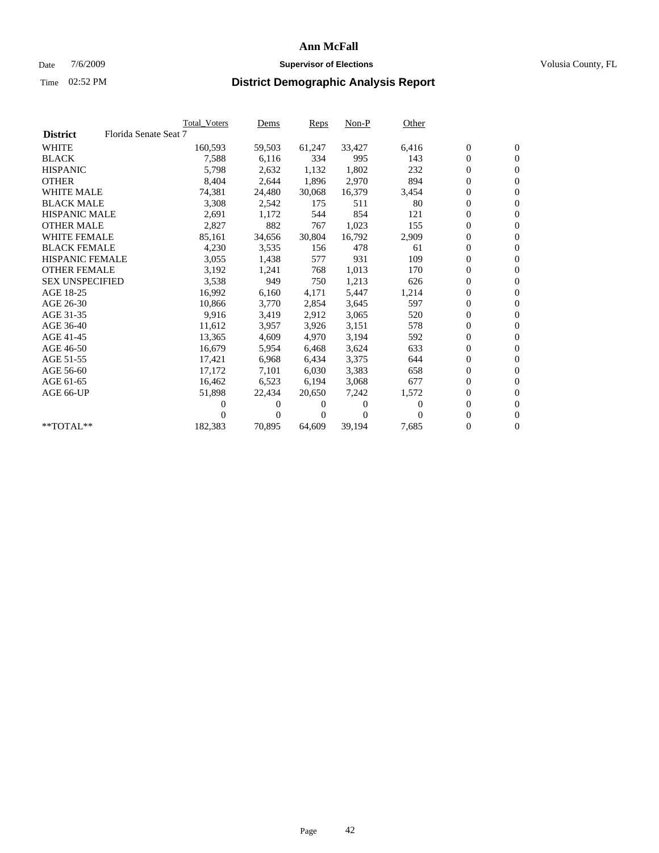## Date  $7/6/2009$  **Supervisor of Elections Supervisor of Elections** Volusia County, FL

|                        |                       | Total Voters | <u>Dems</u> | <b>Reps</b> | Non-P    | Other    |                  |                  |  |
|------------------------|-----------------------|--------------|-------------|-------------|----------|----------|------------------|------------------|--|
| <b>District</b>        | Florida Senate Seat 7 |              |             |             |          |          |                  |                  |  |
| <b>WHITE</b>           |                       | 160,593      | 59,503      | 61,247      | 33,427   | 6,416    | $\boldsymbol{0}$ | $\boldsymbol{0}$ |  |
| <b>BLACK</b>           |                       | 7,588        | 6,116       | 334         | 995      | 143      | $\boldsymbol{0}$ | $\mathbf{0}$     |  |
| <b>HISPANIC</b>        |                       | 5,798        | 2,632       | 1,132       | 1.802    | 232      | $\overline{0}$   | $\mathbf{0}$     |  |
| <b>OTHER</b>           |                       | 8,404        | 2,644       | 1,896       | 2,970    | 894      | 0                | $\mathbf{0}$     |  |
| <b>WHITE MALE</b>      |                       | 74,381       | 24,480      | 30,068      | 16,379   | 3,454    | 0                | $\mathbf{0}$     |  |
| <b>BLACK MALE</b>      |                       | 3,308        | 2,542       | 175         | 511      | 80       | $\boldsymbol{0}$ | $\mathbf{0}$     |  |
| <b>HISPANIC MALE</b>   |                       | 2,691        | 1,172       | 544         | 854      | 121      | 0                | $\overline{0}$   |  |
| <b>OTHER MALE</b>      |                       | 2,827        | 882         | 767         | 1,023    | 155      | 0                | $\mathbf{0}$     |  |
| <b>WHITE FEMALE</b>    |                       | 85,161       | 34,656      | 30,804      | 16,792   | 2,909    | 0                | $\mathbf{0}$     |  |
| <b>BLACK FEMALE</b>    |                       | 4,230        | 3,535       | 156         | 478      | 61       | $\boldsymbol{0}$ | $\mathbf{0}$     |  |
| <b>HISPANIC FEMALE</b> |                       | 3,055        | 1,438       | 577         | 931      | 109      | 0                | $\mathbf{0}$     |  |
| <b>OTHER FEMALE</b>    |                       | 3,192        | 1,241       | 768         | 1,013    | 170      | $\overline{0}$   | $\mathbf{0}$     |  |
| <b>SEX UNSPECIFIED</b> |                       | 3,538        | 949         | 750         | 1,213    | 626      | $\boldsymbol{0}$ | $\mathbf{0}$     |  |
| AGE 18-25              |                       | 16,992       | 6,160       | 4,171       | 5,447    | 1,214    | 0                | $\mathbf{0}$     |  |
| AGE 26-30              |                       | 10,866       | 3,770       | 2,854       | 3,645    | 597      | 0                | $\mathbf{0}$     |  |
| AGE 31-35              |                       | 9,916        | 3,419       | 2,912       | 3,065    | 520      | $\boldsymbol{0}$ | $\mathbf{0}$     |  |
| AGE 36-40              |                       | 11,612       | 3,957       | 3,926       | 3,151    | 578      | 0                | $\mathbf{0}$     |  |
| AGE 41-45              |                       | 13,365       | 4,609       | 4.970       | 3,194    | 592      | 0                | $\mathbf{0}$     |  |
| AGE 46-50              |                       | 16,679       | 5,954       | 6,468       | 3,624    | 633      | $\boldsymbol{0}$ | $\mathbf{0}$     |  |
| AGE 51-55              |                       | 17,421       | 6,968       | 6,434       | 3,375    | 644      | 0                | $\mathbf{0}$     |  |
| AGE 56-60              |                       | 17,172       | 7,101       | 6,030       | 3,383    | 658      | 0                | $\mathbf{0}$     |  |
| AGE 61-65              |                       | 16,462       | 6,523       | 6,194       | 3,068    | 677      | $\mathbf{0}$     | $\mathbf{0}$     |  |
| AGE 66-UP              |                       | 51,898       | 22,434      | 20,650      | 7,242    | 1,572    | 0                | $\mathbf{0}$     |  |
|                        |                       | 0            | 0           | 0           | 0        | $\Omega$ | 0                | $\mathbf{0}$     |  |
|                        |                       | 0            | $\theta$    | $\Omega$    | $\Omega$ | $\Omega$ | $\overline{0}$   | $\mathbf{0}$     |  |
| $*$ TOTAL $*$          |                       | 182,383      | 70,895      | 64,609      | 39,194   | 7,685    | 0                | $\mathbf{0}$     |  |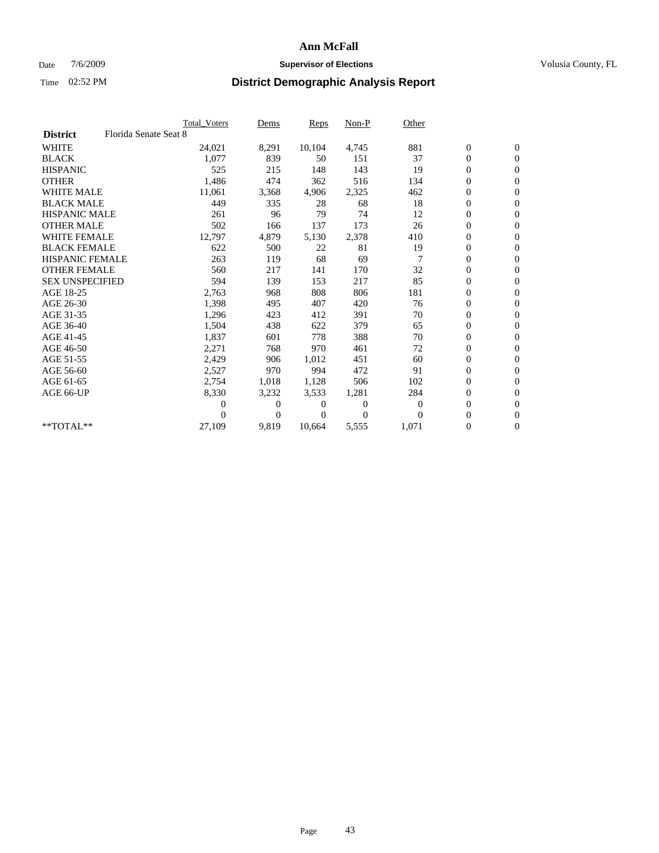## Date  $7/6/2009$  **Supervisor of Elections Supervisor of Elections** Volusia County, FL

|                        |                       | Total Voters | Dems           | <b>Reps</b> | $Non-P$      | Other          |                  |                  |  |
|------------------------|-----------------------|--------------|----------------|-------------|--------------|----------------|------------------|------------------|--|
| <b>District</b>        | Florida Senate Seat 8 |              |                |             |              |                |                  |                  |  |
| <b>WHITE</b>           |                       | 24,021       | 8,291          | 10,104      | 4,745        | 881            | $\boldsymbol{0}$ | $\boldsymbol{0}$ |  |
| <b>BLACK</b>           |                       | 1,077        | 839            | 50          | 151          | 37             | $\boldsymbol{0}$ | $\mathbf{0}$     |  |
| <b>HISPANIC</b>        |                       | 525          | 215            | 148         | 143          | 19             | $\overline{0}$   | $\mathbf{0}$     |  |
| <b>OTHER</b>           |                       | 1,486        | 474            | 362         | 516          | 134            | 0                | $\mathbf{0}$     |  |
| <b>WHITE MALE</b>      |                       | 11,061       | 3,368          | 4,906       | 2,325        | 462            | $\boldsymbol{0}$ | $\mathbf{0}$     |  |
| <b>BLACK MALE</b>      |                       | 449          | 335            | 28          | 68           | 18             | $\overline{0}$   | $\mathbf{0}$     |  |
| <b>HISPANIC MALE</b>   |                       | 261          | 96             | 79          | 74           | 12             | $\boldsymbol{0}$ | $\mathbf{0}$     |  |
| <b>OTHER MALE</b>      |                       | 502          | 166            | 137         | 173          | 26             | $\overline{0}$   | $\mathbf{0}$     |  |
| <b>WHITE FEMALE</b>    |                       | 12,797       | 4,879          | 5,130       | 2,378        | 410            | $\boldsymbol{0}$ | $\mathbf{0}$     |  |
| <b>BLACK FEMALE</b>    |                       | 622          | 500            | 22          | 81           | 19             | $\boldsymbol{0}$ | $\mathbf{0}$     |  |
| <b>HISPANIC FEMALE</b> |                       | 263          | 119            | 68          | 69           |                | $\boldsymbol{0}$ | $\mathbf{0}$     |  |
| <b>OTHER FEMALE</b>    |                       | 560          | 217            | 141         | 170          | 32             | $\mathbf{0}$     | $\mathbf{0}$     |  |
| <b>SEX UNSPECIFIED</b> |                       | 594          | 139            | 153         | 217          | 85             | $\boldsymbol{0}$ | $\mathbf{0}$     |  |
| AGE 18-25              |                       | 2,763        | 968            | 808         | 806          | 181            | $\boldsymbol{0}$ | $\mathbf{0}$     |  |
| AGE 26-30              |                       | 1,398        | 495            | 407         | 420          | 76             | $\boldsymbol{0}$ | $\mathbf{0}$     |  |
| AGE 31-35              |                       | 1,296        | 423            | 412         | 391          | 70             | $\boldsymbol{0}$ | $\mathbf{0}$     |  |
| AGE 36-40              |                       | 1,504        | 438            | 622         | 379          | 65             | $\boldsymbol{0}$ | $\mathbf{0}$     |  |
| AGE 41-45              |                       | 1,837        | 601            | 778         | 388          | 70             | $\boldsymbol{0}$ | $\mathbf{0}$     |  |
| AGE 46-50              |                       | 2,271        | 768            | 970         | 461          | 72             | $\boldsymbol{0}$ | $\Omega$         |  |
| AGE 51-55              |                       | 2,429        | 906            | 1,012       | 451          | 60             | $\boldsymbol{0}$ | $\mathbf{0}$     |  |
| AGE 56-60              |                       | 2,527        | 970            | 994         | 472          | 91             | $\overline{0}$   | $\mathbf{0}$     |  |
| AGE 61-65              |                       | 2,754        | 1,018          | 1,128       | 506          | 102            | $\overline{0}$   | $\mathbf{0}$     |  |
| AGE 66-UP              |                       | 8,330        | 3,232          | 3,533       | 1,281        | 284            | $\boldsymbol{0}$ | $\mathbf{0}$     |  |
|                        |                       | 0            | $\overline{0}$ | 0           | $\mathbf{0}$ | $\overline{0}$ | $\mathbf{0}$     | $\mathbf{0}$     |  |
|                        |                       | 0            | $\overline{0}$ | 0           | $\Omega$     | $\Omega$       | 0                | $\mathbf{0}$     |  |
| **TOTAL**              |                       | 27,109       | 9,819          | 10,664      | 5,555        | 1,071          | 0                | $\boldsymbol{0}$ |  |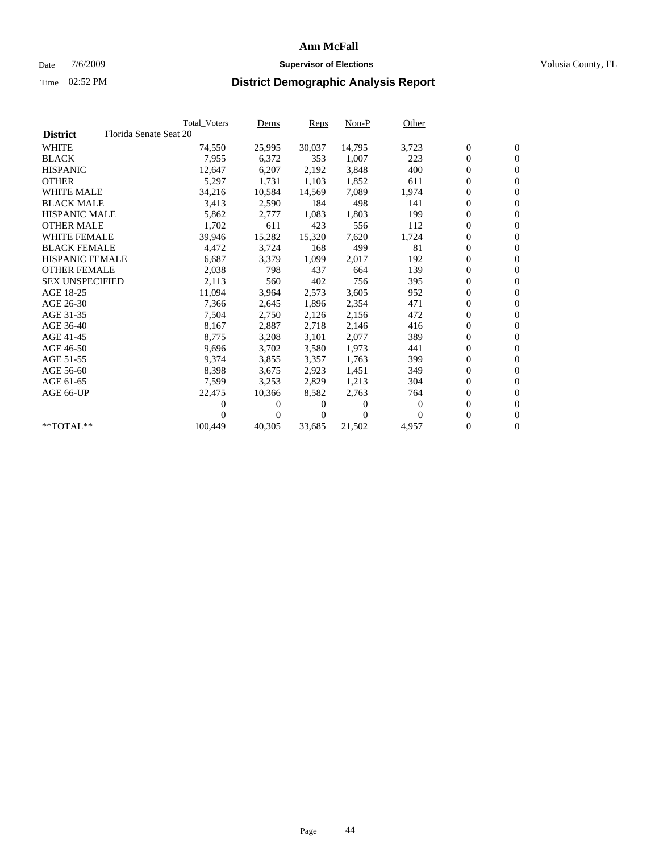## Date  $7/6/2009$  **Supervisor of Elections Supervisor of Elections** Volusia County, FL

|                        |                        | <b>Total Voters</b> | Dems     | <b>Reps</b> | $Non-P$  | Other    |                  |                  |  |
|------------------------|------------------------|---------------------|----------|-------------|----------|----------|------------------|------------------|--|
| <b>District</b>        | Florida Senate Seat 20 |                     |          |             |          |          |                  |                  |  |
| <b>WHITE</b>           |                        | 74,550              | 25,995   | 30,037      | 14,795   | 3,723    | $\boldsymbol{0}$ | $\boldsymbol{0}$ |  |
| <b>BLACK</b>           |                        | 7,955               | 6,372    | 353         | 1,007    | 223      | $\overline{0}$   | $\mathbf{0}$     |  |
| <b>HISPANIC</b>        |                        | 12,647              | 6,207    | 2,192       | 3,848    | 400      | 0                | $\mathbf{0}$     |  |
| <b>OTHER</b>           |                        | 5,297               | 1,731    | 1,103       | 1,852    | 611      | 0                | $\mathbf{0}$     |  |
| <b>WHITE MALE</b>      |                        | 34,216              | 10,584   | 14,569      | 7,089    | 1,974    | 0                | $\mathbf{0}$     |  |
| <b>BLACK MALE</b>      |                        | 3,413               | 2,590    | 184         | 498      | 141      | 0                | $\mathbf{0}$     |  |
| <b>HISPANIC MALE</b>   |                        | 5,862               | 2,777    | 1,083       | 1,803    | 199      | 0                | $\mathbf{0}$     |  |
| <b>OTHER MALE</b>      |                        | 1,702               | 611      | 423         | 556      | 112      | 0                | $\mathbf{0}$     |  |
| <b>WHITE FEMALE</b>    |                        | 39,946              | 15,282   | 15,320      | 7,620    | 1,724    | 0                | $\mathbf{0}$     |  |
| <b>BLACK FEMALE</b>    |                        | 4,472               | 3,724    | 168         | 499      | 81       | 0                | $\mathbf{0}$     |  |
| <b>HISPANIC FEMALE</b> |                        | 6,687               | 3,379    | 1,099       | 2,017    | 192      | 0                | $\mathbf{0}$     |  |
| <b>OTHER FEMALE</b>    |                        | 2,038               | 798      | 437         | 664      | 139      | 0                | $\mathbf{0}$     |  |
| <b>SEX UNSPECIFIED</b> |                        | 2,113               | 560      | 402         | 756      | 395      | 0                | $\mathbf{0}$     |  |
| AGE 18-25              |                        | 11,094              | 3,964    | 2,573       | 3,605    | 952      | 0                | $\mathbf{0}$     |  |
| AGE 26-30              |                        | 7,366               | 2,645    | 1,896       | 2,354    | 471      | 0                | $\mathbf{0}$     |  |
| AGE 31-35              |                        | 7,504               | 2,750    | 2,126       | 2,156    | 472      | 0                | $\mathbf{0}$     |  |
| AGE 36-40              |                        | 8,167               | 2,887    | 2,718       | 2,146    | 416      | 0                | $\mathbf{0}$     |  |
| AGE 41-45              |                        | 8,775               | 3,208    | 3,101       | 2,077    | 389      | 0                | $\mathbf{0}$     |  |
| AGE 46-50              |                        | 9,696               | 3,702    | 3,580       | 1,973    | 441      | 0                | $\mathbf{0}$     |  |
| AGE 51-55              |                        | 9,374               | 3,855    | 3,357       | 1,763    | 399      | 0                | $\mathbf{0}$     |  |
| AGE 56-60              |                        | 8,398               | 3,675    | 2.923       | 1,451    | 349      | 0                | $\mathbf{0}$     |  |
| AGE 61-65              |                        | 7,599               | 3,253    | 2,829       | 1,213    | 304      | 0                | $\mathbf{0}$     |  |
| AGE 66-UP              |                        | 22,475              | 10,366   | 8,582       | 2,763    | 764      | 0                | $\mathbf{0}$     |  |
|                        |                        | 0                   | $\theta$ | 0           | $\theta$ | $\theta$ | 0                | $\mathbf{0}$     |  |
|                        |                        | 0                   | 0        | 0           | $\Omega$ | $\Omega$ | 0                | $\mathbf{0}$     |  |
| **TOTAL**              |                        | 100,449             | 40,305   | 33,685      | 21,502   | 4,957    | 0                | $\boldsymbol{0}$ |  |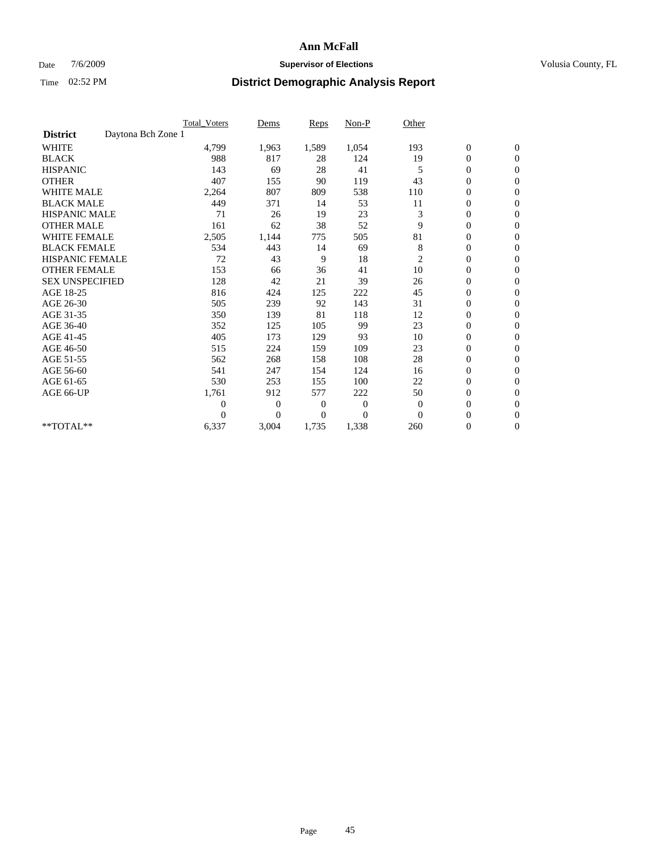## Date  $7/6/2009$  **Supervisor of Elections Supervisor of Elections** Volusia County, FL

|                                       | Total Voters   | Dems           | <b>Reps</b> | Non-P        | Other          |                  |                  |  |
|---------------------------------------|----------------|----------------|-------------|--------------|----------------|------------------|------------------|--|
| Daytona Bch Zone 1<br><b>District</b> |                |                |             |              |                |                  |                  |  |
| <b>WHITE</b>                          | 4,799          | 1,963          | 1,589       | 1,054        | 193            | $\boldsymbol{0}$ | $\boldsymbol{0}$ |  |
| <b>BLACK</b>                          | 988            | 817            | 28          | 124          | 19             | $\boldsymbol{0}$ | $\mathbf{0}$     |  |
| <b>HISPANIC</b>                       | 143            | 69             | 28          | 41           | 5              | $\overline{0}$   | $\mathbf{0}$     |  |
| <b>OTHER</b>                          | 407            | 155            | 90          | 119          | 43             | $\boldsymbol{0}$ | $\mathbf{0}$     |  |
| <b>WHITE MALE</b>                     | 2,264          | 807            | 809         | 538          | 110            | $\overline{0}$   | $\mathbf{0}$     |  |
| <b>BLACK MALE</b>                     | 449            | 371            | 14          | 53           | 11             | $\boldsymbol{0}$ | $\mathbf{0}$     |  |
| <b>HISPANIC MALE</b>                  | 71             | 26             | 19          | 23           | 3              | $\boldsymbol{0}$ | $\mathbf{0}$     |  |
| <b>OTHER MALE</b>                     | 161            | 62             | 38          | 52           | 9              | $\boldsymbol{0}$ | $\mathbf{0}$     |  |
| <b>WHITE FEMALE</b>                   | 2,505          | 1,144          | 775         | 505          | 81             | $\overline{0}$   | $\mathbf{0}$     |  |
| <b>BLACK FEMALE</b>                   | 534            | 443            | 14          | 69           | 8              | $\boldsymbol{0}$ | $\mathbf{0}$     |  |
| <b>HISPANIC FEMALE</b>                | 72             | 43             | 9           | 18           | $\overline{c}$ | $\boldsymbol{0}$ | $\mathbf{0}$     |  |
| <b>OTHER FEMALE</b>                   | 153            | 66             | 36          | 41           | 10             | $\mathbf{0}$     | $\mathbf{0}$     |  |
| <b>SEX UNSPECIFIED</b>                | 128            | 42             | 21          | 39           | 26             | $\boldsymbol{0}$ | $\mathbf{0}$     |  |
| AGE 18-25                             | 816            | 424            | 125         | 222          | 45             | $\boldsymbol{0}$ | $\mathbf{0}$     |  |
| AGE 26-30                             | 505            | 239            | 92          | 143          | 31             | $\overline{0}$   | $\mathbf{0}$     |  |
| AGE 31-35                             | 350            | 139            | 81          | 118          | 12             | $\boldsymbol{0}$ | $\mathbf{0}$     |  |
| AGE 36-40                             | 352            | 125            | 105         | 99           | 23             | $\boldsymbol{0}$ | $\mathbf{0}$     |  |
| AGE 41-45                             | 405            | 173            | 129         | 93           | 10             | $\overline{0}$   | $\mathbf{0}$     |  |
| AGE 46-50                             | 515            | 224            | 159         | 109          | 23             | $\boldsymbol{0}$ | $\mathbf{0}$     |  |
| AGE 51-55                             | 562            | 268            | 158         | 108          | 28             | $\boldsymbol{0}$ | $\mathbf{0}$     |  |
| AGE 56-60                             | 541            | 247            | 154         | 124          | 16             | $\boldsymbol{0}$ | $\Omega$         |  |
| AGE 61-65                             | 530            | 253            | 155         | 100          | 22             | $\boldsymbol{0}$ | $\mathbf{0}$     |  |
| AGE 66-UP                             | 1,761          | 912            | 577         | 222          | 50             | $\boldsymbol{0}$ | $\mathbf{0}$     |  |
|                                       | $\overline{0}$ | $\overline{0}$ | 0           | $\mathbf{0}$ | $\theta$       | $\overline{0}$   | $\mathbf{0}$     |  |
|                                       | $\theta$       | $\overline{0}$ | $\Omega$    | $\theta$     | $\Omega$       | $\boldsymbol{0}$ | $\mathbf{0}$     |  |
| **TOTAL**                             | 6,337          | 3,004          | 1,735       | 1,338        | 260            | 0                | $\mathbf{0}$     |  |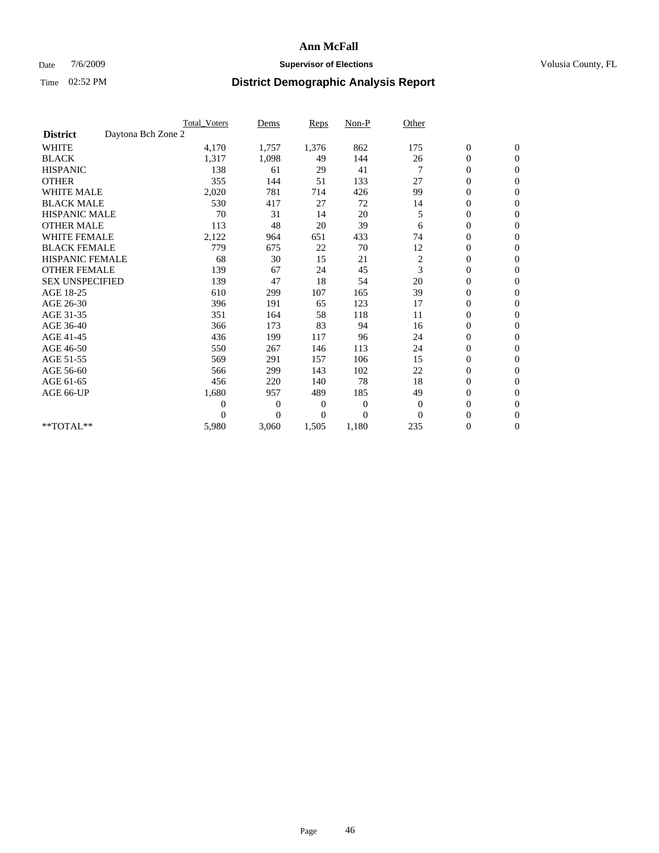## Date  $7/6/2009$  **Supervisor of Elections Supervisor of Elections** Volusia County, FL

|                        |                    | <b>Total Voters</b> | Dems           | <b>Reps</b> | $Non-P$      | Other          |                  |                  |  |
|------------------------|--------------------|---------------------|----------------|-------------|--------------|----------------|------------------|------------------|--|
| <b>District</b>        | Daytona Bch Zone 2 |                     |                |             |              |                |                  |                  |  |
| <b>WHITE</b>           |                    | 4,170               | 1,757          | 1,376       | 862          | 175            | $\boldsymbol{0}$ | $\boldsymbol{0}$ |  |
| <b>BLACK</b>           |                    | 1,317               | 1,098          | 49          | 144          | 26             | $\boldsymbol{0}$ | $\mathbf{0}$     |  |
| <b>HISPANIC</b>        |                    | 138                 | 61             | 29          | 41           |                | $\overline{0}$   | $\mathbf{0}$     |  |
| <b>OTHER</b>           |                    | 355                 | 144            | 51          | 133          | 27             | $\boldsymbol{0}$ | $\Omega$         |  |
| <b>WHITE MALE</b>      |                    | 2,020               | 781            | 714         | 426          | 99             | $\overline{0}$   | $\mathbf{0}$     |  |
| <b>BLACK MALE</b>      |                    | 530                 | 417            | 27          | 72           | 14             | $\boldsymbol{0}$ | $\mathbf{0}$     |  |
| <b>HISPANIC MALE</b>   |                    | 70                  | 31             | 14          | 20           | 5              | $\boldsymbol{0}$ | $\mathbf{0}$     |  |
| <b>OTHER MALE</b>      |                    | 113                 | 48             | 20          | 39           | 6              | $\boldsymbol{0}$ | $\mathbf{0}$     |  |
| <b>WHITE FEMALE</b>    |                    | 2,122               | 964            | 651         | 433          | 74             | $\overline{0}$   | $\mathbf{0}$     |  |
| <b>BLACK FEMALE</b>    |                    | 779                 | 675            | 22          | 70           | 12             | $\boldsymbol{0}$ | $\mathbf{0}$     |  |
| <b>HISPANIC FEMALE</b> |                    | 68                  | 30             | 15          | 21           | $\overline{c}$ | $\boldsymbol{0}$ | $\mathbf{0}$     |  |
| <b>OTHER FEMALE</b>    |                    | 139                 | 67             | 24          | 45           | 3              | $\mathbf{0}$     | $\mathbf{0}$     |  |
| <b>SEX UNSPECIFIED</b> |                    | 139                 | 47             | 18          | 54           | 20             | $\boldsymbol{0}$ | $\mathbf{0}$     |  |
| AGE 18-25              |                    | 610                 | 299            | 107         | 165          | 39             | $\overline{0}$   | $\mathbf{0}$     |  |
| AGE 26-30              |                    | 396                 | 191            | 65          | 123          | 17             | $\overline{0}$   | $\mathbf{0}$     |  |
| AGE 31-35              |                    | 351                 | 164            | 58          | 118          | 11             | $\boldsymbol{0}$ | $\mathbf{0}$     |  |
| AGE 36-40              |                    | 366                 | 173            | 83          | 94           | 16             | $\boldsymbol{0}$ | $\mathbf{0}$     |  |
| AGE 41-45              |                    | 436                 | 199            | 117         | 96           | 24             | $\overline{0}$   | $\mathbf{0}$     |  |
| AGE 46-50              |                    | 550                 | 267            | 146         | 113          | 24             | $\boldsymbol{0}$ | $\mathbf{0}$     |  |
| AGE 51-55              |                    | 569                 | 291            | 157         | 106          | 15             | $\boldsymbol{0}$ | $\mathbf{0}$     |  |
| AGE 56-60              |                    | 566                 | 299            | 143         | 102          | 22             | $\overline{0}$   | $\Omega$         |  |
| AGE 61-65              |                    | 456                 | 220            | 140         | 78           | 18             | $\overline{0}$   | $\mathbf{0}$     |  |
| AGE 66-UP              |                    | 1,680               | 957            | 489         | 185          | 49             | $\boldsymbol{0}$ | $\mathbf{0}$     |  |
|                        |                    | $\overline{0}$      | $\overline{0}$ | 0           | $\mathbf{0}$ | $\mathbf{0}$   | $\overline{0}$   | $\mathbf{0}$     |  |
|                        |                    | $\Omega$            | $\theta$       | $\Omega$    | $\theta$     | $\Omega$       | $\boldsymbol{0}$ | $\mathbf{0}$     |  |
| **TOTAL**              |                    | 5,980               | 3,060          | 1,505       | 1,180        | 235            | 0                | $\mathbf{0}$     |  |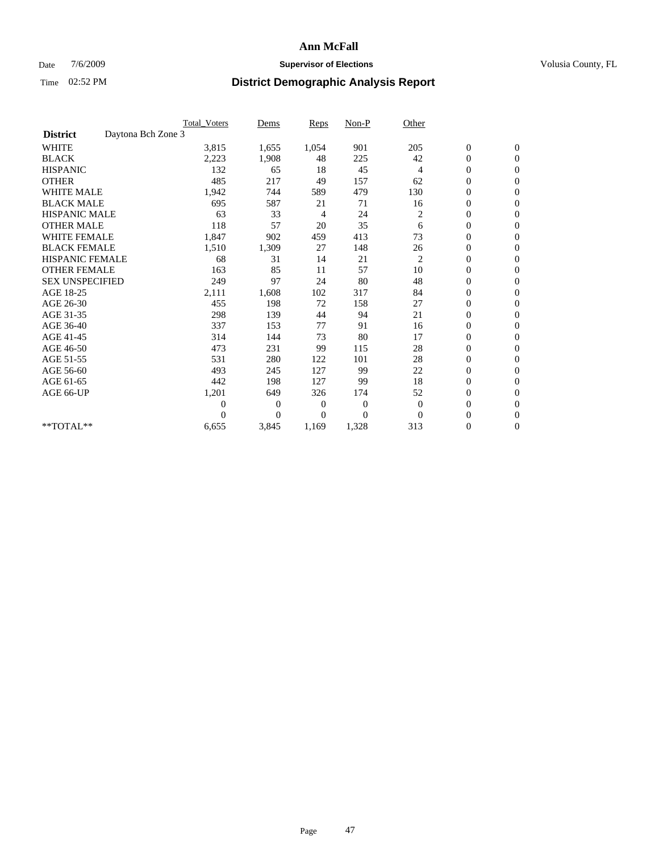## Date  $7/6/2009$  **Supervisor of Elections Supervisor of Elections** Volusia County, FL

|                        |                    | <b>Total Voters</b> | Dems           | <b>Reps</b> | $Non-P$        | Other          |                  |                  |  |
|------------------------|--------------------|---------------------|----------------|-------------|----------------|----------------|------------------|------------------|--|
| <b>District</b>        | Daytona Bch Zone 3 |                     |                |             |                |                |                  |                  |  |
| <b>WHITE</b>           |                    | 3,815               | 1,655          | 1,054       | 901            | 205            | $\boldsymbol{0}$ | $\boldsymbol{0}$ |  |
| <b>BLACK</b>           |                    | 2,223               | 1,908          | 48          | 225            | 42             | $\boldsymbol{0}$ | $\mathbf{0}$     |  |
| <b>HISPANIC</b>        |                    | 132                 | 65             | 18          | 45             | $\overline{4}$ | $\overline{0}$   | $\mathbf{0}$     |  |
| <b>OTHER</b>           |                    | 485                 | 217            | 49          | 157            | 62             | $\boldsymbol{0}$ | $\Omega$         |  |
| <b>WHITE MALE</b>      |                    | 1,942               | 744            | 589         | 479            | 130            | $\boldsymbol{0}$ | $\mathbf{0}$     |  |
| <b>BLACK MALE</b>      |                    | 695                 | 587            | 21          | 71             | 16             | $\boldsymbol{0}$ | $\mathbf{0}$     |  |
| <b>HISPANIC MALE</b>   |                    | 63                  | 33             | 4           | 24             | $\overline{c}$ | $\boldsymbol{0}$ | $\mathbf{0}$     |  |
| <b>OTHER MALE</b>      |                    | 118                 | 57             | 20          | 35             | 6              | $\boldsymbol{0}$ | $\mathbf{0}$     |  |
| <b>WHITE FEMALE</b>    |                    | 1,847               | 902            | 459         | 413            | 73             | $\overline{0}$   | $\mathbf{0}$     |  |
| <b>BLACK FEMALE</b>    |                    | 1,510               | 1,309          | 27          | 148            | 26             | $\boldsymbol{0}$ | $\mathbf{0}$     |  |
| <b>HISPANIC FEMALE</b> |                    | 68                  | 31             | 14          | 21             | $\overline{c}$ | $\boldsymbol{0}$ | $\mathbf{0}$     |  |
| <b>OTHER FEMALE</b>    |                    | 163                 | 85             | 11          | 57             | 10             | $\mathbf{0}$     | $\mathbf{0}$     |  |
| <b>SEX UNSPECIFIED</b> |                    | 249                 | 97             | 24          | 80             | 48             | $\boldsymbol{0}$ | $\mathbf{0}$     |  |
| AGE 18-25              |                    | 2,111               | 1,608          | 102         | 317            | 84             | $\boldsymbol{0}$ | $\mathbf{0}$     |  |
| AGE 26-30              |                    | 455                 | 198            | 72          | 158            | 27             | $\overline{0}$   | $\mathbf{0}$     |  |
| AGE 31-35              |                    | 298                 | 139            | 44          | 94             | 21             | $\boldsymbol{0}$ | $\mathbf{0}$     |  |
| AGE 36-40              |                    | 337                 | 153            | 77          | 91             | 16             | $\boldsymbol{0}$ | $\mathbf{0}$     |  |
| AGE 41-45              |                    | 314                 | 144            | 73          | 80             | 17             | $\overline{0}$   | $\mathbf{0}$     |  |
| AGE 46-50              |                    | 473                 | 231            | 99          | 115            | 28             | $\boldsymbol{0}$ | $\mathbf{0}$     |  |
| AGE 51-55              |                    | 531                 | 280            | 122         | 101            | 28             | $\boldsymbol{0}$ | $\mathbf{0}$     |  |
| AGE 56-60              |                    | 493                 | 245            | 127         | 99             | 22             | $\overline{0}$   | $\Omega$         |  |
| AGE 61-65              |                    | 442                 | 198            | 127         | 99             | 18             | $\mathbf{0}$     | $\mathbf{0}$     |  |
| AGE 66-UP              |                    | 1,201               | 649            | 326         | 174            | 52             | $\boldsymbol{0}$ | $\mathbf{0}$     |  |
|                        |                    | $\overline{0}$      | $\overline{0}$ | 0           | $\overline{0}$ | $\theta$       | $\overline{0}$   | $\mathbf{0}$     |  |
|                        |                    | $\Omega$            | $\overline{0}$ | $\Omega$    | $\Omega$       | $\Omega$       | $\boldsymbol{0}$ | $\mathbf{0}$     |  |
| **TOTAL**              |                    | 6,655               | 3,845          | 1,169       | 1,328          | 313            | 0                | $\mathbf{0}$     |  |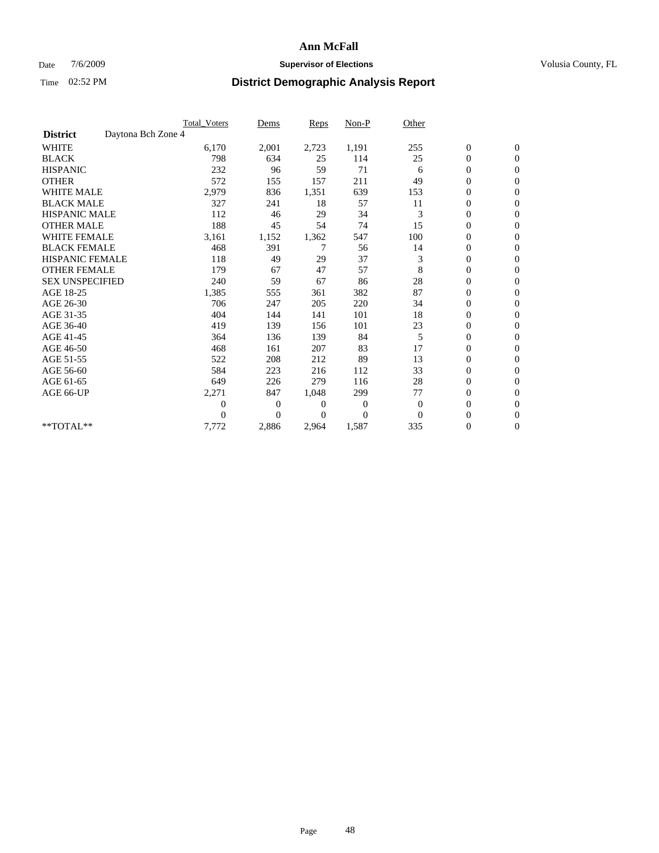## Date  $7/6/2009$  **Supervisor of Elections Supervisor of Elections** Volusia County, FL

|                        |                    | Total Voters | Dems           | <b>Reps</b> | Non-P          | Other        |                  |                |  |
|------------------------|--------------------|--------------|----------------|-------------|----------------|--------------|------------------|----------------|--|
| <b>District</b>        | Daytona Bch Zone 4 |              |                |             |                |              |                  |                |  |
| <b>WHITE</b>           |                    | 6,170        | 2,001          | 2,723       | 1,191          | 255          | $\boldsymbol{0}$ | $\mathbf{0}$   |  |
| <b>BLACK</b>           |                    | 798          | 634            | 25          | 114            | 25           | $\boldsymbol{0}$ | $\mathbf{0}$   |  |
| <b>HISPANIC</b>        |                    | 232          | 96             | 59          | 71             | 6            | $\mathbf{0}$     | $\mathbf{0}$   |  |
| <b>OTHER</b>           |                    | 572          | 155            | 157         | 211            | 49           | $\overline{0}$   | $\mathbf{0}$   |  |
| <b>WHITE MALE</b>      |                    | 2,979        | 836            | 1,351       | 639            | 153          | $\boldsymbol{0}$ | $\mathbf{0}$   |  |
| <b>BLACK MALE</b>      |                    | 327          | 241            | 18          | 57             | 11           | $\boldsymbol{0}$ | $\mathbf{0}$   |  |
| <b>HISPANIC MALE</b>   |                    | 112          | 46             | 29          | 34             | 3            | $\boldsymbol{0}$ | $\mathbf{0}$   |  |
| <b>OTHER MALE</b>      |                    | 188          | 45             | 54          | 74             | 15           | 0                | $\mathbf{0}$   |  |
| <b>WHITE FEMALE</b>    |                    | 3,161        | 1,152          | 1,362       | 547            | 100          | $\overline{0}$   | $\mathbf{0}$   |  |
| <b>BLACK FEMALE</b>    |                    | 468          | 391            | 7           | 56             | 14           | $\boldsymbol{0}$ | $\mathbf{0}$   |  |
| <b>HISPANIC FEMALE</b> |                    | 118          | 49             | 29          | 37             | 3            | $\boldsymbol{0}$ | $\mathbf{0}$   |  |
| <b>OTHER FEMALE</b>    |                    | 179          | 67             | 47          | 57             | 8            | $\overline{0}$   | $\Omega$       |  |
| <b>SEX UNSPECIFIED</b> |                    | 240          | 59             | 67          | 86             | 28           | $\overline{0}$   | $\mathbf{0}$   |  |
| AGE 18-25              |                    | 1,385        | 555            | 361         | 382            | 87           | $\overline{0}$   | $\mathbf{0}$   |  |
| AGE 26-30              |                    | 706          | 247            | 205         | 220            | 34           | $\overline{0}$   | $\mathbf{0}$   |  |
| AGE 31-35              |                    | 404          | 144            | 141         | 101            | 18           | $\boldsymbol{0}$ | $\mathbf{0}$   |  |
| AGE 36-40              |                    | 419          | 139            | 156         | 101            | 23           | $\boldsymbol{0}$ | $\mathbf{0}$   |  |
| AGE 41-45              |                    | 364          | 136            | 139         | 84             | 5            | $\overline{0}$   | $\mathbf{0}$   |  |
| AGE 46-50              |                    | 468          | 161            | 207         | 83             | 17           | $\mathbf{0}$     | $\mathbf{0}$   |  |
| AGE 51-55              |                    | 522          | 208            | 212         | 89             | 13           | $\boldsymbol{0}$ | $\mathbf{0}$   |  |
| AGE 56-60              |                    | 584          | 223            | 216         | 112            | 33           | $\overline{0}$   | $\Omega$       |  |
| AGE 61-65              |                    | 649          | 226            | 279         | 116            | 28           | $\boldsymbol{0}$ | $\overline{0}$ |  |
| AGE 66-UP              |                    | 2,271        | 847            | 1,048       | 299            | 77           | $\overline{0}$   | $\mathbf{0}$   |  |
|                        |                    | $\theta$     | $\overline{0}$ | 0           | 0              | $\mathbf{0}$ | $\overline{0}$   | $\Omega$       |  |
|                        |                    | $\theta$     | $\theta$       | 0           | $\overline{0}$ | $\Omega$     | $\overline{0}$   | $\overline{0}$ |  |
| **TOTAL**              |                    | 7,772        | 2,886          | 2,964       | 1,587          | 335          | 0                | $\mathbf{0}$   |  |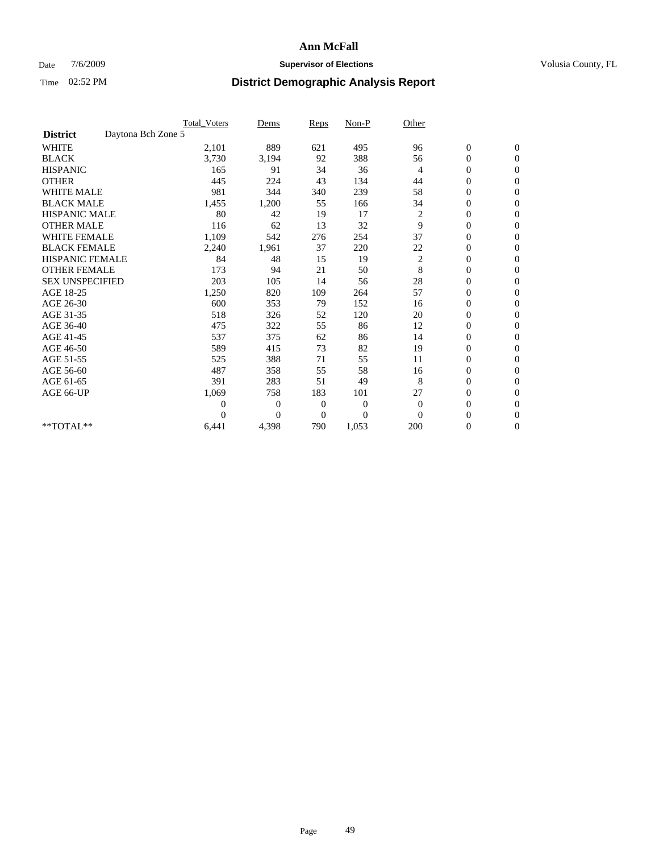## Date  $7/6/2009$  **Supervisor of Elections Supervisor of Elections** Volusia County, FL

|                        |                    | <b>Total Voters</b> | Dems           | <b>Reps</b>  | $Non-P$      | Other          |                  |                  |  |
|------------------------|--------------------|---------------------|----------------|--------------|--------------|----------------|------------------|------------------|--|
| <b>District</b>        | Daytona Bch Zone 5 |                     |                |              |              |                |                  |                  |  |
| <b>WHITE</b>           |                    | 2,101               | 889            | 621          | 495          | 96             | $\boldsymbol{0}$ | $\boldsymbol{0}$ |  |
| <b>BLACK</b>           |                    | 3,730               | 3,194          | 92           | 388          | 56             | $\boldsymbol{0}$ | $\mathbf{0}$     |  |
| <b>HISPANIC</b>        |                    | 165                 | 91             | 34           | 36           | $\overline{4}$ | $\overline{0}$   | $\mathbf{0}$     |  |
| <b>OTHER</b>           |                    | 445                 | 224            | 43           | 134          | 44             | $\boldsymbol{0}$ | $\Omega$         |  |
| <b>WHITE MALE</b>      |                    | 981                 | 344            | 340          | 239          | 58             | $\overline{0}$   | $\mathbf{0}$     |  |
| <b>BLACK MALE</b>      |                    | 1,455               | 1,200          | 55           | 166          | 34             | $\boldsymbol{0}$ | $\mathbf{0}$     |  |
| <b>HISPANIC MALE</b>   |                    | 80                  | 42             | 19           | 17           | $\overline{c}$ | $\boldsymbol{0}$ | $\mathbf{0}$     |  |
| <b>OTHER MALE</b>      |                    | 116                 | 62             | 13           | 32           | 9              | $\boldsymbol{0}$ | $\mathbf{0}$     |  |
| <b>WHITE FEMALE</b>    |                    | 1,109               | 542            | 276          | 254          | 37             | $\overline{0}$   | $\mathbf{0}$     |  |
| <b>BLACK FEMALE</b>    |                    | 2,240               | 1,961          | 37           | 220          | 22             | $\boldsymbol{0}$ | $\mathbf{0}$     |  |
| <b>HISPANIC FEMALE</b> |                    | 84                  | 48             | 15           | 19           | $\overline{c}$ | $\boldsymbol{0}$ | $\mathbf{0}$     |  |
| <b>OTHER FEMALE</b>    |                    | 173                 | 94             | 21           | 50           | 8              | $\mathbf{0}$     | $\mathbf{0}$     |  |
| <b>SEX UNSPECIFIED</b> |                    | 203                 | 105            | 14           | 56           | 28             | $\boldsymbol{0}$ | $\mathbf{0}$     |  |
| AGE 18-25              |                    | 1,250               | 820            | 109          | 264          | 57             | $\overline{0}$   | $\mathbf{0}$     |  |
| AGE 26-30              |                    | 600                 | 353            | 79           | 152          | 16             | $\overline{0}$   | $\mathbf{0}$     |  |
| AGE 31-35              |                    | 518                 | 326            | 52           | 120          | 20             | $\boldsymbol{0}$ | $\mathbf{0}$     |  |
| AGE 36-40              |                    | 475                 | 322            | 55           | 86           | 12             | 0                | $\mathbf{0}$     |  |
| AGE 41-45              |                    | 537                 | 375            | 62           | 86           | 14             | $\overline{0}$   | $\mathbf{0}$     |  |
| AGE 46-50              |                    | 589                 | 415            | 73           | 82           | 19             | $\boldsymbol{0}$ | $\mathbf{0}$     |  |
| AGE 51-55              |                    | 525                 | 388            | 71           | 55           | 11             | $\boldsymbol{0}$ | $\mathbf{0}$     |  |
| AGE 56-60              |                    | 487                 | 358            | 55           | 58           | 16             | $\boldsymbol{0}$ | $\Omega$         |  |
| AGE 61-65              |                    | 391                 | 283            | 51           | 49           | 8              | $\overline{0}$   | $\mathbf{0}$     |  |
| AGE 66-UP              |                    | 1,069               | 758            | 183          | 101          | 27             | $\boldsymbol{0}$ | $\mathbf{0}$     |  |
|                        |                    | 0                   | $\overline{0}$ | 0            | $\mathbf{0}$ | $\theta$       | $\overline{0}$   | $\mathbf{0}$     |  |
|                        |                    | $\theta$            | $\overline{0}$ | $\mathbf{0}$ | $\theta$     | $\Omega$       | $\boldsymbol{0}$ | $\mathbf{0}$     |  |
| **TOTAL**              |                    | 6,441               | 4,398          | 790          | 1,053        | 200            | 0                | $\mathbf{0}$     |  |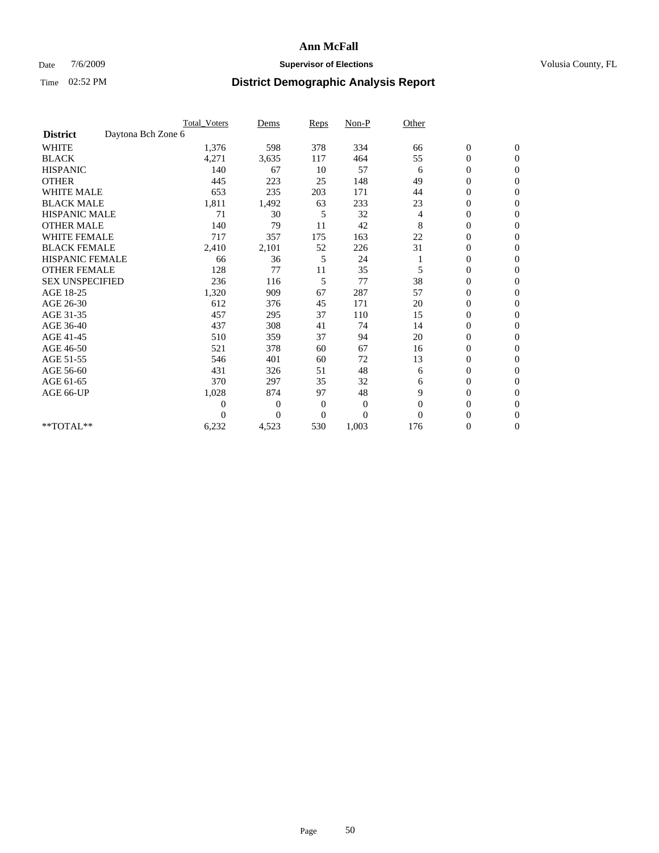## Date  $7/6/2009$  **Supervisor of Elections Supervisor of Elections** Volusia County, FL

|                        |                    | Total Voters | Dems           | <b>Reps</b>    | $Non-P$          | Other    |                  |                |  |
|------------------------|--------------------|--------------|----------------|----------------|------------------|----------|------------------|----------------|--|
| <b>District</b>        | Daytona Bch Zone 6 |              |                |                |                  |          |                  |                |  |
| <b>WHITE</b>           |                    | 1,376        | 598            | 378            | 334              | 66       | $\boldsymbol{0}$ | $\mathbf{0}$   |  |
| <b>BLACK</b>           |                    | 4,271        | 3,635          | 117            | 464              | 55       | $\boldsymbol{0}$ | $\mathbf{0}$   |  |
| <b>HISPANIC</b>        |                    | 140          | 67             | 10             | 57               | 6        | $\mathbf{0}$     | $\mathbf{0}$   |  |
| <b>OTHER</b>           |                    | 445          | 223            | 25             | 148              | 49       | $\overline{0}$   | $\mathbf{0}$   |  |
| <b>WHITE MALE</b>      |                    | 653          | 235            | 203            | 171              | 44       | 0                | $\mathbf{0}$   |  |
| <b>BLACK MALE</b>      |                    | 1,811        | 1,492          | 63             | 233              | 23       | $\boldsymbol{0}$ | $\mathbf{0}$   |  |
| <b>HISPANIC MALE</b>   |                    | 71           | 30             | 5              | 32               | 4        | $\boldsymbol{0}$ | $\Omega$       |  |
| <b>OTHER MALE</b>      |                    | 140          | 79             | 11             | 42               | 8        | 0                | $\mathbf{0}$   |  |
| <b>WHITE FEMALE</b>    |                    | 717          | 357            | 175            | 163              | 22       | 0                | $\Omega$       |  |
| <b>BLACK FEMALE</b>    |                    | 2,410        | 2,101          | 52             | 226              | 31       | $\boldsymbol{0}$ | $\mathbf{0}$   |  |
| <b>HISPANIC FEMALE</b> |                    | 66           | 36             | 5              | 24               |          | $\boldsymbol{0}$ | $\mathbf{0}$   |  |
| <b>OTHER FEMALE</b>    |                    | 128          | 77             | 11             | 35               | 5        | $\overline{0}$   | $\Omega$       |  |
| <b>SEX UNSPECIFIED</b> |                    | 236          | 116            | 5              | 77               | 38       | $\overline{0}$   | $\mathbf{0}$   |  |
| AGE 18-25              |                    | 1,320        | 909            | 67             | 287              | 57       | 0                | $\mathbf{0}$   |  |
| AGE 26-30              |                    | 612          | 376            | 45             | 171              | 20       | $\overline{0}$   | $\mathbf{0}$   |  |
| AGE 31-35              |                    | 457          | 295            | 37             | 110              | 15       | $\boldsymbol{0}$ | $\mathbf{0}$   |  |
| AGE 36-40              |                    | 437          | 308            | 41             | 74               | 14       | 0                | $\mathbf{0}$   |  |
| AGE 41-45              |                    | 510          | 359            | 37             | 94               | 20       | $\overline{0}$   | $\mathbf{0}$   |  |
| AGE 46-50              |                    | 521          | 378            | 60             | 67               | 16       | $\overline{0}$   | $\mathbf{0}$   |  |
| AGE 51-55              |                    | 546          | 401            | 60             | 72               | 13       | $\boldsymbol{0}$ | $\mathbf{0}$   |  |
| AGE 56-60              |                    | 431          | 326            | 51             | 48               | 6        | $\overline{0}$   | $\Omega$       |  |
| AGE 61-65              |                    | 370          | 297            | 35             | 32               | 6        | $\boldsymbol{0}$ | $\mathbf{0}$   |  |
| AGE 66-UP              |                    | 1,028        | 874            | 97             | 48               | 9        | $\overline{0}$   | $\mathbf{0}$   |  |
|                        |                    | $\theta$     | $\overline{0}$ | $\mathbf{0}$   | $\boldsymbol{0}$ | $\theta$ | 0                | $\Omega$       |  |
|                        |                    | $\theta$     | $\overline{0}$ | $\overline{0}$ | $\overline{0}$   | $\Omega$ | $\overline{0}$   | $\overline{0}$ |  |
| **TOTAL**              |                    | 6,232        | 4,523          | 530            | 1,003            | 176      | 0                | $\mathbf{0}$   |  |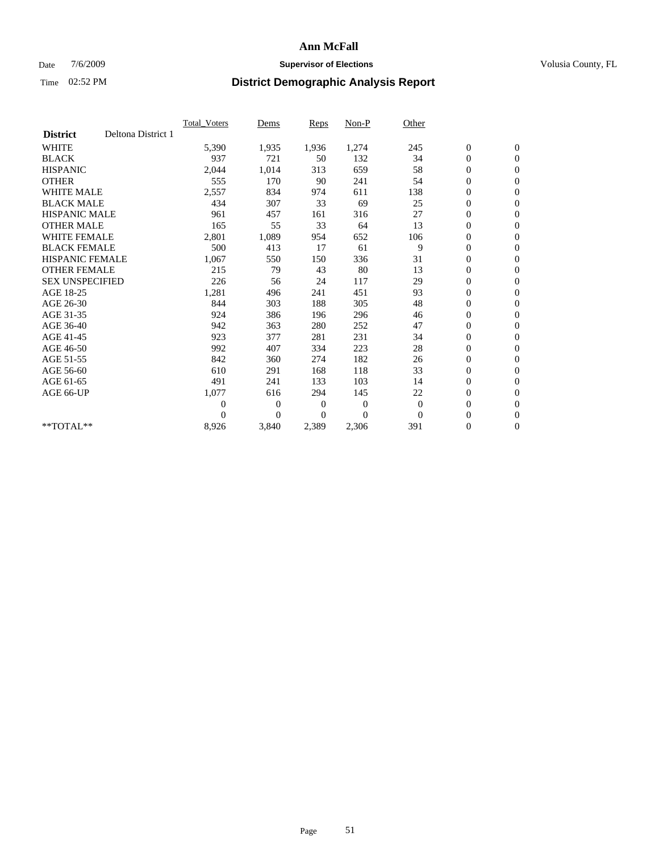## Date  $7/6/2009$  **Supervisor of Elections Supervisor of Elections** Volusia County, FL

|                        |                    | Total Voters   | Dems           | <b>Reps</b> | Non-P        | Other    |                  |                  |  |
|------------------------|--------------------|----------------|----------------|-------------|--------------|----------|------------------|------------------|--|
| <b>District</b>        | Deltona District 1 |                |                |             |              |          |                  |                  |  |
| <b>WHITE</b>           |                    | 5,390          | 1,935          | 1,936       | 1,274        | 245      | $\boldsymbol{0}$ | $\boldsymbol{0}$ |  |
| <b>BLACK</b>           |                    | 937            | 721            | 50          | 132          | 34       | $\boldsymbol{0}$ | $\mathbf{0}$     |  |
| <b>HISPANIC</b>        |                    | 2,044          | 1,014          | 313         | 659          | 58       | $\overline{0}$   | $\mathbf{0}$     |  |
| <b>OTHER</b>           |                    | 555            | 170            | 90          | 241          | 54       | $\boldsymbol{0}$ | $\mathbf{0}$     |  |
| <b>WHITE MALE</b>      |                    | 2,557          | 834            | 974         | 611          | 138      | $\boldsymbol{0}$ | $\mathbf{0}$     |  |
| <b>BLACK MALE</b>      |                    | 434            | 307            | 33          | 69           | 25       | $\boldsymbol{0}$ | $\mathbf{0}$     |  |
| <b>HISPANIC MALE</b>   |                    | 961            | 457            | 161         | 316          | 27       | $\boldsymbol{0}$ | $\mathbf{0}$     |  |
| <b>OTHER MALE</b>      |                    | 165            | 55             | 33          | 64           | 13       | $\boldsymbol{0}$ | $\mathbf{0}$     |  |
| <b>WHITE FEMALE</b>    |                    | 2,801          | 1,089          | 954         | 652          | 106      | $\overline{0}$   | $\mathbf{0}$     |  |
| <b>BLACK FEMALE</b>    |                    | 500            | 413            | 17          | 61           | 9        | $\boldsymbol{0}$ | $\mathbf{0}$     |  |
| <b>HISPANIC FEMALE</b> |                    | 1,067          | 550            | 150         | 336          | 31       | $\boldsymbol{0}$ | $\mathbf{0}$     |  |
| <b>OTHER FEMALE</b>    |                    | 215            | 79             | 43          | 80           | 13       | $\mathbf{0}$     | $\mathbf{0}$     |  |
| <b>SEX UNSPECIFIED</b> |                    | 226            | 56             | 24          | 117          | 29       | $\boldsymbol{0}$ | $\mathbf{0}$     |  |
| AGE 18-25              |                    | 1,281          | 496            | 241         | 451          | 93       | $\boldsymbol{0}$ | $\mathbf{0}$     |  |
| AGE 26-30              |                    | 844            | 303            | 188         | 305          | 48       | $\overline{0}$   | $\mathbf{0}$     |  |
| AGE 31-35              |                    | 924            | 386            | 196         | 296          | 46       | $\boldsymbol{0}$ | $\boldsymbol{0}$ |  |
| AGE 36-40              |                    | 942            | 363            | 280         | 252          | 47       | $\boldsymbol{0}$ | $\mathbf{0}$     |  |
| AGE 41-45              |                    | 923            | 377            | 281         | 231          | 34       | $\overline{0}$   | $\mathbf{0}$     |  |
| AGE 46-50              |                    | 992            | 407            | 334         | 223          | 28       | $\boldsymbol{0}$ | $\mathbf{0}$     |  |
| AGE 51-55              |                    | 842            | 360            | 274         | 182          | 26       | $\boldsymbol{0}$ | $\mathbf{0}$     |  |
| AGE 56-60              |                    | 610            | 291            | 168         | 118          | 33       | $\boldsymbol{0}$ | $\mathbf{0}$     |  |
| AGE 61-65              |                    | 491            | 241            | 133         | 103          | 14       | $\boldsymbol{0}$ | $\mathbf{0}$     |  |
| AGE 66-UP              |                    | 1,077          | 616            | 294         | 145          | 22       | $\boldsymbol{0}$ | $\mathbf{0}$     |  |
|                        |                    | $\overline{0}$ | $\overline{0}$ | 0           | $\mathbf{0}$ | $\theta$ | $\overline{0}$   | $\mathbf{0}$     |  |
|                        |                    | $\Omega$       | $\overline{0}$ | $\Omega$    | $\theta$     | $\theta$ | $\boldsymbol{0}$ | $\mathbf{0}$     |  |
| **TOTAL**              |                    | 8,926          | 3,840          | 2,389       | 2,306        | 391      | 0                | $\mathbf{0}$     |  |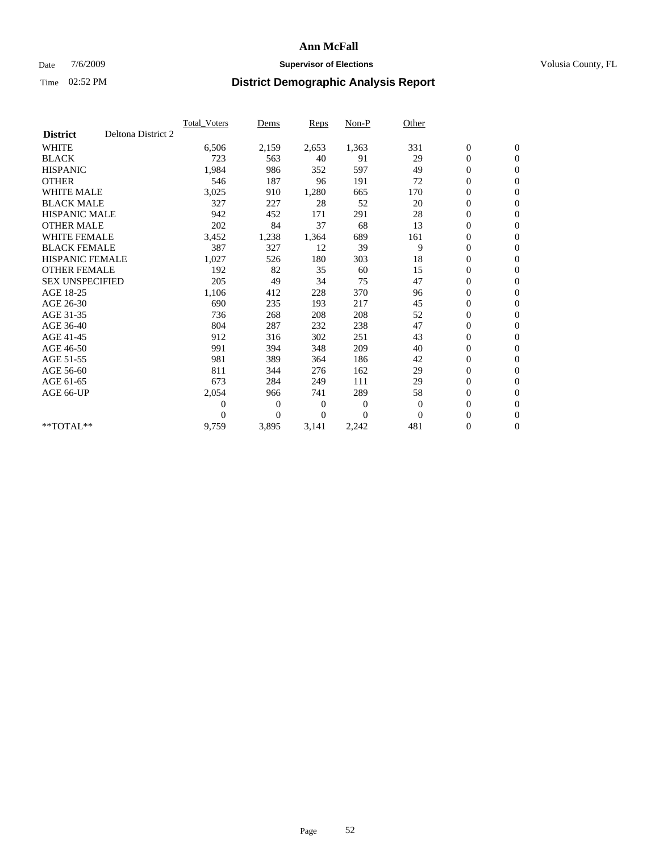### Date  $7/6/2009$  **Supervisor of Elections Supervisor of Elections** Volusia County, FL

|                                       | <b>Total Voters</b> | Dems           | <b>Reps</b>    | Non-P        | Other        |                  |                  |  |
|---------------------------------------|---------------------|----------------|----------------|--------------|--------------|------------------|------------------|--|
| Deltona District 2<br><b>District</b> |                     |                |                |              |              |                  |                  |  |
| <b>WHITE</b>                          | 6,506               | 2,159          | 2,653          | 1,363        | 331          | $\boldsymbol{0}$ | $\boldsymbol{0}$ |  |
| <b>BLACK</b>                          | 723                 | 563            | 40             | 91           | 29           | $\boldsymbol{0}$ | $\mathbf{0}$     |  |
| <b>HISPANIC</b>                       | 1,984               | 986            | 352            | 597          | 49           | $\overline{0}$   | $\mathbf{0}$     |  |
| <b>OTHER</b>                          | 546                 | 187            | 96             | 191          | 72           | 0                | $\mathbf{0}$     |  |
| <b>WHITE MALE</b>                     | 3,025               | 910            | 1,280          | 665          | 170          | $\boldsymbol{0}$ | $\mathbf{0}$     |  |
| <b>BLACK MALE</b>                     | 327                 | 227            | 28             | 52           | 20           | $\overline{0}$   | $\mathbf{0}$     |  |
| <b>HISPANIC MALE</b>                  | 942                 | 452            | 171            | 291          | 28           | $\boldsymbol{0}$ | $\Omega$         |  |
| <b>OTHER MALE</b>                     | 202                 | 84             | 37             | 68           | 13           | $\overline{0}$   | $\mathbf{0}$     |  |
| <b>WHITE FEMALE</b>                   | 3,452               | 1,238          | 1,364          | 689          | 161          | $\boldsymbol{0}$ | $\mathbf{0}$     |  |
| <b>BLACK FEMALE</b>                   | 387                 | 327            | 12             | 39           | 9            | $\boldsymbol{0}$ | $\mathbf{0}$     |  |
| <b>HISPANIC FEMALE</b>                | 1,027               | 526            | 180            | 303          | 18           | 0                | $\mathbf{0}$     |  |
| <b>OTHER FEMALE</b>                   | 192                 | 82             | 35             | 60           | 15           | $\mathbf{0}$     | $\mathbf{0}$     |  |
| <b>SEX UNSPECIFIED</b>                | 205                 | 49             | 34             | 75           | 47           | $\boldsymbol{0}$ | $\mathbf{0}$     |  |
| AGE 18-25                             | 1,106               | 412            | 228            | 370          | 96           | $\boldsymbol{0}$ | $\mathbf{0}$     |  |
| AGE 26-30                             | 690                 | 235            | 193            | 217          | 45           | $\mathbf{0}$     | $\mathbf{0}$     |  |
| AGE 31-35                             | 736                 | 268            | 208            | 208          | 52           | $\boldsymbol{0}$ | $\mathbf{0}$     |  |
| AGE 36-40                             | 804                 | 287            | 232            | 238          | 47           | $\boldsymbol{0}$ | $\mathbf{0}$     |  |
| AGE 41-45                             | 912                 | 316            | 302            | 251          | 43           | $\boldsymbol{0}$ | $\mathbf{0}$     |  |
| AGE 46-50                             | 991                 | 394            | 348            | 209          | 40           | $\boldsymbol{0}$ | $\Omega$         |  |
| AGE 51-55                             | 981                 | 389            | 364            | 186          | 42           | $\boldsymbol{0}$ | $\mathbf{0}$     |  |
| AGE 56-60                             | 811                 | 344            | 276            | 162          | 29           | $\overline{0}$   | $\mathbf{0}$     |  |
| AGE 61-65                             | 673                 | 284            | 249            | 111          | 29           | $\overline{0}$   | $\mathbf{0}$     |  |
| AGE 66-UP                             | 2,054               | 966            | 741            | 289          | 58           | $\boldsymbol{0}$ | $\mathbf{0}$     |  |
|                                       | $\overline{0}$      | $\overline{0}$ | $\mathbf{0}$   | $\mathbf{0}$ | $\mathbf{0}$ | $\mathbf{0}$     | $\mathbf{0}$     |  |
|                                       | $\Omega$            | $\overline{0}$ | $\overline{0}$ | $\theta$     | $\mathbf{0}$ | 0                | $\mathbf{0}$     |  |
| **TOTAL**                             | 9,759               | 3,895          | 3,141          | 2,242        | 481          | 0                | $\boldsymbol{0}$ |  |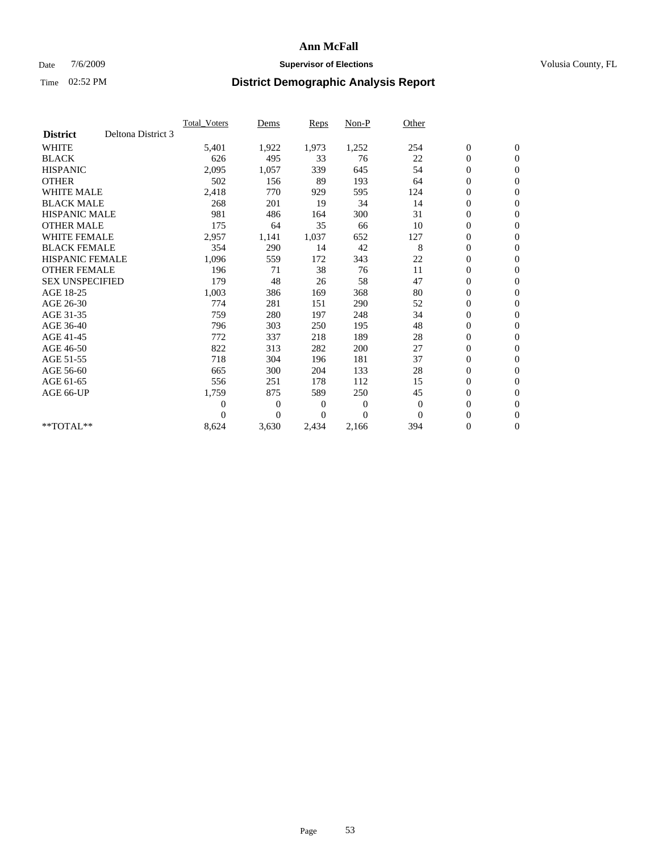### Date  $7/6/2009$  **Supervisor of Elections Supervisor of Elections** Volusia County, FL

|                        |                    | Total Voters   | Dems           | <b>Reps</b> | Non-P        | Other        |                  |                  |  |
|------------------------|--------------------|----------------|----------------|-------------|--------------|--------------|------------------|------------------|--|
| <b>District</b>        | Deltona District 3 |                |                |             |              |              |                  |                  |  |
| <b>WHITE</b>           |                    | 5,401          | 1,922          | 1,973       | 1,252        | 254          | $\boldsymbol{0}$ | $\boldsymbol{0}$ |  |
| <b>BLACK</b>           |                    | 626            | 495            | 33          | 76           | 22           | $\boldsymbol{0}$ | $\mathbf{0}$     |  |
| <b>HISPANIC</b>        |                    | 2,095          | 1,057          | 339         | 645          | 54           | $\overline{0}$   | $\mathbf{0}$     |  |
| <b>OTHER</b>           |                    | 502            | 156            | 89          | 193          | 64           | $\boldsymbol{0}$ | $\mathbf{0}$     |  |
| <b>WHITE MALE</b>      |                    | 2,418          | 770            | 929         | 595          | 124          | $\boldsymbol{0}$ | $\mathbf{0}$     |  |
| <b>BLACK MALE</b>      |                    | 268            | 201            | 19          | 34           | 14           | $\boldsymbol{0}$ | $\mathbf{0}$     |  |
| <b>HISPANIC MALE</b>   |                    | 981            | 486            | 164         | 300          | 31           | $\boldsymbol{0}$ | $\mathbf{0}$     |  |
| <b>OTHER MALE</b>      |                    | 175            | 64             | 35          | 66           | 10           | $\boldsymbol{0}$ | $\mathbf{0}$     |  |
| <b>WHITE FEMALE</b>    |                    | 2,957          | 1,141          | 1,037       | 652          | 127          | $\overline{0}$   | $\mathbf{0}$     |  |
| <b>BLACK FEMALE</b>    |                    | 354            | 290            | 14          | 42           | 8            | $\boldsymbol{0}$ | $\mathbf{0}$     |  |
| <b>HISPANIC FEMALE</b> |                    | 1,096          | 559            | 172         | 343          | 22           | $\boldsymbol{0}$ | $\mathbf{0}$     |  |
| <b>OTHER FEMALE</b>    |                    | 196            | 71             | 38          | 76           | 11           | $\mathbf{0}$     | $\mathbf{0}$     |  |
| <b>SEX UNSPECIFIED</b> |                    | 179            | 48             | 26          | 58           | 47           | $\boldsymbol{0}$ | $\mathbf{0}$     |  |
| AGE 18-25              |                    | 1,003          | 386            | 169         | 368          | 80           | $\boldsymbol{0}$ | $\mathbf{0}$     |  |
| AGE 26-30              |                    | 774            | 281            | 151         | 290          | 52           | $\overline{0}$   | $\mathbf{0}$     |  |
| AGE 31-35              |                    | 759            | 280            | 197         | 248          | 34           | $\boldsymbol{0}$ | $\mathbf{0}$     |  |
| AGE 36-40              |                    | 796            | 303            | 250         | 195          | 48           | $\boldsymbol{0}$ | $\mathbf{0}$     |  |
| AGE 41-45              |                    | 772            | 337            | 218         | 189          | 28           | $\overline{0}$   | $\mathbf{0}$     |  |
| AGE 46-50              |                    | 822            | 313            | 282         | 200          | 27           | $\boldsymbol{0}$ | $\mathbf{0}$     |  |
| AGE 51-55              |                    | 718            | 304            | 196         | 181          | 37           | $\boldsymbol{0}$ | $\mathbf{0}$     |  |
| AGE 56-60              |                    | 665            | 300            | 204         | 133          | 28           | $\boldsymbol{0}$ | $\mathbf{0}$     |  |
| AGE 61-65              |                    | 556            | 251            | 178         | 112          | 15           | $\overline{0}$   | $\mathbf{0}$     |  |
| AGE 66-UP              |                    | 1,759          | 875            | 589         | 250          | 45           | $\boldsymbol{0}$ | $\boldsymbol{0}$ |  |
|                        |                    | $\overline{0}$ | $\overline{0}$ | 0           | $\mathbf{0}$ | $\mathbf{0}$ | $\overline{0}$   | $\mathbf{0}$     |  |
|                        |                    | $\theta$       | $\theta$       | $\Omega$    | $\theta$     | $\Omega$     | $\boldsymbol{0}$ | $\mathbf{0}$     |  |
| **TOTAL**              |                    | 8,624          | 3,630          | 2,434       | 2,166        | 394          | 0                | $\mathbf{0}$     |  |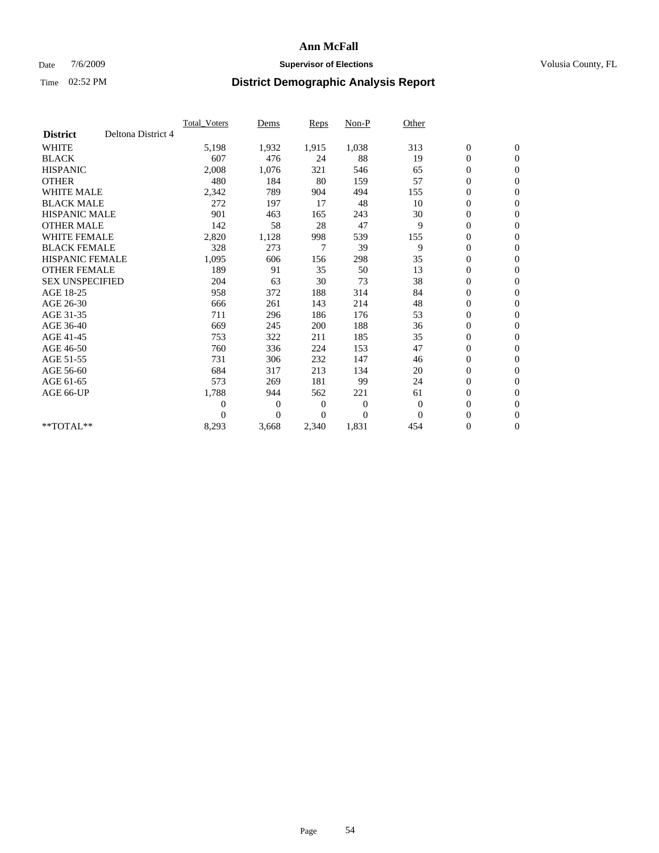## Date  $7/6/2009$  **Supervisor of Elections Supervisor of Elections** Volusia County, FL

|                        |                    | Total Voters   | Dems           | <b>Reps</b>    | Non-P          | Other          |                  |                  |  |
|------------------------|--------------------|----------------|----------------|----------------|----------------|----------------|------------------|------------------|--|
| <b>District</b>        | Deltona District 4 |                |                |                |                |                |                  |                  |  |
| <b>WHITE</b>           |                    | 5,198          | 1,932          | 1,915          | 1,038          | 313            | $\boldsymbol{0}$ | $\mathbf{0}$     |  |
| <b>BLACK</b>           |                    | 607            | 476            | 24             | 88             | 19             | $\boldsymbol{0}$ | $\mathbf{0}$     |  |
| <b>HISPANIC</b>        |                    | 2,008          | 1,076          | 321            | 546            | 65             | $\mathbf{0}$     | $\mathbf{0}$     |  |
| <b>OTHER</b>           |                    | 480            | 184            | 80             | 159            | 57             | $\overline{0}$   | $\mathbf{0}$     |  |
| <b>WHITE MALE</b>      |                    | 2,342          | 789            | 904            | 494            | 155            | $\boldsymbol{0}$ | $\mathbf{0}$     |  |
| <b>BLACK MALE</b>      |                    | 272            | 197            | 17             | 48             | 10             | $\boldsymbol{0}$ | $\mathbf{0}$     |  |
| <b>HISPANIC MALE</b>   |                    | 901            | 463            | 165            | 243            | 30             | $\boldsymbol{0}$ | $\mathbf{0}$     |  |
| <b>OTHER MALE</b>      |                    | 142            | 58             | 28             | 47             | 9              | 0                | $\mathbf{0}$     |  |
| <b>WHITE FEMALE</b>    |                    | 2,820          | 1,128          | 998            | 539            | 155            | $\overline{0}$   | $\mathbf{0}$     |  |
| <b>BLACK FEMALE</b>    |                    | 328            | 273            | 7              | 39             | 9              | $\boldsymbol{0}$ | $\mathbf{0}$     |  |
| <b>HISPANIC FEMALE</b> |                    | 1,095          | 606            | 156            | 298            | 35             | $\boldsymbol{0}$ | $\boldsymbol{0}$ |  |
| <b>OTHER FEMALE</b>    |                    | 189            | 91             | 35             | 50             | 13             | $\overline{0}$   | $\mathbf{0}$     |  |
| <b>SEX UNSPECIFIED</b> |                    | 204            | 63             | 30             | 73             | 38             | $\mathbf{0}$     | $\mathbf{0}$     |  |
| AGE 18-25              |                    | 958            | 372            | 188            | 314            | 84             | $\boldsymbol{0}$ | $\mathbf{0}$     |  |
| AGE 26-30              |                    | 666            | 261            | 143            | 214            | 48             | $\overline{0}$   | $\mathbf{0}$     |  |
| AGE 31-35              |                    | 711            | 296            | 186            | 176            | 53             | $\boldsymbol{0}$ | $\mathbf{0}$     |  |
| AGE 36-40              |                    | 669            | 245            | 200            | 188            | 36             | $\boldsymbol{0}$ | $\mathbf{0}$     |  |
| AGE 41-45              |                    | 753            | 322            | 211            | 185            | 35             | $\overline{0}$   | $\mathbf{0}$     |  |
| AGE 46-50              |                    | 760            | 336            | 224            | 153            | 47             | $\mathbf{0}$     | $\mathbf{0}$     |  |
| AGE 51-55              |                    | 731            | 306            | 232            | 147            | 46             | $\boldsymbol{0}$ | $\mathbf{0}$     |  |
| AGE 56-60              |                    | 684            | 317            | 213            | 134            | 20             | $\boldsymbol{0}$ | $\mathbf{0}$     |  |
| AGE 61-65              |                    | 573            | 269            | 181            | 99             | 24             | $\boldsymbol{0}$ | $\mathbf{0}$     |  |
| AGE 66-UP              |                    | 1,788          | 944            | 562            | 221            | 61             | $\boldsymbol{0}$ | $\mathbf{0}$     |  |
|                        |                    | $\overline{0}$ | $\overline{0}$ | $\overline{0}$ | $\mathbf{0}$   | $\overline{0}$ | $\boldsymbol{0}$ | $\mathbf{0}$     |  |
|                        |                    | $\theta$       | $\theta$       | 0              | $\overline{0}$ | $\Omega$       | $\overline{0}$   | $\mathbf{0}$     |  |
| **TOTAL**              |                    | 8,293          | 3,668          | 2,340          | 1,831          | 454            | 0                | $\mathbf{0}$     |  |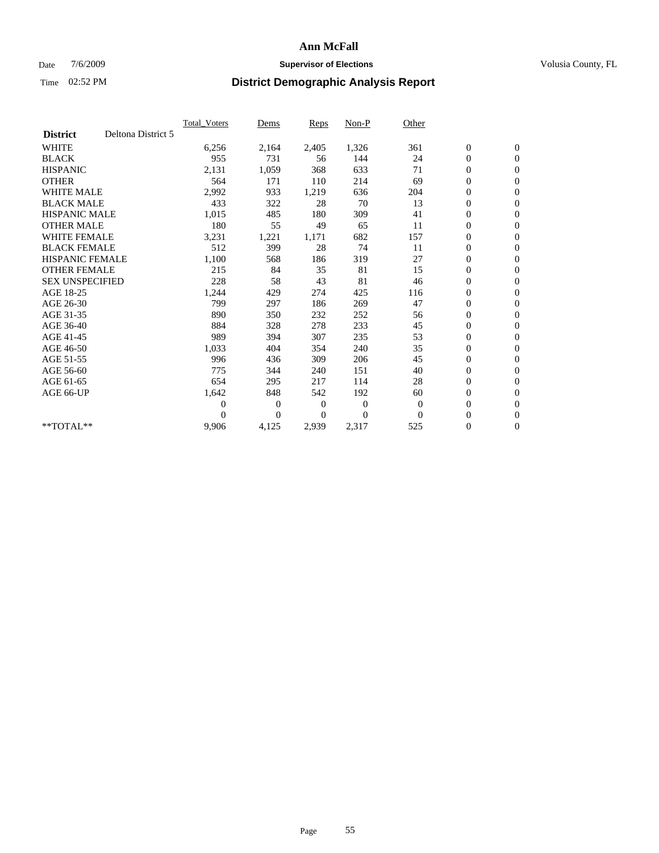## Date  $7/6/2009$  **Supervisor of Elections Supervisor of Elections** Volusia County, FL

|                        |                    | <b>Total Voters</b> | Dems           | <b>Reps</b> | Non-P        | Other        |                  |                  |  |
|------------------------|--------------------|---------------------|----------------|-------------|--------------|--------------|------------------|------------------|--|
| <b>District</b>        | Deltona District 5 |                     |                |             |              |              |                  |                  |  |
| <b>WHITE</b>           |                    | 6,256               | 2,164          | 2,405       | 1,326        | 361          | $\boldsymbol{0}$ | $\boldsymbol{0}$ |  |
| <b>BLACK</b>           |                    | 955                 | 731            | 56          | 144          | 24           | $\boldsymbol{0}$ | $\mathbf{0}$     |  |
| <b>HISPANIC</b>        |                    | 2,131               | 1,059          | 368         | 633          | 71           | $\overline{0}$   | $\mathbf{0}$     |  |
| <b>OTHER</b>           |                    | 564                 | 171            | 110         | 214          | 69           | $\boldsymbol{0}$ | $\mathbf{0}$     |  |
| <b>WHITE MALE</b>      |                    | 2,992               | 933            | 1,219       | 636          | 204          | $\boldsymbol{0}$ | $\mathbf{0}$     |  |
| <b>BLACK MALE</b>      |                    | 433                 | 322            | 28          | 70           | 13           | $\boldsymbol{0}$ | $\mathbf{0}$     |  |
| <b>HISPANIC MALE</b>   |                    | 1,015               | 485            | 180         | 309          | 41           | $\boldsymbol{0}$ | $\mathbf{0}$     |  |
| <b>OTHER MALE</b>      |                    | 180                 | 55             | 49          | 65           | 11           | $\boldsymbol{0}$ | $\mathbf{0}$     |  |
| <b>WHITE FEMALE</b>    |                    | 3,231               | 1,221          | 1,171       | 682          | 157          | $\mathbf{0}$     | $\mathbf{0}$     |  |
| <b>BLACK FEMALE</b>    |                    | 512                 | 399            | 28          | 74           | 11           | $\boldsymbol{0}$ | $\mathbf{0}$     |  |
| <b>HISPANIC FEMALE</b> |                    | 1,100               | 568            | 186         | 319          | 27           | $\boldsymbol{0}$ | $\mathbf{0}$     |  |
| <b>OTHER FEMALE</b>    |                    | 215                 | 84             | 35          | 81           | 15           | $\mathbf{0}$     | $\mathbf{0}$     |  |
| <b>SEX UNSPECIFIED</b> |                    | 228                 | 58             | 43          | 81           | 46           | $\boldsymbol{0}$ | $\mathbf{0}$     |  |
| AGE 18-25              |                    | 1,244               | 429            | 274         | 425          | 116          | $\boldsymbol{0}$ | $\mathbf{0}$     |  |
| AGE 26-30              |                    | 799                 | 297            | 186         | 269          | 47           | $\boldsymbol{0}$ | $\mathbf{0}$     |  |
| AGE 31-35              |                    | 890                 | 350            | 232         | 252          | 56           | $\boldsymbol{0}$ | $\boldsymbol{0}$ |  |
| AGE 36-40              |                    | 884                 | 328            | 278         | 233          | 45           | $\boldsymbol{0}$ | $\mathbf{0}$     |  |
| AGE 41-45              |                    | 989                 | 394            | 307         | 235          | 53           | $\overline{0}$   | $\mathbf{0}$     |  |
| AGE 46-50              |                    | 1,033               | 404            | 354         | 240          | 35           | $\boldsymbol{0}$ | $\mathbf{0}$     |  |
| AGE 51-55              |                    | 996                 | 436            | 309         | 206          | 45           | $\boldsymbol{0}$ | $\mathbf{0}$     |  |
| AGE 56-60              |                    | 775                 | 344            | 240         | 151          | 40           | $\boldsymbol{0}$ | $\mathbf{0}$     |  |
| AGE 61-65              |                    | 654                 | 295            | 217         | 114          | 28           | $\boldsymbol{0}$ | $\mathbf{0}$     |  |
| AGE 66-UP              |                    | 1,642               | 848            | 542         | 192          | 60           | $\boldsymbol{0}$ | $\mathbf{0}$     |  |
|                        |                    | $\overline{0}$      | $\overline{0}$ | 0           | $\mathbf{0}$ | $\mathbf{0}$ | $\overline{0}$   | $\mathbf{0}$     |  |
|                        |                    | $\theta$            | $\theta$       | $\Omega$    | $\theta$     | $\Omega$     | $\boldsymbol{0}$ | $\boldsymbol{0}$ |  |
| **TOTAL**              |                    | 9,906               | 4,125          | 2,939       | 2,317        | 525          | 0                | $\mathbf{0}$     |  |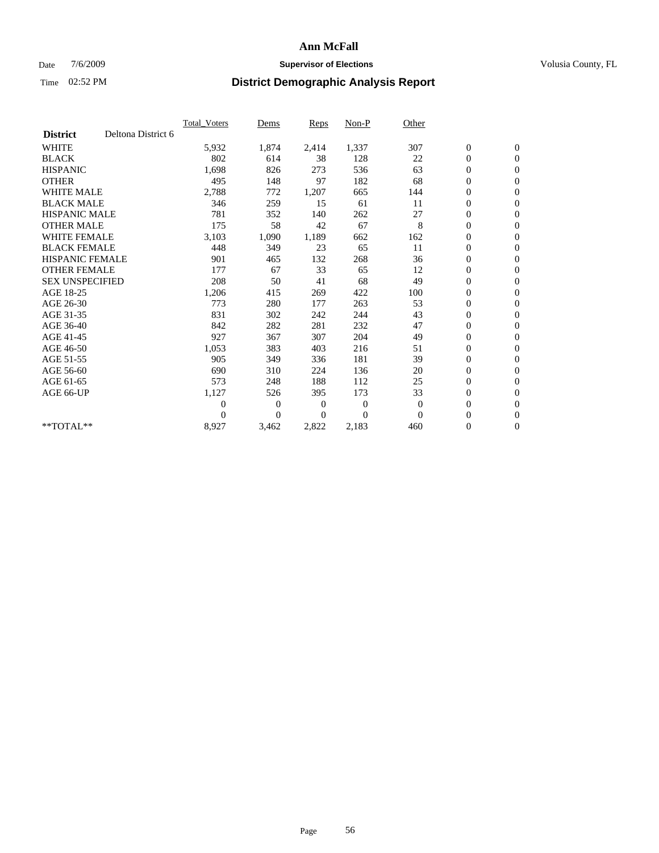## Date  $7/6/2009$  **Supervisor of Elections Supervisor of Elections** Volusia County, FL

|                        |                    | Total Voters   | Dems           | <b>Reps</b>    | Non-P        | Other          |                  |                  |  |
|------------------------|--------------------|----------------|----------------|----------------|--------------|----------------|------------------|------------------|--|
| <b>District</b>        | Deltona District 6 |                |                |                |              |                |                  |                  |  |
| <b>WHITE</b>           |                    | 5,932          | 1,874          | 2,414          | 1,337        | 307            | $\boldsymbol{0}$ | $\boldsymbol{0}$ |  |
| <b>BLACK</b>           |                    | 802            | 614            | 38             | 128          | 22             | $\boldsymbol{0}$ | $\mathbf{0}$     |  |
| <b>HISPANIC</b>        |                    | 1,698          | 826            | 273            | 536          | 63             | $\boldsymbol{0}$ | $\mathbf{0}$     |  |
| <b>OTHER</b>           |                    | 495            | 148            | 97             | 182          | 68             | $\boldsymbol{0}$ | $\mathbf{0}$     |  |
| <b>WHITE MALE</b>      |                    | 2,788          | 772            | 1,207          | 665          | 144            | $\boldsymbol{0}$ | $\mathbf{0}$     |  |
| <b>BLACK MALE</b>      |                    | 346            | 259            | 15             | 61           | 11             | $\overline{0}$   | $\mathbf{0}$     |  |
| <b>HISPANIC MALE</b>   |                    | 781            | 352            | 140            | 262          | 27             | $\boldsymbol{0}$ | $\mathbf{0}$     |  |
| <b>OTHER MALE</b>      |                    | 175            | 58             | 42             | 67           | 8              | $\overline{0}$   | $\mathbf{0}$     |  |
| <b>WHITE FEMALE</b>    |                    | 3,103          | 1,090          | 1,189          | 662          | 162            | $\boldsymbol{0}$ | $\mathbf{0}$     |  |
| <b>BLACK FEMALE</b>    |                    | 448            | 349            | 23             | 65           | 11             | $\boldsymbol{0}$ | $\mathbf{0}$     |  |
| <b>HISPANIC FEMALE</b> |                    | 901            | 465            | 132            | 268          | 36             | $\boldsymbol{0}$ | $\mathbf{0}$     |  |
| <b>OTHER FEMALE</b>    |                    | 177            | 67             | 33             | 65           | 12             | $\mathbf{0}$     | $\mathbf{0}$     |  |
| <b>SEX UNSPECIFIED</b> |                    | 208            | 50             | 41             | 68           | 49             | $\boldsymbol{0}$ | $\mathbf{0}$     |  |
| AGE 18-25              |                    | 1,206          | 415            | 269            | 422          | 100            | $\boldsymbol{0}$ | $\mathbf{0}$     |  |
| AGE 26-30              |                    | 773            | 280            | 177            | 263          | 53             | $\boldsymbol{0}$ | $\mathbf{0}$     |  |
| AGE 31-35              |                    | 831            | 302            | 242            | 244          | 43             | $\boldsymbol{0}$ | $\mathbf{0}$     |  |
| AGE 36-40              |                    | 842            | 282            | 281            | 232          | 47             | $\boldsymbol{0}$ | $\mathbf{0}$     |  |
| AGE 41-45              |                    | 927            | 367            | 307            | 204          | 49             | $\boldsymbol{0}$ | $\mathbf{0}$     |  |
| AGE 46-50              |                    | 1,053          | 383            | 403            | 216          | 51             | $\boldsymbol{0}$ | $\mathbf{0}$     |  |
| AGE 51-55              |                    | 905            | 349            | 336            | 181          | 39             | $\boldsymbol{0}$ | $\mathbf{0}$     |  |
| AGE 56-60              |                    | 690            | 310            | 224            | 136          | 20             | $\boldsymbol{0}$ | $\mathbf{0}$     |  |
| AGE 61-65              |                    | 573            | 248            | 188            | 112          | 25             | $\overline{0}$   | $\mathbf{0}$     |  |
| AGE 66-UP              |                    | 1,127          | 526            | 395            | 173          | 33             | $\boldsymbol{0}$ | $\mathbf{0}$     |  |
|                        |                    | $\overline{0}$ | $\overline{0}$ | $\overline{0}$ | $\mathbf{0}$ | $\overline{0}$ | $\mathbf{0}$     | $\mathbf{0}$     |  |
|                        |                    | $\Omega$       | $\overline{0}$ | $\overline{0}$ | $\theta$     | $\mathbf{0}$   | $\boldsymbol{0}$ | $\mathbf{0}$     |  |
| **TOTAL**              |                    | 8,927          | 3,462          | 2,822          | 2,183        | 460            | 0                | $\boldsymbol{0}$ |  |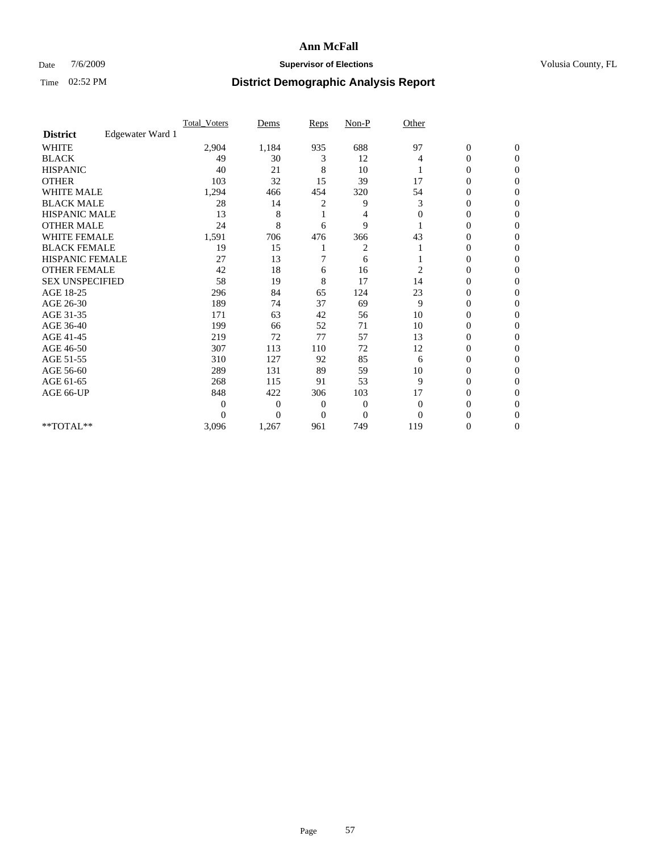## Date  $7/6/2009$  **Supervisor of Elections Supervisor of Elections** Volusia County, FL

|                        |                  | Total Voters | Dems           | <b>Reps</b>  | $Non-P$        | Other        |                  |                |  |
|------------------------|------------------|--------------|----------------|--------------|----------------|--------------|------------------|----------------|--|
| <b>District</b>        | Edgewater Ward 1 |              |                |              |                |              |                  |                |  |
| <b>WHITE</b>           |                  | 2,904        | 1,184          | 935          | 688            | 97           | $\boldsymbol{0}$ | $\mathbf{0}$   |  |
| <b>BLACK</b>           |                  | 49           | 30             | 3            | 12             | 4            | $\overline{0}$   | $\mathbf{0}$   |  |
| <b>HISPANIC</b>        |                  | 40           | 21             | 8            | 10             |              | $\overline{0}$   | $\Omega$       |  |
| <b>OTHER</b>           |                  | 103          | 32             | 15           | 39             | 17           | 0                | $\Omega$       |  |
| <b>WHITE MALE</b>      |                  | 1,294        | 466            | 454          | 320            | 54           | 0                | $\Omega$       |  |
| <b>BLACK MALE</b>      |                  | 28           | 14             | 2            | 9              | 3            | $\overline{0}$   | $\Omega$       |  |
| HISPANIC MALE          |                  | 13           | 8              |              | 4              | $\mathbf{0}$ | $\overline{0}$   | $\Omega$       |  |
| <b>OTHER MALE</b>      |                  | 24           | 8              | 6            | 9              |              | 0                | 0              |  |
| <b>WHITE FEMALE</b>    |                  | 1,591        | 706            | 476          | 366            | 43           | 0                | $\Omega$       |  |
| <b>BLACK FEMALE</b>    |                  | 19           | 15             |              | 2              |              | $\overline{0}$   | $\overline{0}$ |  |
| <b>HISPANIC FEMALE</b> |                  | 27           | 13             | 7            | 6              |              | 0                | $\Omega$       |  |
| <b>OTHER FEMALE</b>    |                  | 42           | 18             | 6            | 16             | 2            | 0                | 0              |  |
| <b>SEX UNSPECIFIED</b> |                  | 58           | 19             | 8            | 17             | 14           | 0                | $\Omega$       |  |
| AGE 18-25              |                  | 296          | 84             | 65           | 124            | 23           | 0                | $\mathbf{0}$   |  |
| AGE 26-30              |                  | 189          | 74             | 37           | 69             | 9            | 0                | $\Omega$       |  |
| AGE 31-35              |                  | 171          | 63             | 42           | 56             | 10           | $\overline{0}$   | $\Omega$       |  |
| AGE 36-40              |                  | 199          | 66             | 52           | 71             | 10           | 0                | $\Omega$       |  |
| AGE 41-45              |                  | 219          | 72             | 77           | 57             | 13           | $\mathbf{0}$     | $\Omega$       |  |
| AGE 46-50              |                  | 307          | 113            | 110          | 72             | 12           | $\overline{0}$   | $\Omega$       |  |
| AGE 51-55              |                  | 310          | 127            | 92           | 85             | 6            | 0                | 0              |  |
| AGE 56-60              |                  | 289          | 131            | 89           | 59             | 10           | 0                | $\Omega$       |  |
| AGE 61-65              |                  | 268          | 115            | 91           | 53             | 9            | 0                | $\Omega$       |  |
| AGE 66-UP              |                  | 848          | 422            | 306          | 103            | 17           | 0                | 0              |  |
|                        |                  | 0            | $\overline{0}$ | $\mathbf{0}$ | $\mathbf{0}$   | $\Omega$     | 0                | $\Omega$       |  |
|                        |                  | $\theta$     | $\overline{0}$ | $\Omega$     | $\overline{0}$ | $\Omega$     | 0                | $\Omega$       |  |
| **TOTAL**              |                  | 3,096        | 1,267          | 961          | 749            | 119          | 0                | $\overline{0}$ |  |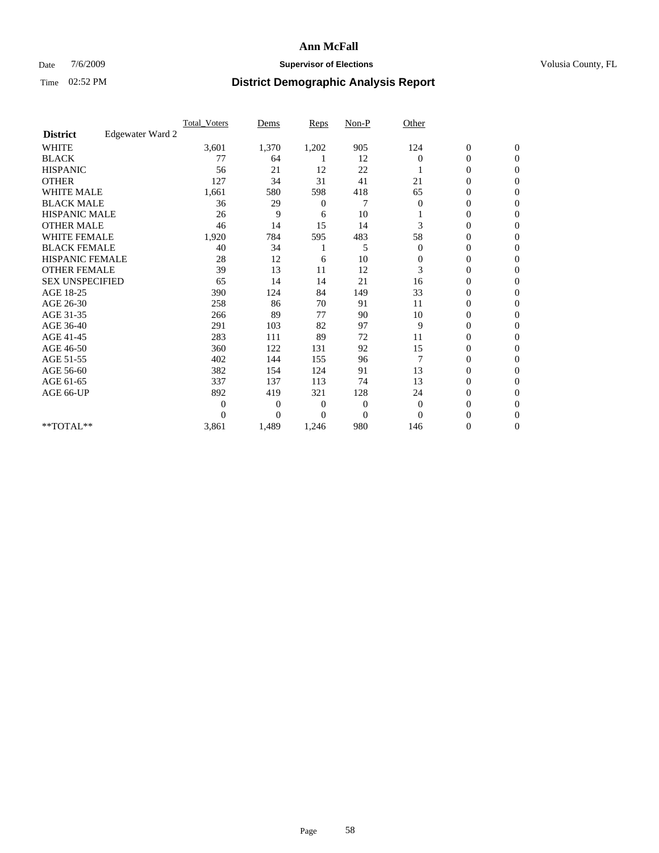## Date  $7/6/2009$  **Supervisor of Elections Supervisor of Elections** Volusia County, FL

|                        |                  | <b>Total_Voters</b> | Dems           | <b>Reps</b>    | $Non-P$        | Other        |                  |                |  |
|------------------------|------------------|---------------------|----------------|----------------|----------------|--------------|------------------|----------------|--|
| <b>District</b>        | Edgewater Ward 2 |                     |                |                |                |              |                  |                |  |
| <b>WHITE</b>           |                  | 3,601               | 1,370          | 1,202          | 905            | 124          | $\boldsymbol{0}$ | $\mathbf{0}$   |  |
| <b>BLACK</b>           |                  | 77                  | 64             |                | 12             | $\Omega$     | $\boldsymbol{0}$ | $\mathbf{0}$   |  |
| <b>HISPANIC</b>        |                  | 56                  | 21             | 12             | 22             |              | $\mathbf{0}$     | $\mathbf{0}$   |  |
| <b>OTHER</b>           |                  | 127                 | 34             | 31             | 41             | 21           | 0                | $\Omega$       |  |
| <b>WHITE MALE</b>      |                  | 1,661               | 580            | 598            | 418            | 65           | 0                | $\Omega$       |  |
| <b>BLACK MALE</b>      |                  | 36                  | 29             | 0              | 7              | $\Omega$     | $\boldsymbol{0}$ | $\Omega$       |  |
| HISPANIC MALE          |                  | 26                  | 9              | 6              | 10             |              | $\boldsymbol{0}$ | $\Omega$       |  |
| <b>OTHER MALE</b>      |                  | 46                  | 14             | 15             | 14             | 3            | 0                | $\mathbf{0}$   |  |
| <b>WHITE FEMALE</b>    |                  | 1,920               | 784            | 595            | 483            | 58           | 0                | $\Omega$       |  |
| <b>BLACK FEMALE</b>    |                  | 40                  | 34             |                | 5              | $\mathbf{0}$ | $\overline{0}$   | $\mathbf{0}$   |  |
| <b>HISPANIC FEMALE</b> |                  | 28                  | 12             | 6              | 10             | 0            | 0                | $\mathbf{0}$   |  |
| <b>OTHER FEMALE</b>    |                  | 39                  | 13             | 11             | 12             | 3            | $\theta$         | $\Omega$       |  |
| <b>SEX UNSPECIFIED</b> |                  | 65                  | 14             | 14             | 21             | 16           | $\overline{0}$   | $\overline{0}$ |  |
| AGE 18-25              |                  | 390                 | 124            | 84             | 149            | 33           | 0                | $\mathbf{0}$   |  |
| AGE 26-30              |                  | 258                 | 86             | 70             | 91             | 11           | 0                | $\Omega$       |  |
| AGE 31-35              |                  | 266                 | 89             | 77             | 90             | 10           | $\boldsymbol{0}$ | $\Omega$       |  |
| AGE 36-40              |                  | 291                 | 103            | 82             | 97             | 9            | 0                | $\mathbf{0}$   |  |
| AGE 41-45              |                  | 283                 | 111            | 89             | 72             | 11           | $\overline{0}$   | $\Omega$       |  |
| AGE 46-50              |                  | 360                 | 122            | 131            | 92             | 15           | $\overline{0}$   | $\overline{0}$ |  |
| AGE 51-55              |                  | 402                 | 144            | 155            | 96             | 7            | $\overline{0}$   | $\overline{0}$ |  |
| AGE 56-60              |                  | 382                 | 154            | 124            | 91             | 13           | $\overline{0}$   | $\Omega$       |  |
| AGE 61-65              |                  | 337                 | 137            | 113            | 74             | 13           | $\overline{0}$   | $\Omega$       |  |
| AGE 66-UP              |                  | 892                 | 419            | 321            | 128            | 24           | 0                | $\overline{0}$ |  |
|                        |                  | $\Omega$            | $\overline{0}$ | $\overline{0}$ | 0              | $\theta$     | 0                | $\Omega$       |  |
|                        |                  | $\Omega$            | $\overline{0}$ | $\Omega$       | $\overline{0}$ | $\Omega$     | $\overline{0}$   | $\Omega$       |  |
| **TOTAL**              |                  | 3,861               | 1,489          | 1,246          | 980            | 146          | 0                | $\overline{0}$ |  |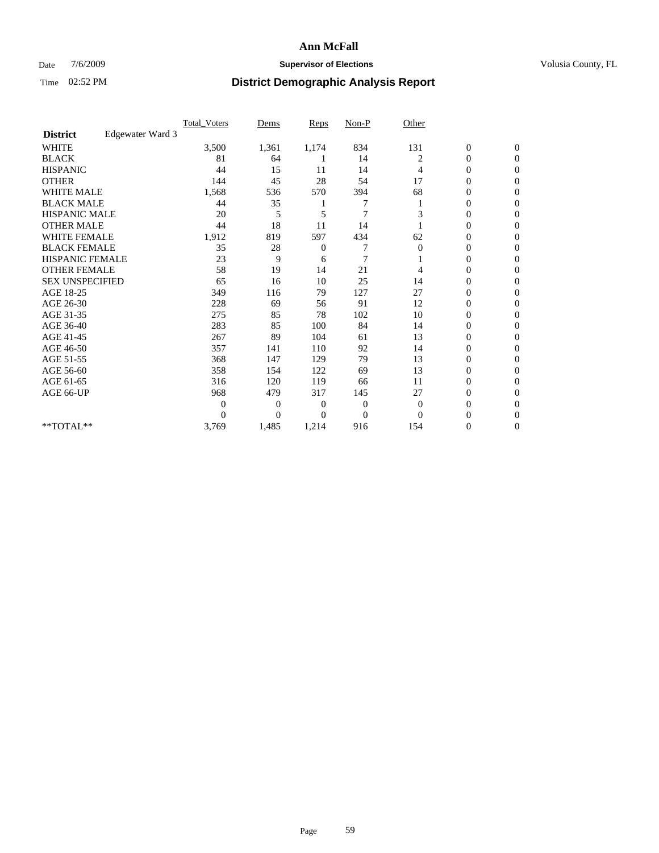## Date  $7/6/2009$  **Supervisor of Elections Supervisor of Elections** Volusia County, FL

|                        |                  | <b>Total_Voters</b> | Dems           | <b>Reps</b>    | $Non-P$        | Other        |                  |                  |  |
|------------------------|------------------|---------------------|----------------|----------------|----------------|--------------|------------------|------------------|--|
| <b>District</b>        | Edgewater Ward 3 |                     |                |                |                |              |                  |                  |  |
| <b>WHITE</b>           |                  | 3,500               | 1,361          | 1,174          | 834            | 131          | $\boldsymbol{0}$ | $\boldsymbol{0}$ |  |
| <b>BLACK</b>           |                  | 81                  | 64             |                | 14             | 2            | $\boldsymbol{0}$ | $\mathbf{0}$     |  |
| <b>HISPANIC</b>        |                  | 44                  | 15             | 11             | 14             | 4            | $\overline{0}$   | $\Omega$         |  |
| <b>OTHER</b>           |                  | 144                 | 45             | 28             | 54             | 17           | 0                | $\Omega$         |  |
| <b>WHITE MALE</b>      |                  | 1,568               | 536            | 570            | 394            | 68           | $\overline{0}$   | $\mathbf{0}$     |  |
| <b>BLACK MALE</b>      |                  | 44                  | 35             |                |                |              | $\overline{0}$   | $\Omega$         |  |
| <b>HISPANIC MALE</b>   |                  | 20                  | 5              | 5              | $\overline{7}$ | 3            | 0                | $\Omega$         |  |
| <b>OTHER MALE</b>      |                  | 44                  | 18             | 11             | 14             |              | 0                | $\Omega$         |  |
| <b>WHITE FEMALE</b>    |                  | 1,912               | 819            | 597            | 434            | 62           | 0                | $\mathbf{0}$     |  |
| <b>BLACK FEMALE</b>    |                  | 35                  | 28             | $\overline{0}$ | 7              | $\mathbf{0}$ | $\boldsymbol{0}$ | $\Omega$         |  |
| <b>HISPANIC FEMALE</b> |                  | 23                  | 9              | 6              | 7              |              | 0                | $\mathbf{0}$     |  |
| <b>OTHER FEMALE</b>    |                  | 58                  | 19             | 14             | 21             | 4            | 0                | $\Omega$         |  |
| <b>SEX UNSPECIFIED</b> |                  | 65                  | 16             | 10             | 25             | 14           | $\overline{0}$   | $\overline{0}$   |  |
| AGE 18-25              |                  | 349                 | 116            | 79             | 127            | 27           | 0                | $\overline{0}$   |  |
| AGE 26-30              |                  | 228                 | 69             | 56             | 91             | 12           | $\overline{0}$   | $\Omega$         |  |
| AGE 31-35              |                  | 275                 | 85             | 78             | 102            | 10           | $\boldsymbol{0}$ | $\overline{0}$   |  |
| AGE 36-40              |                  | 283                 | 85             | 100            | 84             | 14           | 0                | $\Omega$         |  |
| AGE 41-45              |                  | 267                 | 89             | 104            | 61             | 13           | $\overline{0}$   | $\Omega$         |  |
| AGE 46-50              |                  | 357                 | 141            | 110            | 92             | 14           | $\boldsymbol{0}$ | $\Omega$         |  |
| AGE 51-55              |                  | 368                 | 147            | 129            | 79             | 13           | $\overline{0}$   | $\mathbf{0}$     |  |
| AGE 56-60              |                  | 358                 | 154            | 122            | 69             | 13           | $\overline{0}$   | $\Omega$         |  |
| AGE 61-65              |                  | 316                 | 120            | 119            | 66             | 11           | $\overline{0}$   | $\mathbf{0}$     |  |
| AGE 66-UP              |                  | 968                 | 479            | 317            | 145            | 27           | 0                | $\Omega$         |  |
|                        |                  | $\overline{0}$      | $\overline{0}$ | 0              | $\mathbf{0}$   | $\mathbf{0}$ | $\overline{0}$   | $\Omega$         |  |
|                        |                  | $\Omega$            | $\overline{0}$ | $\Omega$       | $\mathbf{0}$   | $\Omega$     | 0                | $\Omega$         |  |
| **TOTAL**              |                  | 3,769               | 1,485          | 1,214          | 916            | 154          | 0                | $\mathbf{0}$     |  |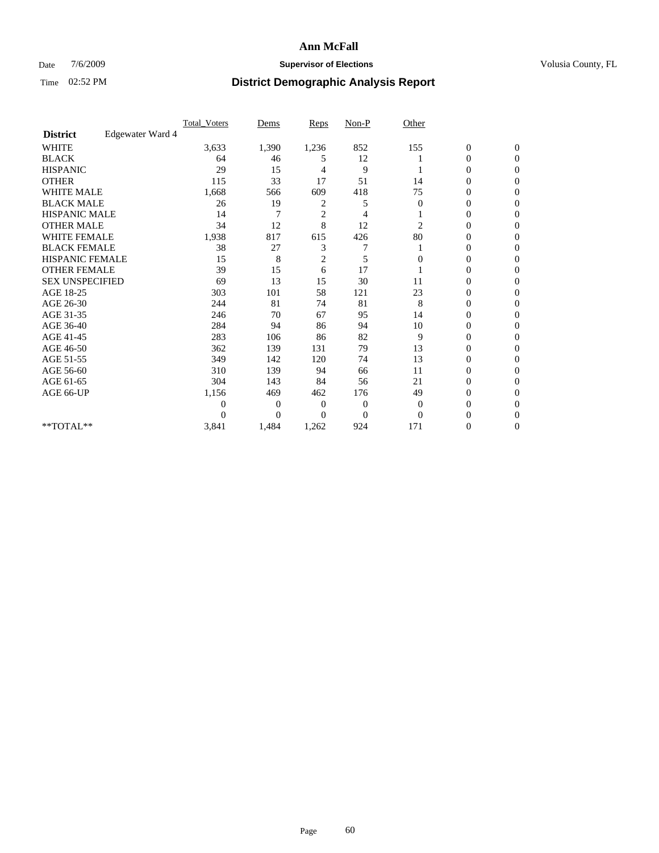## Date  $7/6/2009$  **Supervisor of Elections Supervisor of Elections** Volusia County, FL

|                        |                  | Total Voters | Dems           | <b>Reps</b>    | $Non-P$        | Other        |                  |              |  |
|------------------------|------------------|--------------|----------------|----------------|----------------|--------------|------------------|--------------|--|
| <b>District</b>        | Edgewater Ward 4 |              |                |                |                |              |                  |              |  |
| <b>WHITE</b>           |                  | 3,633        | 1,390          | 1,236          | 852            | 155          | $\boldsymbol{0}$ | $\mathbf{0}$ |  |
| <b>BLACK</b>           |                  | 64           | 46             | 5              | 12             |              | $\boldsymbol{0}$ | $\mathbf{0}$ |  |
| <b>HISPANIC</b>        |                  | 29           | 15             | 4              | 9              |              | 0                | $\Omega$     |  |
| <b>OTHER</b>           |                  | 115          | 33             | 17             | 51             | 14           | 0                | $\Omega$     |  |
| <b>WHITE MALE</b>      |                  | 1,668        | 566            | 609            | 418            | 75           | 0                | $\Omega$     |  |
| <b>BLACK MALE</b>      |                  | 26           | 19             | 2              | 5              | $\Omega$     | $\mathbf{0}$     | $\Omega$     |  |
| HISPANIC MALE          |                  | 14           | 7              | $\overline{c}$ | 4              |              | $\overline{0}$   | $\Omega$     |  |
| <b>OTHER MALE</b>      |                  | 34           | 12             | 8              | 12             | 2            | 0                | 0            |  |
| <b>WHITE FEMALE</b>    |                  | 1,938        | 817            | 615            | 426            | 80           | 0                | $\Omega$     |  |
| <b>BLACK FEMALE</b>    |                  | 38           | 27             | 3              | 7              |              | $\overline{0}$   | $\mathbf{0}$ |  |
| <b>HISPANIC FEMALE</b> |                  | 15           | 8              | 2              | 5              | 0            | 0                | $\Omega$     |  |
| <b>OTHER FEMALE</b>    |                  | 39           | 15             | 6              | 17             |              | 0                | 0            |  |
| <b>SEX UNSPECIFIED</b> |                  | 69           | 13             | 15             | 30             | 11           | 0                | $\Omega$     |  |
| AGE 18-25              |                  | 303          | 101            | 58             | 121            | 23           | 0                | $\mathbf{0}$ |  |
| AGE 26-30              |                  | 244          | 81             | 74             | 81             | 8            | 0                | $\Omega$     |  |
| AGE 31-35              |                  | 246          | 70             | 67             | 95             | 14           | 0                | $\Omega$     |  |
| AGE 36-40              |                  | 284          | 94             | 86             | 94             | 10           | 0                | $\Omega$     |  |
| AGE 41-45              |                  | 283          | 106            | 86             | 82             | 9            | $\mathbf{0}$     | $\Omega$     |  |
| AGE 46-50              |                  | 362          | 139            | 131            | 79             | 13           | $\overline{0}$   | $\Omega$     |  |
| AGE 51-55              |                  | 349          | 142            | 120            | 74             | 13           | 0                | 0            |  |
| AGE 56-60              |                  | 310          | 139            | 94             | 66             | 11           | 0                | $\Omega$     |  |
| AGE 61-65              |                  | 304          | 143            | 84             | 56             | 21           | 0                | $\Omega$     |  |
| AGE 66-UP              |                  | 1,156        | 469            | 462            | 176            | 49           | 0                | 0            |  |
|                        |                  | 0            | $\overline{0}$ | $\Omega$       | $\mathbf{0}$   | $\mathbf{0}$ | 0                | $\Omega$     |  |
|                        |                  | $\Omega$     | $\overline{0}$ | 0              | $\overline{0}$ | $\Omega$     | 0                | $\Omega$     |  |
| **TOTAL**              |                  | 3,841        | 1,484          | 1,262          | 924            | 171          | 0                | 0            |  |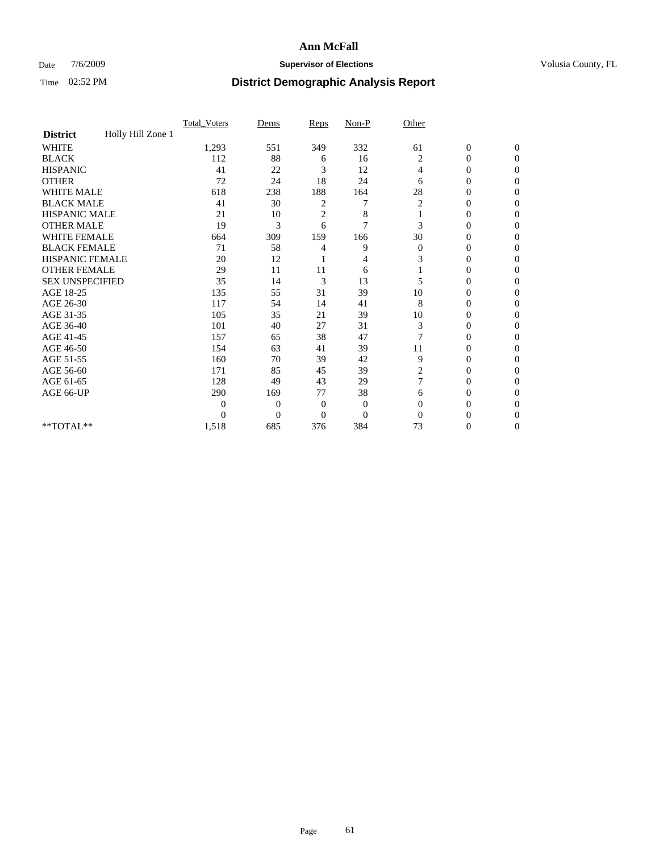## Date  $7/6/2009$  **Supervisor of Elections Supervisor of Elections** Volusia County, FL

|                        |                   | Total Voters   | Dems           | Reps           | $Non-P$        | Other        |                  |              |  |
|------------------------|-------------------|----------------|----------------|----------------|----------------|--------------|------------------|--------------|--|
| <b>District</b>        | Holly Hill Zone 1 |                |                |                |                |              |                  |              |  |
| <b>WHITE</b>           |                   | 1,293          | 551            | 349            | 332            | 61           | $\boldsymbol{0}$ | $\mathbf{0}$ |  |
| <b>BLACK</b>           |                   | 112            | 88             | 6              | 16             | 2            | $\overline{0}$   | $\mathbf{0}$ |  |
| <b>HISPANIC</b>        |                   | 41             | 22             | 3              | 12             | 4            | 0                | $\Omega$     |  |
| <b>OTHER</b>           |                   | 72             | 24             | 18             | 24             | 6            | 0                | $\Omega$     |  |
| <b>WHITE MALE</b>      |                   | 618            | 238            | 188            | 164            | 28           | 0                | $\Omega$     |  |
| <b>BLACK MALE</b>      |                   | 41             | 30             | $\overline{c}$ | 7              | 2            | $\mathbf{0}$     | $\Omega$     |  |
| HISPANIC MALE          |                   | 21             | 10             | $\overline{c}$ | 8              |              | 0                | $\Omega$     |  |
| <b>OTHER MALE</b>      |                   | 19             | 3              | 6              | 7              | 3            | 0                | 0            |  |
| <b>WHITE FEMALE</b>    |                   | 664            | 309            | 159            | 166            | 30           | 0                | $\Omega$     |  |
| <b>BLACK FEMALE</b>    |                   | 71             | 58             | 4              | 9              | $\mathbf{0}$ | $\overline{0}$   | $\mathbf{0}$ |  |
| <b>HISPANIC FEMALE</b> |                   | 20             | 12             |                | 4              | 3            | 0                | $\Omega$     |  |
| <b>OTHER FEMALE</b>    |                   | 29             | 11             | 11             | 6              |              | 0                | 0            |  |
| <b>SEX UNSPECIFIED</b> |                   | 35             | 14             | 3              | 13             | 5            | 0                | $\Omega$     |  |
| AGE 18-25              |                   | 135            | 55             | 31             | 39             | 10           | 0                | $\mathbf{0}$ |  |
| AGE 26-30              |                   | 117            | 54             | 14             | 41             | 8            | 0                | $\Omega$     |  |
| AGE 31-35              |                   | 105            | 35             | 21             | 39             | 10           | 0                | $\Omega$     |  |
| AGE 36-40              |                   | 101            | 40             | 27             | 31             | 3            | 0                | 0            |  |
| AGE 41-45              |                   | 157            | 65             | 38             | 47             |              | 0                | $\Omega$     |  |
| AGE 46-50              |                   | 154            | 63             | 41             | 39             | 11           | 0                | $\Omega$     |  |
| AGE 51-55              |                   | 160            | 70             | 39             | 42             | 9            | 0                | 0            |  |
| AGE 56-60              |                   | 171            | 85             | 45             | 39             | 2            | 0                | $\Omega$     |  |
| AGE 61-65              |                   | 128            | 49             | 43             | 29             | 7            | 0                | $\Omega$     |  |
| AGE 66-UP              |                   | 290            | 169            | 77             | 38             | 6            | 0                | 0            |  |
|                        |                   | $\overline{0}$ | $\overline{0}$ | $\mathbf{0}$   | $\mathbf{0}$   | $\Omega$     | 0                | $\Omega$     |  |
|                        |                   | $\theta$       | $\overline{0}$ | $\overline{0}$ | $\overline{0}$ | $\Omega$     | 0                | $\Omega$     |  |
| **TOTAL**              |                   | 1,518          | 685            | 376            | 384            | 73           | 0                | $\mathbf{0}$ |  |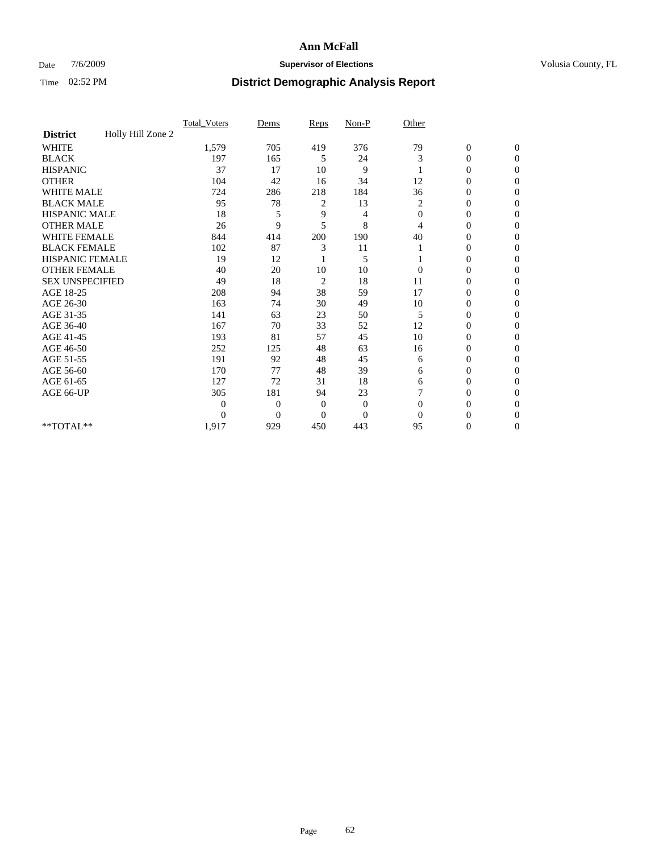## Date  $7/6/2009$  **Supervisor of Elections Supervisor of Elections** Volusia County, FL

|                        |                   | Total Voters   | Dems           | Reps                    | $Non-P$      | Other          |                  |                  |  |
|------------------------|-------------------|----------------|----------------|-------------------------|--------------|----------------|------------------|------------------|--|
| <b>District</b>        | Holly Hill Zone 2 |                |                |                         |              |                |                  |                  |  |
| <b>WHITE</b>           |                   | 1,579          | 705            | 419                     | 376          | 79             | $\boldsymbol{0}$ | $\boldsymbol{0}$ |  |
| <b>BLACK</b>           |                   | 197            | 165            | 5                       | 24           | 3              | $\overline{0}$   | $\Omega$         |  |
| <b>HISPANIC</b>        |                   | 37             | 17             | 10                      | 9            |                | 0                | $\Omega$         |  |
| <b>OTHER</b>           |                   | 104            | 42             | 16                      | 34           | 12             | 0                | $\Omega$         |  |
| <b>WHITE MALE</b>      |                   | 724            | 286            | 218                     | 184          | 36             | $\overline{0}$   | $\mathbf{0}$     |  |
| <b>BLACK MALE</b>      |                   | 95             | 78             | 2                       | 13           | 2              | $\overline{0}$   | $\Omega$         |  |
| <b>HISPANIC MALE</b>   |                   | 18             | 5              | 9                       | 4            | $\overline{0}$ | 0                | $\Omega$         |  |
| <b>OTHER MALE</b>      |                   | 26             | 9              | 5                       | 8            | 4              | 0                | 0                |  |
| WHITE FEMALE           |                   | 844            | 414            | 200                     | 190          | 40             | 0                | $\Omega$         |  |
| <b>BLACK FEMALE</b>    |                   | 102            | 87             | 3                       | 11           |                | 0                | $\Omega$         |  |
| HISPANIC FEMALE        |                   | 19             | 12             |                         | 5            |                | 0                | $\mathbf{0}$     |  |
| <b>OTHER FEMALE</b>    |                   | 40             | 20             | 10                      | 10           | $\Omega$       | 0                | $\Omega$         |  |
| <b>SEX UNSPECIFIED</b> |                   | 49             | 18             | $\overline{\mathbf{c}}$ | 18           | 11             | $\overline{0}$   | $\mathbf{0}$     |  |
| AGE 18-25              |                   | 208            | 94             | 38                      | 59           | 17             | 0                | $\Omega$         |  |
| AGE 26-30              |                   | 163            | 74             | 30                      | 49           | 10             | $\overline{0}$   | $\Omega$         |  |
| AGE 31-35              |                   | 141            | 63             | 23                      | 50           | 5              | $\boldsymbol{0}$ | $\Omega$         |  |
| AGE 36-40              |                   | 167            | 70             | 33                      | 52           | 12             | 0                | 0                |  |
| AGE 41-45              |                   | 193            | 81             | 57                      | 45           | 10             | 0                | $\Omega$         |  |
| AGE 46-50              |                   | 252            | 125            | 48                      | 63           | 16             | 0                | $\Omega$         |  |
| AGE 51-55              |                   | 191            | 92             | 48                      | 45           | 6              | 0                | $\mathbf{0}$     |  |
| AGE 56-60              |                   | 170            | 77             | 48                      | 39           | 6              | 0                | 0                |  |
| AGE 61-65              |                   | 127            | 72             | 31                      | 18           | 6              | $\overline{0}$   | $\Omega$         |  |
| AGE 66-UP              |                   | 305            | 181            | 94                      | 23           | 7              | 0                | 0                |  |
|                        |                   | $\overline{0}$ | $\overline{0}$ | 0                       | $\mathbf{0}$ | $\Omega$       | 0                | $\Omega$         |  |
|                        |                   | $\Omega$       | $\overline{0}$ | $\Omega$                | $\Omega$     | $\Omega$       | 0                | $\Omega$         |  |
| **TOTAL**              |                   | 1,917          | 929            | 450                     | 443          | 95             | 0                | $\mathbf{0}$     |  |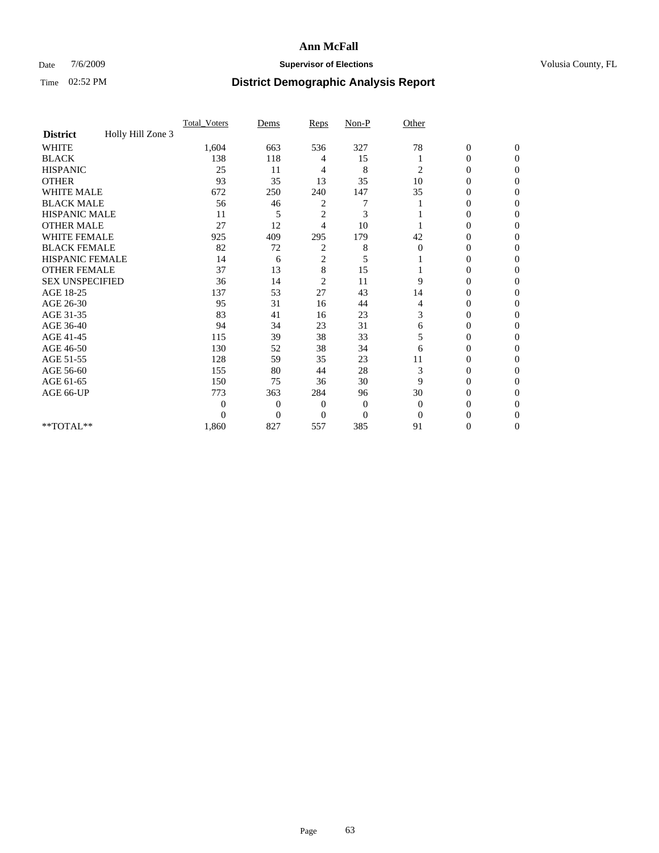## Date  $7/6/2009$  **Supervisor of Elections Supervisor of Elections** Volusia County, FL

|                        |                   | Total Voters   | Dems           | Reps                    | $Non-P$  | Other        |                  |                  |  |
|------------------------|-------------------|----------------|----------------|-------------------------|----------|--------------|------------------|------------------|--|
| <b>District</b>        | Holly Hill Zone 3 |                |                |                         |          |              |                  |                  |  |
| <b>WHITE</b>           |                   | 1,604          | 663            | 536                     | 327      | 78           | $\boldsymbol{0}$ | $\boldsymbol{0}$ |  |
| <b>BLACK</b>           |                   | 138            | 118            | 4                       | 15       |              | $\overline{0}$   | $\Omega$         |  |
| <b>HISPANIC</b>        |                   | 25             | 11             | 4                       | 8        | 2            | 0                | $\Omega$         |  |
| <b>OTHER</b>           |                   | 93             | 35             | 13                      | 35       | 10           | 0                | $\Omega$         |  |
| <b>WHITE MALE</b>      |                   | 672            | 250            | 240                     | 147      | 35           | 0                | $\Omega$         |  |
| <b>BLACK MALE</b>      |                   | 56             | 46             | 2                       |          |              | 0                | 0                |  |
| <b>HISPANIC MALE</b>   |                   | 11             | 5              | $\overline{2}$          | 3        |              | 0                | 0                |  |
| <b>OTHER MALE</b>      |                   | 27             | 12             | 4                       | 10       |              | 0                | 0                |  |
| WHITE FEMALE           |                   | 925            | 409            | 295                     | 179      | 42           | 0                | $\Omega$         |  |
| <b>BLACK FEMALE</b>    |                   | 82             | 72             | 2                       | 8        | $\mathbf{0}$ | 0                | $\Omega$         |  |
| HISPANIC FEMALE        |                   | 14             | 6              | 2                       | 5        |              | 0                | $\Omega$         |  |
| <b>OTHER FEMALE</b>    |                   | 37             | 13             | 8                       | 15       |              | 0                | $\Omega$         |  |
| <b>SEX UNSPECIFIED</b> |                   | 36             | 14             | $\overline{\mathbf{c}}$ | 11       | 9            | 0                | $\Omega$         |  |
| AGE 18-25              |                   | 137            | 53             | 27                      | 43       | 14           | 0                | 0                |  |
| AGE 26-30              |                   | 95             | 31             | 16                      | 44       | 4            | 0                | $\Omega$         |  |
| AGE 31-35              |                   | 83             | 41             | 16                      | 23       | 3            | 0                | $\Omega$         |  |
| AGE 36-40              |                   | 94             | 34             | 23                      | 31       | 6            | 0                | 0                |  |
| AGE 41-45              |                   | 115            | 39             | 38                      | 33       | 5            | 0                | 0                |  |
| AGE 46-50              |                   | 130            | 52             | 38                      | 34       | 6            | 0                | $\Omega$         |  |
| AGE 51-55              |                   | 128            | 59             | 35                      | 23       | 11           | 0                | $\overline{0}$   |  |
| AGE 56-60              |                   | 155            | 80             | 44                      | 28       | 3            | 0                | 0                |  |
| AGE 61-65              |                   | 150            | 75             | 36                      | 30       | 9            | $\overline{0}$   | 0                |  |
| AGE 66-UP              |                   | 773            | 363            | 284                     | 96       | 30           | 0                | 0                |  |
|                        |                   | $\overline{0}$ | $\overline{0}$ | 0                       | $\bf{0}$ | $\mathbf{0}$ | 0                | $\Omega$         |  |
|                        |                   | $\Omega$       | $\overline{0}$ | $\Omega$                | $\Omega$ | $\Omega$     | 0                | $\Omega$         |  |
| **TOTAL**              |                   | 1,860          | 827            | 557                     | 385      | 91           | 0                | $\overline{0}$   |  |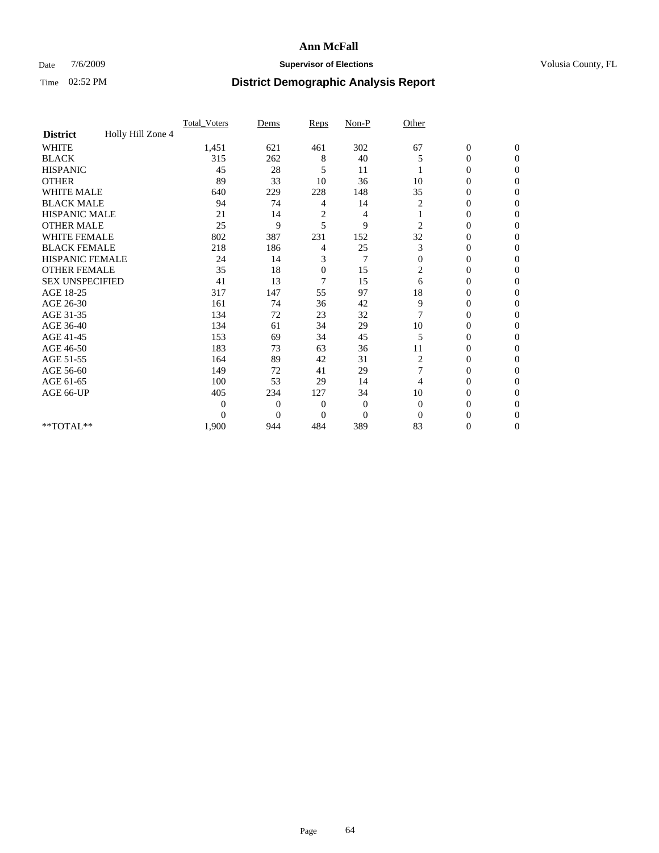## Date  $7/6/2009$  **Supervisor of Elections Supervisor of Elections** Volusia County, FL

|                        |                   | Total Voters | Dems           | Reps           | $Non-P$        | Other          |                  |              |  |
|------------------------|-------------------|--------------|----------------|----------------|----------------|----------------|------------------|--------------|--|
| <b>District</b>        | Holly Hill Zone 4 |              |                |                |                |                |                  |              |  |
| <b>WHITE</b>           |                   | 1,451        | 621            | 461            | 302            | 67             | $\boldsymbol{0}$ | $\mathbf{0}$ |  |
| <b>BLACK</b>           |                   | 315          | 262            | 8              | 40             | 5              | $\boldsymbol{0}$ | $\mathbf{0}$ |  |
| <b>HISPANIC</b>        |                   | 45           | 28             | 5              | 11             |                | $\overline{0}$   | $\Omega$     |  |
| <b>OTHER</b>           |                   | 89           | 33             | 10             | 36             | 10             | 0                | $\Omega$     |  |
| <b>WHITE MALE</b>      |                   | 640          | 229            | 228            | 148            | 35             | 0                | $\Omega$     |  |
| <b>BLACK MALE</b>      |                   | 94           | 74             | 4              | 14             | 2              | $\overline{0}$   | $\Omega$     |  |
| HISPANIC MALE          |                   | 21           | 14             | $\overline{c}$ | 4              |                | $\boldsymbol{0}$ | $\Omega$     |  |
| <b>OTHER MALE</b>      |                   | 25           | 9              | 5              | 9              | $\overline{2}$ | 0                | $\Omega$     |  |
| <b>WHITE FEMALE</b>    |                   | 802          | 387            | 231            | 152            | 32             | 0                | $\Omega$     |  |
| <b>BLACK FEMALE</b>    |                   | 218          | 186            | 4              | 25             | 3              | $\overline{0}$   | $\mathbf{0}$ |  |
| <b>HISPANIC FEMALE</b> |                   | 24           | 14             | 3              | $\overline{7}$ | $\mathbf{0}$   | 0                | $\Omega$     |  |
| <b>OTHER FEMALE</b>    |                   | 35           | 18             | $\mathbf{0}$   | 15             | 2              | 0                | 0            |  |
| <b>SEX UNSPECIFIED</b> |                   | 41           | 13             | 7              | 15             | 6              | $\mathbf{0}$     | $\Omega$     |  |
| AGE 18-25              |                   | 317          | 147            | 55             | 97             | 18             | 0                | $\mathbf{0}$ |  |
| AGE 26-30              |                   | 161          | 74             | 36             | 42             | 9              | 0                | $\Omega$     |  |
| AGE 31-35              |                   | 134          | 72             | 23             | 32             | 7              | 0                | $\Omega$     |  |
| AGE 36-40              |                   | 134          | 61             | 34             | 29             | 10             | 0                | $\mathbf{0}$ |  |
| AGE 41-45              |                   | 153          | 69             | 34             | 45             | 5              | $\mathbf{0}$     | $\Omega$     |  |
| AGE 46-50              |                   | 183          | 73             | 63             | 36             | 11             | $\overline{0}$   | $\mathbf{0}$ |  |
| AGE 51-55              |                   | 164          | 89             | 42             | 31             | 2              | 0                | 0            |  |
| AGE 56-60              |                   | 149          | 72             | 41             | 29             | 7              | $\overline{0}$   | $\Omega$     |  |
| AGE 61-65              |                   | 100          | 53             | 29             | 14             | 4              | $\overline{0}$   | $\Omega$     |  |
| AGE 66-UP              |                   | 405          | 234            | 127            | 34             | 10             | 0                | 0            |  |
|                        |                   | $\Omega$     | $\overline{0}$ | $\mathbf{0}$   | $\mathbf{0}$   | $\Omega$       | 0                | $\Omega$     |  |
|                        |                   | $\theta$     | $\overline{0}$ | $\overline{0}$ | $\overline{0}$ | $\Omega$       | $\theta$         | $\Omega$     |  |
| **TOTAL**              |                   | 1,900        | 944            | 484            | 389            | 83             | 0                | $\mathbf{0}$ |  |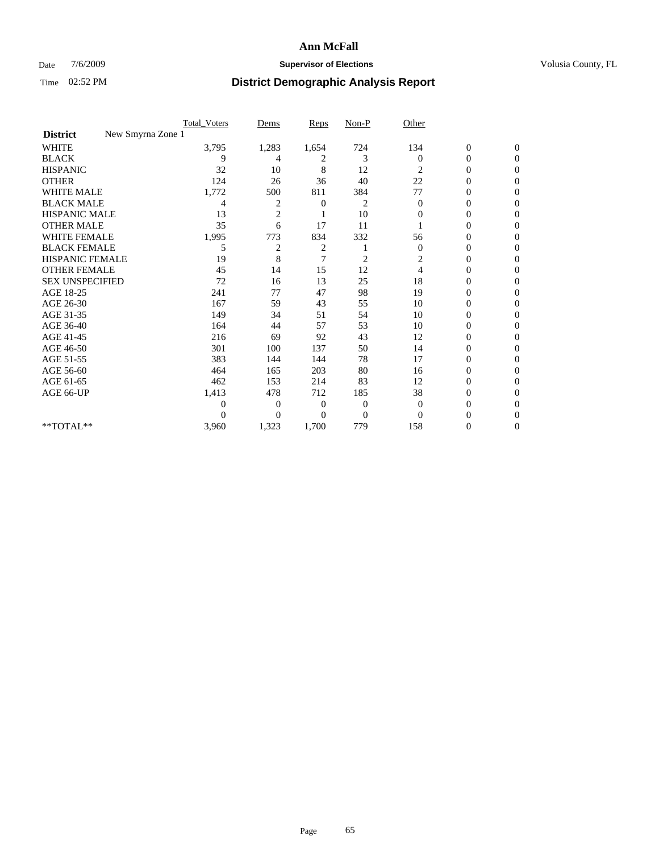## Date  $7/6/2009$  **Supervisor of Elections Supervisor of Elections** Volusia County, FL

|                                      | <b>Total_Voters</b> | Dems           | <b>Reps</b> | $Non-P$        | Other        |                  |                  |  |
|--------------------------------------|---------------------|----------------|-------------|----------------|--------------|------------------|------------------|--|
| New Smyrna Zone 1<br><b>District</b> |                     |                |             |                |              |                  |                  |  |
| <b>WHITE</b>                         | 3,795               | 1,283          | 1,654       | 724            | 134          | $\boldsymbol{0}$ | $\boldsymbol{0}$ |  |
| <b>BLACK</b>                         | 9                   | 4              | 2           | 3              | $\Omega$     | $\boldsymbol{0}$ | $\Omega$         |  |
| <b>HISPANIC</b>                      | 32                  | 10             | 8           | 12             | 2            | $\mathbf{0}$     | $\Omega$         |  |
| <b>OTHER</b>                         | 124                 | 26             | 36          | 40             | 22           | 0                | $\Omega$         |  |
| <b>WHITE MALE</b>                    | 1,772               | 500            | 811         | 384            | 77           | $\mathbf{0}$     | $\mathbf{0}$     |  |
| <b>BLACK MALE</b>                    | 4                   | 2              | 0           | 2              | $\mathbf{0}$ | $\overline{0}$   | $\Omega$         |  |
| <b>HISPANIC MALE</b>                 | 13                  | $\overline{2}$ |             | 10             | $\mathbf{0}$ | 0                | $\Omega$         |  |
| <b>OTHER MALE</b>                    | 35                  | 6              | 17          | 11             |              | 0                | 0                |  |
| WHITE FEMALE                         | 1,995               | 773            | 834         | 332            | 56           | 0                | $\Omega$         |  |
| <b>BLACK FEMALE</b>                  | 5                   | 2              | 2           |                | $\mathbf{0}$ | $\boldsymbol{0}$ | $\Omega$         |  |
| <b>HISPANIC FEMALE</b>               | 19                  | 8              | 7           | $\overline{c}$ | 2            | 0                | $\Omega$         |  |
| <b>OTHER FEMALE</b>                  | 45                  | 14             | 15          | 12             | 4            | 0                | $\Omega$         |  |
| <b>SEX UNSPECIFIED</b>               | 72                  | 16             | 13          | 25             | 18           | $\overline{0}$   | $\Omega$         |  |
| AGE 18-25                            | 241                 | 77             | 47          | 98             | 19           | 0                | 0                |  |
| AGE 26-30                            | 167                 | 59             | 43          | 55             | 10           | 0                | $\Omega$         |  |
| AGE 31-35                            | 149                 | 34             | 51          | 54             | 10           | $\boldsymbol{0}$ | $\Omega$         |  |
| AGE 36-40                            | 164                 | 44             | 57          | 53             | 10           | 0                | 0                |  |
| AGE 41-45                            | 216                 | 69             | 92          | 43             | 12           | 0                | $\Omega$         |  |
| AGE 46-50                            | 301                 | 100            | 137         | 50             | 14           | 0                | $\Omega$         |  |
| AGE 51-55                            | 383                 | 144            | 144         | 78             | 17           | 0                | $\mathbf{0}$     |  |
| AGE 56-60                            | 464                 | 165            | 203         | 80             | 16           | 0                | 0                |  |
| AGE 61-65                            | 462                 | 153            | 214         | 83             | 12           | 0                | $\Omega$         |  |
| AGE 66-UP                            | 1,413               | 478            | 712         | 185            | 38           | 0                | 0                |  |
|                                      | 0                   | 0              | 0           | $\mathbf{0}$   | $\mathbf{0}$ | 0                | $\Omega$         |  |
|                                      | $\theta$            | $\overline{0}$ | $\Omega$    | $\overline{0}$ | $\Omega$     | 0                | $\Omega$         |  |
| **TOTAL**                            | 3,960               | 1,323          | 1,700       | 779            | 158          | 0                | $\mathbf{0}$     |  |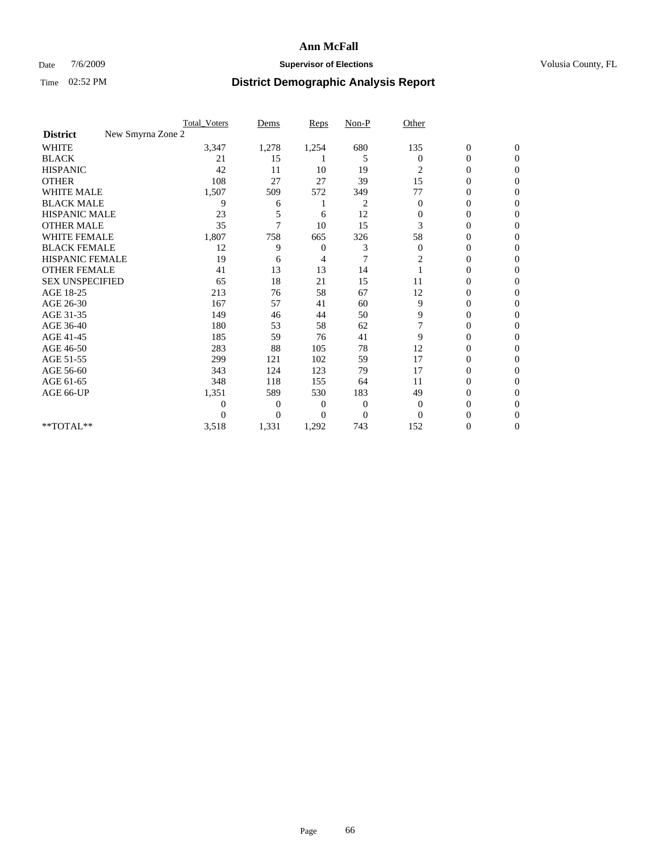### Date  $7/6/2009$  **Supervisor of Elections Supervisor of Elections** Volusia County, FL

|                                      | <b>Total_Voters</b> | Dems           | <b>Reps</b>  | $Non-P$  | Other            |                  |                  |  |
|--------------------------------------|---------------------|----------------|--------------|----------|------------------|------------------|------------------|--|
| New Smyrna Zone 2<br><b>District</b> |                     |                |              |          |                  |                  |                  |  |
| <b>WHITE</b>                         | 3,347               | 1,278          | 1,254        | 680      | 135              | $\boldsymbol{0}$ | $\boldsymbol{0}$ |  |
| <b>BLACK</b>                         | 21                  | 15             |              | 5        | $\Omega$         | $\boldsymbol{0}$ | $\Omega$         |  |
| <b>HISPANIC</b>                      | 42                  | 11             | 10           | 19       | 2                | 0                | $\Omega$         |  |
| <b>OTHER</b>                         | 108                 | 27             | 27           | 39       | 15               | 0                | $\Omega$         |  |
| <b>WHITE MALE</b>                    | 1,507               | 509            | 572          | 349      | 77               | $\mathbf{0}$     | $\Omega$         |  |
| <b>BLACK MALE</b>                    | 9                   | 6              |              | 2        | $\mathbf{0}$     | $\mathbf{0}$     | 0                |  |
| <b>HISPANIC MALE</b>                 | 23                  | 5              | 6            | 12       | 0                | 0                | 0                |  |
| <b>OTHER MALE</b>                    | 35                  | 7              | 10           | 15       | 3                | 0                | 0                |  |
| WHITE FEMALE                         | 1,807               | 758            | 665          | 326      | 58               | 0                | $\Omega$         |  |
| <b>BLACK FEMALE</b>                  | 12                  | 9              | $\mathbf{0}$ | 3        | $\boldsymbol{0}$ | 0                | $\Omega$         |  |
| <b>HISPANIC FEMALE</b>               | 19                  | 6              | 4            | 7        | 2                | 0                | $\Omega$         |  |
| <b>OTHER FEMALE</b>                  | 41                  | 13             | 13           | 14       |                  | 0                | $\Omega$         |  |
| <b>SEX UNSPECIFIED</b>               | 65                  | 18             | 21           | 15       | 11               | 0                | $\Omega$         |  |
| AGE 18-25                            | 213                 | 76             | 58           | 67       | 12               | 0                | 0                |  |
| AGE 26-30                            | 167                 | 57             | 41           | 60       | 9                | 0                | $\Omega$         |  |
| AGE 31-35                            | 149                 | 46             | 44           | 50       | 9                | 0                | $\Omega$         |  |
| AGE 36-40                            | 180                 | 53             | 58           | 62       |                  | 0                | 0                |  |
| AGE 41-45                            | 185                 | 59             | 76           | 41       | 9                | 0                | $\Omega$         |  |
| AGE 46-50                            | 283                 | 88             | 105          | 78       | 12               | $\overline{0}$   | $\Omega$         |  |
| AGE 51-55                            | 299                 | 121            | 102          | 59       | 17               | 0                | $\mathbf{0}$     |  |
| AGE 56-60                            | 343                 | 124            | 123          | 79       | 17               | 0                | 0                |  |
| AGE 61-65                            | 348                 | 118            | 155          | 64       | 11               | $\overline{0}$   | $\Omega$         |  |
| AGE 66-UP                            | 1,351               | 589            | 530          | 183      | 49               | 0                | 0                |  |
|                                      | $\boldsymbol{0}$    | 0              | 0            | 0        | $\mathbf{0}$     | 0                | $\Omega$         |  |
|                                      | $\theta$            | $\overline{0}$ | $\Omega$     | $\Omega$ | $\Omega$         | 0                | $\Omega$         |  |
| **TOTAL**                            | 3,518               | 1,331          | 1,292        | 743      | 152              | 0                | $\overline{0}$   |  |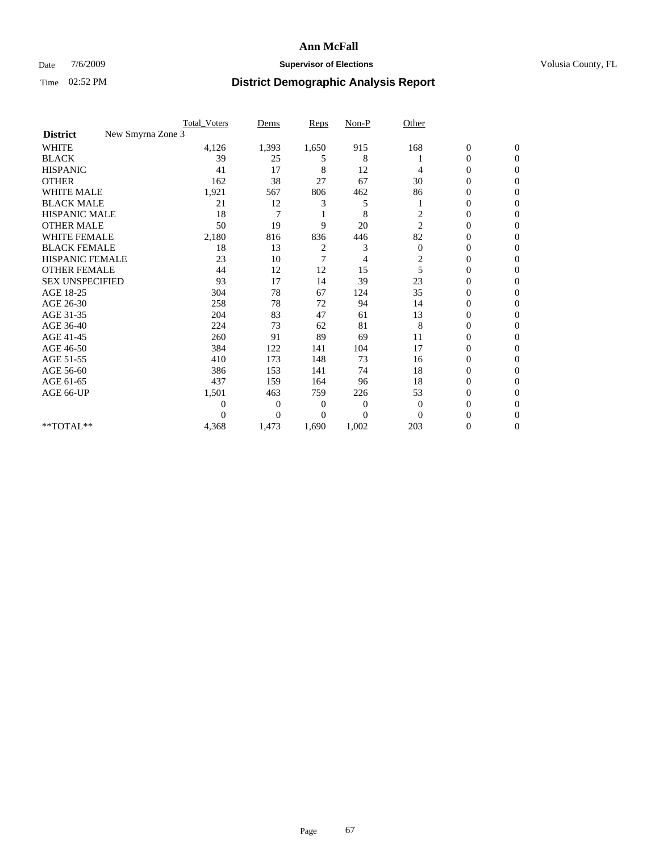## Date  $7/6/2009$  **Supervisor of Elections Supervisor of Elections** Volusia County, FL

|                                      | <b>Total_Voters</b> | Dems           | <b>Reps</b> | $Non-P$  | Other          |                  |                  |  |
|--------------------------------------|---------------------|----------------|-------------|----------|----------------|------------------|------------------|--|
| New Smyrna Zone 3<br><b>District</b> |                     |                |             |          |                |                  |                  |  |
| <b>WHITE</b>                         | 4,126               | 1,393          | 1,650       | 915      | 168            | $\boldsymbol{0}$ | $\boldsymbol{0}$ |  |
| <b>BLACK</b>                         | 39                  | 25             | 5           | 8        |                | $\boldsymbol{0}$ | $\Omega$         |  |
| <b>HISPANIC</b>                      | 41                  | 17             | 8           | 12       | 4              | 0                | $\Omega$         |  |
| <b>OTHER</b>                         | 162                 | 38             | 27          | 67       | 30             | 0                | $\Omega$         |  |
| <b>WHITE MALE</b>                    | 1,921               | 567            | 806         | 462      | 86             | $\mathbf{0}$     | $\mathbf{0}$     |  |
| <b>BLACK MALE</b>                    | 21                  | 12             | 3           | 5        |                | $\mathbf{0}$     | $\Omega$         |  |
| <b>HISPANIC MALE</b>                 | 18                  | 7              |             | 8        | $\overline{c}$ | 0                | $\Omega$         |  |
| <b>OTHER MALE</b>                    | 50                  | 19             | 9           | 20       | $\overline{2}$ | 0                | 0                |  |
| WHITE FEMALE                         | 2,180               | 816            | 836         | 446      | 82             | 0                | $\mathbf{0}$     |  |
| <b>BLACK FEMALE</b>                  | 18                  | 13             | 2           | 3        | $\mathbf{0}$   | $\boldsymbol{0}$ | $\Omega$         |  |
| <b>HISPANIC FEMALE</b>               | 23                  | 10             | 7           | 4        | $\overline{c}$ | 0                | $\mathbf{0}$     |  |
| <b>OTHER FEMALE</b>                  | 44                  | 12             | 12          | 15       | 5              | 0                | $\Omega$         |  |
| <b>SEX UNSPECIFIED</b>               | 93                  | 17             | 14          | 39       | 23             | $\overline{0}$   | $\mathbf{0}$     |  |
| AGE 18-25                            | 304                 | 78             | 67          | 124      | 35             | 0                | $\Omega$         |  |
| AGE 26-30                            | 258                 | 78             | 72          | 94       | 14             | 0                | $\Omega$         |  |
| AGE 31-35                            | 204                 | 83             | 47          | 61       | 13             | $\boldsymbol{0}$ | $\Omega$         |  |
| AGE 36-40                            | 224                 | 73             | 62          | 81       | 8              | 0                | 0                |  |
| AGE 41-45                            | 260                 | 91             | 89          | 69       | 11             | 0                | $\Omega$         |  |
| AGE 46-50                            | 384                 | 122            | 141         | 104      | 17             | 0                | $\Omega$         |  |
| AGE 51-55                            | 410                 | 173            | 148         | 73       | 16             | 0                | $\mathbf{0}$     |  |
| AGE 56-60                            | 386                 | 153            | 141         | 74       | 18             | 0                | 0                |  |
| AGE 61-65                            | 437                 | 159            | 164         | 96       | 18             | 0                | $\Omega$         |  |
| AGE 66-UP                            | 1,501               | 463            | 759         | 226      | 53             | 0                | $\Omega$         |  |
|                                      | $\boldsymbol{0}$    | 0              | 0           | 0        | $\mathbf{0}$   | 0                | $\Omega$         |  |
|                                      | $\theta$            | $\overline{0}$ | $\Omega$    | $\Omega$ | $\Omega$       | 0                | $\Omega$         |  |
| **TOTAL**                            | 4,368               | 1,473          | 1,690       | 1,002    | 203            | 0                | $\mathbf{0}$     |  |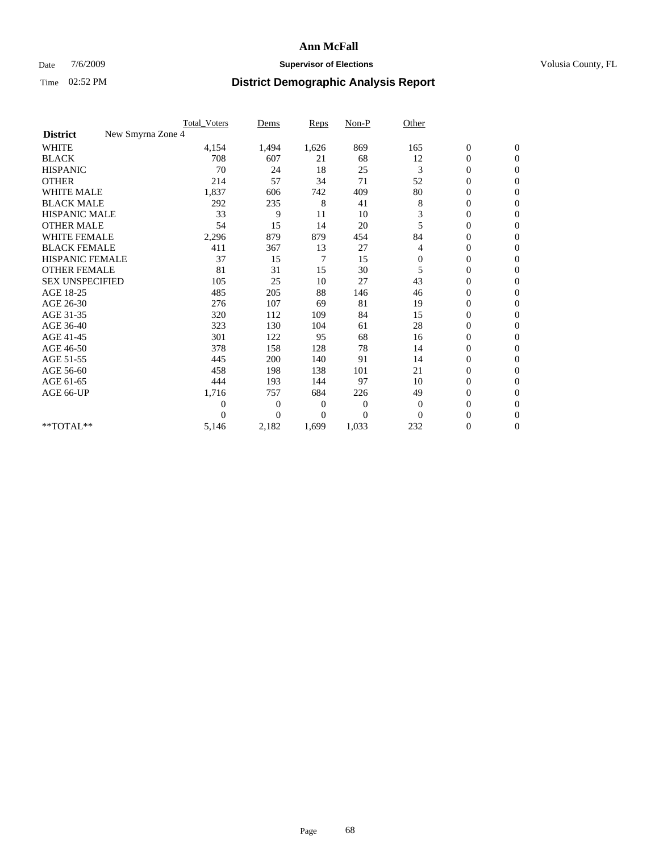## Date  $7/6/2009$  **Supervisor of Elections Supervisor of Elections** Volusia County, FL

|                                      | <b>Total_Voters</b> | Dems           | <b>Reps</b> | $Non-P$      | Other        |                  |                  |  |
|--------------------------------------|---------------------|----------------|-------------|--------------|--------------|------------------|------------------|--|
| New Smyrna Zone 4<br><b>District</b> |                     |                |             |              |              |                  |                  |  |
| <b>WHITE</b>                         | 4,154               | 1,494          | 1,626       | 869          | 165          | $\boldsymbol{0}$ | $\boldsymbol{0}$ |  |
| <b>BLACK</b>                         | 708                 | 607            | 21          | 68           | 12           | $\boldsymbol{0}$ | $\mathbf{0}$     |  |
| <b>HISPANIC</b>                      | 70                  | 24             | 18          | 25           | 3            | $\overline{0}$   | $\mathbf{0}$     |  |
| <b>OTHER</b>                         | 214                 | 57             | 34          | 71           | 52           | $\boldsymbol{0}$ | $\Omega$         |  |
| <b>WHITE MALE</b>                    | 1,837               | 606            | 742         | 409          | 80           | $\overline{0}$   | $\mathbf{0}$     |  |
| <b>BLACK MALE</b>                    | 292                 | 235            | 8           | 41           | 8            | $\overline{0}$   | $\mathbf{0}$     |  |
| <b>HISPANIC MALE</b>                 | 33                  | 9              | 11          | 10           | 3            | $\overline{0}$   | $\overline{0}$   |  |
| <b>OTHER MALE</b>                    | 54                  | 15             | 14          | 20           | 5            | $\boldsymbol{0}$ | $\mathbf{0}$     |  |
| WHITE FEMALE                         | 2,296               | 879            | 879         | 454          | 84           | $\overline{0}$   | $\mathbf{0}$     |  |
| <b>BLACK FEMALE</b>                  | 411                 | 367            | 13          | 27           | 4            | $\boldsymbol{0}$ | $\overline{0}$   |  |
| <b>HISPANIC FEMALE</b>               | 37                  | 15             | 7           | 15           | $\mathbf{0}$ | $\boldsymbol{0}$ | $\mathbf{0}$     |  |
| <b>OTHER FEMALE</b>                  | 81                  | 31             | 15          | 30           | 5            | $\mathbf{0}$     | $\Omega$         |  |
| <b>SEX UNSPECIFIED</b>               | 105                 | 25             | 10          | 27           | 43           | $\overline{0}$   | $\overline{0}$   |  |
| AGE 18-25                            | 485                 | 205            | 88          | 146          | 46           | $\overline{0}$   | $\mathbf{0}$     |  |
| AGE 26-30                            | 276                 | 107            | 69          | 81           | 19           | $\overline{0}$   | $\mathbf{0}$     |  |
| AGE 31-35                            | 320                 | 112            | 109         | 84           | 15           | $\boldsymbol{0}$ | $\mathbf{0}$     |  |
| AGE 36-40                            | 323                 | 130            | 104         | 61           | 28           | 0                | $\mathbf{0}$     |  |
| AGE 41-45                            | 301                 | 122            | 95          | 68           | 16           | $\overline{0}$   | $\Omega$         |  |
| AGE 46-50                            | 378                 | 158            | 128         | 78           | 14           | $\boldsymbol{0}$ | $\mathbf{0}$     |  |
| AGE 51-55                            | 445                 | 200            | 140         | 91           | 14           | $\boldsymbol{0}$ | $\mathbf{0}$     |  |
| AGE 56-60                            | 458                 | 198            | 138         | 101          | 21           | $\overline{0}$   | $\Omega$         |  |
| AGE 61-65                            | 444                 | 193            | 144         | 97           | 10           | $\overline{0}$   | $\mathbf{0}$     |  |
| AGE 66-UP                            | 1,716               | 757            | 684         | 226          | 49           | $\boldsymbol{0}$ | $\mathbf{0}$     |  |
|                                      | $\overline{0}$      | $\overline{0}$ | 0           | $\mathbf{0}$ | $\mathbf{0}$ | $\overline{0}$   | $\mathbf{0}$     |  |
|                                      | $\theta$            | $\Omega$       | $\Omega$    | $\theta$     | $\Omega$     | $\overline{0}$   | $\mathbf{0}$     |  |
| **TOTAL**                            | 5,146               | 2,182          | 1,699       | 1,033        | 232          | 0                | $\mathbf{0}$     |  |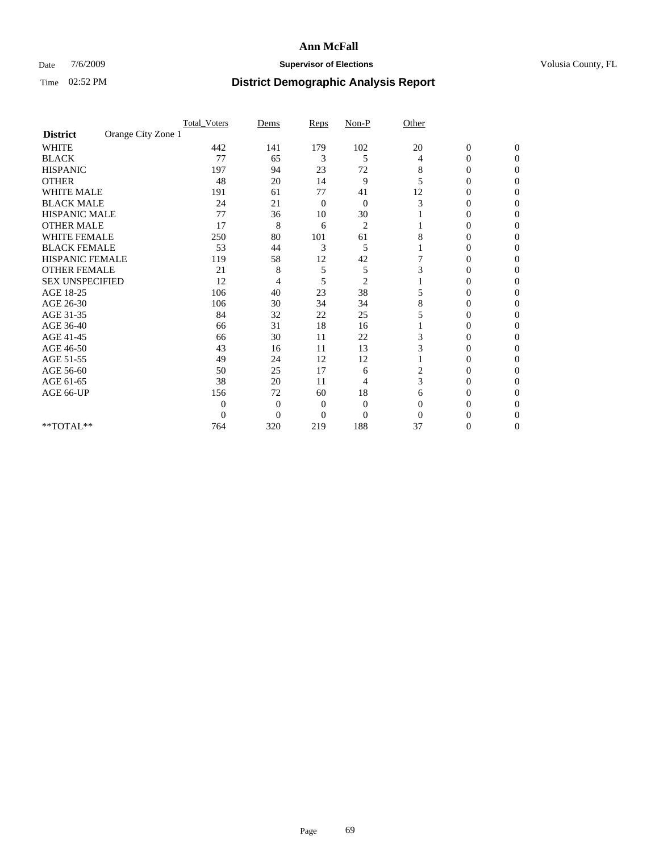## Date  $7/6/2009$  **Supervisor of Elections Supervisor of Elections** Volusia County, FL

|                        |                    | <b>Total_Voters</b> | Dems           | Reps           | $Non-P$        | Other    |                  |              |  |
|------------------------|--------------------|---------------------|----------------|----------------|----------------|----------|------------------|--------------|--|
| <b>District</b>        | Orange City Zone 1 |                     |                |                |                |          |                  |              |  |
| <b>WHITE</b>           |                    | 442                 | 141            | 179            | 102            | 20       | $\boldsymbol{0}$ | $\mathbf{0}$ |  |
| <b>BLACK</b>           |                    | 77                  | 65             | 3              | 5              | 4        | 0                | $\Omega$     |  |
| <b>HISPANIC</b>        |                    | 197                 | 94             | 23             | 72             | 8        | 0                | $\Omega$     |  |
| <b>OTHER</b>           |                    | 48                  | 20             | 14             | 9              | 5        | 0                | 0            |  |
| <b>WHITE MALE</b>      |                    | 191                 | 61             | 77             | 41             | 12       | $\theta$         | 0            |  |
| <b>BLACK MALE</b>      |                    | 24                  | 21             | 0              | $\mathbf{0}$   | 3        | 0                | $\Omega$     |  |
| HISPANIC MALE          |                    | 77                  | 36             | 10             | 30             |          | 0                | 0            |  |
| <b>OTHER MALE</b>      |                    | 17                  | 8              | 6              | $\overline{2}$ |          | 0                | 0            |  |
| <b>WHITE FEMALE</b>    |                    | 250                 | 80             | 101            | 61             | 8        | 0                | $\Omega$     |  |
| <b>BLACK FEMALE</b>    |                    | 53                  | 44             | 3              | 5              |          | 0                | 0            |  |
| <b>HISPANIC FEMALE</b> |                    | 119                 | 58             | 12             | 42             |          | 0                | 0            |  |
| <b>OTHER FEMALE</b>    |                    | 21                  | 8              | 5              | 5              | 3        | 0                | 0            |  |
| <b>SEX UNSPECIFIED</b> |                    | 12                  | 4              | 5              | $\overline{2}$ |          | 0                | 0            |  |
| AGE 18-25              |                    | 106                 | 40             | 23             | 38             | 5        | 0                | $\Omega$     |  |
| AGE 26-30              |                    | 106                 | 30             | 34             | 34             | 8        | 0                | 0            |  |
| AGE 31-35              |                    | 84                  | 32             | 22             | 25             | 5        | 0                | 0            |  |
| AGE 36-40              |                    | 66                  | 31             | 18             | 16             |          | 0                | 0            |  |
| AGE 41-45              |                    | 66                  | 30             | 11             | 22             | 3        | 0                | $\Omega$     |  |
| AGE 46-50              |                    | 43                  | 16             | 11             | 13             | 3        | 0                | $\Omega$     |  |
| AGE 51-55              |                    | 49                  | 24             | 12             | 12             |          | 0                | 0            |  |
| AGE 56-60              |                    | 50                  | 25             | 17             | 6              | 2        | 0                | 0            |  |
| AGE 61-65              |                    | 38                  | 20             | 11             | 4              | 3        | $\overline{0}$   | 0            |  |
| AGE 66-UP              |                    | 156                 | 72             | 60             | 18             | 6        | 0                | 0            |  |
|                        |                    | $\theta$            | $\overline{0}$ | $\mathbf{0}$   | $\mathbf{0}$   | $\Omega$ | 0                | 0            |  |
|                        |                    | $\overline{0}$      | $\overline{0}$ | $\overline{0}$ | $\overline{0}$ | $\Omega$ |                  | 0            |  |
| **TOTAL**              |                    | 764                 | 320            | 219            | 188            | 37       | 0                | 0            |  |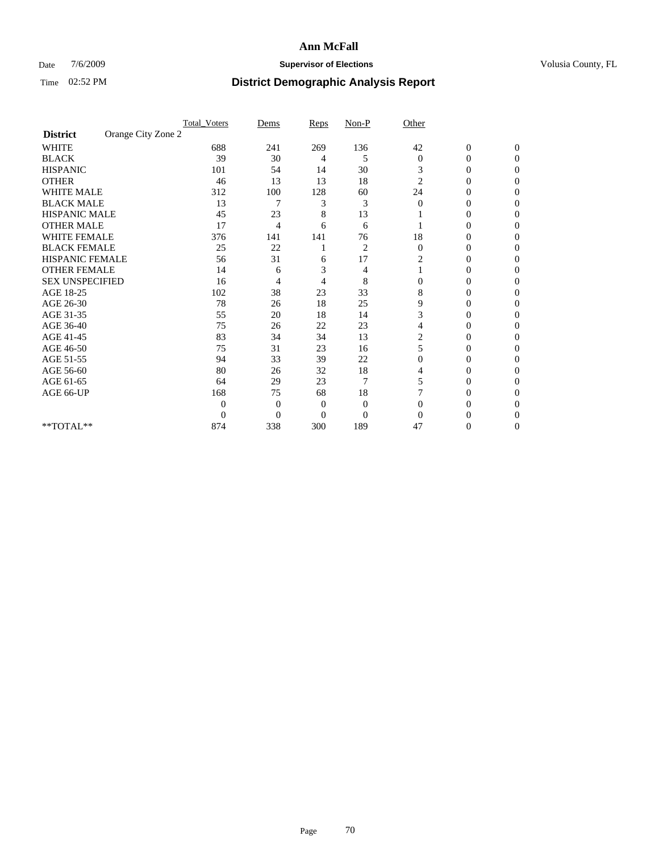## Date  $7/6/2009$  **Supervisor of Elections Supervisor of Elections** Volusia County, FL

|                        |                    | <b>Total_Voters</b> | Dems           | Reps         | $Non-P$        | Other          |                  |              |  |
|------------------------|--------------------|---------------------|----------------|--------------|----------------|----------------|------------------|--------------|--|
| <b>District</b>        | Orange City Zone 2 |                     |                |              |                |                |                  |              |  |
| <b>WHITE</b>           |                    | 688                 | 241            | 269          | 136            | 42             | $\boldsymbol{0}$ | $\mathbf{0}$ |  |
| <b>BLACK</b>           |                    | 39                  | 30             | 4            | 5              | $\mathbf{0}$   | $\overline{0}$   | $\Omega$     |  |
| <b>HISPANIC</b>        |                    | 101                 | 54             | 14           | 30             | 3              | 0                | $\Omega$     |  |
| <b>OTHER</b>           |                    | 46                  | 13             | 13           | 18             | $\overline{c}$ | 0                | $\Omega$     |  |
| <b>WHITE MALE</b>      |                    | 312                 | 100            | 128          | 60             | 24             | 0                | 0            |  |
| <b>BLACK MALE</b>      |                    | 13                  | 7              | 3            | 3              | $\Omega$       | 0                | $\Omega$     |  |
| HISPANIC MALE          |                    | 45                  | 23             | 8            | 13             |                | 0                | $\Omega$     |  |
| <b>OTHER MALE</b>      |                    | 17                  | 4              | 6            | 6              |                | 0                | 0            |  |
| <b>WHITE FEMALE</b>    |                    | 376                 | 141            | 141          | 76             | 18             | 0                | $\Omega$     |  |
| <b>BLACK FEMALE</b>    |                    | 25                  | 22             |              | $\overline{c}$ | $\mathbf{0}$   | 0                | 0            |  |
| <b>HISPANIC FEMALE</b> |                    | 56                  | 31             | 6            | 17             | 2              | 0                | 0            |  |
| <b>OTHER FEMALE</b>    |                    | 14                  | 6              | 3            | 4              |                | 0                | 0            |  |
| <b>SEX UNSPECIFIED</b> |                    | 16                  | 4              | 4            | 8              | $\mathbf{0}$   | 0                | 0            |  |
| AGE 18-25              |                    | 102                 | 38             | 23           | 33             | 8              | 0                | $\Omega$     |  |
| AGE 26-30              |                    | 78                  | 26             | 18           | 25             | 9              | 0                | 0            |  |
| AGE 31-35              |                    | 55                  | 20             | 18           | 14             | 3              | 0                | 0            |  |
| AGE 36-40              |                    | 75                  | 26             | 22           | 23             | 4              | 0                | 0            |  |
| AGE 41-45              |                    | 83                  | 34             | 34           | 13             | 2              | 0                | $\Omega$     |  |
| AGE 46-50              |                    | 75                  | 31             | 23           | 16             | 5              | 0                | $\Omega$     |  |
| AGE 51-55              |                    | 94                  | 33             | 39           | 22             | 0              | 0                | 0            |  |
| AGE 56-60              |                    | 80                  | 26             | 32           | 18             | 4              | 0                | 0            |  |
| AGE 61-65              |                    | 64                  | 29             | 23           | $\overline{7}$ | 5              | $\overline{0}$   | 0            |  |
| AGE 66-UP              |                    | 168                 | 75             | 68           | 18             |                | 0                | 0            |  |
|                        |                    | $\theta$            | $\overline{0}$ | $\mathbf{0}$ | $\mathbf{0}$   | $\Omega$       | 0                | 0            |  |
|                        |                    | $\boldsymbol{0}$    | $\overline{0}$ | $\mathbf{0}$ | $\overline{0}$ | $\Omega$       |                  | 0            |  |
| **TOTAL**              |                    | 874                 | 338            | 300          | 189            | 47             | 0                | 0            |  |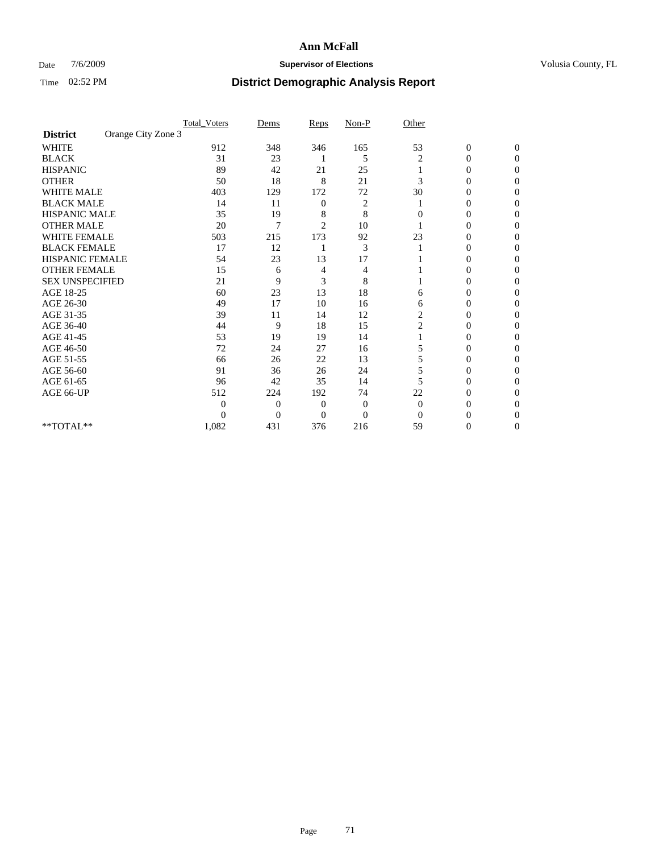## Date  $7/6/2009$  **Supervisor of Elections Supervisor of Elections** Volusia County, FL

|                        |                    | <b>Total_Voters</b> | Dems           | Reps           | $Non-P$        | Other          |                  |              |  |
|------------------------|--------------------|---------------------|----------------|----------------|----------------|----------------|------------------|--------------|--|
| <b>District</b>        | Orange City Zone 3 |                     |                |                |                |                |                  |              |  |
| <b>WHITE</b>           |                    | 912                 | 348            | 346            | 165            | 53             | $\boldsymbol{0}$ | $\mathbf{0}$ |  |
| <b>BLACK</b>           |                    | 31                  | 23             |                | 5              | 2              | $\mathbf{0}$     | $\Omega$     |  |
| <b>HISPANIC</b>        |                    | 89                  | 42             | 21             | 25             |                | 0                | $\Omega$     |  |
| <b>OTHER</b>           |                    | 50                  | 18             | 8              | 21             | 3              | 0                | 0            |  |
| <b>WHITE MALE</b>      |                    | 403                 | 129            | 172            | 72             | 30             | 0                | 0            |  |
| <b>BLACK MALE</b>      |                    | 14                  | 11             | $\mathbf{0}$   | 2              |                | 0                | $\Omega$     |  |
| HISPANIC MALE          |                    | 35                  | 19             | 8              | 8              | $\Omega$       | 0                | 0            |  |
| <b>OTHER MALE</b>      |                    | 20                  | 7              | $\overline{2}$ | 10             |                | 0                | 0            |  |
| <b>WHITE FEMALE</b>    |                    | 503                 | 215            | 173            | 92             | 23             | 0                | $\Omega$     |  |
| <b>BLACK FEMALE</b>    |                    | 17                  | 12             |                | 3              |                | 0                | 0            |  |
| <b>HISPANIC FEMALE</b> |                    | 54                  | 23             | 13             | 17             |                | 0                | 0            |  |
| <b>OTHER FEMALE</b>    |                    | 15                  | 6              | 4              | 4              |                | 0                | 0            |  |
| <b>SEX UNSPECIFIED</b> |                    | 21                  | 9              | 3              | 8              |                | 0                | 0            |  |
| AGE 18-25              |                    | 60                  | 23             | 13             | 18             | 6              | 0                | $\Omega$     |  |
| AGE 26-30              |                    | 49                  | 17             | 10             | 16             | 6              | 0                | 0            |  |
| AGE 31-35              |                    | 39                  | 11             | 14             | 12             | 2              | 0                | 0            |  |
| AGE 36-40              |                    | 44                  | 9              | 18             | 15             | $\overline{c}$ | 0                | 0            |  |
| AGE 41-45              |                    | 53                  | 19             | 19             | 14             |                | 0                | $\Omega$     |  |
| AGE 46-50              |                    | 72                  | 24             | 27             | 16             | 5              | 0                | $\Omega$     |  |
| AGE 51-55              |                    | 66                  | 26             | 22             | 13             | 5              | 0                | 0            |  |
| AGE 56-60              |                    | 91                  | 36             | 26             | 24             |                | 0                | 0            |  |
| AGE 61-65              |                    | 96                  | 42             | 35             | 14             | 5              | $\overline{0}$   | 0            |  |
| AGE 66-UP              |                    | 512                 | 224            | 192            | 74             | 22             | 0                | 0            |  |
|                        |                    | $\theta$            | $\overline{0}$ | $\mathbf{0}$   | $\mathbf{0}$   | $\Omega$       | 0                | 0            |  |
|                        |                    | $\theta$            | $\overline{0}$ | $\overline{0}$ | $\overline{0}$ | $\Omega$       |                  | 0            |  |
| **TOTAL**              |                    | 1,082               | 431            | 376            | 216            | 59             | 0                | 0            |  |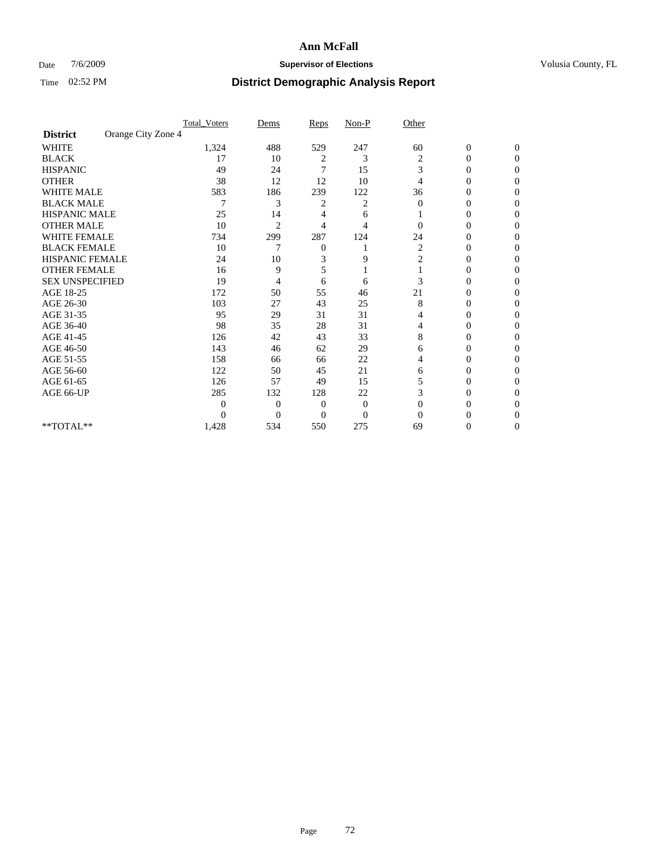## Date  $7/6/2009$  **Supervisor of Elections Supervisor of Elections** Volusia County, FL

|                        |                    | <b>Total_Voters</b> | Dems             | Reps     | $Non-P$      | Other    |                  |                  |  |
|------------------------|--------------------|---------------------|------------------|----------|--------------|----------|------------------|------------------|--|
| <b>District</b>        | Orange City Zone 4 |                     |                  |          |              |          |                  |                  |  |
| <b>WHITE</b>           |                    | 1,324               | 488              | 529      | 247          | 60       | $\boldsymbol{0}$ | $\boldsymbol{0}$ |  |
| <b>BLACK</b>           |                    | 17                  | 10               | 2        | 3            | 2        | $\overline{0}$   | $\Omega$         |  |
| <b>HISPANIC</b>        |                    | 49                  | 24               | 7        | 15           | 3        | 0                | $\Omega$         |  |
| <b>OTHER</b>           |                    | 38                  | 12               | 12       | 10           | 4        | 0                | $\Omega$         |  |
| <b>WHITE MALE</b>      |                    | 583                 | 186              | 239      | 122          | 36       | 0                | $\Omega$         |  |
| <b>BLACK MALE</b>      |                    | 7                   | 3                | 2        | 2            | $\Omega$ | 0                | 0                |  |
| <b>HISPANIC MALE</b>   |                    | 25                  | 14               | 4        | 6            |          | 0                | 0                |  |
| <b>OTHER MALE</b>      |                    | 10                  | $\overline{2}$   | 4        | 4            | 0        | $\theta$         | 0                |  |
| WHITE FEMALE           |                    | 734                 | 299              | 287      | 124          | 24       | 0                | $\Omega$         |  |
| <b>BLACK FEMALE</b>    |                    | 10                  | 7                | 0        |              | 2        | 0                | $\Omega$         |  |
| HISPANIC FEMALE        |                    | 24                  | 10               | 3        | 9            | 2        | 0                | 0                |  |
| <b>OTHER FEMALE</b>    |                    | 16                  | 9                | 5        |              |          | 0                | $\Omega$         |  |
| <b>SEX UNSPECIFIED</b> |                    | 19                  | 4                | 6        | 6            | 3        | $\overline{0}$   | 0                |  |
| AGE 18-25              |                    | 172                 | 50               | 55       | 46           | 21       | 0                | 0                |  |
| AGE 26-30              |                    | 103                 | 27               | 43       | 25           | 8        | 0                | 0                |  |
| AGE 31-35              |                    | 95                  | 29               | 31       | 31           | 4        | 0                | $\Omega$         |  |
| AGE 36-40              |                    | 98                  | 35               | 28       | 31           | 4        | 0                | 0                |  |
| AGE 41-45              |                    | 126                 | 42               | 43       | 33           | 8        | 0                | 0                |  |
| AGE 46-50              |                    | 143                 | 46               | 62       | 29           | 6        | 0                | $\Omega$         |  |
| AGE 51-55              |                    | 158                 | 66               | 66       | 22           | 4        | 0                | $\Omega$         |  |
| AGE 56-60              |                    | 122                 | 50               | 45       | 21           | 6        | 0                | 0                |  |
| AGE 61-65              |                    | 126                 | 57               | 49       | 15           | 5        | $\overline{0}$   | 0                |  |
| AGE 66-UP              |                    | 285                 | 132              | 128      | 22           | 3        | 0                | 0                |  |
|                        |                    | $\overline{0}$      | $\overline{0}$   | 0        | $\mathbf{0}$ | $\Omega$ | 0                | 0                |  |
|                        |                    | $\Omega$            | $\boldsymbol{0}$ | $\Omega$ | $\Omega$     | $\Omega$ | 0                | $\Omega$         |  |
| **TOTAL**              |                    | 1,428               | 534              | 550      | 275          | 69       | 0                | $\overline{0}$   |  |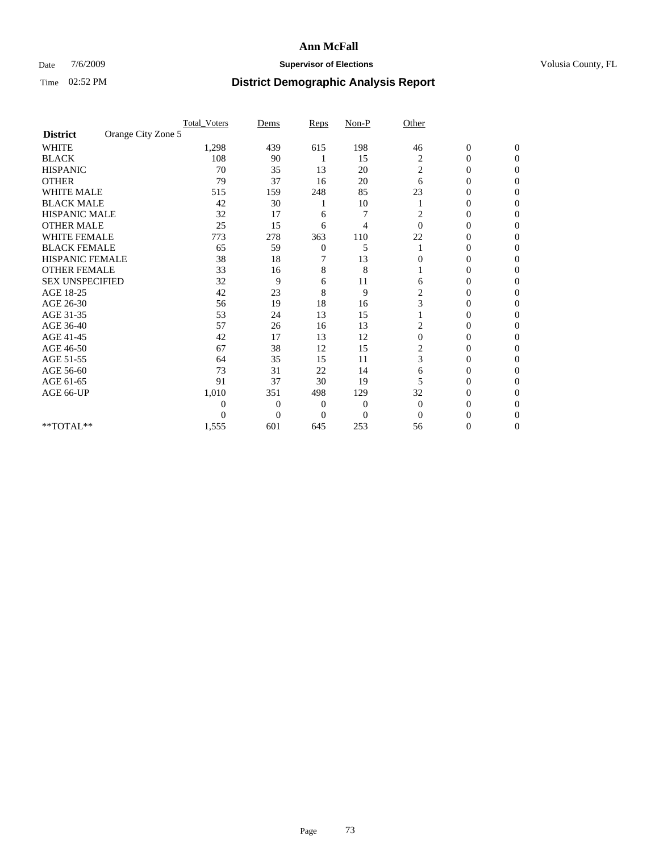### Date  $7/6/2009$  **Supervisor of Elections Supervisor of Elections** Volusia County, FL

|                        | <b>Total_Voters</b> | Dems                       | Reps             | $Non-P$        | Other          |                  |              |  |
|------------------------|---------------------|----------------------------|------------------|----------------|----------------|------------------|--------------|--|
| <b>District</b>        | Orange City Zone 5  |                            |                  |                |                |                  |              |  |
| <b>WHITE</b>           | 1,298               | 439                        | 615              | 198            | 46             | $\boldsymbol{0}$ | $\mathbf{0}$ |  |
| <b>BLACK</b>           | 108                 | 90                         |                  | 15             | 2              | $\overline{0}$   | $\Omega$     |  |
| <b>HISPANIC</b>        | 70                  | 35                         | 13               | 20             | 2              | 0                | $\Omega$     |  |
| <b>OTHER</b>           | 79                  | 37                         | 16               | 20             | 6              | 0                | $\Omega$     |  |
| <b>WHITE MALE</b>      | 515                 | 159                        | 248              | 85             | 23             | 0                | 0            |  |
| <b>BLACK MALE</b>      | 42                  | 30                         |                  | 10             |                | $\overline{0}$   | $\Omega$     |  |
| HISPANIC MALE          | 32                  | 17                         | 6                | 7              | 2              | 0                | $\Omega$     |  |
| <b>OTHER MALE</b>      | 25                  | 15                         | 6                | 4              | $\Omega$       | 0                | 0            |  |
| <b>WHITE FEMALE</b>    | 773                 | 278                        | 363              | 110            | 22             | 0                | $\Omega$     |  |
| <b>BLACK FEMALE</b>    | 65                  | 59                         | $\boldsymbol{0}$ | 5              |                | 0                | $\Omega$     |  |
| <b>HISPANIC FEMALE</b> | 38                  | 18                         | 7                | 13             | 0              | 0                | 0            |  |
| <b>OTHER FEMALE</b>    | 33                  | 16                         | 8                | 8              |                | 0                | 0            |  |
| <b>SEX UNSPECIFIED</b> | 32                  | 9                          | 6                | 11             | 6              | 0                | $\Omega$     |  |
| AGE 18-25              | 42                  | 23                         | 8                | 9              | $\overline{c}$ | 0                | $\Omega$     |  |
| AGE 26-30              | 56                  | 19                         | 18               | 16             | 3              | 0                | 0            |  |
| AGE 31-35              | 53                  | 24                         | 13               | 15             |                | 0                | $\Omega$     |  |
| AGE 36-40              | 57                  | 26                         | 16               | 13             | 2              | 0                | 0            |  |
| AGE 41-45              | 42                  | 17                         | 13               | 12             | $\mathbf{0}$   | 0                | $\Omega$     |  |
| AGE 46-50              | 67                  | 38                         | 12               | 15             | 2              | 0                | $\Omega$     |  |
| AGE 51-55              | 64                  | 35                         | 15               | 11             | 3              | 0                | 0            |  |
| AGE 56-60              | 73                  | 31                         | 22               | 14             | 6              | 0                | 0            |  |
| AGE 61-65              | 91                  | 37                         | 30               | 19             | 5              | $\overline{0}$   | 0            |  |
| AGE 66-UP              | 1,010               | 351                        | 498              | 129            | 32             | 0                | 0            |  |
|                        |                     | 0<br>0                     | $\overline{0}$   | 0              | $\Omega$       | 0                | 0            |  |
|                        |                     | $\overline{0}$<br>$\theta$ | $\Omega$         | $\overline{0}$ | $\Omega$       | 0                | 0            |  |
| **TOTAL**              | 1,555               | 601                        | 645              | 253            | 56             | 0                | 0            |  |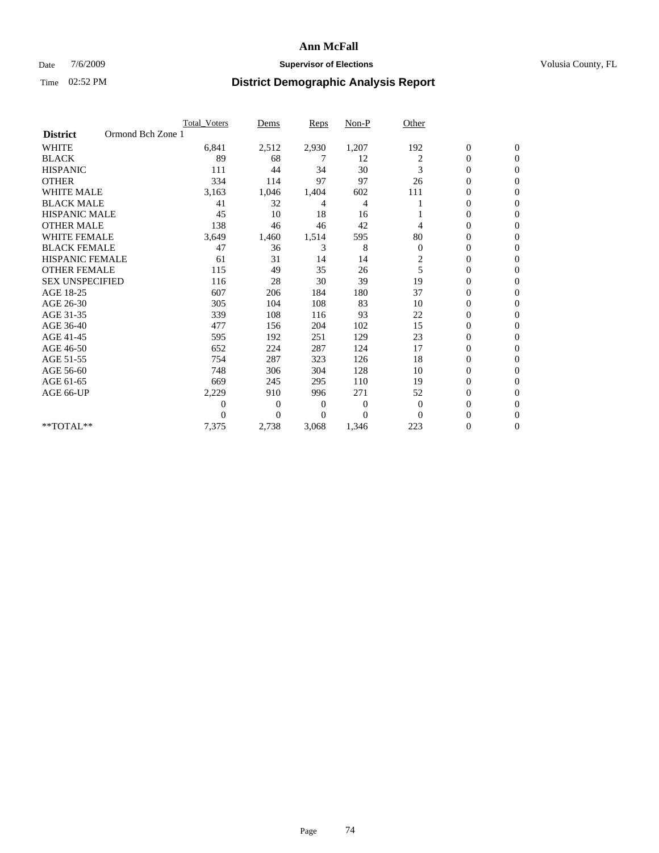### Date 7/6/2009 **Supervisor of Elections Supervisor of Elections** Volusia County, FL

|                        | Total Voters      | Dems           | <b>Reps</b> | Non-P        | Other                   |                  |                  |  |
|------------------------|-------------------|----------------|-------------|--------------|-------------------------|------------------|------------------|--|
| <b>District</b>        | Ormond Bch Zone 1 |                |             |              |                         |                  |                  |  |
| <b>WHITE</b>           | 6,841             | 2,512          | 2,930       | 1,207        | 192                     | $\boldsymbol{0}$ | $\boldsymbol{0}$ |  |
| <b>BLACK</b>           | 89                | 68             | 7           | 12           | 2                       | $\boldsymbol{0}$ | $\mathbf{0}$     |  |
| <b>HISPANIC</b>        | 111               | 44             | 34          | 30           | 3                       | $\overline{0}$   | $\mathbf{0}$     |  |
| <b>OTHER</b>           | 334               | 114            | 97          | 97           | 26                      | 0                | $\Omega$         |  |
| <b>WHITE MALE</b>      | 3,163             | 1,046          | 1,404       | 602          | 111                     | 0                | $\mathbf{0}$     |  |
| <b>BLACK MALE</b>      | 41                | 32             | 4           | 4            |                         | $\overline{0}$   | $\mathbf{0}$     |  |
| <b>HISPANIC MALE</b>   | 45                | 10             | 18          | 16           |                         | 0                | $\Omega$         |  |
| <b>OTHER MALE</b>      | 138               | 46             | 46          | 42           | 4                       | 0                | $\mathbf{0}$     |  |
| <b>WHITE FEMALE</b>    | 3,649             | 1,460          | 1,514       | 595          | 80                      | $\overline{0}$   | $\mathbf{0}$     |  |
| <b>BLACK FEMALE</b>    | 47                | 36             | 3           | 8            | $\boldsymbol{0}$        | $\boldsymbol{0}$ | $\Omega$         |  |
| <b>HISPANIC FEMALE</b> | 61                | 31             | 14          | 14           | $\overline{\mathbf{c}}$ | 0                | $\mathbf{0}$     |  |
| <b>OTHER FEMALE</b>    | 115               | 49             | 35          | 26           | 5                       | $\overline{0}$   | $\Omega$         |  |
| <b>SEX UNSPECIFIED</b> | 116               | 28             | 30          | 39           | 19                      | $\overline{0}$   | $\mathbf{0}$     |  |
| AGE 18-25              | 607               | 206            | 184         | 180          | 37                      | 0                | $\mathbf{0}$     |  |
| AGE 26-30              | 305               | 104            | 108         | 83           | 10                      | $\overline{0}$   | $\mathbf{0}$     |  |
| AGE 31-35              | 339               | 108            | 116         | 93           | 22                      | $\boldsymbol{0}$ | $\mathbf{0}$     |  |
| AGE 36-40              | 477               | 156            | 204         | 102          | 15                      | 0                | $\mathbf{0}$     |  |
| AGE 41-45              | 595               | 192            | 251         | 129          | 23                      | $\mathbf{0}$     | $\Omega$         |  |
| AGE 46-50              | 652               | 224            | 287         | 124          | 17                      | $\boldsymbol{0}$ | $\Omega$         |  |
| AGE 51-55              | 754               | 287            | 323         | 126          | 18                      | $\boldsymbol{0}$ | $\mathbf{0}$     |  |
| AGE 56-60              | 748               | 306            | 304         | 128          | 10                      | $\overline{0}$   | $\Omega$         |  |
| AGE 61-65              | 669               | 245            | 295         | 110          | 19                      | $\overline{0}$   | $\mathbf{0}$     |  |
| AGE 66-UP              | 2,229             | 910            | 996         | 271          | 52                      | 0                | $\mathbf{0}$     |  |
|                        | 0                 | $\overline{0}$ | 0           | $\mathbf{0}$ | $\mathbf{0}$            | 0                | $\mathbf{0}$     |  |
|                        | $\theta$          | $\overline{0}$ | $\Omega$    | $\Omega$     | $\Omega$                | $\overline{0}$   | $\mathbf{0}$     |  |
| **TOTAL**              | 7,375             | 2,738          | 3,068       | 1,346        | 223                     | 0                | $\mathbf{0}$     |  |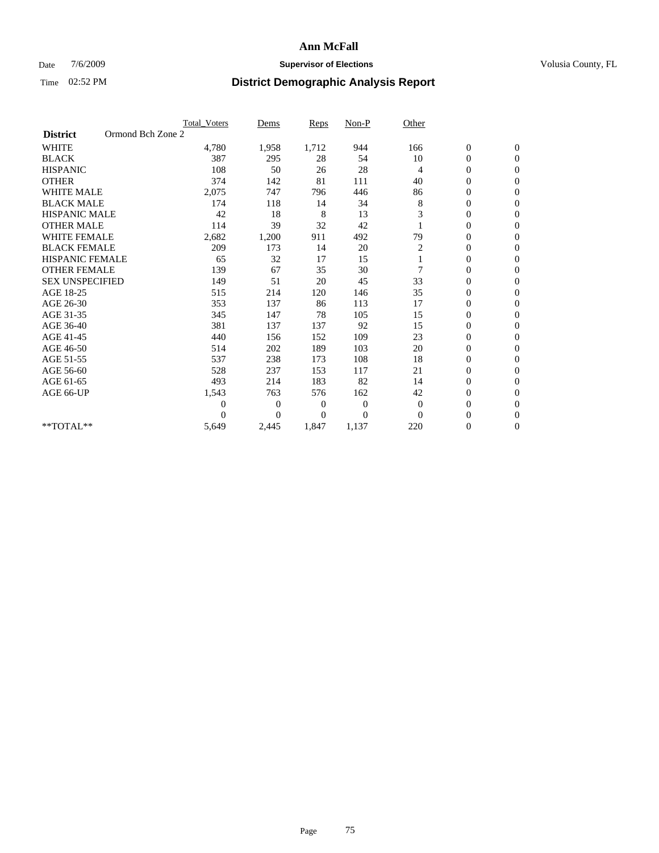### Date  $7/6/2009$  **Supervisor of Elections Supervisor of Elections** Volusia County, FL

|                        | <b>Total Voters</b> | Dems                               | <b>Reps</b> | Non-P        | Other          |                  |                  |  |
|------------------------|---------------------|------------------------------------|-------------|--------------|----------------|------------------|------------------|--|
| <b>District</b>        | Ormond Bch Zone 2   |                                    |             |              |                |                  |                  |  |
| <b>WHITE</b>           | 4,780               | 1,958                              | 1,712       | 944          | 166            | $\boldsymbol{0}$ | $\boldsymbol{0}$ |  |
| <b>BLACK</b>           |                     | 387<br>295                         | 28          | 54           | 10             | $\boldsymbol{0}$ | $\mathbf{0}$     |  |
| <b>HISPANIC</b>        |                     | 108<br>50                          | 26          | 28           | $\overline{4}$ | $\overline{0}$   | $\mathbf{0}$     |  |
| <b>OTHER</b>           |                     | 374<br>142                         | 81          | 111          | 40             | 0                | $\Omega$         |  |
| <b>WHITE MALE</b>      | 2,075               | 747                                | 796         | 446          | 86             | $\overline{0}$   | $\mathbf{0}$     |  |
| <b>BLACK MALE</b>      |                     | 174<br>118                         | 14          | 34           | 8              | $\overline{0}$   | $\mathbf{0}$     |  |
| <b>HISPANIC MALE</b>   |                     | 42<br>18                           | 8           | 13           | 3              | $\overline{0}$   | $\mathbf{0}$     |  |
| <b>OTHER MALE</b>      |                     | 114<br>39                          | 32          | 42           |                | 0                | $\mathbf{0}$     |  |
| <b>WHITE FEMALE</b>    | 2,682               | 1,200                              | 911         | 492          | 79             | $\overline{0}$   | $\mathbf{0}$     |  |
| <b>BLACK FEMALE</b>    |                     | 209<br>173                         | 14          | 20           | 2              | $\boldsymbol{0}$ | $\mathbf{0}$     |  |
| <b>HISPANIC FEMALE</b> |                     | 32<br>65                           | 17          | 15           |                | $\boldsymbol{0}$ | $\mathbf{0}$     |  |
| <b>OTHER FEMALE</b>    |                     | 139<br>67                          | 35          | 30           | 7              | $\mathbf{0}$     | $\mathbf{0}$     |  |
| <b>SEX UNSPECIFIED</b> |                     | 149<br>51                          | 20          | 45           | 33             | $\overline{0}$   | $\mathbf{0}$     |  |
| AGE 18-25              |                     | 515<br>214                         | 120         | 146          | 35             | $\mathbf{0}$     | $\mathbf{0}$     |  |
| AGE 26-30              |                     | 353<br>137                         | 86          | 113          | 17             | $\overline{0}$   | $\mathbf{0}$     |  |
| AGE 31-35              |                     | 345<br>147                         | 78          | 105          | 15             | $\boldsymbol{0}$ | $\mathbf{0}$     |  |
| AGE 36-40              |                     | 381<br>137                         | 137         | 92           | 15             | 0                | $\mathbf{0}$     |  |
| AGE 41-45              |                     | 440<br>156                         | 152         | 109          | 23             | $\overline{0}$   | $\mathbf{0}$     |  |
| AGE 46-50              |                     | 514<br>202                         | 189         | 103          | 20             | $\boldsymbol{0}$ | $\mathbf{0}$     |  |
| AGE 51-55              |                     | 537<br>238                         | 173         | 108          | 18             | $\boldsymbol{0}$ | $\mathbf{0}$     |  |
| AGE 56-60              |                     | 528<br>237                         | 153         | 117          | 21             | $\overline{0}$   | $\Omega$         |  |
| AGE 61-65              |                     | 493<br>214                         | 183         | 82           | 14             | $\overline{0}$   | $\mathbf{0}$     |  |
| AGE 66-UP              | 1,543               | 763                                | 576         | 162          | 42             | $\boldsymbol{0}$ | $\mathbf{0}$     |  |
|                        |                     | $\boldsymbol{0}$<br>$\overline{0}$ | 0           | $\mathbf{0}$ | $\mathbf{0}$   | $\overline{0}$   | $\mathbf{0}$     |  |
|                        |                     | $\theta$<br>$\theta$               | $\Omega$    | $\Omega$     | $\Omega$       | $\boldsymbol{0}$ | $\mathbf{0}$     |  |
| **TOTAL**              | 5,649               | 2,445                              | 1,847       | 1,137        | 220            | 0                | $\mathbf{0}$     |  |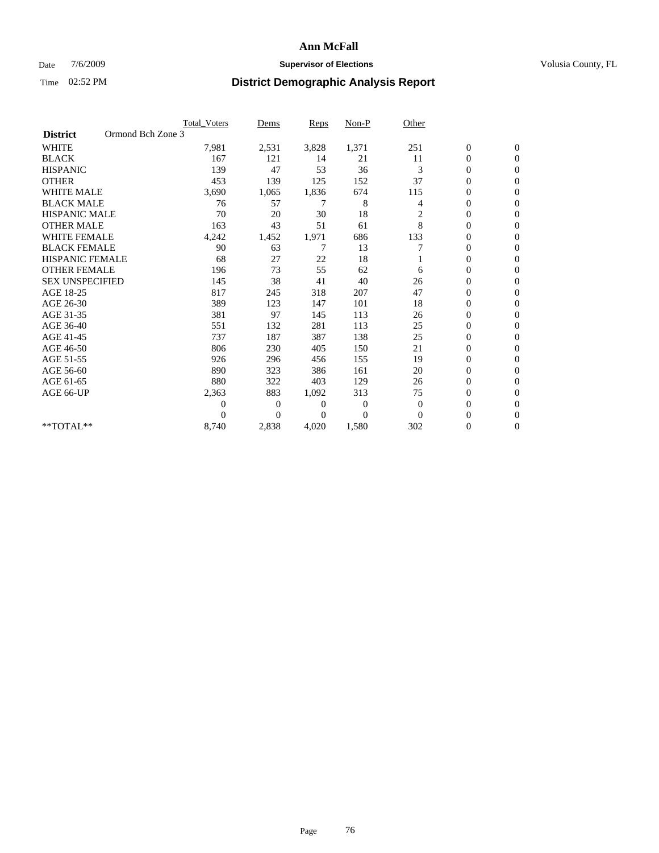### Date 7/6/2009 **Supervisor of Elections Supervisor of Elections** Volusia County, FL

|                        |                   | Total Voters | Dems           | <b>Reps</b> | Non-P        | Other          |                  |                  |  |
|------------------------|-------------------|--------------|----------------|-------------|--------------|----------------|------------------|------------------|--|
| <b>District</b>        | Ormond Bch Zone 3 |              |                |             |              |                |                  |                  |  |
| <b>WHITE</b>           |                   | 7,981        | 2,531          | 3,828       | 1,371        | 251            | $\boldsymbol{0}$ | $\boldsymbol{0}$ |  |
| <b>BLACK</b>           |                   | 167          | 121            | 14          | 21           | 11             | $\boldsymbol{0}$ | $\mathbf{0}$     |  |
| <b>HISPANIC</b>        |                   | 139          | 47             | 53          | 36           | 3              | $\overline{0}$   | $\mathbf{0}$     |  |
| <b>OTHER</b>           |                   | 453          | 139            | 125         | 152          | 37             | 0                | $\Omega$         |  |
| <b>WHITE MALE</b>      |                   | 3,690        | 1,065          | 1,836       | 674          | 115            | $\mathbf{0}$     | $\mathbf{0}$     |  |
| <b>BLACK MALE</b>      |                   | 76           | 57             | 7           | 8            | 4              | $\overline{0}$   | $\mathbf{0}$     |  |
| <b>HISPANIC MALE</b>   |                   | 70           | 20             | 30          | 18           | $\overline{c}$ | 0                | $\mathbf{0}$     |  |
| <b>OTHER MALE</b>      |                   | 163          | 43             | 51          | 61           | 8              | 0                | $\mathbf{0}$     |  |
| <b>WHITE FEMALE</b>    |                   | 4,242        | 1,452          | 1,971       | 686          | 133            | 0                | $\mathbf{0}$     |  |
| <b>BLACK FEMALE</b>    |                   | 90           | 63             | 7           | 13           | 7              | $\boldsymbol{0}$ | $\mathbf{0}$     |  |
| <b>HISPANIC FEMALE</b> |                   | 68           | 27             | 22          | 18           |                | 0                | $\mathbf{0}$     |  |
| <b>OTHER FEMALE</b>    |                   | 196          | 73             | 55          | 62           | 6              | $\overline{0}$   | $\Omega$         |  |
| <b>SEX UNSPECIFIED</b> |                   | 145          | 38             | 41          | 40           | 26             | $\overline{0}$   | $\mathbf{0}$     |  |
| AGE 18-25              |                   | 817          | 245            | 318         | 207          | 47             | 0                | $\mathbf{0}$     |  |
| AGE 26-30              |                   | 389          | 123            | 147         | 101          | 18             | $\overline{0}$   | $\mathbf{0}$     |  |
| AGE 31-35              |                   | 381          | 97             | 145         | 113          | 26             | $\boldsymbol{0}$ | $\mathbf{0}$     |  |
| AGE 36-40              |                   | 551          | 132            | 281         | 113          | 25             | 0                | $\mathbf{0}$     |  |
| AGE 41-45              |                   | 737          | 187            | 387         | 138          | 25             | $\mathbf{0}$     | $\mathbf{0}$     |  |
| AGE 46-50              |                   | 806          | 230            | 405         | 150          | 21             | $\boldsymbol{0}$ | $\Omega$         |  |
| AGE 51-55              |                   | 926          | 296            | 456         | 155          | 19             | $\boldsymbol{0}$ | $\mathbf{0}$     |  |
| AGE 56-60              |                   | 890          | 323            | 386         | 161          | 20             | $\overline{0}$   | $\Omega$         |  |
| AGE 61-65              |                   | 880          | 322            | 403         | 129          | 26             | $\overline{0}$   | $\mathbf{0}$     |  |
| AGE 66-UP              |                   | 2,363        | 883            | 1,092       | 313          | 75             | $\boldsymbol{0}$ | $\mathbf{0}$     |  |
|                        |                   | 0            | $\overline{0}$ | 0           | $\mathbf{0}$ | $\theta$       | $\overline{0}$   | $\mathbf{0}$     |  |
|                        |                   | $\Omega$     | $\overline{0}$ | $\Omega$    | $\Omega$     | $\Omega$       | $\overline{0}$   | $\mathbf{0}$     |  |
| **TOTAL**              |                   | 8,740        | 2,838          | 4,020       | 1,580        | 302            | 0                | $\mathbf{0}$     |  |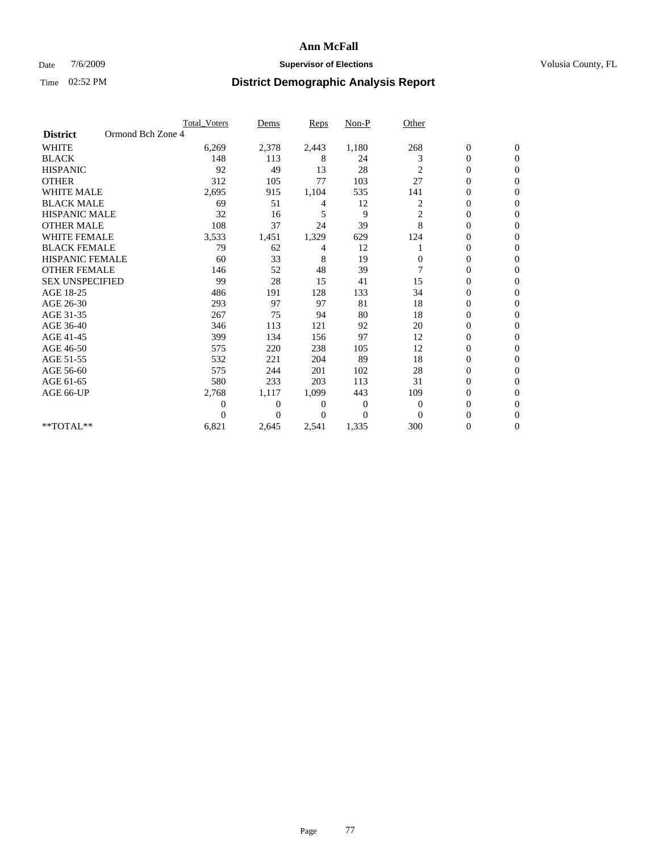### Date 7/6/2009 **Supervisor of Elections Supervisor of Elections** Volusia County, FL

|                        |                   | <b>Total Voters</b> | Dems           | <b>Reps</b> | Non-P    | Other          |                  |                  |  |
|------------------------|-------------------|---------------------|----------------|-------------|----------|----------------|------------------|------------------|--|
| <b>District</b>        | Ormond Bch Zone 4 |                     |                |             |          |                |                  |                  |  |
| <b>WHITE</b>           |                   | 6,269               | 2,378          | 2,443       | 1,180    | 268            | $\boldsymbol{0}$ | $\boldsymbol{0}$ |  |
| <b>BLACK</b>           |                   | 148                 | 113            | 8           | 24       | 3              | $\boldsymbol{0}$ | $\mathbf{0}$     |  |
| <b>HISPANIC</b>        |                   | 92                  | 49             | 13          | 28       | 2              | $\overline{0}$   | $\mathbf{0}$     |  |
| <b>OTHER</b>           |                   | 312                 | 105            | 77          | 103      | 27             | 0                | $\Omega$         |  |
| <b>WHITE MALE</b>      |                   | 2,695               | 915            | 1,104       | 535      | 141            | $\mathbf{0}$     | $\mathbf{0}$     |  |
| <b>BLACK MALE</b>      |                   | 69                  | 51             | 4           | 12       | 2              | $\overline{0}$   | $\mathbf{0}$     |  |
| <b>HISPANIC MALE</b>   |                   | 32                  | 16             | 5           | 9        | $\overline{c}$ | 0                | $\Omega$         |  |
| <b>OTHER MALE</b>      |                   | 108                 | 37             | 24          | 39       | 8              | 0                | $\Omega$         |  |
| <b>WHITE FEMALE</b>    |                   | 3,533               | 1,451          | 1,329       | 629      | 124            | 0                | $\mathbf{0}$     |  |
| <b>BLACK FEMALE</b>    |                   | 79                  | 62             | 4           | 12       |                | $\boldsymbol{0}$ | $\Omega$         |  |
| <b>HISPANIC FEMALE</b> |                   | 60                  | 33             | 8           | 19       | 0              | 0                | $\mathbf{0}$     |  |
| <b>OTHER FEMALE</b>    |                   | 146                 | 52             | 48          | 39       | 7              | $\overline{0}$   | $\Omega$         |  |
| <b>SEX UNSPECIFIED</b> |                   | 99                  | 28             | 15          | 41       | 15             | $\overline{0}$   | $\mathbf{0}$     |  |
| AGE 18-25              |                   | 486                 | 191            | 128         | 133      | 34             | 0                | $\mathbf{0}$     |  |
| AGE 26-30              |                   | 293                 | 97             | 97          | 81       | 18             | $\overline{0}$   | $\mathbf{0}$     |  |
| AGE 31-35              |                   | 267                 | 75             | 94          | 80       | 18             | $\boldsymbol{0}$ | $\mathbf{0}$     |  |
| AGE 36-40              |                   | 346                 | 113            | 121         | 92       | 20             | 0                | $\mathbf{0}$     |  |
| AGE 41-45              |                   | 399                 | 134            | 156         | 97       | 12             | 0                | $\Omega$         |  |
| AGE 46-50              |                   | 575                 | 220            | 238         | 105      | 12             | $\boldsymbol{0}$ | $\Omega$         |  |
| AGE 51-55              |                   | 532                 | 221            | 204         | 89       | 18             | $\boldsymbol{0}$ | $\mathbf{0}$     |  |
| AGE 56-60              |                   | 575                 | 244            | 201         | 102      | 28             | 0                | $\Omega$         |  |
| AGE 61-65              |                   | 580                 | 233            | 203         | 113      | 31             | 0                | $\overline{0}$   |  |
| AGE 66-UP              |                   | 2,768               | 1,117          | 1,099       | 443      | 109            | 0                | $\mathbf{0}$     |  |
|                        |                   | $\overline{0}$      | $\overline{0}$ | 0           | 0        | $\mathbf{0}$   | $\overline{0}$   | $\mathbf{0}$     |  |
|                        |                   | $\theta$            | $\Omega$       | 0           | $\Omega$ | $\Omega$       | $\overline{0}$   | $\Omega$         |  |
| **TOTAL**              |                   | 6,821               | 2,645          | 2,541       | 1,335    | 300            | 0                | $\overline{0}$   |  |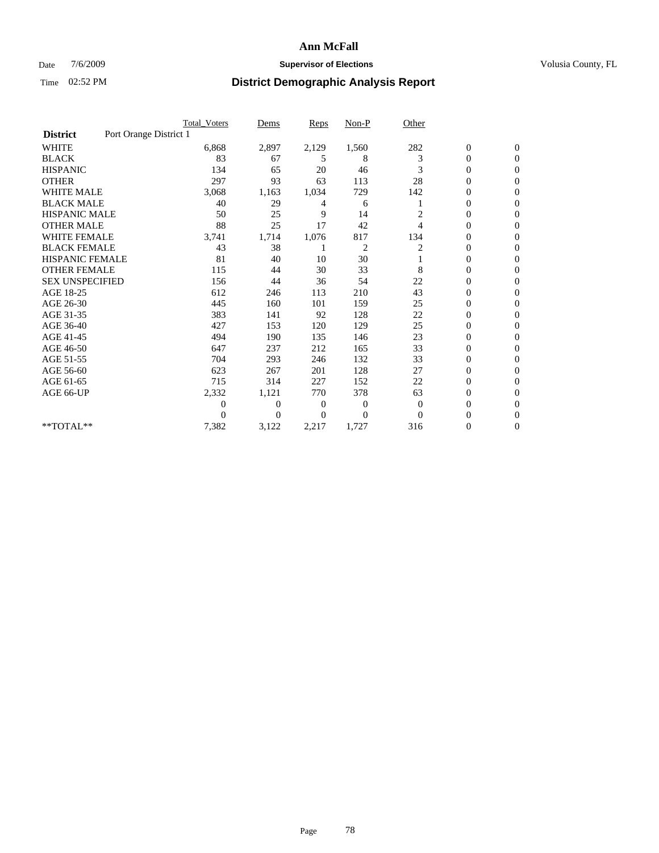### Date 7/6/2009 **Supervisor of Elections Supervisor of Elections** Volusia County, FL

|                        |                        | Total Voters   | Dems           | <b>Reps</b> | $Non-P$        | Other        |                  |                  |  |
|------------------------|------------------------|----------------|----------------|-------------|----------------|--------------|------------------|------------------|--|
| <b>District</b>        | Port Orange District 1 |                |                |             |                |              |                  |                  |  |
| <b>WHITE</b>           |                        | 6,868          | 2,897          | 2,129       | 1,560          | 282          | $\boldsymbol{0}$ | $\boldsymbol{0}$ |  |
| <b>BLACK</b>           |                        | 83             | 67             | 5           | 8              | 3            | $\boldsymbol{0}$ | $\mathbf{0}$     |  |
| <b>HISPANIC</b>        |                        | 134            | 65             | 20          | 46             | 3            | $\overline{0}$   | $\mathbf{0}$     |  |
| <b>OTHER</b>           |                        | 297            | 93             | 63          | 113            | 28           | 0                | $\Omega$         |  |
| <b>WHITE MALE</b>      |                        | 3,068          | 1,163          | 1,034       | 729            | 142          | $\overline{0}$   | $\mathbf{0}$     |  |
| <b>BLACK MALE</b>      |                        | 40             | 29             | 4           | 6              |              | $\overline{0}$   | $\mathbf{0}$     |  |
| <b>HISPANIC MALE</b>   |                        | 50             | 25             | 9           | 14             | 2            | $\overline{0}$   | $\Omega$         |  |
| <b>OTHER MALE</b>      |                        | 88             | 25             | 17          | 42             | 4            | 0                | $\mathbf{0}$     |  |
| <b>WHITE FEMALE</b>    |                        | 3,741          | 1,714          | 1,076       | 817            | 134          | $\overline{0}$   | $\mathbf{0}$     |  |
| <b>BLACK FEMALE</b>    |                        | 43             | 38             |             | $\overline{c}$ | 2            | $\boldsymbol{0}$ | $\Omega$         |  |
| <b>HISPANIC FEMALE</b> |                        | 81             | 40             | 10          | 30             |              | $\overline{0}$   | $\mathbf{0}$     |  |
| <b>OTHER FEMALE</b>    |                        | 115            | 44             | 30          | 33             | 8            | $\overline{0}$   | $\Omega$         |  |
| <b>SEX UNSPECIFIED</b> |                        | 156            | 44             | 36          | 54             | 22           | $\overline{0}$   | $\mathbf{0}$     |  |
| AGE 18-25              |                        | 612            | 246            | 113         | 210            | 43           | $\mathbf{0}$     | $\mathbf{0}$     |  |
| AGE 26-30              |                        | 445            | 160            | 101         | 159            | 25           | $\overline{0}$   | $\mathbf{0}$     |  |
| AGE 31-35              |                        | 383            | 141            | 92          | 128            | 22           | $\boldsymbol{0}$ | $\mathbf{0}$     |  |
| AGE 36-40              |                        | 427            | 153            | 120         | 129            | 25           | $\boldsymbol{0}$ | $\mathbf{0}$     |  |
| AGE 41-45              |                        | 494            | 190            | 135         | 146            | 23           | $\overline{0}$   | $\Omega$         |  |
| AGE 46-50              |                        | 647            | 237            | 212         | 165            | 33           | $\boldsymbol{0}$ | $\Omega$         |  |
| AGE 51-55              |                        | 704            | 293            | 246         | 132            | 33           | $\boldsymbol{0}$ | $\mathbf{0}$     |  |
| AGE 56-60              |                        | 623            | 267            | 201         | 128            | 27           | $\overline{0}$   | $\Omega$         |  |
| AGE 61-65              |                        | 715            | 314            | 227         | 152            | 22           | $\overline{0}$   | $\mathbf{0}$     |  |
| AGE 66-UP              |                        | 2,332          | 1,121          | 770         | 378            | 63           | $\boldsymbol{0}$ | $\mathbf{0}$     |  |
|                        |                        | $\overline{0}$ | $\overline{0}$ | 0           | 0              | $\mathbf{0}$ | $\overline{0}$   | $\mathbf{0}$     |  |
|                        |                        | $\theta$       | $\Omega$       | $\Omega$    | $\Omega$       | $\Omega$     | $\overline{0}$   | $\mathbf{0}$     |  |
| **TOTAL**              |                        | 7,382          | 3,122          | 2,217       | 1,727          | 316          | 0                | $\mathbf{0}$     |  |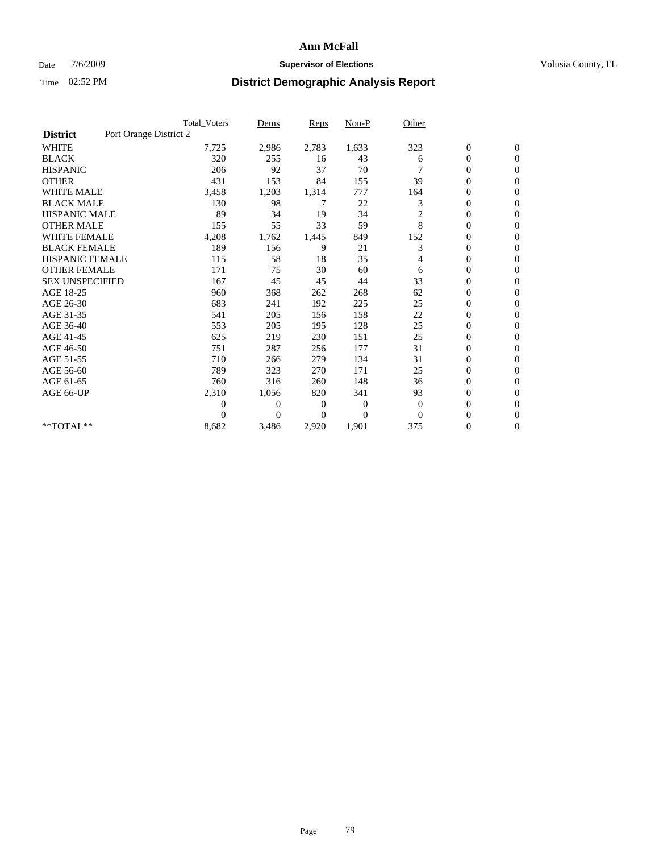### Date  $7/6/2009$  **Supervisor of Elections Supervisor of Elections** Volusia County, FL

|                        |                        | <b>Total Voters</b> | Dems           | <b>Reps</b> | $Non-P$      | Other        |                  |                  |  |
|------------------------|------------------------|---------------------|----------------|-------------|--------------|--------------|------------------|------------------|--|
| <b>District</b>        | Port Orange District 2 |                     |                |             |              |              |                  |                  |  |
| <b>WHITE</b>           |                        | 7,725               | 2,986          | 2,783       | 1,633        | 323          | $\boldsymbol{0}$ | $\boldsymbol{0}$ |  |
| <b>BLACK</b>           |                        | 320                 | 255            | 16          | 43           | 6            | $\boldsymbol{0}$ | $\mathbf{0}$     |  |
| <b>HISPANIC</b>        |                        | 206                 | 92             | 37          | 70           |              | $\overline{0}$   | $\mathbf{0}$     |  |
| <b>OTHER</b>           |                        | 431                 | 153            | 84          | 155          | 39           | $\boldsymbol{0}$ | $\Omega$         |  |
| <b>WHITE MALE</b>      |                        | 3,458               | 1,203          | 1,314       | 777          | 164          | $\overline{0}$   | $\mathbf{0}$     |  |
| <b>BLACK MALE</b>      |                        | 130                 | 98             | 7           | 22           | 3            | $\overline{0}$   | $\mathbf{0}$     |  |
| <b>HISPANIC MALE</b>   |                        | 89                  | 34             | 19          | 34           | 2            | 0                | $\mathbf{0}$     |  |
| <b>OTHER MALE</b>      |                        | 155                 | 55             | 33          | 59           | 8            | 0                | $\mathbf{0}$     |  |
| <b>WHITE FEMALE</b>    |                        | 4,208               | 1,762          | 1,445       | 849          | 152          | $\overline{0}$   | $\mathbf{0}$     |  |
| <b>BLACK FEMALE</b>    |                        | 189                 | 156            | 9           | 21           | 3            | $\boldsymbol{0}$ | $\mathbf{0}$     |  |
| <b>HISPANIC FEMALE</b> |                        | 115                 | 58             | 18          | 35           | 4            | 0                | $\mathbf{0}$     |  |
| <b>OTHER FEMALE</b>    |                        | 171                 | 75             | 30          | 60           | 6            | $\overline{0}$   | $\Omega$         |  |
| <b>SEX UNSPECIFIED</b> |                        | 167                 | 45             | 45          | 44           | 33           | $\overline{0}$   | $\mathbf{0}$     |  |
| AGE 18-25              |                        | 960                 | 368            | 262         | 268          | 62           | $\mathbf{0}$     | $\mathbf{0}$     |  |
| AGE 26-30              |                        | 683                 | 241            | 192         | 225          | 25           | $\overline{0}$   | $\mathbf{0}$     |  |
| AGE 31-35              |                        | 541                 | 205            | 156         | 158          | 22           | $\boldsymbol{0}$ | $\mathbf{0}$     |  |
| AGE 36-40              |                        | 553                 | 205            | 195         | 128          | 25           | 0                | $\mathbf{0}$     |  |
| AGE 41-45              |                        | 625                 | 219            | 230         | 151          | 25           | $\overline{0}$   | $\mathbf{0}$     |  |
| AGE 46-50              |                        | 751                 | 287            | 256         | 177          | 31           | $\boldsymbol{0}$ | $\mathbf{0}$     |  |
| AGE 51-55              |                        | 710                 | 266            | 279         | 134          | 31           | $\boldsymbol{0}$ | $\mathbf{0}$     |  |
| AGE 56-60              |                        | 789                 | 323            | 270         | 171          | 25           | $\overline{0}$   | $\Omega$         |  |
| AGE 61-65              |                        | 760                 | 316            | 260         | 148          | 36           | $\overline{0}$   | $\mathbf{0}$     |  |
| AGE 66-UP              |                        | 2,310               | 1,056          | 820         | 341          | 93           | $\boldsymbol{0}$ | $\mathbf{0}$     |  |
|                        |                        | $\overline{0}$      | $\overline{0}$ | 0           | $\mathbf{0}$ | $\mathbf{0}$ | $\overline{0}$   | $\mathbf{0}$     |  |
|                        |                        | $\theta$            | $\theta$       | $\Omega$    | $\Omega$     | $\Omega$     | $\overline{0}$   | $\mathbf{0}$     |  |
| **TOTAL**              |                        | 8,682               | 3,486          | 2,920       | 1,901        | 375          | 0                | $\mathbf{0}$     |  |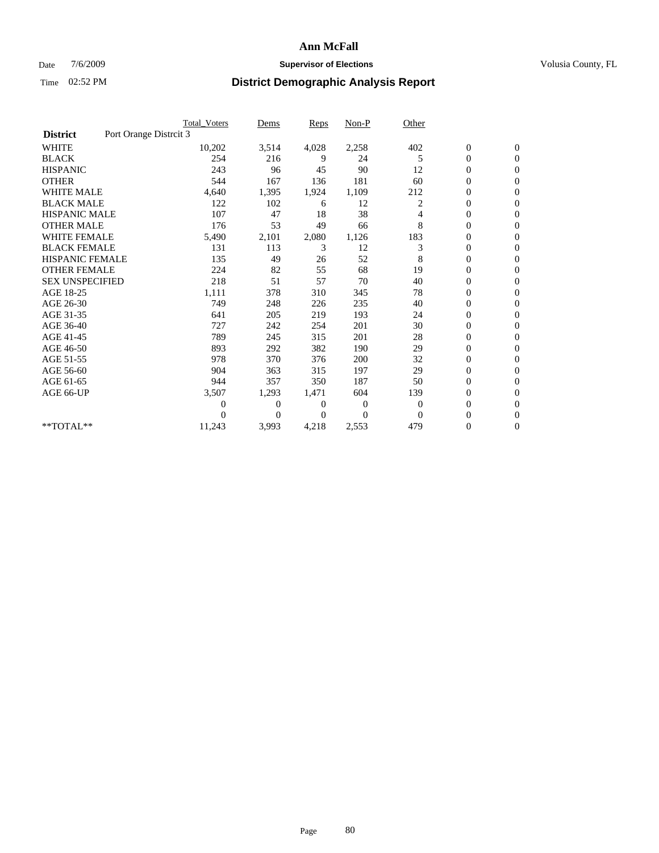### Date 7/6/2009 **Supervisor of Elections Supervisor of Elections** Volusia County, FL

|                        | Total Voters           | Dems           | <b>Reps</b>    | $Non-P$      | Other        |                  |                  |  |
|------------------------|------------------------|----------------|----------------|--------------|--------------|------------------|------------------|--|
| <b>District</b>        | Port Orange Distrcit 3 |                |                |              |              |                  |                  |  |
| <b>WHITE</b>           | 10,202                 | 3,514          | 4,028          | 2,258        | 402          | $\boldsymbol{0}$ | $\boldsymbol{0}$ |  |
| <b>BLACK</b>           | 254                    | 216            | 9              | 24           | 5            | $\boldsymbol{0}$ | $\mathbf{0}$     |  |
| <b>HISPANIC</b>        | 243                    | 96             | 45             | 90           | 12           | $\overline{0}$   | $\mathbf{0}$     |  |
| <b>OTHER</b>           | 544                    | 167            | 136            | 181          | 60           | $\overline{0}$   | $\mathbf{0}$     |  |
| <b>WHITE MALE</b>      | 4,640                  | 1,395          | 1,924          | 1,109        | 212          | $\boldsymbol{0}$ | $\mathbf{0}$     |  |
| <b>BLACK MALE</b>      | 122                    | 102            | 6              | 12           | 2            | $\overline{0}$   | $\mathbf{0}$     |  |
| <b>HISPANIC MALE</b>   | 107                    | 47             | 18             | 38           | 4            | 0                | $\Omega$         |  |
| <b>OTHER MALE</b>      | 176                    | 53             | 49             | 66           | 8            | $\overline{0}$   | $\mathbf{0}$     |  |
| <b>WHITE FEMALE</b>    | 5,490                  | 2,101          | 2,080          | 1,126        | 183          | $\boldsymbol{0}$ | $\mathbf{0}$     |  |
| <b>BLACK FEMALE</b>    | 131                    | 113            | 3              | 12           | 3            | $\overline{0}$   | $\mathbf{0}$     |  |
| <b>HISPANIC FEMALE</b> | 135                    | 49             | 26             | 52           | 8            | $\boldsymbol{0}$ | $\mathbf{0}$     |  |
| <b>OTHER FEMALE</b>    | 224                    | 82             | 55             | 68           | 19           | $\mathbf{0}$     | $\mathbf{0}$     |  |
| <b>SEX UNSPECIFIED</b> | 218                    | 51             | 57             | 70           | 40           | $\boldsymbol{0}$ | $\Omega$         |  |
| AGE 18-25              | 1,111                  | 378            | 310            | 345          | 78           | $\overline{0}$   | $\mathbf{0}$     |  |
| AGE 26-30              | 749                    | 248            | 226            | 235          | 40           | $\overline{0}$   | $\Omega$         |  |
| AGE 31-35              | 641                    | 205            | 219            | 193          | 24           | $\boldsymbol{0}$ | $\mathbf{0}$     |  |
| AGE 36-40              | 727                    | 242            | 254            | 201          | 30           | $\boldsymbol{0}$ | $\mathbf{0}$     |  |
| AGE 41-45              | 789                    | 245            | 315            | 201          | 28           | $\boldsymbol{0}$ | $\mathbf{0}$     |  |
| AGE 46-50              | 893                    | 292            | 382            | 190          | 29           | $\boldsymbol{0}$ | $\Omega$         |  |
| AGE 51-55              | 978                    | 370            | 376            | 200          | 32           | $\overline{0}$   | $\mathbf{0}$     |  |
| AGE 56-60              | 904                    | 363            | 315            | 197          | 29           | $\overline{0}$   | $\mathbf{0}$     |  |
| AGE 61-65              | 944                    | 357            | 350            | 187          | 50           | $\overline{0}$   | $\Omega$         |  |
| AGE 66-UP              | 3,507                  | 1,293          | 1,471          | 604          | 139          | $\overline{0}$   | $\mathbf{0}$     |  |
|                        | $\overline{0}$         | $\overline{0}$ | 0              | $\mathbf{0}$ | $\mathbf{0}$ | $\mathbf{0}$     | $\mathbf{0}$     |  |
|                        | 0                      | $\overline{0}$ | $\overline{0}$ | $\Omega$     | $\mathbf{0}$ | 0                | $\mathbf{0}$     |  |
| **TOTAL**              | 11,243                 | 3,993          | 4,218          | 2,553        | 479          | 0                | $\boldsymbol{0}$ |  |